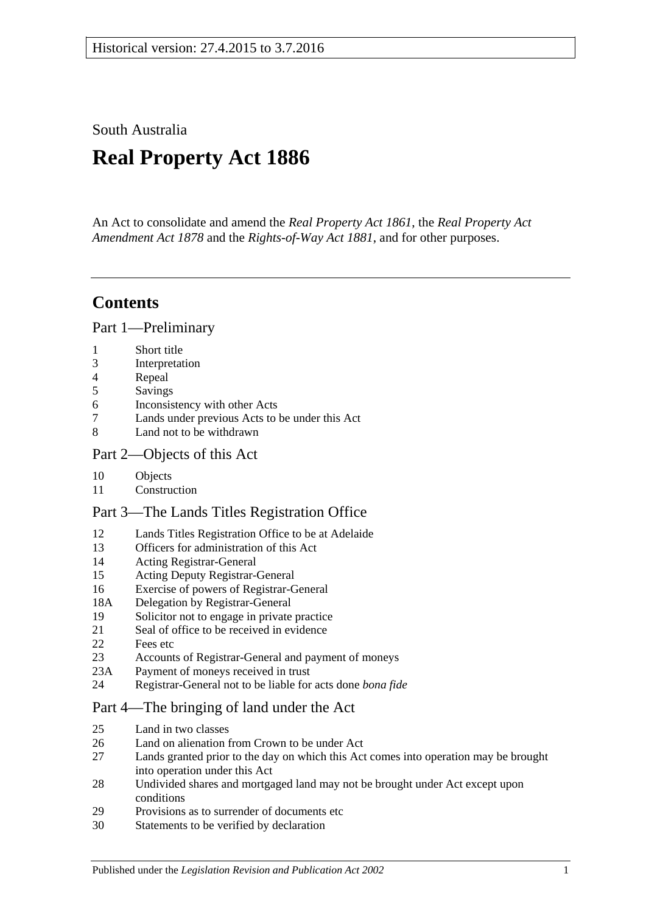South Australia

# **Real Property Act 1886**

An Act to consolidate and amend the *[Real Property Act](http://www.legislation.sa.gov.au/index.aspx?action=legref&type=act&legtitle=Real%20Property%20Act%201861) 1861*, the *[Real Property Act](http://www.legislation.sa.gov.au/index.aspx?action=legref&type=act&legtitle=Real%20Property%20Act%20Amendment%20Act%201878)  [Amendment Act](http://www.legislation.sa.gov.au/index.aspx?action=legref&type=act&legtitle=Real%20Property%20Act%20Amendment%20Act%201878) 1878* and the *[Rights-of-Way Act](http://www.legislation.sa.gov.au/index.aspx?action=legref&type=act&legtitle=Rights-of-Way%20Act%201881) 1881*, and for other purposes.

## **Contents**

[Part 1—Preliminary](#page-10-0)

- 1 [Short title](#page-10-1)
- 3 [Interpretation](#page-10-2)
- 4 [Repeal](#page-12-0)
- 5 [Savings](#page-12-1)
- 6 [Inconsistency with other Acts](#page-12-2)
- 7 [Lands under previous Acts to be under this Act](#page-12-3)
- 8 [Land not to be withdrawn](#page-12-4)

## [Part 2—Objects of this Act](#page-14-0)

- 10 [Objects](#page-14-1)
- 11 [Construction](#page-14-2)

## [Part 3—The Lands Titles Registration Office](#page-16-0)

- 12 [Lands Titles Registration Office to be at Adelaide](#page-16-1)
- 13 [Officers for administration of this Act](#page-16-2)
- 14 [Acting Registrar-General](#page-16-3)
- 15 [Acting Deputy Registrar-General](#page-16-4)
- 16 [Exercise of powers of Registrar-General](#page-16-5)
- 18A [Delegation by Registrar-General](#page-17-0)
- 19 [Solicitor not to engage in private practice](#page-17-1)
- 21 [Seal of office to be received in evidence](#page-17-2)
- 22 [Fees etc](#page-17-3)
- 23 [Accounts of Registrar-General and payment of moneys](#page-17-4)
- 23A [Payment of moneys received in trust](#page-17-5)
- 24 [Registrar-General not to be liable for acts done](#page-18-0) *bona fide*

## [Part 4—The bringing of land under the Act](#page-20-0)

- 25 [Land in two classes](#page-20-1)
- 26 [Land on alienation from Crown to be under Act](#page-20-2)<br>27 Lands granted prior to the day on which this Act
- Lands granted prior to the day on which this Act comes into operation may be brought [into operation under this Act](#page-20-3)
- 28 [Undivided shares and mortgaged land may not be brought under Act except upon](#page-21-0)  [conditions](#page-21-0)
- 29 [Provisions as to surrender of documents etc](#page-21-1)
- 30 [Statements to be verified by declaration](#page-21-2)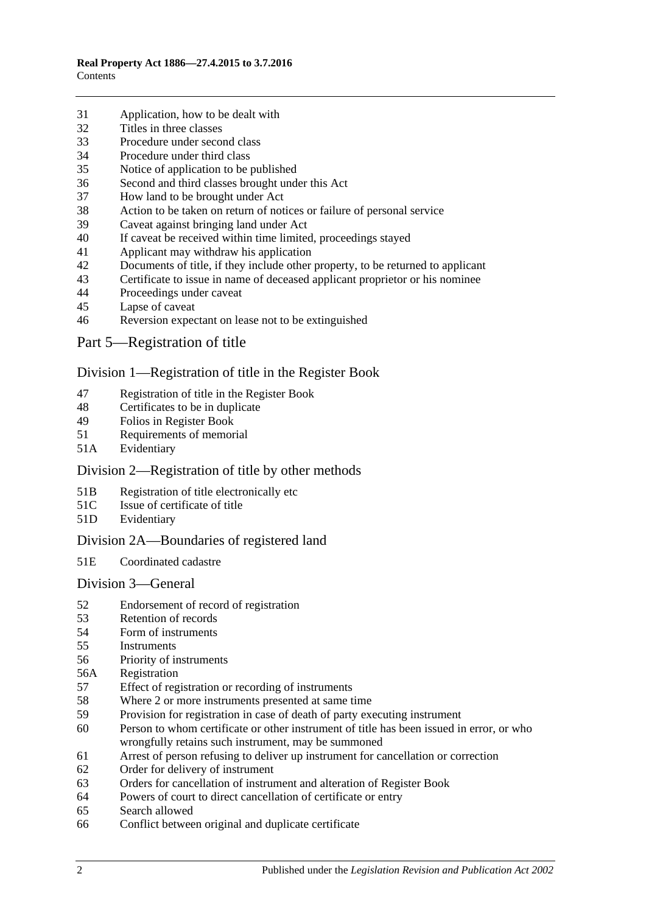- [Application, how to be dealt with](#page-21-3)
- [Titles in three classes](#page-22-0)
- [Procedure under second class](#page-22-1)
- [Procedure under third class](#page-23-0)
- [Notice of application to be published](#page-23-1)
- [Second and third classes brought under this Act](#page-23-2)
- [How land to be brought under Act](#page-23-3)
- [Action to be taken on return of notices or failure of personal service](#page-24-0)
- [Caveat against bringing land under Act](#page-24-1)
- [If caveat be received within time limited, proceedings stayed](#page-24-2)
- [Applicant may withdraw his application](#page-24-3)
- [Documents of title, if they include other property, to be returned to applicant](#page-24-4)<br>43 Certificate to issue in name of deceased applicant proprietor or his nominee
- [Certificate to issue in name of deceased applicant proprietor or his nominee](#page-25-0)
- [Proceedings under caveat](#page-25-1)
- [Lapse of caveat](#page-25-2)
- [Reversion expectant on lease not to be extinguished](#page-25-3)
- [Part 5—Registration of title](#page-26-0)

#### [Division 1—Registration of title in the Register Book](#page-26-1)

- [Registration of title in the Register Book](#page-26-2)
- [Certificates to be in duplicate](#page-26-3)
- [Folios in Register Book](#page-26-4)
- [Requirements of memorial](#page-26-5)
- 51A [Evidentiary](#page-26-6)

## [Division 2—Registration of title by other methods](#page-26-7)

- 51B [Registration of title electronically etc](#page-26-8)
- 51C [Issue of certificate of title](#page-27-0)
- 51D [Evidentiary](#page-28-0)

## [Division 2A—Boundaries of registered land](#page-28-1)

51E [Coordinated cadastre](#page-28-2)

#### [Division 3—General](#page-28-3)

- [Endorsement of record of registration](#page-28-4)
- [Retention of records](#page-29-0)
- [Form of instruments](#page-29-1)<br>55 Instruments
- **[Instruments](#page-29-2)**
- [Priority of instruments](#page-29-3)
- 56A [Registration](#page-30-0)
- [Effect of registration or recording of instruments](#page-30-1)
- [Where 2 or more instruments presented at same time](#page-30-2)
- [Provision for registration in case of death of party executing instrument](#page-30-3)
- [Person to whom certificate or other instrument of title has been issued in error, or who](#page-30-4)  [wrongfully retains such instrument, may be summoned](#page-30-4)
- [Arrest of person refusing to deliver up instrument for cancellation or correction](#page-31-0)
- [Order for delivery of instrument](#page-31-1)
- [Orders for cancellation of instrument and alteration of Register Book](#page-31-2)
- [Powers of court to direct cancellation of certificate or entry](#page-31-3)
- [Search allowed](#page-31-4)
- [Conflict between original and duplicate certificate](#page-32-0)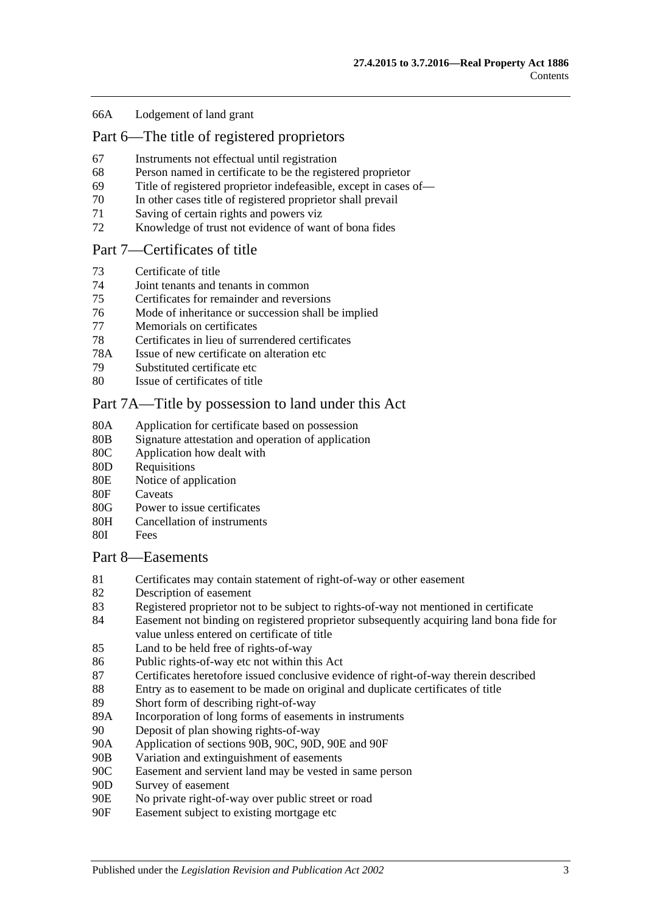#### 66A [Lodgement of land grant](#page-32-1)

## [Part 6—The title of registered proprietors](#page-34-0)

- 67 [Instruments not effectual until registration](#page-34-1)
- 68 [Person named in certificate to be the registered proprietor](#page-34-2)
- 69 [Title of registered proprietor indefeasible, except in cases of—](#page-34-3)
- 70 [In other cases title of registered proprietor shall prevail](#page-35-0)
- 71 [Saving of certain rights and powers viz](#page-36-0)
- 72 [Knowledge of trust not evidence of want of bona fides](#page-36-1)

#### [Part 7—Certificates of title](#page-38-0)

- 73 [Certificate of title](#page-38-1)
- 74 [Joint tenants and tenants in common](#page-38-2)
- 75 [Certificates for remainder and reversions](#page-38-3)
- 76 [Mode of inheritance or succession shall be implied](#page-38-4)
- 77 [Memorials on certificates](#page-38-5)
- 78 [Certificates in lieu of surrendered certificates](#page-38-6)
- 78A [Issue of new certificate on alteration etc](#page-39-0)
- 79 [Substituted certificate etc](#page-39-1)
- 80 [Issue of certificates of title](#page-39-2)

#### [Part 7A—Title by possession to land under this Act](#page-40-0)

- 80A [Application for certificate based on possession](#page-40-1)
- 80B [Signature attestation and operation of application](#page-40-2)
- 80C [Application how dealt with](#page-40-3)
- 80D [Requisitions](#page-40-4)
- 80E [Notice of application](#page-40-5)
- 80F [Caveats](#page-41-0)
- 80G [Power to issue certificates](#page-41-1)
- 80H [Cancellation of instruments](#page-42-0)
- 80I [Fees](#page-42-1)

#### [Part 8—Easements](#page-44-0)

- 81 [Certificates may contain statement of right-of-way or other easement](#page-44-1)
- 82 [Description of easement](#page-44-2)
- 83 [Registered proprietor not to be subject to rights-of-way not mentioned in certificate](#page-44-3)
- 84 [Easement not binding on registered proprietor subsequently acquiring land bona fide for](#page-44-4)  [value unless entered on certificate of title](#page-44-4)
- 85 [Land to be held free of rights-of-way](#page-44-5)
- 86 [Public rights-of-way etc not within this Act](#page-44-6)
- 87 [Certificates heretofore issued conclusive evidence of right-of-way therein described](#page-45-0)
- 88 [Entry as to easement to be made on original and duplicate certificates of title](#page-45-1)
- 89 [Short form of describing right-of-way](#page-45-2)
- 89A [Incorporation of long forms of easements in instruments](#page-45-3)
- 90 [Deposit of plan showing rights-of-way](#page-45-4)
- 90A [Application of sections](#page-45-5) 90B, [90C, 90D, 90E](#page-45-5) and [90F](#page-45-5)
- 90B [Variation and extinguishment of easements](#page-46-0)
- 90C [Easement and servient land may be vested in same person](#page-48-0)
- 90D [Survey of easement](#page-49-0)
- 90E [No private right-of-way over public street or road](#page-49-1)
- 90F [Easement subject to existing mortgage etc](#page-49-2)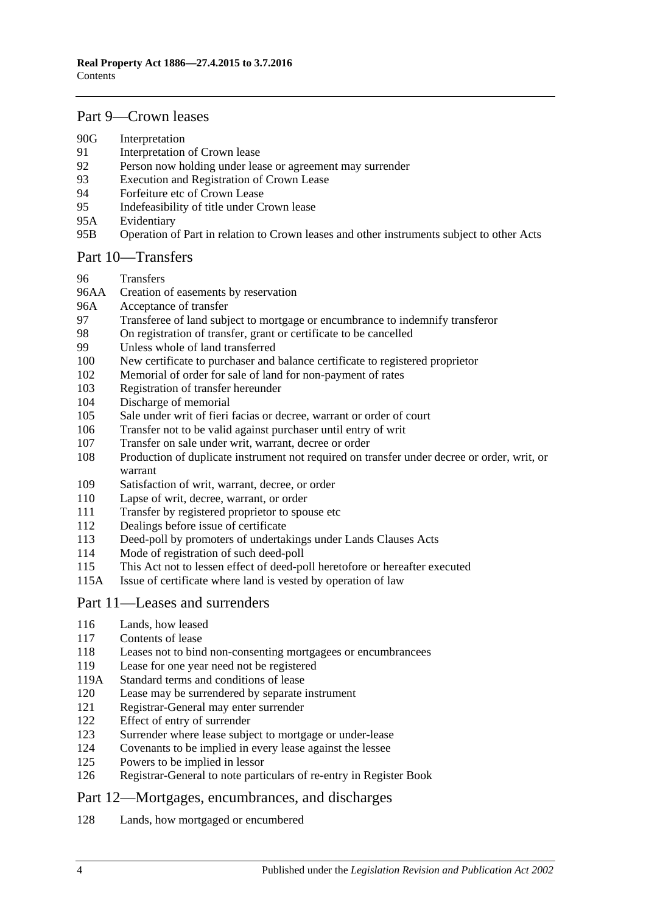## [Part 9—Crown leases](#page-50-0)

- 90G [Interpretation](#page-50-1)
- [Interpretation of Crown lease](#page-50-2)
- [Person now holding under lease or agreement may surrender](#page-50-3)
- [Execution and Registration of Crown Lease](#page-50-4)
- [Forfeiture etc of Crown Lease](#page-51-0)
- [Indefeasibility of title under Crown lease](#page-51-1)
- 95A [Evidentiary](#page-51-2)
- 95B [Operation of Part in relation to Crown leases and other instruments subject to other Acts](#page-52-0)

#### [Part 10—Transfers](#page-54-0)

- [Transfers](#page-54-1)
- 96AA [Creation of easements by reservation](#page-54-2)<br>96A Acceptance of transfer
- [Acceptance of transfer](#page-54-3)
- [Transferee of land subject to mortgage or encumbrance to indemnify transferor](#page-54-4)
- [On registration of transfer, grant or certificate to be cancelled](#page-55-0)
- [Unless whole of land transferred](#page-55-1)
- [New certificate to purchaser and balance certificate to registered proprietor](#page-55-2)
- [Memorial of order for sale of land for](#page-55-3) non-payment of rates
- [Registration of transfer hereunder](#page-55-4)
- [Discharge of memorial](#page-56-0)
- [Sale under writ of fieri facias or decree, warrant or order of court](#page-56-1)
- [Transfer not to be valid against purchaser until entry of writ](#page-56-2)
- [Transfer on sale under writ, warrant, decree or order](#page-56-3)
- [Production of duplicate instrument not required on transfer under decree or order, writ, or](#page-56-4)  [warrant](#page-56-4)
- [Satisfaction of writ, warrant, decree, or order](#page-57-0)
- [Lapse of writ, decree, warrant, or order](#page-57-1)
- [Transfer by registered proprietor to spouse etc](#page-57-2)
- [Dealings before issue of certificate](#page-57-3)
- [Deed-poll by promoters of undertakings under Lands Clauses Acts](#page-57-4)
- [Mode of registration of such deed-poll](#page-58-0)
- [This Act not to lessen effect of deed-poll heretofore or hereafter executed](#page-58-1)
- 115A [Issue of certificate where land is vested by operation of law](#page-58-2)

## [Part 11—Leases and surrenders](#page-60-0)

- [Lands, how leased](#page-60-1)
- [Contents of lease](#page-60-2)
- [Leases not to bind non-consenting mortgagees or encumbrancees](#page-60-3)
- [Lease for one year need not be registered](#page-60-4)
- 119A [Standard terms and conditions of lease](#page-60-5)
- [Lease may be surrendered by separate instrument](#page-61-0)
- [Registrar-General may enter surrender](#page-61-1)
- [Effect of entry of surrender](#page-61-2)
- [Surrender where lease subject to mortgage or under-lease](#page-61-3)
- [Covenants to be implied in every lease against the lessee](#page-61-4)
- [Powers to be implied in lessor](#page-61-5)
- [Registrar-General to note particulars of re-entry in Register Book](#page-62-0)

## [Part 12—Mortgages, encumbrances, and discharges](#page-64-0)

[Lands, how mortgaged or encumbered](#page-64-1)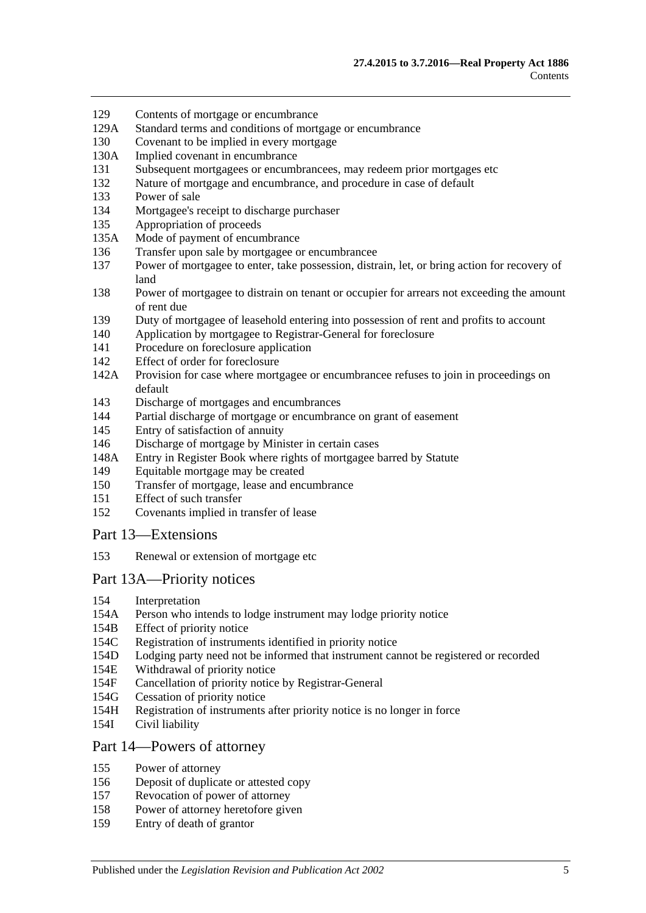- 129 [Contents of mortgage or encumbrance](#page-64-2)
- 129A [Standard terms and conditions of mortgage or encumbrance](#page-64-3)
- 130 [Covenant to be implied in every mortgage](#page-65-0)
- 130A [Implied covenant in encumbrance](#page-65-1)
- 131 [Subsequent mortgagees or encumbrancees, may redeem prior mortgages etc](#page-65-2)
- 132 [Nature of mortgage and encumbrance, and procedure in case of default](#page-65-3)
- 133 [Power of sale](#page-66-0)
- 134 [Mortgagee's receipt to discharge purchaser](#page-66-1)
- 135 [Appropriation of proceeds](#page-66-2)
- 135A [Mode of payment of encumbrance](#page-66-3)
- 136 [Transfer upon sale by mortgagee or encumbrancee](#page-66-4)
- 137 [Power of mortgagee to enter, take possession, distrain, let, or bring action for recovery of](#page-67-0)  [land](#page-67-0)
- 138 Power of mortgagee to distrain on tenant [or occupier for arrears not exceeding the amount](#page-67-1)  [of rent due](#page-67-1)
- 139 [Duty of mortgagee of leasehold entering into possession of rent and profits to account](#page-68-0)
- 140 [Application by mortgagee to Registrar-General for foreclosure](#page-68-1)
- 141 [Procedure on foreclosure application](#page-68-2)
- 142 [Effect of order for foreclosure](#page-69-0)
- 142A [Provision for case where mortgagee or encumbrancee refuses to join in proceedings on](#page-69-1)  [default](#page-69-1)
- 143 [Discharge of mortgages and encumbrances](#page-69-2)
- 144 [Partial discharge of mortgage or encumbrance on grant of easement](#page-69-3)
- 145 [Entry of satisfaction of annuity](#page-70-0)
- 146 [Discharge of mortgage by Minister in certain cases](#page-70-1)
- 148A [Entry in Register Book where rights of mortgagee barred by Statute](#page-71-0)
- 149 [Equitable mortgage may be created](#page-71-1)
- 150 [Transfer of mortgage, lease and encumbrance](#page-71-2)
- 151 [Effect of such transfer](#page-71-3)
- 152 [Covenants implied in transfer of lease](#page-72-0)

### [Part 13—Extensions](#page-74-0)

153 [Renewal or extension of mortgage etc](#page-74-1)

## Part [13A—Priority notices](#page-76-0)

- 154 [Interpretation](#page-76-1)
- 154A [Person who intends to lodge instrument may lodge priority notice](#page-76-2)
- 154B [Effect of priority notice](#page-77-0)
- 154C [Registration of instruments identified in priority notice](#page-79-0)
- 154D [Lodging party need not be informed that instrument cannot be registered or recorded](#page-79-1)
- 154E [Withdrawal of priority notice](#page-79-2)
- 154F [Cancellation of priority notice by Registrar-General](#page-79-3)
- 154G [Cessation of priority notice](#page-79-4)
- 154H [Registration of instruments after priority notice is no longer in force](#page-80-0)
- 154I [Civil liability](#page-80-1)

#### [Part 14—Powers of attorney](#page-82-0)

- 155 [Power of attorney](#page-82-1)
- 156 [Deposit of duplicate or attested copy](#page-82-2)
- 157 [Revocation of power of attorney](#page-82-3)
- 158 [Power of attorney heretofore given](#page-82-4)
- 159 [Entry of death of grantor](#page-82-5)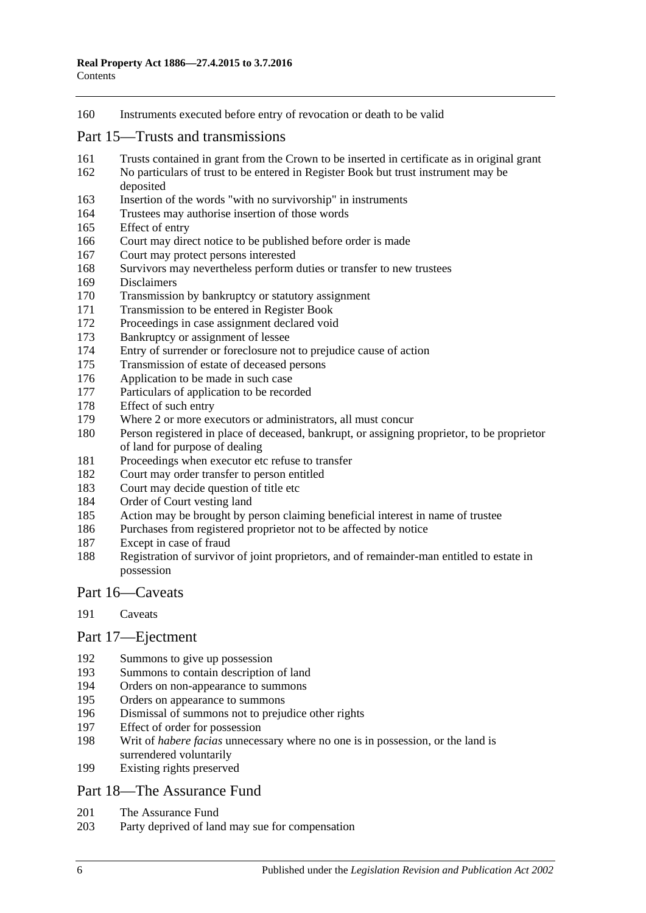[Instruments executed before entry of revocation or death to be valid](#page-82-6)

### [Part 15—Trusts and transmissions](#page-84-0)

- [Trusts contained in grant from the Crown to be inserted in certificate as in original grant](#page-84-1)
- [No particulars of trust to be entered in Register Book but trust instrument may be](#page-84-2)  [deposited](#page-84-2)
- [Insertion of the words "with no survivorship" in instruments](#page-84-3)
- [Trustees may authorise insertion of those words](#page-84-4)
- [Effect of entry](#page-85-0)
- [Court may direct notice to be published before order is made](#page-85-1)
- [Court may protect persons interested](#page-85-2)
- [Survivors may nevertheless perform duties or transfer to new trustees](#page-85-3)
- [Disclaimers](#page-85-4)
- [Transmission by bankruptcy or statutory assignment](#page-86-0)
- [Transmission to be entered in Register Book](#page-87-0)
- [Proceedings in case assignment declared void](#page-87-1)
- [Bankruptcy or assignment of lessee](#page-87-2)
- [Entry of surrender or foreclosure not to prejudice cause of action](#page-89-0)
- [Transmission of estate of deceased persons](#page-89-1)
- [Application to be made in such case](#page-89-2)
- [Particulars of application to be recorded](#page-89-3)
- [Effect of such entry](#page-89-4)
- [Where 2 or more executors or administrators, all must concur](#page-89-5)
- [Person registered in place of deceased, bankrupt, or assigning proprietor, to be proprietor](#page-89-6)  [of land for purpose of dealing](#page-89-6)
- [Proceedings when executor etc refuse to transfer](#page-90-0)
- [Court may order transfer to person entitled](#page-90-1)
- [Court may decide question of title etc](#page-90-2)
- [Order of Court vesting land](#page-90-3)
- [Action may be brought by person claiming beneficial interest in name of trustee](#page-90-4)
- [Purchases from registered proprietor not to be affected by](#page-90-5) notice
- [Except in case of fraud](#page-91-0)
- [Registration of survivor of joint proprietors, and of remainder-man entitled to estate in](#page-91-1)  [possession](#page-91-1)

## [Part 16—Caveats](#page-92-0)

[Caveats](#page-92-1)

## [Part 17—Ejectment](#page-96-0)

- [Summons to give up possession](#page-96-1)
- [Summons to contain description of land](#page-96-2)
- [Orders on non-appearance to summons](#page-96-3)
- [Orders on appearance to summons](#page-96-4)
- [Dismissal of summons not to prejudice other rights](#page-96-5)
- [Effect of order for possession](#page-96-6)
- Writ of *habere facias* [unnecessary where no one is in possession, or the land is](#page-97-0)  [surrendered voluntarily](#page-97-0)
- [Existing rights preserved](#page-97-1)

## [Part 18—The Assurance Fund](#page-98-0)

- [The Assurance Fund](#page-98-1)
- [Party deprived of land may sue for compensation](#page-99-0)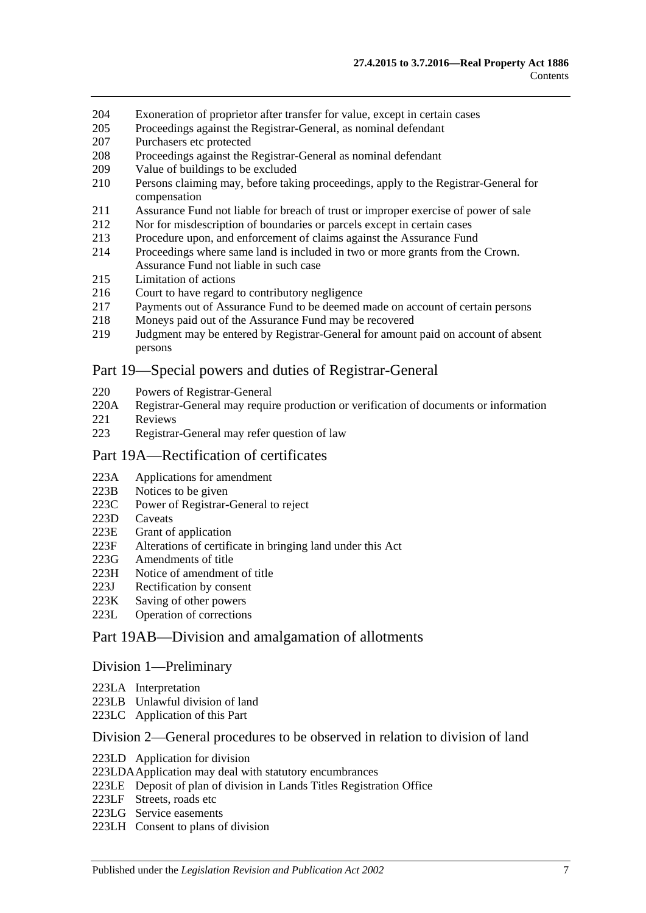- 204 [Exoneration of proprietor after transfer for value, except in certain cases](#page-99-1)
- 205 [Proceedings against the Registrar-General, as nominal defendant](#page-99-2)
- 207 [Purchasers etc protected](#page-99-3)
- 208 [Proceedings against the Registrar-General as nominal defendant](#page-100-0)
- 209 [Value of buildings to be excluded](#page-100-1)
- 210 [Persons claiming may, before taking proceedings, apply to the Registrar-General for](#page-100-2)  [compensation](#page-100-2)
- 211 [Assurance Fund not liable for breach of trust or improper exercise of power of sale](#page-100-3)
- 212 [Nor for misdescription of boundaries or parcels except in certain cases](#page-101-0)
- 213 [Procedure upon, and enforcement of claims against the Assurance Fund](#page-101-1)
- 214 [Proceedings where same land is included in two or more grants from the Crown.](#page-102-0)  [Assurance Fund not liable in such case](#page-102-0)
- 215 [Limitation of actions](#page-102-1)
- 216 [Court to have regard to contributory negligence](#page-103-0)
- 217 [Payments out of Assurance Fund to be deemed made on account of certain persons](#page-103-1)
- 218 [Moneys paid out of the Assurance Fund may be recovered](#page-103-2)
- 219 [Judgment may be entered by Registrar-General for amount paid on account of absent](#page-103-3)  [persons](#page-103-3)

#### [Part 19—Special powers and duties of Registrar-General](#page-104-0)

- 220 [Powers of Registrar-General](#page-104-1)
- 220A [Registrar-General may require production or verification of documents or information](#page-106-0)
- 221 [Reviews](#page-107-0)
- 223 [Registrar-General may refer question of law](#page-108-0)

#### [Part 19A—Rectification of certificates](#page-110-0)

- 223A [Applications for amendment](#page-110-1)
- 223B [Notices to be given](#page-110-2)
- 223C [Power of Registrar-General to reject](#page-110-3)
- 223D [Caveats](#page-110-4)
- 223E [Grant of application](#page-111-0)
- 223F [Alterations of certificate in bringing land under this Act](#page-111-1)
- 223G [Amendments of title](#page-111-2)
- 223H [Notice of amendment of title](#page-111-3)
- 223J [Rectification by consent](#page-112-0)
- 223K [Saving of other powers](#page-112-1)
- 223L [Operation of corrections](#page-112-2)

#### [Part 19AB—Division and amalgamation of allotments](#page-114-0)

#### [Division 1—Preliminary](#page-114-1)

- 223LA [Interpretation](#page-114-2)
- 223LB [Unlawful division of land](#page-117-0)
- 223LC [Application of this Part](#page-118-0)

#### [Division 2—General procedures to be observed in relation to division of land](#page-118-1)

- 223LD [Application for division](#page-118-2)
- [223LDAApplication may deal with statutory encumbrances](#page-120-0)
- 223LE [Deposit of plan of division in Lands Titles Registration Office](#page-120-1)
- 223LF [Streets, roads etc](#page-121-0)
- 223LG [Service easements](#page-122-0)
- 223LH [Consent to plans of division](#page-123-0)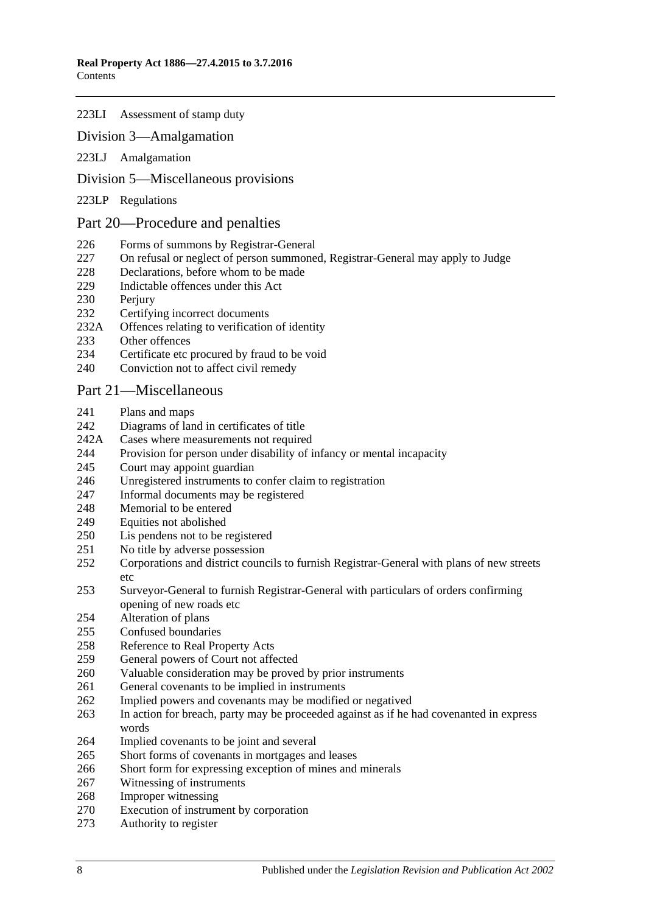#### 223LI [Assessment of stamp duty](#page-124-0)

#### [Division 3—Amalgamation](#page-124-1)

223LJ [Amalgamation](#page-124-2)

#### [Division 5—Miscellaneous provisions](#page-125-0)

223LP [Regulations](#page-125-1)

#### [Part 20—Procedure and penalties](#page-126-0)

- [Forms of summons by Registrar-General](#page-126-1)
- [On refusal or neglect of person summoned, Registrar-General may apply to Judge](#page-126-2)
- [Declarations, before whom to be made](#page-126-3)
- [Indictable offences under this Act](#page-126-4)
- 230 Periury
- [Certifying incorrect documents](#page-127-1)
- 232A [Offences relating to verification of identity](#page-127-2)
- [Other offences](#page-128-0)
- [Certificate etc procured by fraud to be void](#page-129-0)
- [Conviction not to affect civil remedy](#page-129-1)

#### [Part 21—Miscellaneous](#page-130-0)

- [Plans and maps](#page-130-1)
- [Diagrams of land in certificates of title](#page-130-2)
- 242A [Cases where measurements not required](#page-130-3)
- [Provision for person under disability of infancy or mental incapacity](#page-130-4)
- [Court may appoint guardian](#page-131-0)
- [Unregistered instruments to confer claim to registration](#page-131-1)
- [Informal documents may be registered](#page-131-2)
- [Memorial to be entered](#page-131-3)
- [Equities not abolished](#page-131-4)
- [Lis pendens not to be registered](#page-132-0)
- No [title by adverse possession](#page-132-1)
- [Corporations and district councils to furnish Registrar-General with plans of new streets](#page-132-2)  [etc](#page-132-2)
- [Surveyor-General to furnish Registrar-General with particulars of orders confirming](#page-132-3)  [opening of new roads etc](#page-132-3)
- [Alteration of plans](#page-132-4)
- [Confused boundaries](#page-133-0)
- [Reference to Real Property Acts](#page-133-1)
- [General powers of Court not affected](#page-133-2)
- [Valuable consideration may be proved by prior instruments](#page-133-3)
- [General covenants to be implied in instruments](#page-134-0)
- [Implied powers and covenants may be modified or negatived](#page-134-1)
- [In action for breach, party may be proceeded against as if he had covenanted in express](#page-134-2)  [words](#page-134-2)
- [Implied covenants to be joint and several](#page-134-3)
- [Short forms of covenants in mortgages and leases](#page-134-4)
- [Short form for expressing exception of mines and minerals](#page-134-5)
- [Witnessing of instruments](#page-135-0)
- [Improper witnessing](#page-135-1)
- [Execution of instrument by corporation](#page-135-2)
- [Authority to register](#page-135-3)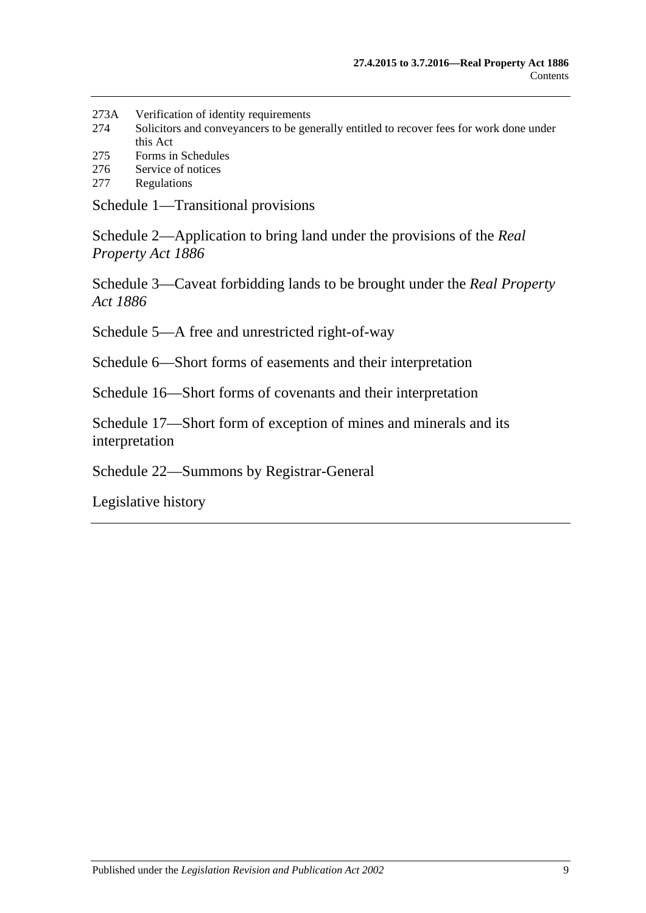- 273A [Verification of identity requirements](#page-136-0)
- 274 [Solicitors and conveyancers to be generally entitled to recover fees for work done under](#page-137-0)  [this Act](#page-137-0)
- 275 [Forms in Schedules](#page-137-1)
- 276 [Service of notices](#page-137-2)
- 277 [Regulations](#page-137-3)

[Schedule 1—Transitional provisions](#page-140-0)

[Schedule 2—Application to bring land under the provisions of the](#page-143-0) *Real [Property Act](#page-143-0) 1886*

[Schedule 3—Caveat forbidding lands to be brought under the](#page-144-0) *Real Property Act [1886](#page-144-0)*

[Schedule 5—A free and unrestricted right-of-way](#page-144-1)

[Schedule 6—Short forms of easements and their interpretation](#page-144-2)

[Schedule 16—Short forms of covenants and their interpretation](#page-147-0)

Schedule 17—Short form [of exception of mines and minerals and its](#page-149-0)  [interpretation](#page-149-0)

[Schedule 22—Summons by Registrar-General](#page-149-1)

[Legislative history](#page-150-0)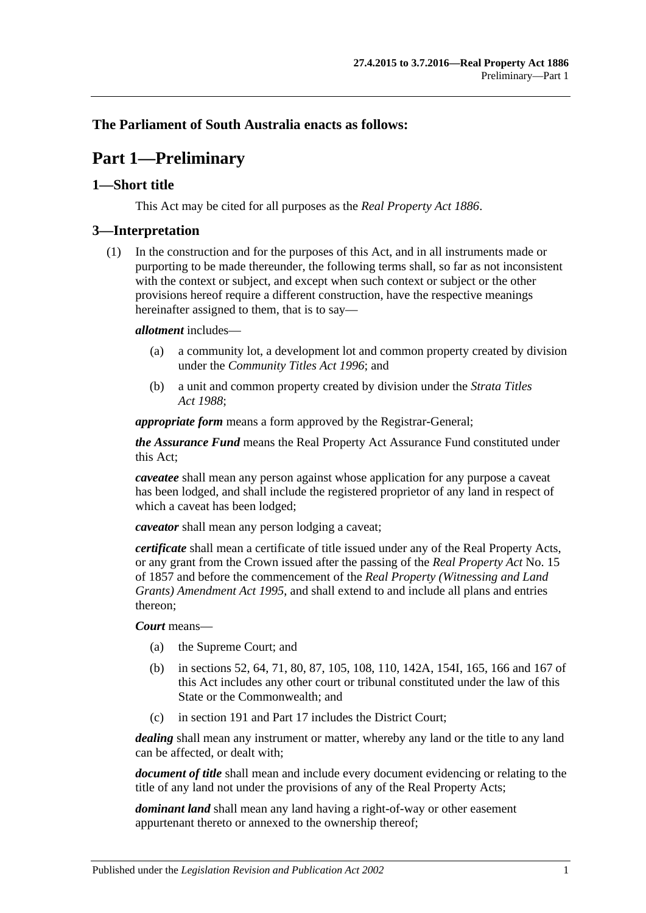## <span id="page-10-0"></span>**The Parliament of South Australia enacts as follows:**

## **Part 1—Preliminary**

### <span id="page-10-1"></span>**1—Short title**

This Act may be cited for all purposes as the *[Real Property Act](http://www.legislation.sa.gov.au/index.aspx?action=legref&type=act&legtitle=Real%20Property%20Act%201886) 1886*.

### <span id="page-10-2"></span>**3—Interpretation**

(1) In the construction and for the purposes of this Act, and in all instruments made or purporting to be made thereunder, the following terms shall, so far as not inconsistent with the context or subject, and except when such context or subject or the other provisions hereof require a different construction, have the respective meanings hereinafter assigned to them, that is to say—

#### *allotment* includes—

- (a) a community lot, a development lot and common property created by division under the *[Community Titles Act](http://www.legislation.sa.gov.au/index.aspx?action=legref&type=act&legtitle=Community%20Titles%20Act%201996) 1996*; and
- (b) a unit and common property created by division under the *[Strata Titles](http://www.legislation.sa.gov.au/index.aspx?action=legref&type=act&legtitle=Strata%20Titles%20Act%201988)  Act [1988](http://www.legislation.sa.gov.au/index.aspx?action=legref&type=act&legtitle=Strata%20Titles%20Act%201988)*;

*appropriate form* means a form approved by the Registrar-General;

*the Assurance Fund* means the Real Property Act Assurance Fund constituted under this Act;

*caveatee* shall mean any person against whose application for any purpose a caveat has been lodged, and shall include the registered proprietor of any land in respect of which a caveat has been lodged;

*caveator* shall mean any person lodging a caveat;

*certificate* shall mean a certificate of title issued under any of the Real Property Acts, or any grant from the Crown issued after the passing of the *[Real Property Act](http://www.legislation.sa.gov.au/index.aspx?action=legref&type=act&legtitle=Real%20Property%20Act)* No. 15 of 1857 and before the commencement of the *[Real Property \(Witnessing and Land](http://www.legislation.sa.gov.au/index.aspx?action=legref&type=act&legtitle=Real%20Property%20(Witnessing%20and%20Land%20Grants)%20Amendment%20Act%201995)  [Grants\) Amendment Act](http://www.legislation.sa.gov.au/index.aspx?action=legref&type=act&legtitle=Real%20Property%20(Witnessing%20and%20Land%20Grants)%20Amendment%20Act%201995) 1995*, and shall extend to and include all plans and entries thereon;

*Court* means—

- (a) the Supreme Court; and
- (b) in [sections](#page-28-4) 52, [64,](#page-31-3) [71,](#page-36-0) [80,](#page-39-2) [87,](#page-45-0) [105,](#page-56-1) [108,](#page-56-4) [110,](#page-57-1) [142A,](#page-69-1) 154I, [165,](#page-85-0) [166](#page-85-1) and [167](#page-85-2) of this Act includes any other court or tribunal constituted under the law of this State or the Commonwealth; and
- (c) in [section](#page-92-1) 191 and [Part 17](#page-96-0) includes the District Court;

*dealing* shall mean any instrument or matter, whereby any land or the title to any land can be affected, or dealt with;

*document of title* shall mean and include every document evidencing or relating to the title of any land not under the provisions of any of the Real Property Acts;

*dominant land* shall mean any land having a right-of-way or other easement appurtenant thereto or annexed to the ownership thereof;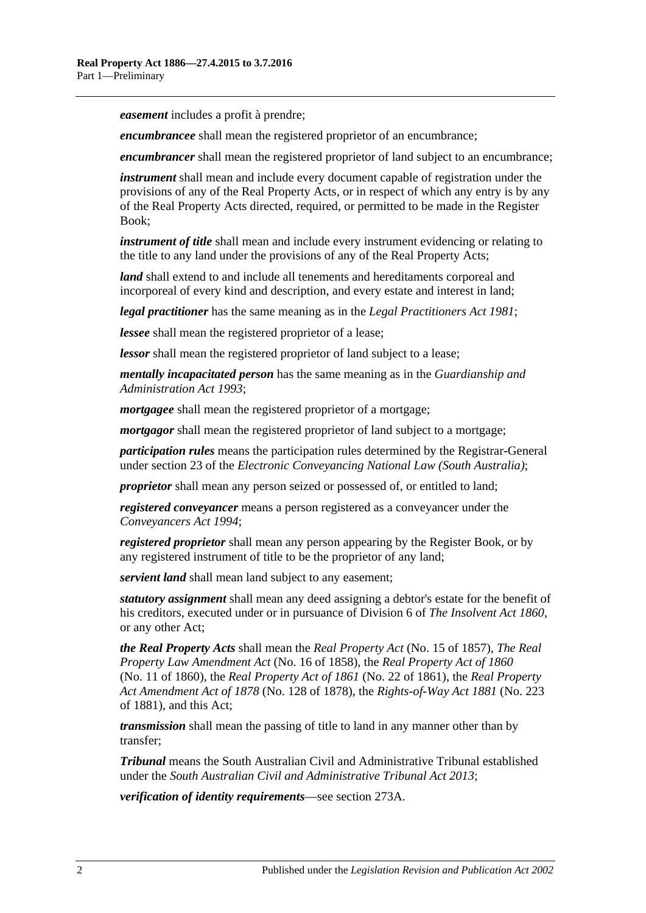*easement* includes a profit à prendre;

*encumbrancee* shall mean the registered proprietor of an encumbrance;

*encumbrancer* shall mean the registered proprietor of land subject to an encumbrance;

*instrument* shall mean and include every document capable of registration under the provisions of any of the Real Property Acts, or in respect of which any entry is by any of the Real Property Acts directed, required, or permitted to be made in the Register Book;

*instrument of title* shall mean and include every instrument evidencing or relating to the title to any land under the provisions of any of the Real Property Acts;

*land* shall extend to and include all tenements and hereditaments corporeal and incorporeal of every kind and description, and every estate and interest in land;

*legal practitioner* has the same meaning as in the *[Legal Practitioners Act](http://www.legislation.sa.gov.au/index.aspx?action=legref&type=act&legtitle=Legal%20Practitioners%20Act%201981) 1981*;

*lessee* shall mean the registered proprietor of a lease;

*lessor* shall mean the registered proprietor of land subject to a lease;

*mentally incapacitated person* has the same meaning as in the *[Guardianship and](http://www.legislation.sa.gov.au/index.aspx?action=legref&type=act&legtitle=Guardianship%20and%20Administration%20Act%201993)  [Administration Act](http://www.legislation.sa.gov.au/index.aspx?action=legref&type=act&legtitle=Guardianship%20and%20Administration%20Act%201993) 1993*;

*mortgagee* shall mean the registered proprietor of a mortgage;

*mortgagor* shall mean the registered proprietor of land subject to a mortgage;

*participation rules* means the participation rules determined by the Registrar-General under section 23 of the *Electronic Conveyancing National Law (South Australia)*;

*proprietor* shall mean any person seized or possessed of, or entitled to land;

*registered conveyancer* means a person registered as a conveyancer under the *[Conveyancers Act](http://www.legislation.sa.gov.au/index.aspx?action=legref&type=act&legtitle=Conveyancers%20Act%201994) 1994*;

*registered proprietor* shall mean any person appearing by the Register Book, or by any registered instrument of title to be the proprietor of any land;

*servient land* shall mean land subject to any easement;

*statutory assignment* shall mean any deed assigning a debtor's estate for the benefit of his creditors, executed under or in pursuance of Division 6 of *[The Insolvent Act](http://www.legislation.sa.gov.au/index.aspx?action=legref&type=act&legtitle=The%20Insolvent%20Act%201860) 1860*, or any other Act;

*the Real Property Acts* shall mean the *[Real Property Act](http://www.legislation.sa.gov.au/index.aspx?action=legref&type=act&legtitle=Real%20Property%20Act)* (No. 15 of 1857), *[The Real](http://www.legislation.sa.gov.au/index.aspx?action=legref&type=act&legtitle=The%20Real%20Property%20Law%20Amendment%20Act)  [Property Law Amendment Act](http://www.legislation.sa.gov.au/index.aspx?action=legref&type=act&legtitle=The%20Real%20Property%20Law%20Amendment%20Act)* (No. 16 of 1858), the *[Real Property Act of](http://www.legislation.sa.gov.au/index.aspx?action=legref&type=act&legtitle=Real%20Property%20Act%20of%201860) 1860* (No. 11 of 1860), the *[Real Property Act of](http://www.legislation.sa.gov.au/index.aspx?action=legref&type=act&legtitle=Real%20Property%20Act%20of%201861) 1861* (No. 22 of 1861), the *[Real Property](http://www.legislation.sa.gov.au/index.aspx?action=legref&type=act&legtitle=Real%20Property%20Act%20Amendment%20Act%20of%201878)  [Act Amendment Act of](http://www.legislation.sa.gov.au/index.aspx?action=legref&type=act&legtitle=Real%20Property%20Act%20Amendment%20Act%20of%201878) 1878* (No. 128 of 1878), the *[Rights-of-Way Act](http://www.legislation.sa.gov.au/index.aspx?action=legref&type=act&legtitle=Rights-of-Way%20Act%201881) 1881* (No. 223 of 1881), and this Act;

*transmission* shall mean the passing of title to land in any manner other than by transfer;

*Tribunal* means the South Australian Civil and Administrative Tribunal established under the *[South Australian Civil and Administrative Tribunal Act](http://www.legislation.sa.gov.au/index.aspx?action=legref&type=act&legtitle=South%20Australian%20Civil%20and%20Administrative%20Tribunal%20Act%202013) 2013*;

*verification of identity requirements*—see [section](#page-136-0) 273A.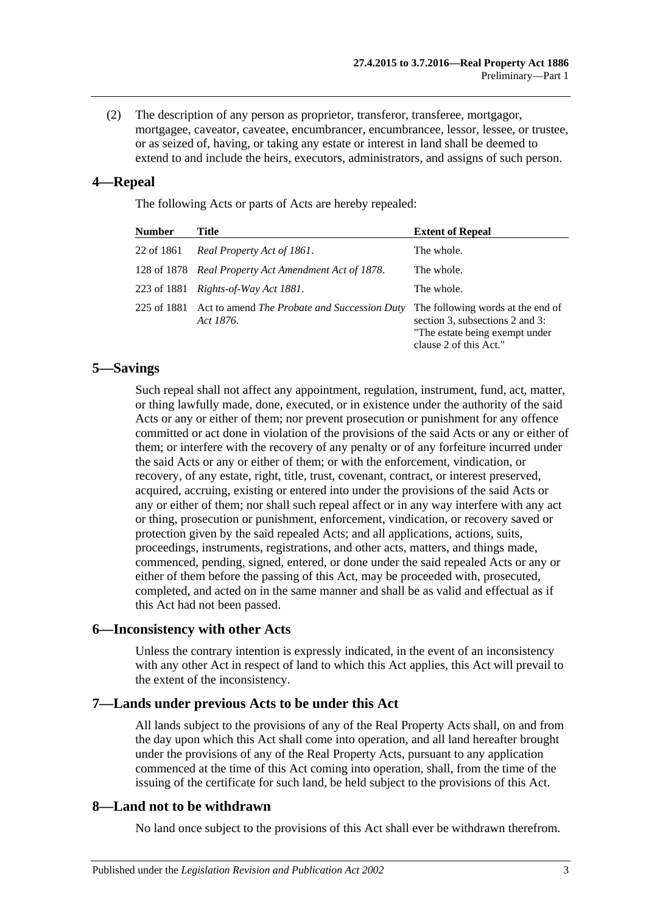(2) The description of any person as proprietor, transferor, transferee, mortgagor, mortgagee, caveator, caveatee, encumbrancer, encumbrancee, lessor, lessee, or trustee, or as seized of, having, or taking any estate or interest in land shall be deemed to extend to and include the heirs, executors, administrators, and assigns of such person.

## <span id="page-12-0"></span>**4—Repeal**

The following Acts or parts of Acts are hereby repealed:

| <b>Number</b> | Title                                                            | <b>Extent of Repeal</b>                                                                                                          |
|---------------|------------------------------------------------------------------|----------------------------------------------------------------------------------------------------------------------------------|
| 22 of 1861    | Real Property Act of 1861.                                       | The whole.                                                                                                                       |
|               | 128 of 1878 Real Property Act Amendment Act of 1878.             | The whole.                                                                                                                       |
|               | 223 of 1881 Rights-of-Way Act 1881.                              | The whole.                                                                                                                       |
| 225 of 1881   | Act to amend <i>The Probate and Succession Duty</i><br>Act 1876. | The following words at the end of<br>section 3, subsections 2 and 3:<br>"The estate being exempt under<br>clause 2 of this Act." |

## <span id="page-12-1"></span>**5—Savings**

Such repeal shall not affect any appointment, regulation, instrument, fund, act, matter, or thing lawfully made, done, executed, or in existence under the authority of the said Acts or any or either of them; nor prevent prosecution or punishment for any offence committed or act done in violation of the provisions of the said Acts or any or either of them; or interfere with the recovery of any penalty or of any forfeiture incurred under the said Acts or any or either of them; or with the enforcement, vindication, or recovery, of any estate, right, title, trust, covenant, contract, or interest preserved, acquired, accruing, existing or entered into under the provisions of the said Acts or any or either of them; nor shall such repeal affect or in any way interfere with any act or thing, prosecution or punishment, enforcement, vindication, or recovery saved or protection given by the said repealed Acts; and all applications, actions, suits, proceedings, instruments, registrations, and other acts, matters, and things made, commenced, pending, signed, entered, or done under the said repealed Acts or any or either of them before the passing of this Act, may be proceeded with, prosecuted, completed, and acted on in the same manner and shall be as valid and effectual as if this Act had not been passed.

## <span id="page-12-2"></span>**6—Inconsistency with other Acts**

Unless the contrary intention is expressly indicated, in the event of an inconsistency with any other Act in respect of land to which this Act applies, this Act will prevail to the extent of the inconsistency.

## <span id="page-12-3"></span>**7—Lands under previous Acts to be under this Act**

All lands subject to the provisions of any of the Real Property Acts shall, on and from the day upon which this Act shall come into operation, and all land hereafter brought under the provisions of any of the Real Property Acts, pursuant to any application commenced at the time of this Act coming into operation, shall, from the time of the issuing of the certificate for such land, be held subject to the provisions of this Act.

## <span id="page-12-4"></span>**8—Land not to be withdrawn**

No land once subject to the provisions of this Act shall ever be withdrawn therefrom.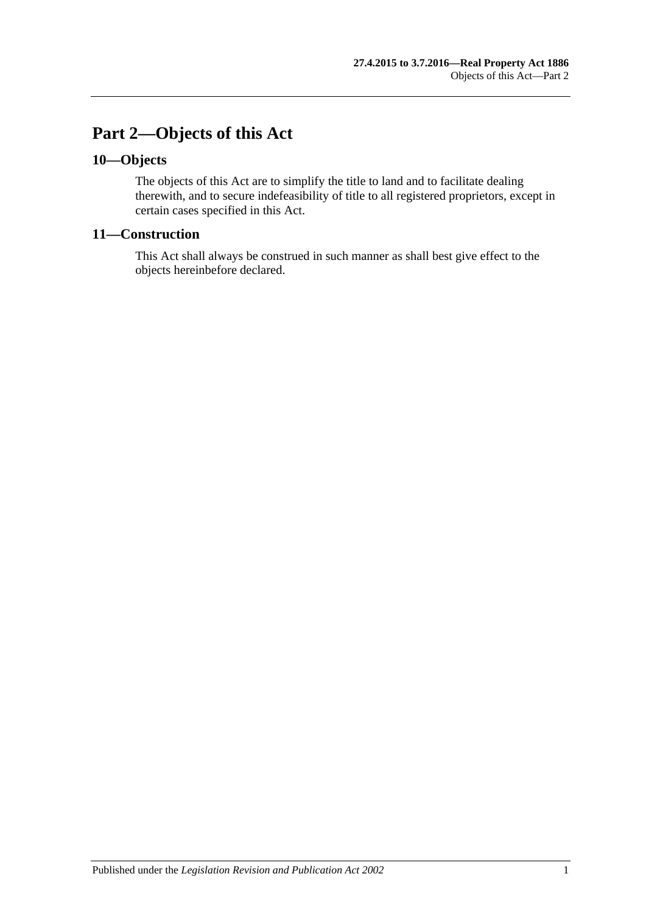## <span id="page-14-0"></span>**Part 2—Objects of this Act**

## <span id="page-14-1"></span>**10—Objects**

The objects of this Act are to simplify the title to land and to facilitate dealing therewith, and to secure indefeasibility of title to all registered proprietors, except in certain cases specified in this Act.

## <span id="page-14-2"></span>**11—Construction**

This Act shall always be construed in such manner as shall best give effect to the objects hereinbefore declared.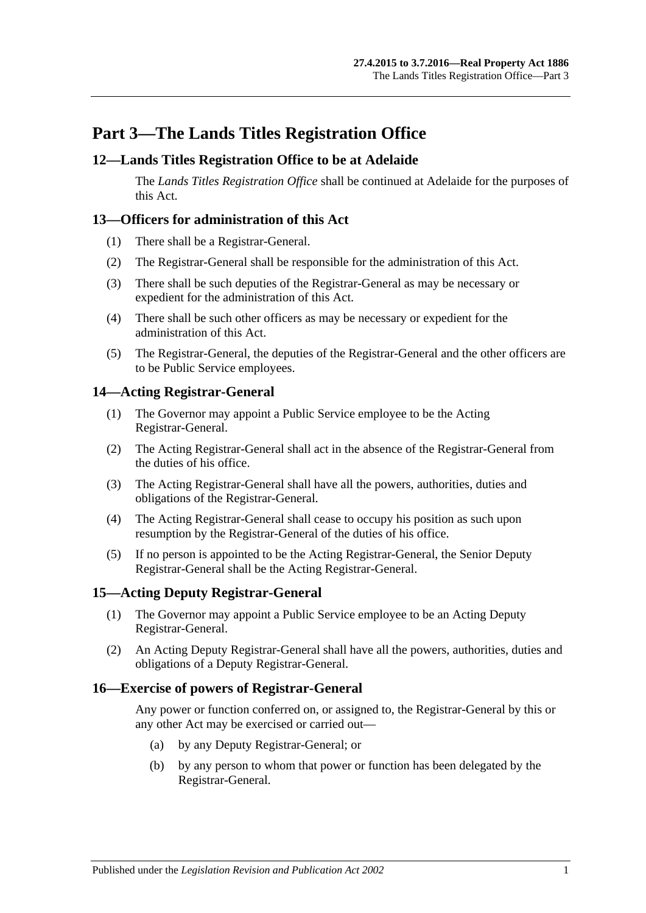## <span id="page-16-0"></span>**Part 3—The Lands Titles Registration Office**

## <span id="page-16-1"></span>**12—Lands Titles Registration Office to be at Adelaide**

The *Lands Titles Registration Office* shall be continued at Adelaide for the purposes of this Act.

## <span id="page-16-2"></span>**13—Officers for administration of this Act**

- (1) There shall be a Registrar-General.
- (2) The Registrar-General shall be responsible for the administration of this Act.
- (3) There shall be such deputies of the Registrar-General as may be necessary or expedient for the administration of this Act.
- (4) There shall be such other officers as may be necessary or expedient for the administration of this Act.
- (5) The Registrar-General, the deputies of the Registrar-General and the other officers are to be Public Service employees.

## <span id="page-16-3"></span>**14—Acting Registrar-General**

- (1) The Governor may appoint a Public Service employee to be the Acting Registrar-General.
- (2) The Acting Registrar-General shall act in the absence of the Registrar-General from the duties of his office.
- (3) The Acting Registrar-General shall have all the powers, authorities, duties and obligations of the Registrar-General.
- (4) The Acting Registrar-General shall cease to occupy his position as such upon resumption by the Registrar-General of the duties of his office.
- (5) If no person is appointed to be the Acting Registrar-General, the Senior Deputy Registrar-General shall be the Acting Registrar-General.

## <span id="page-16-4"></span>**15—Acting Deputy Registrar-General**

- (1) The Governor may appoint a Public Service employee to be an Acting Deputy Registrar-General.
- (2) An Acting Deputy Registrar-General shall have all the powers, authorities, duties and obligations of a Deputy Registrar-General.

## <span id="page-16-5"></span>**16—Exercise of powers of Registrar-General**

Any power or function conferred on, or assigned to, the Registrar-General by this or any other Act may be exercised or carried out—

- (a) by any Deputy Registrar-General; or
- (b) by any person to whom that power or function has been delegated by the Registrar-General.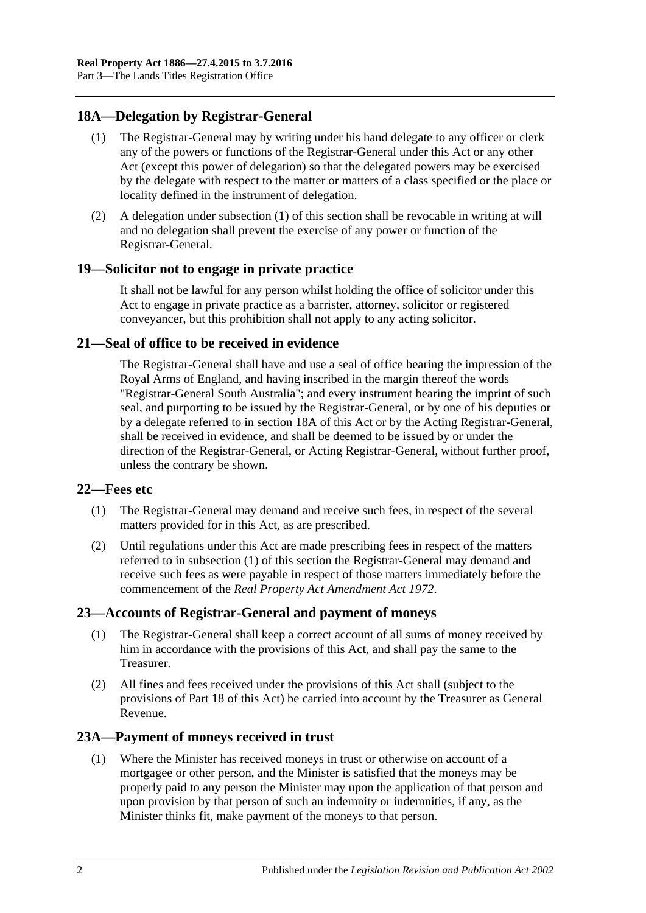## <span id="page-17-6"></span><span id="page-17-0"></span>**18A—Delegation by Registrar-General**

- (1) The Registrar-General may by writing under his hand delegate to any officer or clerk any of the powers or functions of the Registrar-General under this Act or any other Act (except this power of delegation) so that the delegated powers may be exercised by the delegate with respect to the matter or matters of a class specified or the place or locality defined in the instrument of delegation.
- (2) A delegation under [subsection](#page-17-6) (1) of this section shall be revocable in writing at will and no delegation shall prevent the exercise of any power or function of the Registrar-General.

## <span id="page-17-1"></span>**19—Solicitor not to engage in private practice**

It shall not be lawful for any person whilst holding the office of solicitor under this Act to engage in private practice as a barrister, attorney, solicitor or registered conveyancer, but this prohibition shall not apply to any acting solicitor.

## <span id="page-17-2"></span>**21—Seal of office to be received in evidence**

The Registrar-General shall have and use a seal of office bearing the impression of the Royal Arms of England, and having inscribed in the margin thereof the words "Registrar-General South Australia"; and every instrument bearing the imprint of such seal, and purporting to be issued by the Registrar-General, or by one of his deputies or by a delegate referred to in [section](#page-17-0) 18A of this Act or by the Acting Registrar-General, shall be received in evidence, and shall be deemed to be issued by or under the direction of the Registrar-General, or Acting Registrar-General, without further proof, unless the contrary be shown.

#### <span id="page-17-7"></span><span id="page-17-3"></span>**22—Fees etc**

- (1) The Registrar-General may demand and receive such fees, in respect of the several matters provided for in this Act, as are prescribed.
- (2) Until regulations under this Act are made prescribing fees in respect of the matters referred to in [subsection](#page-17-7) (1) of this section the Registrar-General may demand and receive such fees as were payable in respect of those matters immediately before the commencement of the *[Real Property Act Amendment Act](http://www.legislation.sa.gov.au/index.aspx?action=legref&type=act&legtitle=Real%20Property%20Act%20Amendment%20Act%201972) 1972*.

## <span id="page-17-4"></span>**23—Accounts of Registrar-General and payment of moneys**

- (1) The Registrar-General shall keep a correct account of all sums of money received by him in accordance with the provisions of this Act, and shall pay the same to the Treasurer.
- (2) All fines and fees received under the provisions of this Act shall (subject to the provisions of [Part 18](#page-98-0) of this Act) be carried into account by the Treasurer as General Revenue.

## <span id="page-17-8"></span><span id="page-17-5"></span>**23A—Payment of moneys received in trust**

(1) Where the Minister has received moneys in trust or otherwise on account of a mortgagee or other person, and the Minister is satisfied that the moneys may be properly paid to any person the Minister may upon the application of that person and upon provision by that person of such an indemnity or indemnities, if any, as the Minister thinks fit, make payment of the moneys to that person.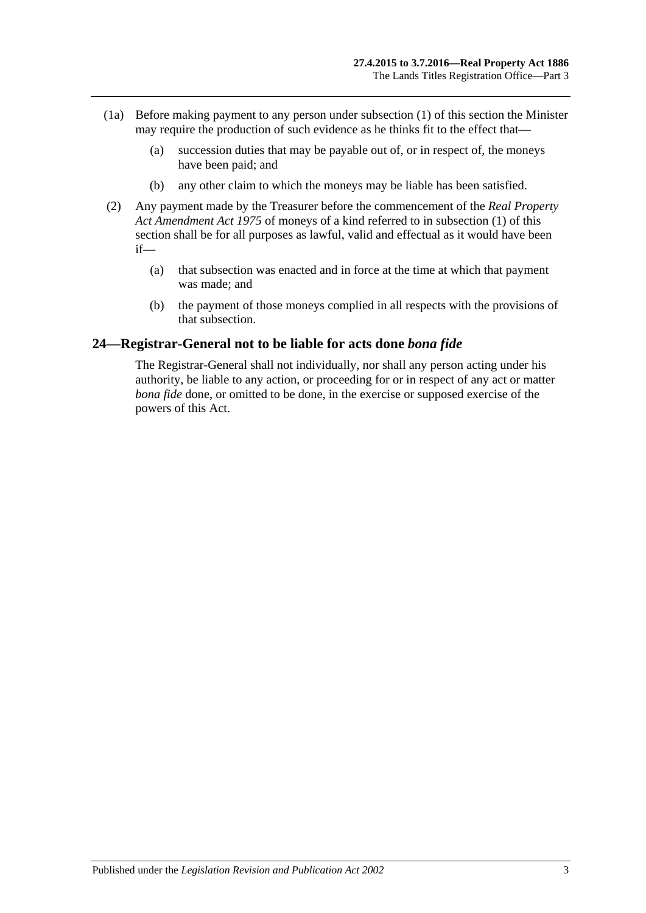- (1a) Before making payment to any person under [subsection](#page-17-8) (1) of this section the Minister may require the production of such evidence as he thinks fit to the effect that—
	- (a) succession duties that may be payable out of, or in respect of, the moneys have been paid; and
	- (b) any other claim to which the moneys may be liable has been satisfied.
- (2) Any payment made by the Treasurer before the commencement of the *[Real Property](http://www.legislation.sa.gov.au/index.aspx?action=legref&type=act&legtitle=Real%20Property%20Act%20Amendment%20Act%201975)  [Act Amendment Act](http://www.legislation.sa.gov.au/index.aspx?action=legref&type=act&legtitle=Real%20Property%20Act%20Amendment%20Act%201975) 1975* of moneys of a kind referred to in [subsection](#page-17-8) (1) of this section shall be for all purposes as lawful, valid and effectual as it would have been if—
	- (a) that subsection was enacted and in force at the time at which that payment was made; and
	- (b) the payment of those moneys complied in all respects with the provisions of that subsection.

#### <span id="page-18-0"></span>**24—Registrar-General not to be liable for acts done** *bona fide*

The Registrar-General shall not individually, nor shall any person acting under his authority, be liable to any action, or proceeding for or in respect of any act or matter *bona fide* done, or omitted to be done, in the exercise or supposed exercise of the powers of this Act.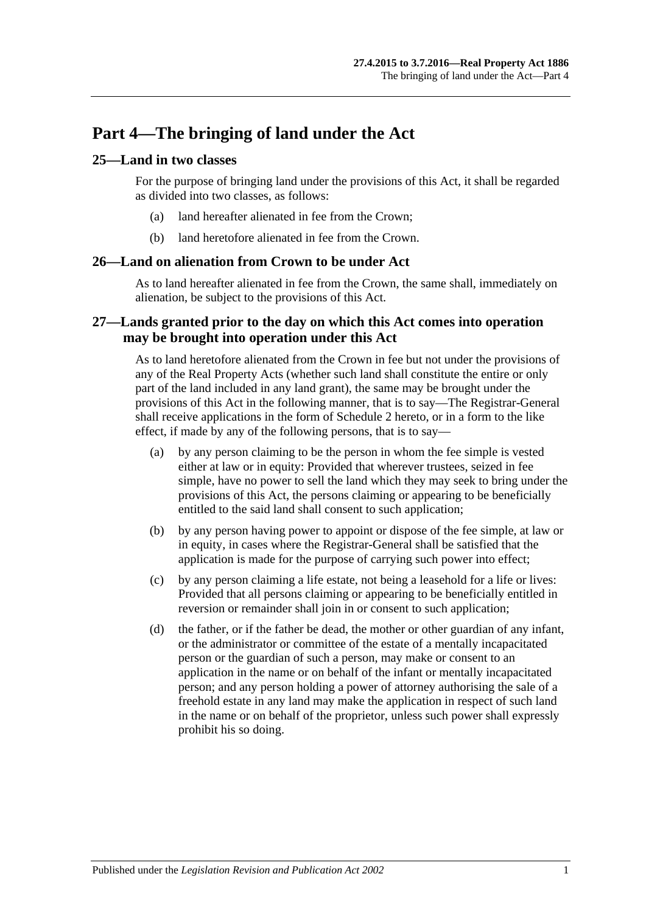## <span id="page-20-0"></span>**Part 4—The bringing of land under the Act**

## <span id="page-20-1"></span>**25—Land in two classes**

For the purpose of bringing land under the provisions of this Act, it shall be regarded as divided into two classes, as follows:

- (a) land hereafter alienated in fee from the Crown;
- (b) land heretofore alienated in fee from the Crown.

### <span id="page-20-2"></span>**26—Land on alienation from Crown to be under Act**

As to land hereafter alienated in fee from the Crown, the same shall, immediately on alienation, be subject to the provisions of this Act.

## <span id="page-20-3"></span>**27—Lands granted prior to the day on which this Act comes into operation may be brought into operation under this Act**

As to land heretofore alienated from the Crown in fee but not under the provisions of any of the Real Property Acts (whether such land shall constitute the entire or only part of the land included in any land grant), the same may be brought under the provisions of this Act in the following manner, that is to say—The Registrar-General shall receive applications in the form of [Schedule 2](#page-143-0) hereto, or in a form to the like effect, if made by any of the following persons, that is to say—

- (a) by any person claiming to be the person in whom the fee simple is vested either at law or in equity: Provided that wherever trustees, seized in fee simple, have no power to sell the land which they may seek to bring under the provisions of this Act, the persons claiming or appearing to be beneficially entitled to the said land shall consent to such application;
- (b) by any person having power to appoint or dispose of the fee simple, at law or in equity, in cases where the Registrar-General shall be satisfied that the application is made for the purpose of carrying such power into effect;
- (c) by any person claiming a life estate, not being a leasehold for a life or lives: Provided that all persons claiming or appearing to be beneficially entitled in reversion or remainder shall join in or consent to such application;
- (d) the father, or if the father be dead, the mother or other guardian of any infant, or the administrator or committee of the estate of a mentally incapacitated person or the guardian of such a person, may make or consent to an application in the name or on behalf of the infant or mentally incapacitated person; and any person holding a power of attorney authorising the sale of a freehold estate in any land may make the application in respect of such land in the name or on behalf of the proprietor, unless such power shall expressly prohibit his so doing.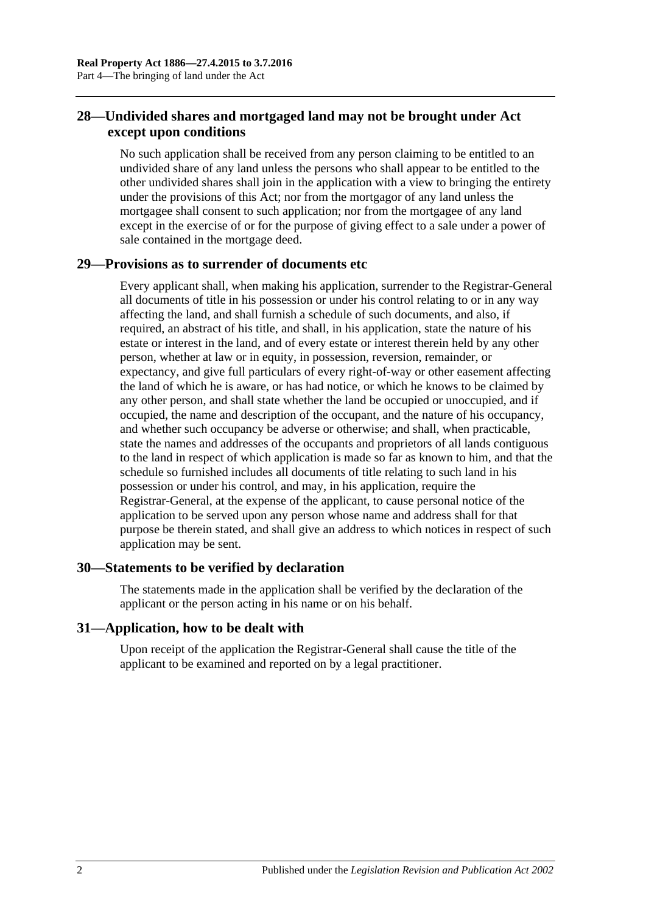## <span id="page-21-0"></span>**28—Undivided shares and mortgaged land may not be brought under Act except upon conditions**

No such application shall be received from any person claiming to be entitled to an undivided share of any land unless the persons who shall appear to be entitled to the other undivided shares shall join in the application with a view to bringing the entirety under the provisions of this Act; nor from the mortgagor of any land unless the mortgagee shall consent to such application; nor from the mortgagee of any land except in the exercise of or for the purpose of giving effect to a sale under a power of sale contained in the mortgage deed.

## <span id="page-21-1"></span>**29—Provisions as to surrender of documents etc**

Every applicant shall, when making his application, surrender to the Registrar-General all documents of title in his possession or under his control relating to or in any way affecting the land, and shall furnish a schedule of such documents, and also, if required, an abstract of his title, and shall, in his application, state the nature of his estate or interest in the land, and of every estate or interest therein held by any other person, whether at law or in equity, in possession, reversion, remainder, or expectancy, and give full particulars of every right-of-way or other easement affecting the land of which he is aware, or has had notice, or which he knows to be claimed by any other person, and shall state whether the land be occupied or unoccupied, and if occupied, the name and description of the occupant, and the nature of his occupancy, and whether such occupancy be adverse or otherwise; and shall, when practicable, state the names and addresses of the occupants and proprietors of all lands contiguous to the land in respect of which application is made so far as known to him, and that the schedule so furnished includes all documents of title relating to such land in his possession or under his control, and may, in his application, require the Registrar-General, at the expense of the applicant, to cause personal notice of the application to be served upon any person whose name and address shall for that purpose be therein stated, and shall give an address to which notices in respect of such application may be sent.

## <span id="page-21-2"></span>**30—Statements to be verified by declaration**

The statements made in the application shall be verified by the declaration of the applicant or the person acting in his name or on his behalf.

## <span id="page-21-3"></span>**31—Application, how to be dealt with**

Upon receipt of the application the Registrar-General shall cause the title of the applicant to be examined and reported on by a legal practitioner.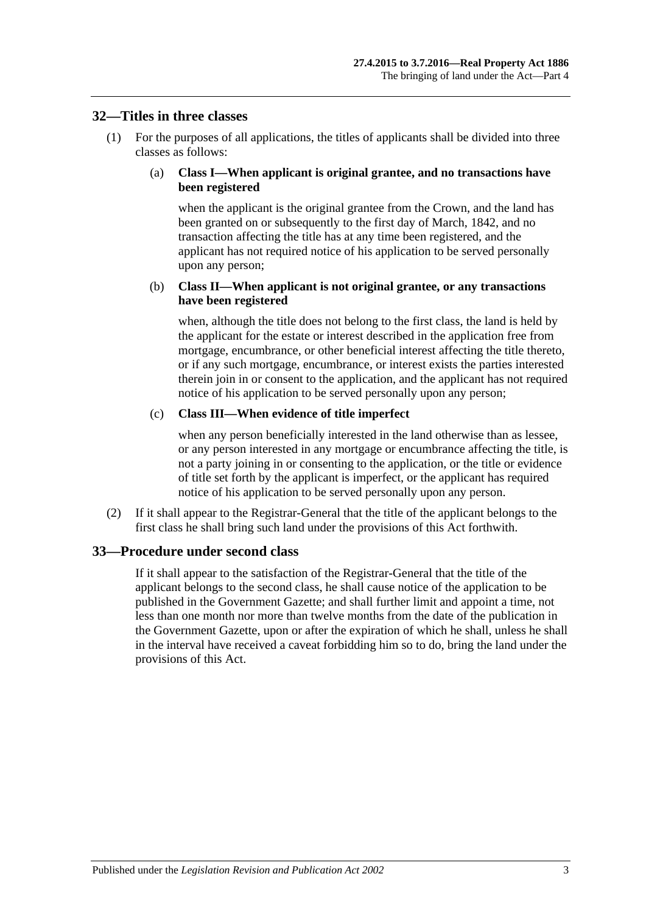#### <span id="page-22-0"></span>**32—Titles in three classes**

(1) For the purposes of all applications, the titles of applicants shall be divided into three classes as follows:

#### (a) **Class I—When applicant is original grantee, and no transactions have been registered**

when the applicant is the original grantee from the Crown, and the land has been granted on or subsequently to the first day of March, 1842, and no transaction affecting the title has at any time been registered, and the applicant has not required notice of his application to be served personally upon any person;

#### (b) **Class II—When applicant is not original grantee, or any transactions have been registered**

when, although the title does not belong to the first class, the land is held by the applicant for the estate or interest described in the application free from mortgage, encumbrance, or other beneficial interest affecting the title thereto, or if any such mortgage, encumbrance, or interest exists the parties interested therein join in or consent to the application, and the applicant has not required notice of his application to be served personally upon any person;

#### (c) **Class III—When evidence of title imperfect**

when any person beneficially interested in the land otherwise than as lessee, or any person interested in any mortgage or encumbrance affecting the title, is not a party joining in or consenting to the application, or the title or evidence of title set forth by the applicant is imperfect, or the applicant has required notice of his application to be served personally upon any person.

(2) If it shall appear to the Registrar-General that the title of the applicant belongs to the first class he shall bring such land under the provisions of this Act forthwith.

## <span id="page-22-1"></span>**33—Procedure under second class**

If it shall appear to the satisfaction of the Registrar-General that the title of the applicant belongs to the second class, he shall cause notice of the application to be published in the Government Gazette; and shall further limit and appoint a time, not less than one month nor more than twelve months from the date of the publication in the Government Gazette, upon or after the expiration of which he shall, unless he shall in the interval have received a caveat forbidding him so to do, bring the land under the provisions of this Act.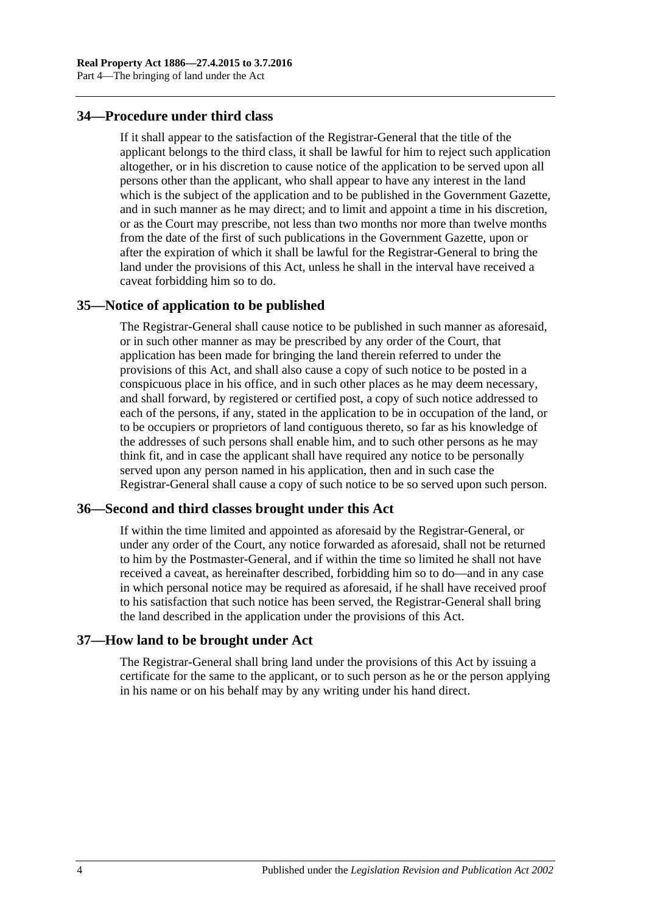## <span id="page-23-0"></span>**34—Procedure under third class**

If it shall appear to the satisfaction of the Registrar-General that the title of the applicant belongs to the third class, it shall be lawful for him to reject such application altogether, or in his discretion to cause notice of the application to be served upon all persons other than the applicant, who shall appear to have any interest in the land which is the subject of the application and to be published in the Government Gazette, and in such manner as he may direct; and to limit and appoint a time in his discretion, or as the Court may prescribe, not less than two months nor more than twelve months from the date of the first of such publications in the Government Gazette, upon or after the expiration of which it shall be lawful for the Registrar-General to bring the land under the provisions of this Act, unless he shall in the interval have received a caveat forbidding him so to do.

#### <span id="page-23-1"></span>**35—Notice of application to be published**

The Registrar-General shall cause notice to be published in such manner as aforesaid, or in such other manner as may be prescribed by any order of the Court, that application has been made for bringing the land therein referred to under the provisions of this Act, and shall also cause a copy of such notice to be posted in a conspicuous place in his office, and in such other places as he may deem necessary, and shall forward, by registered or certified post, a copy of such notice addressed to each of the persons, if any, stated in the application to be in occupation of the land, or to be occupiers or proprietors of land contiguous thereto, so far as his knowledge of the addresses of such persons shall enable him, and to such other persons as he may think fit, and in case the applicant shall have required any notice to be personally served upon any person named in his application, then and in such case the Registrar-General shall cause a copy of such notice to be so served upon such person.

#### <span id="page-23-2"></span>**36—Second and third classes brought under this Act**

If within the time limited and appointed as aforesaid by the Registrar-General, or under any order of the Court, any notice forwarded as aforesaid, shall not be returned to him by the Postmaster-General, and if within the time so limited he shall not have received a caveat, as hereinafter described, forbidding him so to do—and in any case in which personal notice may be required as aforesaid, if he shall have received proof to his satisfaction that such notice has been served, the Registrar-General shall bring the land described in the application under the provisions of this Act.

#### <span id="page-23-3"></span>**37—How land to be brought under Act**

The Registrar-General shall bring land under the provisions of this Act by issuing a certificate for the same to the applicant, or to such person as he or the person applying in his name or on his behalf may by any writing under his hand direct.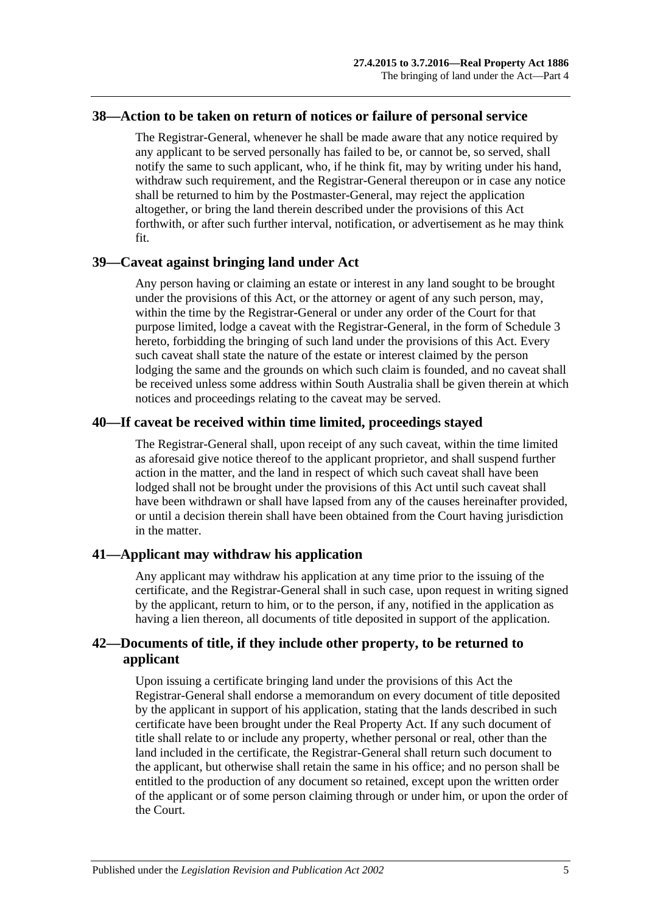#### <span id="page-24-0"></span>**38—Action to be taken on return of notices or failure of personal service**

The Registrar-General, whenever he shall be made aware that any notice required by any applicant to be served personally has failed to be, or cannot be, so served, shall notify the same to such applicant, who, if he think fit, may by writing under his hand, withdraw such requirement, and the Registrar-General thereupon or in case any notice shall be returned to him by the Postmaster-General, may reject the application altogether, or bring the land therein described under the provisions of this Act forthwith, or after such further interval, notification, or advertisement as he may think fit.

#### <span id="page-24-1"></span>**39—Caveat against bringing land under Act**

Any person having or claiming an estate or interest in any land sought to be brought under the provisions of this Act, or the attorney or agent of any such person, may, within the time by the Registrar-General or under any order of the Court for that purpose limited, lodge a caveat with the Registrar-General, in the form of [Schedule 3](#page-144-0) hereto, forbidding the bringing of such land under the provisions of this Act. Every such caveat shall state the nature of the estate or interest claimed by the person lodging the same and the grounds on which such claim is founded, and no caveat shall be received unless some address within South Australia shall be given therein at which notices and proceedings relating to the caveat may be served.

## <span id="page-24-2"></span>**40—If caveat be received within time limited, proceedings stayed**

The Registrar-General shall, upon receipt of any such caveat, within the time limited as aforesaid give notice thereof to the applicant proprietor, and shall suspend further action in the matter, and the land in respect of which such caveat shall have been lodged shall not be brought under the provisions of this Act until such caveat shall have been withdrawn or shall have lapsed from any of the causes hereinafter provided, or until a decision therein shall have been obtained from the Court having jurisdiction in the matter.

## <span id="page-24-3"></span>**41—Applicant may withdraw his application**

Any applicant may withdraw his application at any time prior to the issuing of the certificate, and the Registrar-General shall in such case, upon request in writing signed by the applicant, return to him, or to the person, if any, notified in the application as having a lien thereon, all documents of title deposited in support of the application.

## <span id="page-24-4"></span>**42—Documents of title, if they include other property, to be returned to applicant**

Upon issuing a certificate bringing land under the provisions of this Act the Registrar-General shall endorse a memorandum on every document of title deposited by the applicant in support of his application, stating that the lands described in such certificate have been brought under the Real Property Act. If any such document of title shall relate to or include any property, whether personal or real, other than the land included in the certificate, the Registrar-General shall return such document to the applicant, but otherwise shall retain the same in his office; and no person shall be entitled to the production of any document so retained, except upon the written order of the applicant or of some person claiming through or under him, or upon the order of the Court.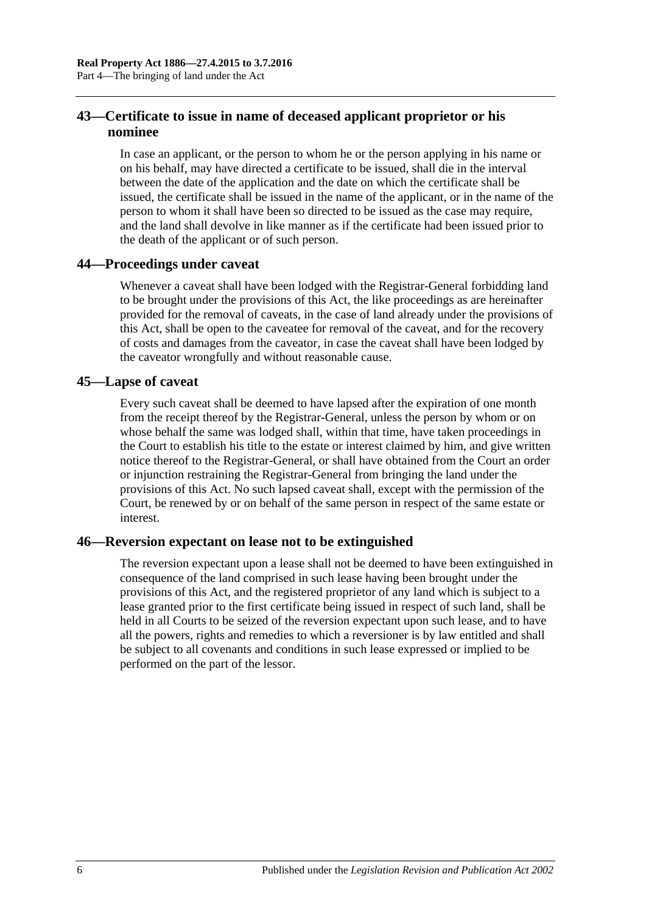## <span id="page-25-0"></span>**43—Certificate to issue in name of deceased applicant proprietor or his nominee**

In case an applicant, or the person to whom he or the person applying in his name or on his behalf, may have directed a certificate to be issued, shall die in the interval between the date of the application and the date on which the certificate shall be issued, the certificate shall be issued in the name of the applicant, or in the name of the person to whom it shall have been so directed to be issued as the case may require, and the land shall devolve in like manner as if the certificate had been issued prior to the death of the applicant or of such person.

## <span id="page-25-1"></span>**44—Proceedings under caveat**

Whenever a caveat shall have been lodged with the Registrar-General forbidding land to be brought under the provisions of this Act, the like proceedings as are hereinafter provided for the removal of caveats, in the case of land already under the provisions of this Act, shall be open to the caveatee for removal of the caveat, and for the recovery of costs and damages from the caveator, in case the caveat shall have been lodged by the caveator wrongfully and without reasonable cause.

#### <span id="page-25-2"></span>**45—Lapse of caveat**

Every such caveat shall be deemed to have lapsed after the expiration of one month from the receipt thereof by the Registrar-General, unless the person by whom or on whose behalf the same was lodged shall, within that time, have taken proceedings in the Court to establish his title to the estate or interest claimed by him, and give written notice thereof to the Registrar-General, or shall have obtained from the Court an order or injunction restraining the Registrar-General from bringing the land under the provisions of this Act. No such lapsed caveat shall, except with the permission of the Court, be renewed by or on behalf of the same person in respect of the same estate or interest.

## <span id="page-25-3"></span>**46—Reversion expectant on lease not to be extinguished**

The reversion expectant upon a lease shall not be deemed to have been extinguished in consequence of the land comprised in such lease having been brought under the provisions of this Act, and the registered proprietor of any land which is subject to a lease granted prior to the first certificate being issued in respect of such land, shall be held in all Courts to be seized of the reversion expectant upon such lease, and to have all the powers, rights and remedies to which a reversioner is by law entitled and shall be subject to all covenants and conditions in such lease expressed or implied to be performed on the part of the lessor.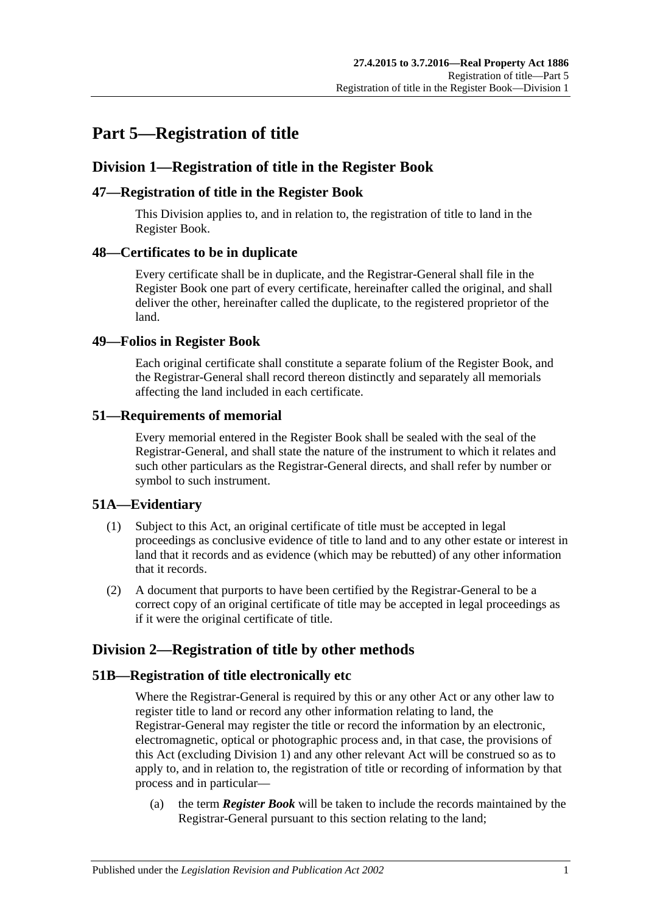## <span id="page-26-0"></span>**Part 5—Registration of title**

## <span id="page-26-1"></span>**Division 1—Registration of title in the Register Book**

## <span id="page-26-2"></span>**47—Registration of title in the Register Book**

This Division applies to, and in relation to, the registration of title to land in the Register Book.

## <span id="page-26-3"></span>**48—Certificates to be in duplicate**

Every certificate shall be in duplicate, and the Registrar-General shall file in the Register Book one part of every certificate, hereinafter called the original, and shall deliver the other, hereinafter called the duplicate, to the registered proprietor of the land.

## <span id="page-26-4"></span>**49—Folios in Register Book**

Each original certificate shall constitute a separate folium of the Register Book, and the Registrar-General shall record thereon distinctly and separately all memorials affecting the land included in each certificate.

## <span id="page-26-5"></span>**51—Requirements of memorial**

Every memorial entered in the Register Book shall be sealed with the seal of the Registrar-General, and shall state the nature of the instrument to which it relates and such other particulars as the Registrar-General directs, and shall refer by number or symbol to such instrument.

## <span id="page-26-6"></span>**51A—Evidentiary**

- (1) Subject to this Act, an original certificate of title must be accepted in legal proceedings as conclusive evidence of title to land and to any other estate or interest in land that it records and as evidence (which may be rebutted) of any other information that it records.
- (2) A document that purports to have been certified by the Registrar-General to be a correct copy of an original certificate of title may be accepted in legal proceedings as if it were the original certificate of title.

## <span id="page-26-7"></span>**Division 2—Registration of title by other methods**

## <span id="page-26-8"></span>**51B—Registration of title electronically etc**

Where the Registrar-General is required by this or any other Act or any other law to register title to land or record any other information relating to land, the Registrar-General may register the title or record the information by an electronic, electromagnetic, optical or photographic process and, in that case, the provisions of this Act (excluding [Division 1\)](#page-26-1) and any other relevant Act will be construed so as to apply to, and in relation to, the registration of title or recording of information by that process and in particular—

(a) the term *Register Book* will be taken to include the records maintained by the Registrar-General pursuant to this section relating to the land;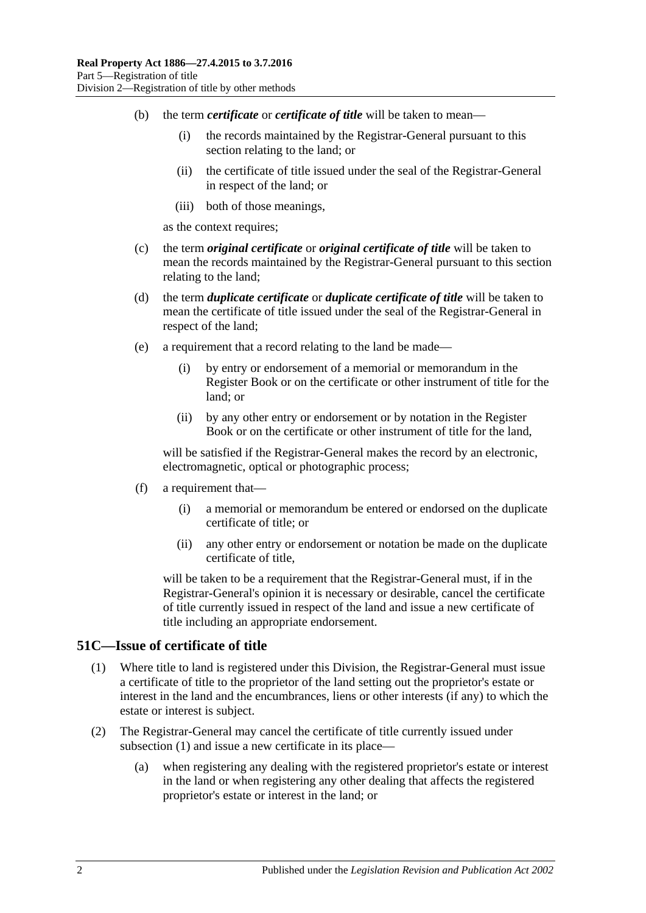- (b) the term *certificate* or *certificate of title* will be taken to mean—
	- (i) the records maintained by the Registrar-General pursuant to this section relating to the land; or
	- (ii) the certificate of title issued under the seal of the Registrar-General in respect of the land; or
	- (iii) both of those meanings,

as the context requires;

- (c) the term *original certificate* or *original certificate of title* will be taken to mean the records maintained by the Registrar-General pursuant to this section relating to the land;
- (d) the term *duplicate certificate* or *duplicate certificate of title* will be taken to mean the certificate of title issued under the seal of the Registrar-General in respect of the land;
- (e) a requirement that a record relating to the land be made—
	- (i) by entry or endorsement of a memorial or memorandum in the Register Book or on the certificate or other instrument of title for the land; or
	- (ii) by any other entry or endorsement or by notation in the Register Book or on the certificate or other instrument of title for the land,

will be satisfied if the Registrar-General makes the record by an electronic, electromagnetic, optical or photographic process;

- (f) a requirement that—
	- (i) a memorial or memorandum be entered or endorsed on the duplicate certificate of title; or
	- (ii) any other entry or endorsement or notation be made on the duplicate certificate of title,

will be taken to be a requirement that the Registrar-General must, if in the Registrar-General's opinion it is necessary or desirable, cancel the certificate of title currently issued in respect of the land and issue a new certificate of title including an appropriate endorsement.

#### <span id="page-27-1"></span><span id="page-27-0"></span>**51C—Issue of certificate of title**

- (1) Where title to land is registered under this Division, the Registrar-General must issue a certificate of title to the proprietor of the land setting out the proprietor's estate or interest in the land and the encumbrances, liens or other interests (if any) to which the estate or interest is subject.
- (2) The Registrar-General may cancel the certificate of title currently issued under [subsection](#page-27-1) (1) and issue a new certificate in its place—
	- (a) when registering any dealing with the registered proprietor's estate or interest in the land or when registering any other dealing that affects the registered proprietor's estate or interest in the land; or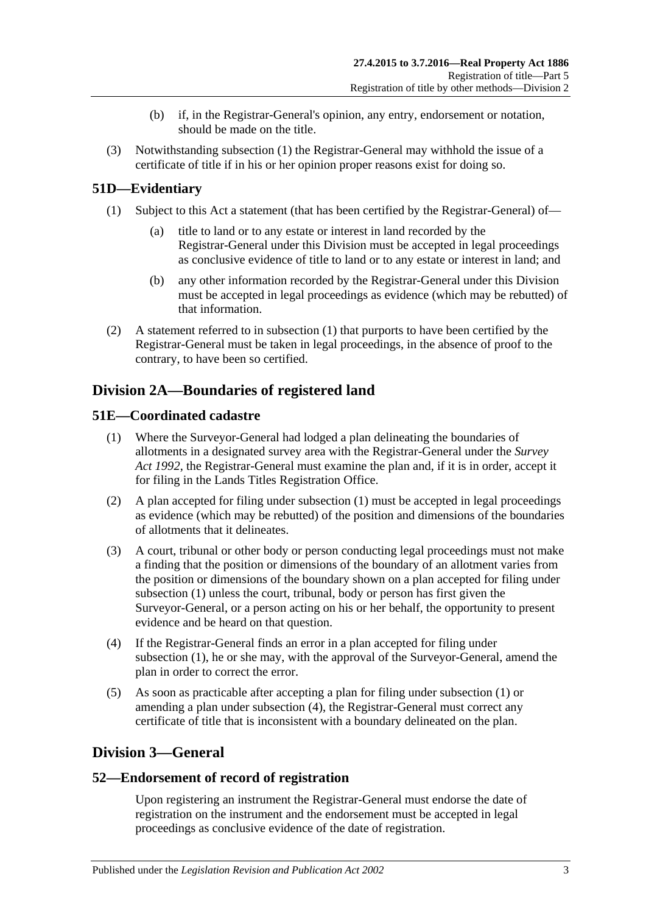- (b) if, in the Registrar-General's opinion, any entry, endorsement or notation, should be made on the title.
- (3) Notwithstanding [subsection](#page-27-1) (1) the Registrar-General may withhold the issue of a certificate of title if in his or her opinion proper reasons exist for doing so.

## <span id="page-28-5"></span><span id="page-28-0"></span>**51D—Evidentiary**

- (1) Subject to this Act a statement (that has been certified by the Registrar-General) of
	- title to land or to any estate or interest in land recorded by the Registrar-General under this Division must be accepted in legal proceedings as conclusive evidence of title to land or to any estate or interest in land; and
	- (b) any other information recorded by the Registrar-General under this Division must be accepted in legal proceedings as evidence (which may be rebutted) of that information.
- (2) A statement referred to in [subsection](#page-28-5) (1) that purports to have been certified by the Registrar-General must be taken in legal proceedings, in the absence of proof to the contrary, to have been so certified.

## <span id="page-28-1"></span>**Division 2A—Boundaries of registered land**

## <span id="page-28-6"></span><span id="page-28-2"></span>**51E—Coordinated cadastre**

- (1) Where the Surveyor-General had lodged a plan delineating the boundaries of allotments in a designated survey area with the Registrar-General under the *[Survey](http://www.legislation.sa.gov.au/index.aspx?action=legref&type=act&legtitle=Survey%20Act%201992)  Act [1992](http://www.legislation.sa.gov.au/index.aspx?action=legref&type=act&legtitle=Survey%20Act%201992)*, the Registrar-General must examine the plan and, if it is in order, accept it for filing in the Lands Titles Registration Office.
- (2) A plan accepted for filing under [subsection](#page-28-6) (1) must be accepted in legal proceedings as evidence (which may be rebutted) of the position and dimensions of the boundaries of allotments that it delineates.
- (3) A court, tribunal or other body or person conducting legal proceedings must not make a finding that the position or dimensions of the boundary of an allotment varies from the position or dimensions of the boundary shown on a plan accepted for filing under [subsection](#page-28-6) (1) unless the court, tribunal, body or person has first given the Surveyor-General, or a person acting on his or her behalf, the opportunity to present evidence and be heard on that question.
- <span id="page-28-7"></span>(4) If the Registrar-General finds an error in a plan accepted for filing under [subsection](#page-28-6) (1), he or she may, with the approval of the Surveyor-General, amend the plan in order to correct the error.
- (5) As soon as practicable after accepting a plan for filing under [subsection](#page-28-6) (1) or amending a plan under [subsection](#page-28-7) (4), the Registrar-General must correct any certificate of title that is inconsistent with a boundary delineated on the plan.

## <span id="page-28-3"></span>**Division 3—General**

## <span id="page-28-4"></span>**52—Endorsement of record of registration**

Upon registering an instrument the Registrar-General must endorse the date of registration on the instrument and the endorsement must be accepted in legal proceedings as conclusive evidence of the date of registration.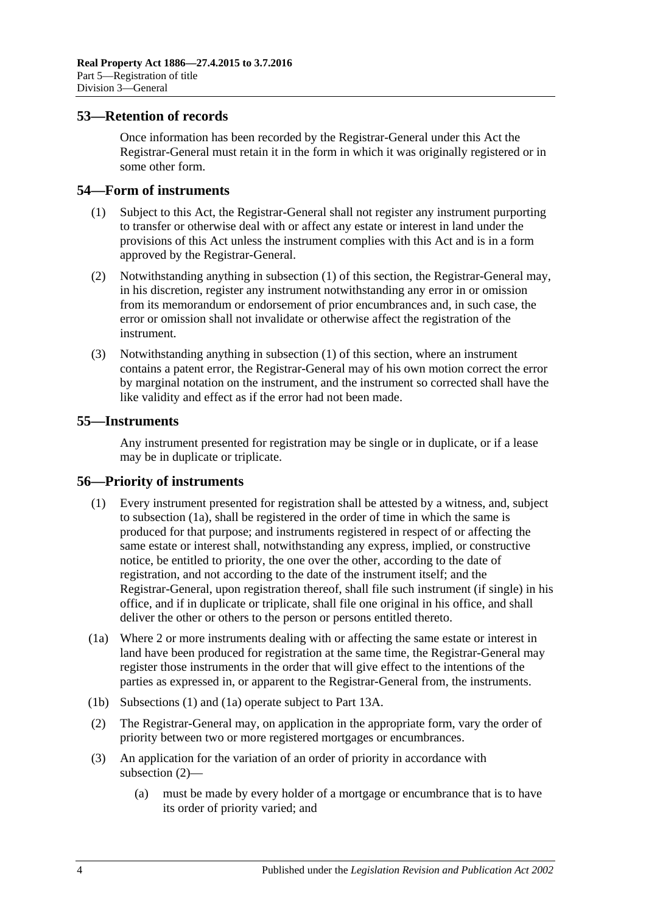### <span id="page-29-0"></span>**53—Retention of records**

Once information has been recorded by the Registrar-General under this Act the Registrar-General must retain it in the form in which it was originally registered or in some other form.

#### <span id="page-29-4"></span><span id="page-29-1"></span>**54—Form of instruments**

- (1) Subject to this Act, the Registrar-General shall not register any instrument purporting to transfer or otherwise deal with or affect any estate or interest in land under the provisions of this Act unless the instrument complies with this Act and is in a form approved by the Registrar-General.
- (2) Notwithstanding anything in [subsection](#page-29-4) (1) of this section, the Registrar-General may, in his discretion, register any instrument notwithstanding any error in or omission from its memorandum or endorsement of prior encumbrances and, in such case, the error or omission shall not invalidate or otherwise affect the registration of the instrument.
- (3) Notwithstanding anything in [subsection](#page-29-4) (1) of this section, where an instrument contains a patent error, the Registrar-General may of his own motion correct the error by marginal notation on the instrument, and the instrument so corrected shall have the like validity and effect as if the error had not been made.

### <span id="page-29-2"></span>**55—Instruments**

Any instrument presented for registration may be single or in duplicate, or if a lease may be in duplicate or triplicate.

#### <span id="page-29-6"></span><span id="page-29-3"></span>**56—Priority of instruments**

- (1) Every instrument presented for registration shall be attested by a witness, and, subject to [subsection](#page-29-5) (1a), shall be registered in the order of time in which the same is produced for that purpose; and instruments registered in respect of or affecting the same estate or interest shall, notwithstanding any express, implied, or constructive notice, be entitled to priority, the one over the other, according to the date of registration, and not according to the date of the instrument itself; and the Registrar-General, upon registration thereof, shall file such instrument (if single) in his office, and if in duplicate or triplicate, shall file one original in his office, and shall deliver the other or others to the person or persons entitled thereto.
- <span id="page-29-5"></span>(1a) Where 2 or more instruments dealing with or affecting the same estate or interest in land have been produced for registration at the same time, the Registrar-General may register those instruments in the order that will give effect to the intentions of the parties as expressed in, or apparent to the Registrar-General from, the instruments.
- <span id="page-29-7"></span>(1b) [Subsections](#page-29-6) (1) and [\(1a\)](#page-29-5) operate subject to Part [13A.](#page-76-0)
- (2) The Registrar-General may, on application in the appropriate form, vary the order of priority between two or more registered mortgages or encumbrances.
- (3) An application for the variation of an order of priority in accordance with [subsection](#page-29-7) (2)—
	- (a) must be made by every holder of a mortgage or encumbrance that is to have its order of priority varied; and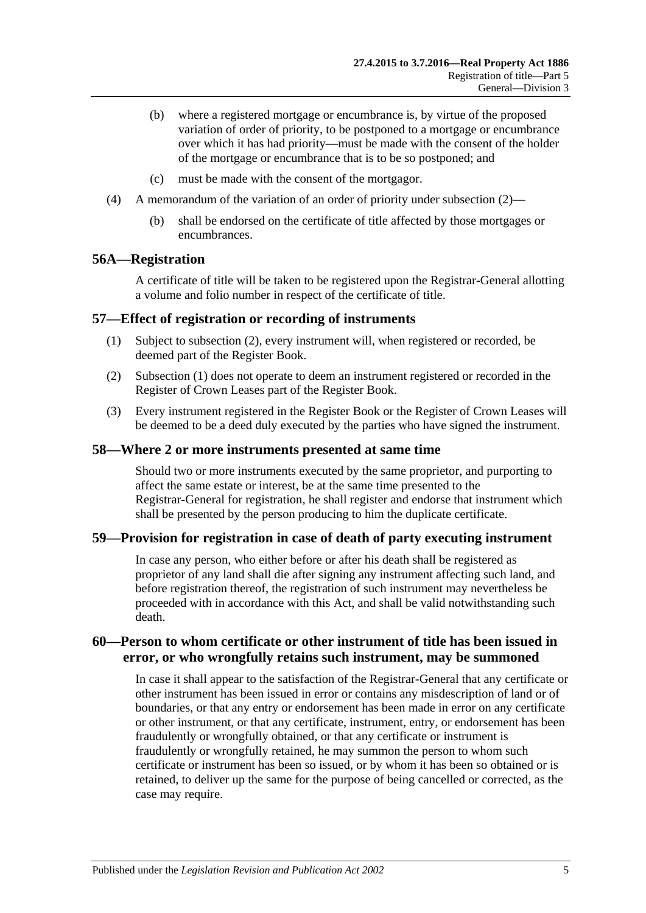- (b) where a registered mortgage or encumbrance is, by virtue of the proposed variation of order of priority, to be postponed to a mortgage or encumbrance over which it has had priority—must be made with the consent of the holder of the mortgage or encumbrance that is to be so postponed; and
- (c) must be made with the consent of the mortgagor.
- (4) A memorandum of the variation of an order of priority under [subsection](#page-29-7) (2)—
	- (b) shall be endorsed on the certificate of title affected by those mortgages or encumbrances.

#### <span id="page-30-0"></span>**56A—Registration**

A certificate of title will be taken to be registered upon the Registrar-General allotting a volume and folio number in respect of the certificate of title.

#### <span id="page-30-6"></span><span id="page-30-1"></span>**57—Effect of registration or recording of instruments**

- (1) Subject to [subsection](#page-30-5) (2), every instrument will, when registered or recorded, be deemed part of the Register Book.
- <span id="page-30-5"></span>(2) [Subsection](#page-30-6) (1) does not operate to deem an instrument registered or recorded in the Register of Crown Leases part of the Register Book.
- (3) Every instrument registered in the Register Book or the Register of Crown Leases will be deemed to be a deed duly executed by the parties who have signed the instrument.

#### <span id="page-30-2"></span>**58—Where 2 or more instruments presented at same time**

Should two or more instruments executed by the same proprietor, and purporting to affect the same estate or interest, be at the same time presented to the Registrar-General for registration, he shall register and endorse that instrument which shall be presented by the person producing to him the duplicate certificate.

#### <span id="page-30-3"></span>**59—Provision for registration in case of death of party executing instrument**

In case any person, who either before or after his death shall be registered as proprietor of any land shall die after signing any instrument affecting such land, and before registration thereof, the registration of such instrument may nevertheless be proceeded with in accordance with this Act, and shall be valid notwithstanding such death.

## <span id="page-30-4"></span>**60—Person to whom certificate or other instrument of title has been issued in error, or who wrongfully retains such instrument, may be summoned**

In case it shall appear to the satisfaction of the Registrar-General that any certificate or other instrument has been issued in error or contains any misdescription of land or of boundaries, or that any entry or endorsement has been made in error on any certificate or other instrument, or that any certificate, instrument, entry, or endorsement has been fraudulently or wrongfully obtained, or that any certificate or instrument is fraudulently or wrongfully retained, he may summon the person to whom such certificate or instrument has been so issued, or by whom it has been so obtained or is retained, to deliver up the same for the purpose of being cancelled or corrected, as the case may require.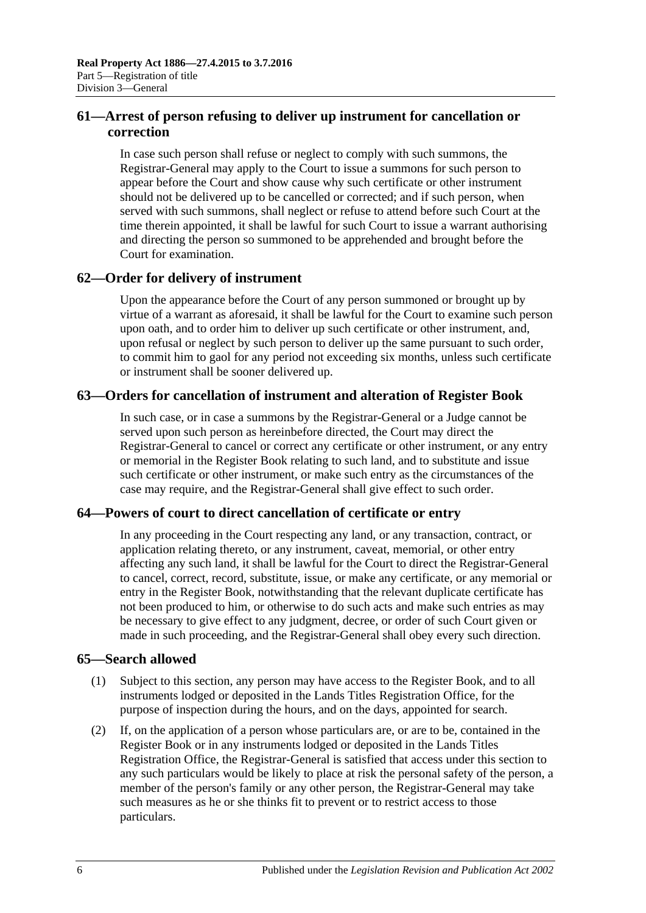## <span id="page-31-0"></span>**61—Arrest of person refusing to deliver up instrument for cancellation or correction**

In case such person shall refuse or neglect to comply with such summons, the Registrar-General may apply to the Court to issue a summons for such person to appear before the Court and show cause why such certificate or other instrument should not be delivered up to be cancelled or corrected; and if such person, when served with such summons, shall neglect or refuse to attend before such Court at the time therein appointed, it shall be lawful for such Court to issue a warrant authorising and directing the person so summoned to be apprehended and brought before the Court for examination.

## <span id="page-31-1"></span>**62—Order for delivery of instrument**

Upon the appearance before the Court of any person summoned or brought up by virtue of a warrant as aforesaid, it shall be lawful for the Court to examine such person upon oath, and to order him to deliver up such certificate or other instrument, and, upon refusal or neglect by such person to deliver up the same pursuant to such order, to commit him to gaol for any period not exceeding six months, unless such certificate or instrument shall be sooner delivered up.

## <span id="page-31-2"></span>**63—Orders for cancellation of instrument and alteration of Register Book**

In such case, or in case a summons by the Registrar-General or a Judge cannot be served upon such person as hereinbefore directed, the Court may direct the Registrar-General to cancel or correct any certificate or other instrument, or any entry or memorial in the Register Book relating to such land, and to substitute and issue such certificate or other instrument, or make such entry as the circumstances of the case may require, and the Registrar-General shall give effect to such order.

## <span id="page-31-3"></span>**64—Powers of court to direct cancellation of certificate or entry**

In any proceeding in the Court respecting any land, or any transaction, contract, or application relating thereto, or any instrument, caveat, memorial, or other entry affecting any such land, it shall be lawful for the Court to direct the Registrar-General to cancel, correct, record, substitute, issue, or make any certificate, or any memorial or entry in the Register Book, notwithstanding that the relevant duplicate certificate has not been produced to him, or otherwise to do such acts and make such entries as may be necessary to give effect to any judgment, decree, or order of such Court given or made in such proceeding, and the Registrar-General shall obey every such direction.

## <span id="page-31-4"></span>**65—Search allowed**

- (1) Subject to this section, any person may have access to the Register Book, and to all instruments lodged or deposited in the Lands Titles Registration Office, for the purpose of inspection during the hours, and on the days, appointed for search.
- <span id="page-31-5"></span>(2) If, on the application of a person whose particulars are, or are to be, contained in the Register Book or in any instruments lodged or deposited in the Lands Titles Registration Office, the Registrar-General is satisfied that access under this section to any such particulars would be likely to place at risk the personal safety of the person, a member of the person's family or any other person, the Registrar-General may take such measures as he or she thinks fit to prevent or to restrict access to those particulars.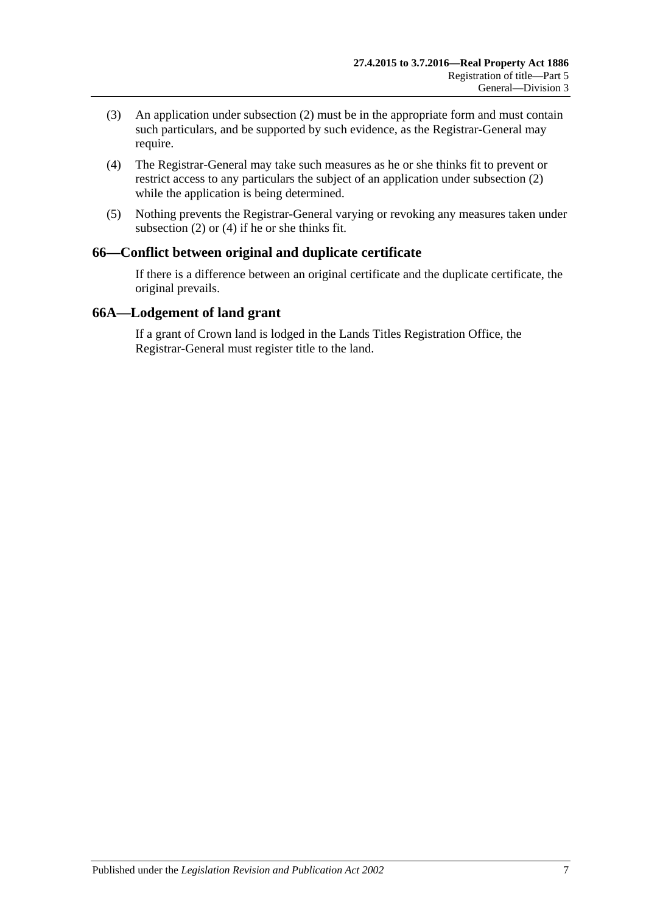- (3) An application under [subsection](#page-31-5) (2) must be in the appropriate form and must contain such particulars, and be supported by such evidence, as the Registrar-General may require.
- <span id="page-32-2"></span>(4) The Registrar-General may take such measures as he or she thinks fit to prevent or restrict access to any particulars the subject of an application under [subsection](#page-31-5) (2) while the application is being determined.
- (5) Nothing prevents the Registrar-General varying or revoking any measures taken under [subsection](#page-31-5) (2) or [\(4\)](#page-32-2) if he or she thinks fit.

## <span id="page-32-0"></span>**66—Conflict between original and duplicate certificate**

If there is a difference between an original certificate and the duplicate certificate, the original prevails.

#### <span id="page-32-1"></span>**66A—Lodgement of land grant**

If a grant of Crown land is lodged in the Lands Titles Registration Office, the Registrar-General must register title to the land.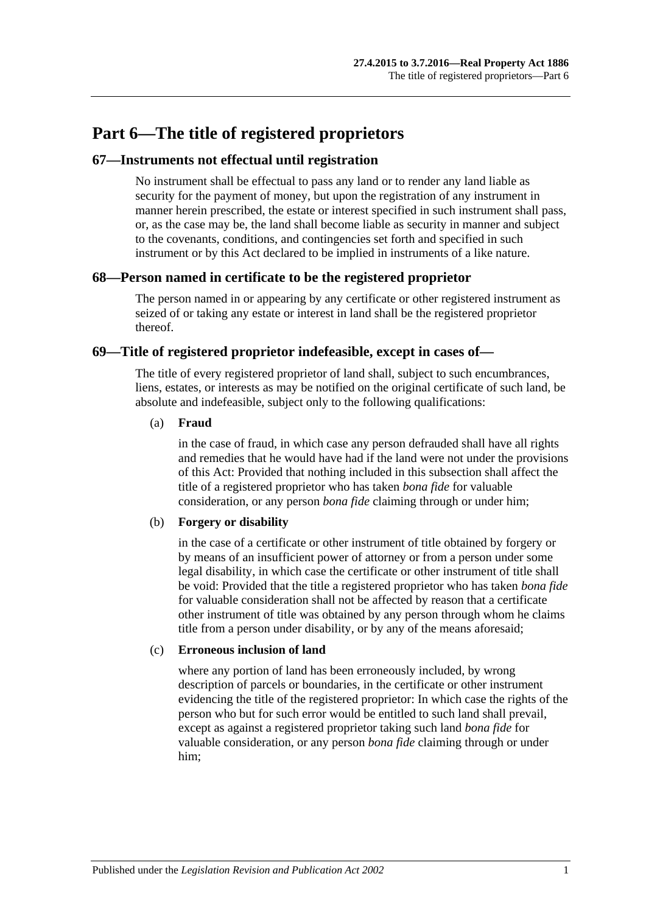## <span id="page-34-0"></span>**Part 6—The title of registered proprietors**

## <span id="page-34-1"></span>**67—Instruments not effectual until registration**

No instrument shall be effectual to pass any land or to render any land liable as security for the payment of money, but upon the registration of any instrument in manner herein prescribed, the estate or interest specified in such instrument shall pass, or, as the case may be, the land shall become liable as security in manner and subject to the covenants, conditions, and contingencies set forth and specified in such instrument or by this Act declared to be implied in instruments of a like nature.

## <span id="page-34-2"></span>**68—Person named in certificate to be the registered proprietor**

The person named in or appearing by any certificate or other registered instrument as seized of or taking any estate or interest in land shall be the registered proprietor thereof.

## <span id="page-34-3"></span>**69—Title of registered proprietor indefeasible, except in cases of—**

The title of every registered proprietor of land shall, subject to such encumbrances, liens, estates, or interests as may be notified on the original certificate of such land, be absolute and indefeasible, subject only to the following qualifications:

#### (a) **Fraud**

in the case of fraud, in which case any person defrauded shall have all rights and remedies that he would have had if the land were not under the provisions of this Act: Provided that nothing included in this subsection shall affect the title of a registered proprietor who has taken *bona fide* for valuable consideration, or any person *bona fide* claiming through or under him;

#### (b) **Forgery or disability**

in the case of a certificate or other instrument of title obtained by forgery or by means of an insufficient power of attorney or from a person under some legal disability, in which case the certificate or other instrument of title shall be void: Provided that the title a registered proprietor who has taken *bona fide* for valuable consideration shall not be affected by reason that a certificate other instrument of title was obtained by any person through whom he claims title from a person under disability, or by any of the means aforesaid;

#### (c) **Erroneous inclusion of land**

where any portion of land has been erroneously included, by wrong description of parcels or boundaries, in the certificate or other instrument evidencing the title of the registered proprietor: In which case the rights of the person who but for such error would be entitled to such land shall prevail, except as against a registered proprietor taking such land *bona fide* for valuable consideration, or any person *bona fide* claiming through or under him;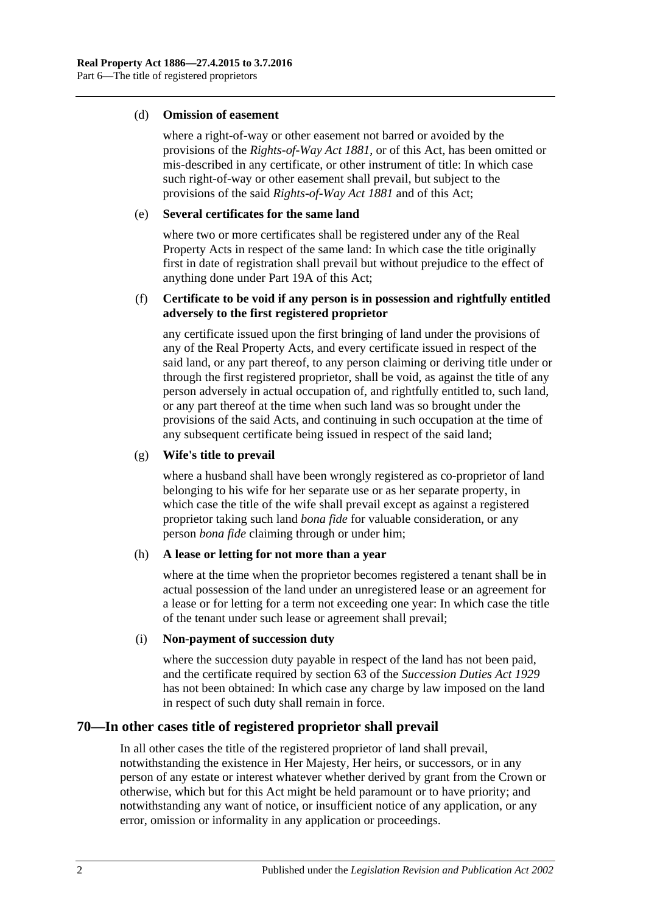#### (d) **Omission of easement**

where a right-of-way or other easement not barred or avoided by the provisions of the *[Rights-of-Way Act](http://www.legislation.sa.gov.au/index.aspx?action=legref&type=act&legtitle=Rights-of-Way%20Act%201881) 1881*, or of this Act, has been omitted or mis-described in any certificate, or other instrument of title: In which case such right-of-way or other easement shall prevail, but subject to the provisions of the said *[Rights-of-Way Act](http://www.legislation.sa.gov.au/index.aspx?action=legref&type=act&legtitle=Rights-of-Way%20Act%201881) 1881* and of this Act;

#### (e) **Several certificates for the same land**

where two or more certificates shall be registered under any of the Real Property Acts in respect of the same land: In which case the title originally first in date of registration shall prevail but without prejudice to the effect of anything done under [Part 19A](#page-110-0) of this Act;

#### (f) **Certificate to be void if any person is in possession and rightfully entitled adversely to the first registered proprietor**

any certificate issued upon the first bringing of land under the provisions of any of the Real Property Acts, and every certificate issued in respect of the said land, or any part thereof, to any person claiming or deriving title under or through the first registered proprietor, shall be void, as against the title of any person adversely in actual occupation of, and rightfully entitled to, such land, or any part thereof at the time when such land was so brought under the provisions of the said Acts, and continuing in such occupation at the time of any subsequent certificate being issued in respect of the said land;

#### (g) **Wife's title to prevail**

where a husband shall have been wrongly registered as co-proprietor of land belonging to his wife for her separate use or as her separate property, in which case the title of the wife shall prevail except as against a registered proprietor taking such land *bona fide* for valuable consideration, or any person *bona fide* claiming through or under him;

#### (h) **A lease or letting for not more than a year**

where at the time when the proprietor becomes registered a tenant shall be in actual possession of the land under an unregistered lease or an agreement for a lease or for letting for a term not exceeding one year: In which case the title of the tenant under such lease or agreement shall prevail;

#### (i) **Non-payment of succession duty**

where the succession duty payable in respect of the land has not been paid, and the certificate required by section 63 of the *[Succession Duties Act](http://www.legislation.sa.gov.au/index.aspx?action=legref&type=act&legtitle=Succession%20Duties%20Act%201929) 1929* has not been obtained: In which case any charge by law imposed on the land in respect of such duty shall remain in force.

## <span id="page-35-0"></span>**70—In other cases title of registered proprietor shall prevail**

In all other cases the title of the registered proprietor of land shall prevail, notwithstanding the existence in Her Majesty, Her heirs, or successors, or in any person of any estate or interest whatever whether derived by grant from the Crown or otherwise, which but for this Act might be held paramount or to have priority; and notwithstanding any want of notice, or insufficient notice of any application, or any error, omission or informality in any application or proceedings.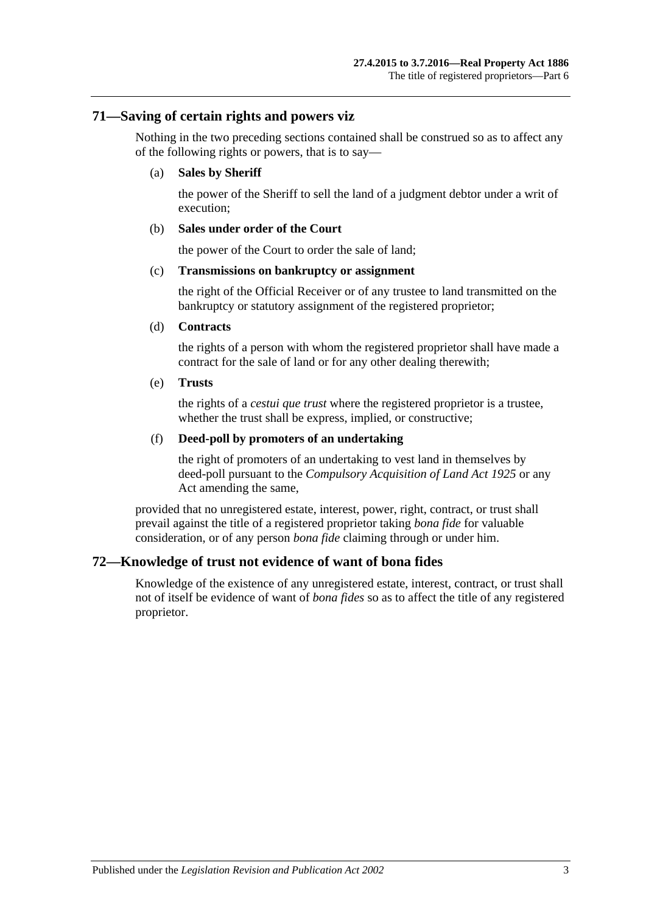#### **71—Saving of certain rights and powers viz**

Nothing in the two preceding sections contained shall be construed so as to affect any of the following rights or powers, that is to say—

#### (a) **Sales by Sheriff**

the power of the Sheriff to sell the land of a judgment debtor under a writ of execution;

#### (b) **Sales under order of the Court**

the power of the Court to order the sale of land;

#### (c) **Transmissions on bankruptcy or assignment**

the right of the Official Receiver or of any trustee to land transmitted on the bankruptcy or statutory assignment of the registered proprietor;

#### (d) **Contracts**

the rights of a person with whom the registered proprietor shall have made a contract for the sale of land or for any other dealing therewith;

#### (e) **Trusts**

the rights of a *cestui que trust* where the registered proprietor is a trustee, whether the trust shall be express, implied, or constructive;

#### (f) **Deed-poll by promoters of an undertaking**

the right of promoters of an undertaking to vest land in themselves by deed-poll pursuant to the *[Compulsory Acquisition of Land Act](http://www.legislation.sa.gov.au/index.aspx?action=legref&type=act&legtitle=Compulsory%20Acquisition%20of%20Land%20Act%201925) 1925* or any Act amending the same,

provided that no unregistered estate, interest, power, right, contract, or trust shall prevail against the title of a registered proprietor taking *bona fide* for valuable consideration, or of any person *bona fide* claiming through or under him.

## **72—Knowledge of trust not evidence of want of bona fides**

Knowledge of the existence of any unregistered estate, interest, contract, or trust shall not of itself be evidence of want of *bona fides* so as to affect the title of any registered proprietor.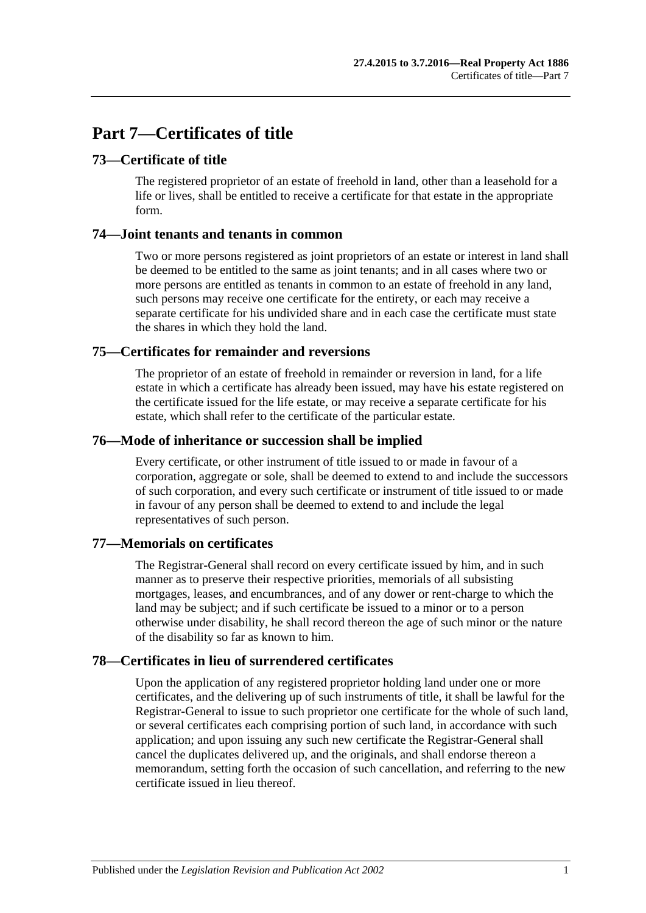# **Part 7—Certificates of title**

# **73—Certificate of title**

The registered proprietor of an estate of freehold in land, other than a leasehold for a life or lives, shall be entitled to receive a certificate for that estate in the appropriate form.

## **74—Joint tenants and tenants in common**

Two or more persons registered as joint proprietors of an estate or interest in land shall be deemed to be entitled to the same as joint tenants; and in all cases where two or more persons are entitled as tenants in common to an estate of freehold in any land, such persons may receive one certificate for the entirety, or each may receive a separate certificate for his undivided share and in each case the certificate must state the shares in which they hold the land.

## **75—Certificates for remainder and reversions**

The proprietor of an estate of freehold in remainder or reversion in land, for a life estate in which a certificate has already been issued, may have his estate registered on the certificate issued for the life estate, or may receive a separate certificate for his estate, which shall refer to the certificate of the particular estate.

## **76—Mode of inheritance or succession shall be implied**

Every certificate, or other instrument of title issued to or made in favour of a corporation, aggregate or sole, shall be deemed to extend to and include the successors of such corporation, and every such certificate or instrument of title issued to or made in favour of any person shall be deemed to extend to and include the legal representatives of such person.

## **77—Memorials on certificates**

The Registrar-General shall record on every certificate issued by him, and in such manner as to preserve their respective priorities, memorials of all subsisting mortgages, leases, and encumbrances, and of any dower or rent-charge to which the land may be subject; and if such certificate be issued to a minor or to a person otherwise under disability, he shall record thereon the age of such minor or the nature of the disability so far as known to him.

## **78—Certificates in lieu of surrendered certificates**

Upon the application of any registered proprietor holding land under one or more certificates, and the delivering up of such instruments of title, it shall be lawful for the Registrar-General to issue to such proprietor one certificate for the whole of such land, or several certificates each comprising portion of such land, in accordance with such application; and upon issuing any such new certificate the Registrar-General shall cancel the duplicates delivered up, and the originals, and shall endorse thereon a memorandum, setting forth the occasion of such cancellation, and referring to the new certificate issued in lieu thereof.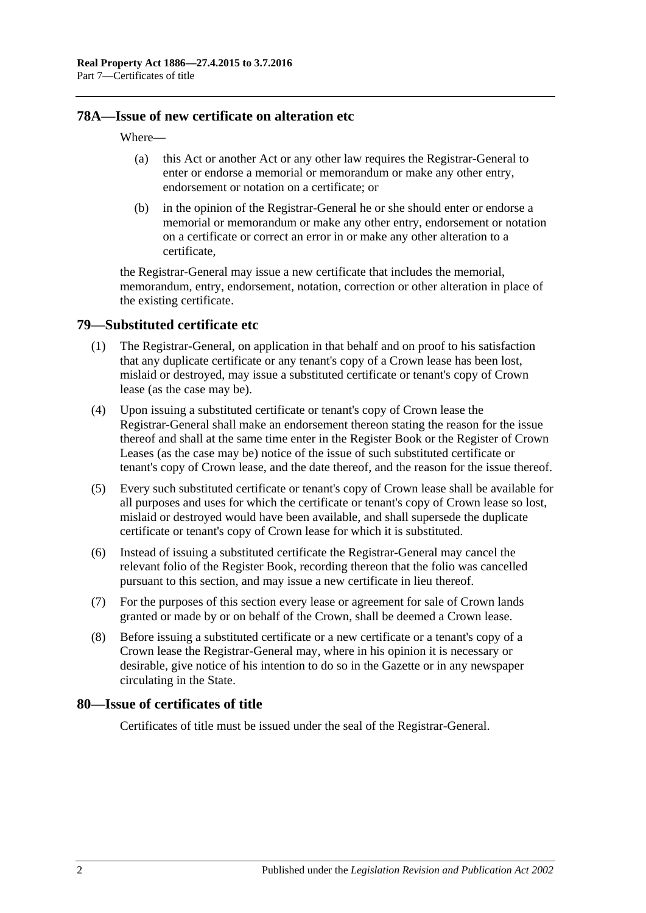#### **78A—Issue of new certificate on alteration etc**

#### Where—

- (a) this Act or another Act or any other law requires the Registrar-General to enter or endorse a memorial or memorandum or make any other entry, endorsement or notation on a certificate; or
- (b) in the opinion of the Registrar-General he or she should enter or endorse a memorial or memorandum or make any other entry, endorsement or notation on a certificate or correct an error in or make any other alteration to a certificate,

the Registrar-General may issue a new certificate that includes the memorial, memorandum, entry, endorsement, notation, correction or other alteration in place of the existing certificate.

#### <span id="page-39-0"></span>**79—Substituted certificate etc**

- (1) The Registrar-General, on application in that behalf and on proof to his satisfaction that any duplicate certificate or any tenant's copy of a Crown lease has been lost, mislaid or destroyed, may issue a substituted certificate or tenant's copy of Crown lease (as the case may be).
- (4) Upon issuing a substituted certificate or tenant's copy of Crown lease the Registrar-General shall make an endorsement thereon stating the reason for the issue thereof and shall at the same time enter in the Register Book or the Register of Crown Leases (as the case may be) notice of the issue of such substituted certificate or tenant's copy of Crown lease, and the date thereof, and the reason for the issue thereof.
- (5) Every such substituted certificate or tenant's copy of Crown lease shall be available for all purposes and uses for which the certificate or tenant's copy of Crown lease so lost, mislaid or destroyed would have been available, and shall supersede the duplicate certificate or tenant's copy of Crown lease for which it is substituted.
- (6) Instead of issuing a substituted certificate the Registrar-General may cancel the relevant folio of the Register Book, recording thereon that the folio was cancelled pursuant to this section, and may issue a new certificate in lieu thereof.
- (7) For the purposes of this section every lease or agreement for sale of Crown lands granted or made by or on behalf of the Crown, shall be deemed a Crown lease.
- (8) Before issuing a substituted certificate or a new certificate or a tenant's copy of a Crown lease the Registrar-General may, where in his opinion it is necessary or desirable, give notice of his intention to do so in the Gazette or in any newspaper circulating in the State.

#### **80—Issue of certificates of title**

Certificates of title must be issued under the seal of the Registrar-General.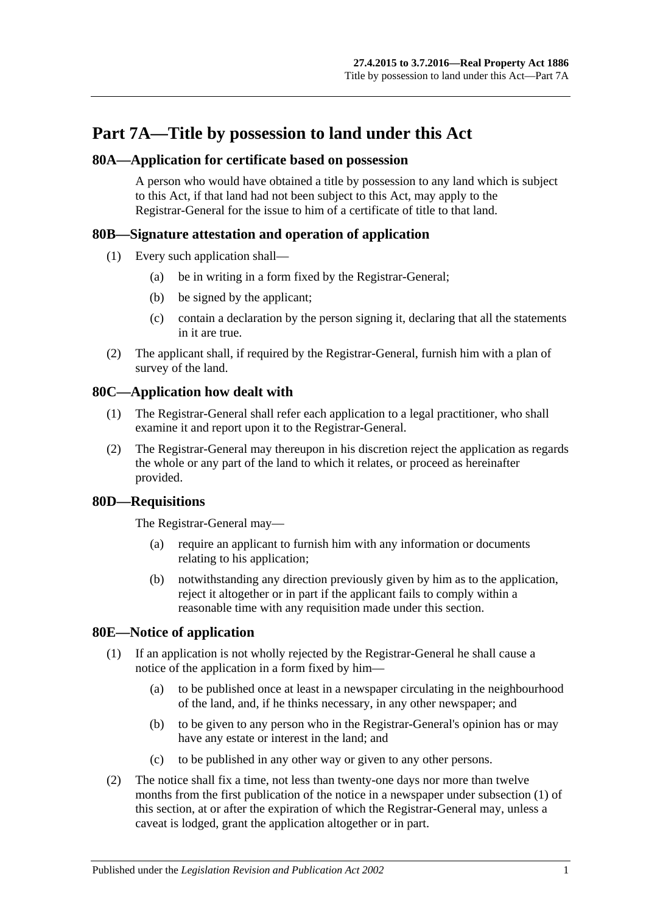# **Part 7A—Title by possession to land under this Act**

## **80A—Application for certificate based on possession**

A person who would have obtained a title by possession to any land which is subject to this Act, if that land had not been subject to this Act, may apply to the Registrar-General for the issue to him of a certificate of title to that land.

# **80B—Signature attestation and operation of application**

- (1) Every such application shall—
	- (a) be in writing in a form fixed by the Registrar-General;
	- (b) be signed by the applicant;
	- (c) contain a declaration by the person signing it, declaring that all the statements in it are true.
- (2) The applicant shall, if required by the Registrar-General, furnish him with a plan of survey of the land.

# **80C—Application how dealt with**

- (1) The Registrar-General shall refer each application to a legal practitioner, who shall examine it and report upon it to the Registrar-General.
- (2) The Registrar-General may thereupon in his discretion reject the application as regards the whole or any part of the land to which it relates, or proceed as hereinafter provided.

## **80D—Requisitions**

The Registrar-General may—

- (a) require an applicant to furnish him with any information or documents relating to his application;
- (b) notwithstanding any direction previously given by him as to the application, reject it altogether or in part if the applicant fails to comply within a reasonable time with any requisition made under this section.

## <span id="page-40-1"></span><span id="page-40-0"></span>**80E—Notice of application**

- (1) If an application is not wholly rejected by the Registrar-General he shall cause a notice of the application in a form fixed by him—
	- (a) to be published once at least in a newspaper circulating in the neighbourhood of the land, and, if he thinks necessary, in any other newspaper; and
	- (b) to be given to any person who in the Registrar-General's opinion has or may have any estate or interest in the land; and
	- (c) to be published in any other way or given to any other persons.
- (2) The notice shall fix a time, not less than twenty-one days nor more than twelve months from the first publication of the notice in a newspaper under [subsection](#page-40-0) (1) of this section, at or after the expiration of which the Registrar-General may, unless a caveat is lodged, grant the application altogether or in part.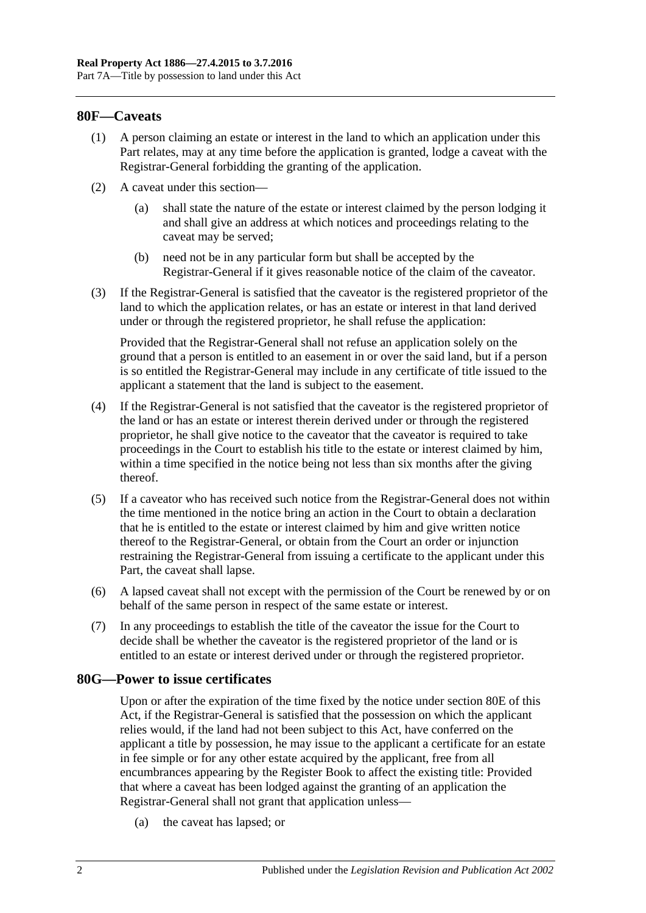#### **80F—Caveats**

- (1) A person claiming an estate or interest in the land to which an application under this Part relates, may at any time before the application is granted, lodge a caveat with the Registrar-General forbidding the granting of the application.
- (2) A caveat under this section—
	- (a) shall state the nature of the estate or interest claimed by the person lodging it and shall give an address at which notices and proceedings relating to the caveat may be served;
	- (b) need not be in any particular form but shall be accepted by the Registrar-General if it gives reasonable notice of the claim of the caveator.
- (3) If the Registrar-General is satisfied that the caveator is the registered proprietor of the land to which the application relates, or has an estate or interest in that land derived under or through the registered proprietor, he shall refuse the application:

Provided that the Registrar-General shall not refuse an application solely on the ground that a person is entitled to an easement in or over the said land, but if a person is so entitled the Registrar-General may include in any certificate of title issued to the applicant a statement that the land is subject to the easement.

- (4) If the Registrar-General is not satisfied that the caveator is the registered proprietor of the land or has an estate or interest therein derived under or through the registered proprietor, he shall give notice to the caveator that the caveator is required to take proceedings in the Court to establish his title to the estate or interest claimed by him, within a time specified in the notice being not less than six months after the giving thereof.
- (5) If a caveator who has received such notice from the Registrar-General does not within the time mentioned in the notice bring an action in the Court to obtain a declaration that he is entitled to the estate or interest claimed by him and give written notice thereof to the Registrar-General, or obtain from the Court an order or injunction restraining the Registrar-General from issuing a certificate to the applicant under this Part, the caveat shall lapse.
- (6) A lapsed caveat shall not except with the permission of the Court be renewed by or on behalf of the same person in respect of the same estate or interest.
- (7) In any proceedings to establish the title of the caveator the issue for the Court to decide shall be whether the caveator is the registered proprietor of the land or is entitled to an estate or interest derived under or through the registered proprietor.

#### **80G—Power to issue certificates**

Upon or after the expiration of the time fixed by the notice under [section](#page-40-1) 80E of this Act, if the Registrar-General is satisfied that the possession on which the applicant relies would, if the land had not been subject to this Act, have conferred on the applicant a title by possession, he may issue to the applicant a certificate for an estate in fee simple or for any other estate acquired by the applicant, free from all encumbrances appearing by the Register Book to affect the existing title: Provided that where a caveat has been lodged against the granting of an application the Registrar-General shall not grant that application unless—

(a) the caveat has lapsed; or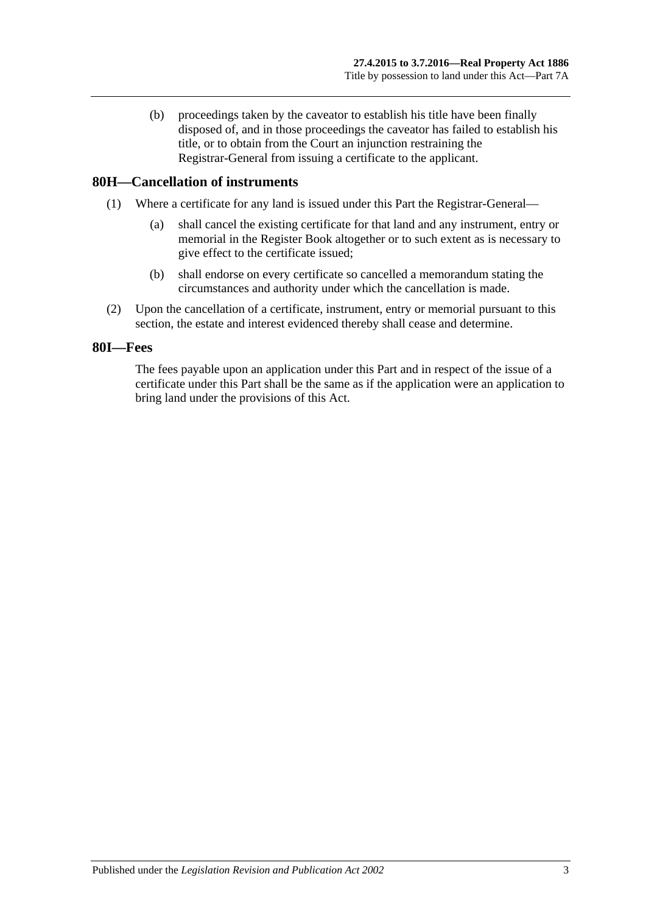(b) proceedings taken by the caveator to establish his title have been finally disposed of, and in those proceedings the caveator has failed to establish his title, or to obtain from the Court an injunction restraining the Registrar-General from issuing a certificate to the applicant.

#### **80H—Cancellation of instruments**

- (1) Where a certificate for any land is issued under this Part the Registrar-General—
	- (a) shall cancel the existing certificate for that land and any instrument, entry or memorial in the Register Book altogether or to such extent as is necessary to give effect to the certificate issued;
	- (b) shall endorse on every certificate so cancelled a memorandum stating the circumstances and authority under which the cancellation is made.
- (2) Upon the cancellation of a certificate, instrument, entry or memorial pursuant to this section, the estate and interest evidenced thereby shall cease and determine.

#### **80I—Fees**

The fees payable upon an application under this Part and in respect of the issue of a certificate under this Part shall be the same as if the application were an application to bring land under the provisions of this Act.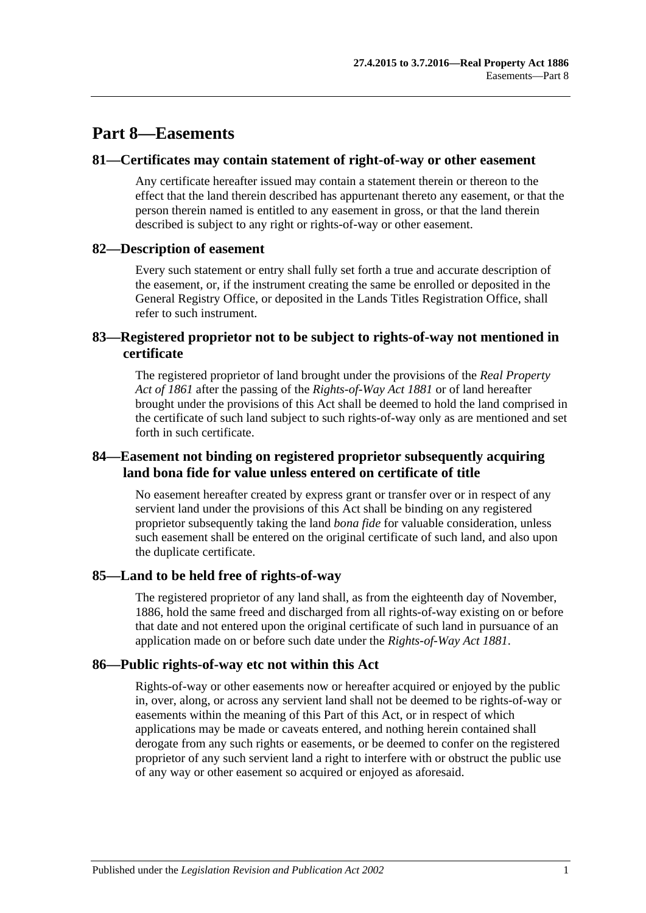# **Part 8—Easements**

#### **81—Certificates may contain statement of right-of-way or other easement**

Any certificate hereafter issued may contain a statement therein or thereon to the effect that the land therein described has appurtenant thereto any easement, or that the person therein named is entitled to any easement in gross, or that the land therein described is subject to any right or rights-of-way or other easement.

#### **82—Description of easement**

Every such statement or entry shall fully set forth a true and accurate description of the easement, or, if the instrument creating the same be enrolled or deposited in the General Registry Office, or deposited in the Lands Titles Registration Office, shall refer to such instrument.

## **83—Registered proprietor not to be subject to rights-of-way not mentioned in certificate**

The registered proprietor of land brought under the provisions of the *[Real Property](http://www.legislation.sa.gov.au/index.aspx?action=legref&type=act&legtitle=Real%20Property%20Act%20of%201861)  [Act of](http://www.legislation.sa.gov.au/index.aspx?action=legref&type=act&legtitle=Real%20Property%20Act%20of%201861) 1861* after the passing of the *[Rights-of-Way Act](http://www.legislation.sa.gov.au/index.aspx?action=legref&type=act&legtitle=Rights-of-Way%20Act%201881) 1881* or of land hereafter brought under the provisions of this Act shall be deemed to hold the land comprised in the certificate of such land subject to such rights-of-way only as are mentioned and set forth in such certificate.

## **84—Easement not binding on registered proprietor subsequently acquiring land bona fide for value unless entered on certificate of title**

No easement hereafter created by express grant or transfer over or in respect of any servient land under the provisions of this Act shall be binding on any registered proprietor subsequently taking the land *bona fide* for valuable consideration, unless such easement shall be entered on the original certificate of such land, and also upon the duplicate certificate.

## **85—Land to be held free of rights-of-way**

The registered proprietor of any land shall, as from the eighteenth day of November, 1886, hold the same freed and discharged from all rights-of-way existing on or before that date and not entered upon the original certificate of such land in pursuance of an application made on or before such date under the *[Rights-of-Way Act](http://www.legislation.sa.gov.au/index.aspx?action=legref&type=act&legtitle=Rights-of-Way%20Act%201881) 1881*.

## **86—Public rights-of-way etc not within this Act**

Rights-of-way or other easements now or hereafter acquired or enjoyed by the public in, over, along, or across any servient land shall not be deemed to be rights-of-way or easements within the meaning of this Part of this Act, or in respect of which applications may be made or caveats entered, and nothing herein contained shall derogate from any such rights or easements, or be deemed to confer on the registered proprietor of any such servient land a right to interfere with or obstruct the public use of any way or other easement so acquired or enjoyed as aforesaid.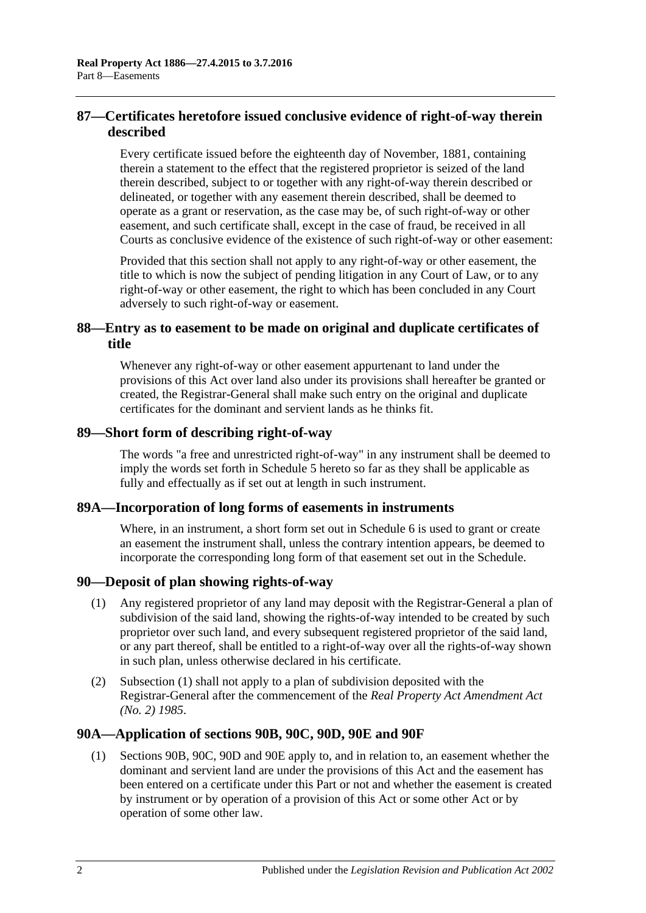# **87—Certificates heretofore issued conclusive evidence of right-of-way therein described**

Every certificate issued before the eighteenth day of November, 1881, containing therein a statement to the effect that the registered proprietor is seized of the land therein described, subject to or together with any right-of-way therein described or delineated, or together with any easement therein described, shall be deemed to operate as a grant or reservation, as the case may be, of such right-of-way or other easement, and such certificate shall, except in the case of fraud, be received in all Courts as conclusive evidence of the existence of such right-of-way or other easement:

Provided that this section shall not apply to any right-of-way or other easement, the title to which is now the subject of pending litigation in any Court of Law, or to any right-of-way or other easement, the right to which has been concluded in any Court adversely to such right-of-way or easement.

# **88—Entry as to easement to be made on original and duplicate certificates of title**

Whenever any right-of-way or other easement appurtenant to land under the provisions of this Act over land also under its provisions shall hereafter be granted or created, the Registrar-General shall make such entry on the original and duplicate certificates for the dominant and servient lands as he thinks fit.

#### **89—Short form of describing right-of-way**

The words "a free and unrestricted right-of-way" in any instrument shall be deemed to imply the words set forth in [Schedule](#page-144-0) 5 hereto so far as they shall be applicable as fully and effectually as if set out at length in such instrument.

## **89A—Incorporation of long forms of easements in instruments**

Where, in an instrument, a short form set out in [Schedule 6](#page-144-1) is used to grant or create an easement the instrument shall, unless the contrary intention appears, be deemed to incorporate the corresponding long form of that easement set out in the Schedule.

## <span id="page-45-0"></span>**90—Deposit of plan showing rights-of-way**

- (1) Any registered proprietor of any land may deposit with the Registrar-General a plan of subdivision of the said land, showing the rights-of-way intended to be created by such proprietor over such land, and every subsequent registered proprietor of the said land, or any part thereof, shall be entitled to a right-of-way over all the rights-of-way shown in such plan, unless otherwise declared in his certificate.
- (2) [Subsection](#page-45-0) (1) shall not apply to a plan of subdivision deposited with the Registrar-General after the commencement of the *[Real Property Act Amendment Act](http://www.legislation.sa.gov.au/index.aspx?action=legref&type=act&legtitle=Real%20Property%20Act%20Amendment%20Act%20(No.%202)%201985)  (No. 2) [1985](http://www.legislation.sa.gov.au/index.aspx?action=legref&type=act&legtitle=Real%20Property%20Act%20Amendment%20Act%20(No.%202)%201985)*.

## **90A—Application of [sections](#page-46-0) 90B, [90C,](#page-48-0) [90D,](#page-49-0) [90E](#page-49-1) and [90F](#page-49-2)**

(1) [Sections](#page-46-0) 90B, [90C,](#page-48-0) [90D](#page-49-0) and [90E](#page-49-1) apply to, and in relation to, an easement whether the dominant and servient land are under the provisions of this Act and the easement has been entered on a certificate under this Part or not and whether the easement is created by instrument or by operation of a provision of this Act or some other Act or by operation of some other law.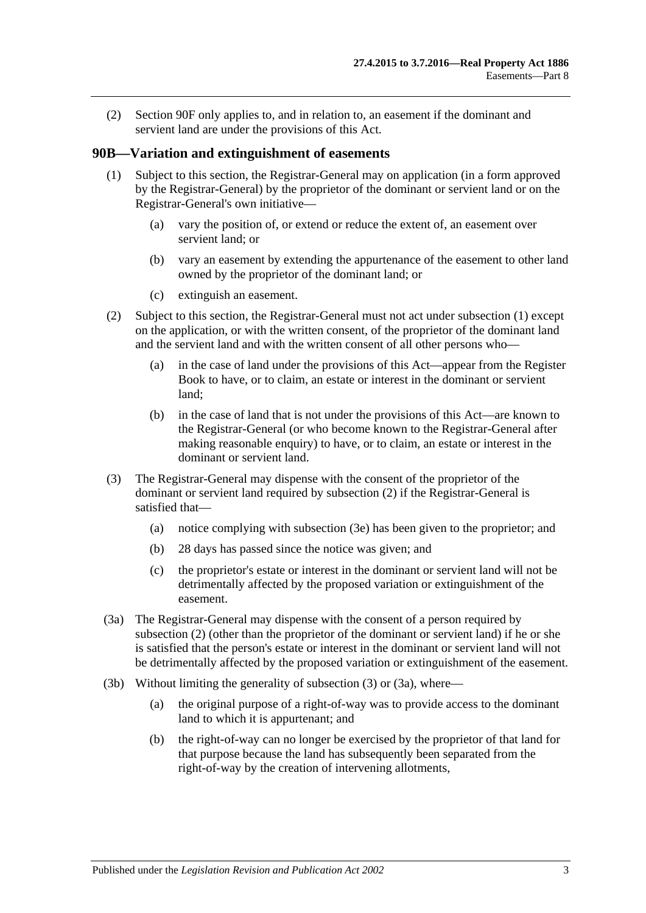(2) [Section](#page-49-2) 90F only applies to, and in relation to, an easement if the dominant and servient land are under the provisions of this Act.

#### <span id="page-46-1"></span><span id="page-46-0"></span>**90B—Variation and extinguishment of easements**

- (1) Subject to this section, the Registrar-General may on application (in a form approved by the Registrar-General) by the proprietor of the dominant or servient land or on the Registrar-General's own initiative—
	- (a) vary the position of, or extend or reduce the extent of, an easement over servient land; or
	- (b) vary an easement by extending the appurtenance of the easement to other land owned by the proprietor of the dominant land; or
	- (c) extinguish an easement.
- <span id="page-46-2"></span>(2) Subject to this section, the Registrar-General must not act under [subsection](#page-46-1) (1) except on the application, or with the written consent, of the proprietor of the dominant land and the servient land and with the written consent of all other persons who—
	- (a) in the case of land under the provisions of this Act—appear from the Register Book to have, or to claim, an estate or interest in the dominant or servient land;
	- (b) in the case of land that is not under the provisions of this Act—are known to the Registrar-General (or who become known to the Registrar-General after making reasonable enquiry) to have, or to claim, an estate or interest in the dominant or servient land.
- <span id="page-46-3"></span>(3) The Registrar-General may dispense with the consent of the proprietor of the dominant or servient land required by [subsection](#page-46-2) (2) if the Registrar-General is satisfied that—
	- (a) notice complying with [subsection](#page-47-0) (3e) has been given to the proprietor; and
	- (b) 28 days has passed since the notice was given; and
	- (c) the proprietor's estate or interest in the dominant or servient land will not be detrimentally affected by the proposed variation or extinguishment of the easement.
- <span id="page-46-4"></span>(3a) The Registrar-General may dispense with the consent of a person required by [subsection](#page-46-2) (2) (other than the proprietor of the dominant or servient land) if he or she is satisfied that the person's estate or interest in the dominant or servient land will not be detrimentally affected by the proposed variation or extinguishment of the easement.
- <span id="page-46-5"></span>(3b) Without limiting the generality of [subsection](#page-46-3) (3) or [\(3a\),](#page-46-4) where—
	- (a) the original purpose of a right-of-way was to provide access to the dominant land to which it is appurtenant; and
	- (b) the right-of-way can no longer be exercised by the proprietor of that land for that purpose because the land has subsequently been separated from the right-of-way by the creation of intervening allotments,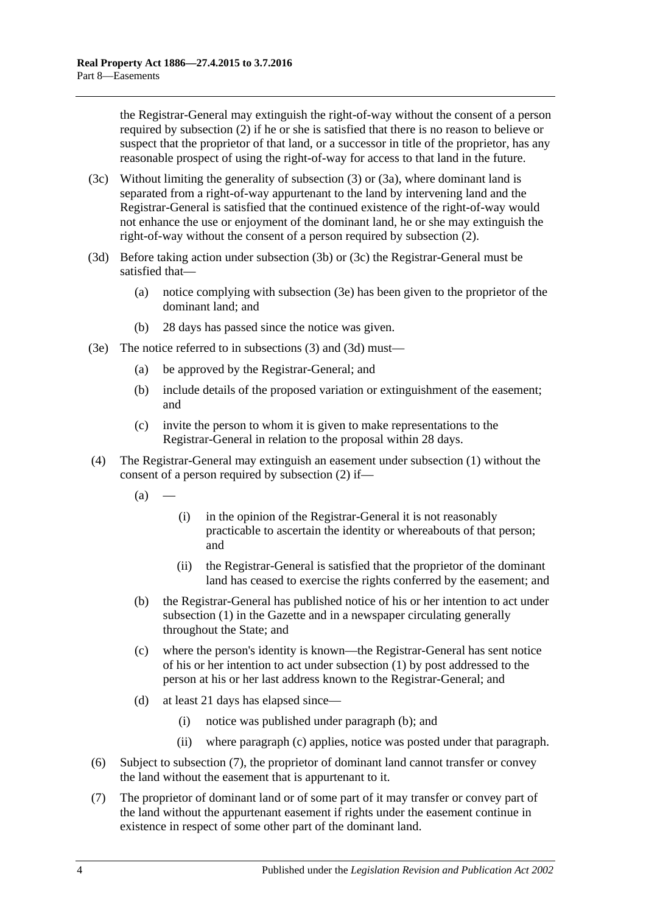the Registrar-General may extinguish the right-of-way without the consent of a person required by [subsection](#page-46-2) (2) if he or she is satisfied that there is no reason to believe or suspect that the proprietor of that land, or a successor in title of the proprietor, has any reasonable prospect of using the right-of-way for access to that land in the future.

- <span id="page-47-1"></span>(3c) Without limiting the generality of [subsection](#page-46-3) (3) or [\(3a\),](#page-46-4) where dominant land is separated from a right-of-way appurtenant to the land by intervening land and the Registrar-General is satisfied that the continued existence of the right-of-way would not enhance the use or enjoyment of the dominant land, he or she may extinguish the right-of-way without the consent of a person required by [subsection](#page-46-2) (2).
- <span id="page-47-2"></span>(3d) Before taking action under [subsection](#page-46-5) (3b) or [\(3c\)](#page-47-1) the Registrar-General must be satisfied that—
	- (a) notice complying with [subsection](#page-47-0) (3e) has been given to the proprietor of the dominant land; and
	- (b) 28 days has passed since the notice was given.
- <span id="page-47-0"></span>(3e) The notice referred to in [subsections](#page-46-3) (3) and [\(3d\)](#page-47-2) must—
	- (a) be approved by the Registrar-General; and
	- (b) include details of the proposed variation or extinguishment of the easement; and
	- (c) invite the person to whom it is given to make representations to the Registrar-General in relation to the proposal within 28 days.
- <span id="page-47-3"></span>(4) The Registrar-General may extinguish an easement under [subsection](#page-46-1) (1) without the consent of a person required by [subsection](#page-46-2) (2) if—
	- $(a)$ 
		- (i) in the opinion of the Registrar-General it is not reasonably practicable to ascertain the identity or whereabouts of that person; and
		- (ii) the Registrar-General is satisfied that the proprietor of the dominant land has ceased to exercise the rights conferred by the easement; and
	- (b) the Registrar-General has published notice of his or her intention to act under [subsection](#page-46-1) (1) in the Gazette and in a newspaper circulating generally throughout the State; and
	- (c) where the person's identity is known—the Registrar-General has sent notice of his or her intention to act under [subsection](#page-46-1) (1) by post addressed to the person at his or her last address known to the Registrar-General; and
	- (d) at least 21 days has elapsed since—
		- (i) notice was published under [paragraph](#page-47-3) (b); and
		- (ii) where [paragraph](#page-47-4) (c) applies, notice was posted under that paragraph.
- <span id="page-47-4"></span>(6) Subject to [subsection](#page-47-5) (7), the proprietor of dominant land cannot transfer or convey the land without the easement that is appurtenant to it.
- <span id="page-47-5"></span>(7) The proprietor of dominant land or of some part of it may transfer or convey part of the land without the appurtenant easement if rights under the easement continue in existence in respect of some other part of the dominant land.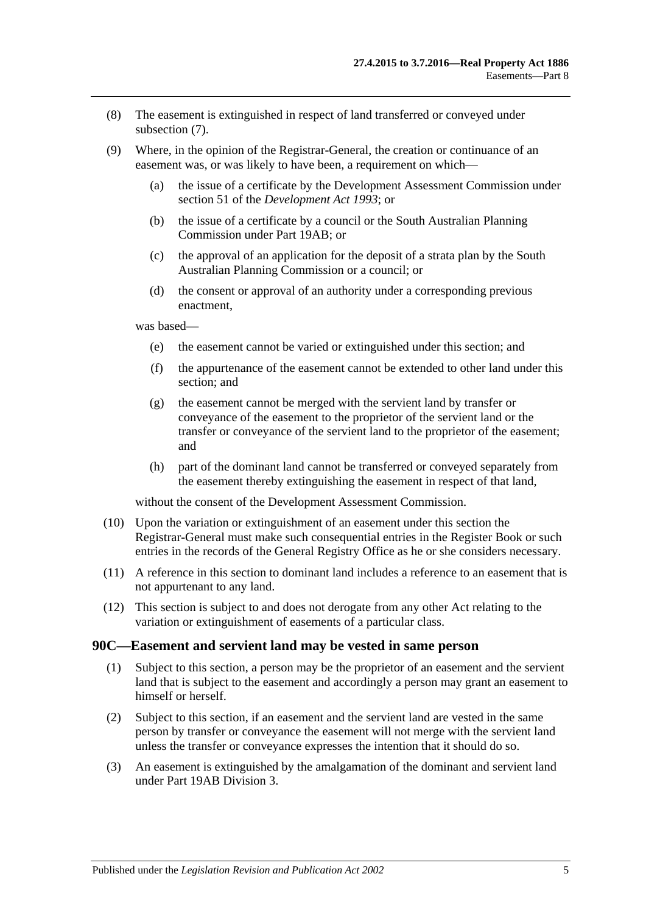- (8) The easement is extinguished in respect of land transferred or conveyed under [subsection](#page-47-5) (7).
- (9) Where, in the opinion of the Registrar-General, the creation or continuance of an easement was, or was likely to have been, a requirement on which—
	- (a) the issue of a certificate by the Development Assessment Commission under section 51 of the *[Development Act](http://www.legislation.sa.gov.au/index.aspx?action=legref&type=act&legtitle=Development%20Act%201993) 1993*; or
	- (b) the issue of a certificate by a council or the South Australian Planning Commission under [Part 19AB;](#page-114-0) or
	- (c) the approval of an application for the deposit of a strata plan by the South Australian Planning Commission or a council; or
	- (d) the consent or approval of an authority under a corresponding previous enactment,

was based—

- (e) the easement cannot be varied or extinguished under this section; and
- (f) the appurtenance of the easement cannot be extended to other land under this section; and
- (g) the easement cannot be merged with the servient land by transfer or conveyance of the easement to the proprietor of the servient land or the transfer or conveyance of the servient land to the proprietor of the easement; and
- (h) part of the dominant land cannot be transferred or conveyed separately from the easement thereby extinguishing the easement in respect of that land,

without the consent of the Development Assessment Commission.

- (10) Upon the variation or extinguishment of an easement under this section the Registrar-General must make such consequential entries in the Register Book or such entries in the records of the General Registry Office as he or she considers necessary.
- (11) A reference in this section to dominant land includes a reference to an easement that is not appurtenant to any land.
- (12) This section is subject to and does not derogate from any other Act relating to the variation or extinguishment of easements of a particular class.

#### <span id="page-48-0"></span>**90C—Easement and servient land may be vested in same person**

- (1) Subject to this section, a person may be the proprietor of an easement and the servient land that is subject to the easement and accordingly a person may grant an easement to himself or herself.
- (2) Subject to this section, if an easement and the servient land are vested in the same person by transfer or conveyance the easement will not merge with the servient land unless the transfer or conveyance expresses the intention that it should do so.
- (3) An easement is extinguished by the amalgamation of the dominant and servient land under [Part 19AB](#page-114-0) [Division 3.](#page-124-0)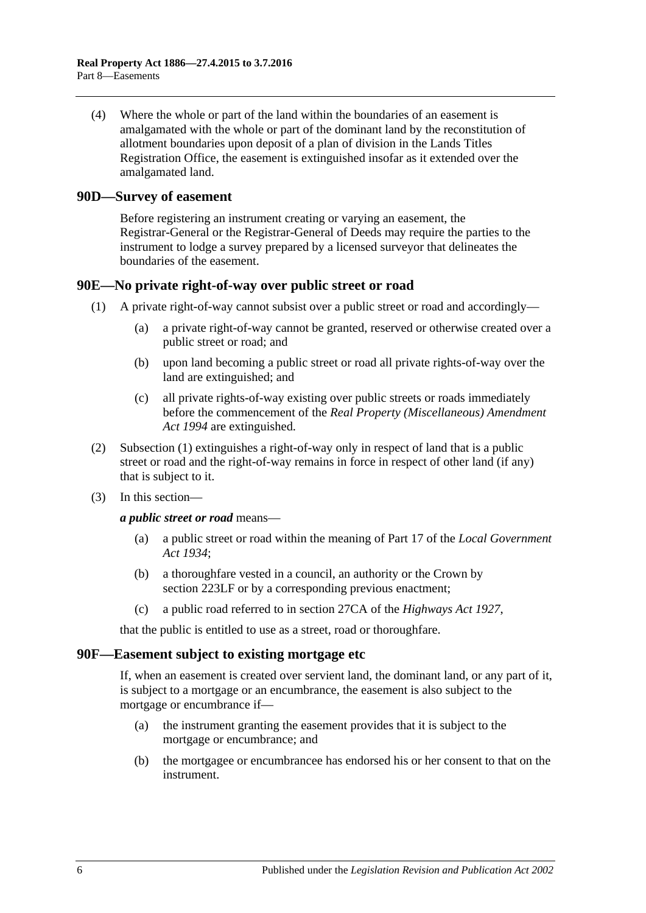(4) Where the whole or part of the land within the boundaries of an easement is amalgamated with the whole or part of the dominant land by the reconstitution of allotment boundaries upon deposit of a plan of division in the Lands Titles Registration Office, the easement is extinguished insofar as it extended over the amalgamated land.

#### <span id="page-49-0"></span>**90D—Survey of easement**

Before registering an instrument creating or varying an easement, the Registrar-General or the Registrar-General of Deeds may require the parties to the instrument to lodge a survey prepared by a licensed surveyor that delineates the boundaries of the easement.

#### <span id="page-49-3"></span><span id="page-49-1"></span>**90E—No private right-of-way over public street or road**

- (1) A private right-of-way cannot subsist over a public street or road and accordingly—
	- (a) a private right-of-way cannot be granted, reserved or otherwise created over a public street or road; and
	- (b) upon land becoming a public street or road all private rights-of-way over the land are extinguished; and
	- (c) all private rights-of-way existing over public streets or roads immediately before the commencement of the *[Real Property \(Miscellaneous\) Amendment](http://www.legislation.sa.gov.au/index.aspx?action=legref&type=act&legtitle=Real%20Property%20(Miscellaneous)%20Amendment%20Act%201994)  Act [1994](http://www.legislation.sa.gov.au/index.aspx?action=legref&type=act&legtitle=Real%20Property%20(Miscellaneous)%20Amendment%20Act%201994)* are extinguished.
- (2) [Subsection](#page-49-3) (1) extinguishes a right-of-way only in respect of land that is a public street or road and the right-of-way remains in force in respect of other land (if any) that is subject to it.
- (3) In this section—

*a public street or road* means—

- (a) a public street or road within the meaning of Part 17 of the *[Local Government](http://www.legislation.sa.gov.au/index.aspx?action=legref&type=act&legtitle=Local%20Government%20Act%201934)  Act [1934](http://www.legislation.sa.gov.au/index.aspx?action=legref&type=act&legtitle=Local%20Government%20Act%201934)*;
- (b) a thoroughfare vested in a council, an authority or the Crown by [section](#page-121-0) 223LF or by a corresponding previous enactment;
- (c) a public road referred to in section 27CA of the *[Highways Act](http://www.legislation.sa.gov.au/index.aspx?action=legref&type=act&legtitle=Highways%20Act%201927) 1927*,

that the public is entitled to use as a street, road or thoroughfare.

#### <span id="page-49-2"></span>**90F—Easement subject to existing mortgage etc**

If, when an easement is created over servient land, the dominant land, or any part of it, is subject to a mortgage or an encumbrance, the easement is also subject to the mortgage or encumbrance if—

- (a) the instrument granting the easement provides that it is subject to the mortgage or encumbrance; and
- (b) the mortgagee or encumbrancee has endorsed his or her consent to that on the instrument.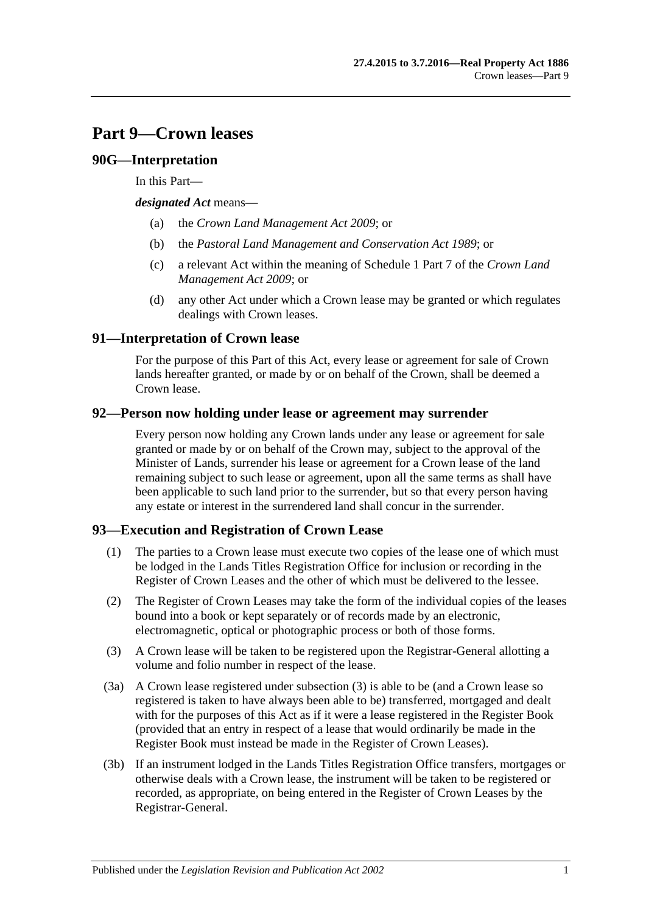# **Part 9—Crown leases**

## **90G—Interpretation**

In this Part—

*designated Act* means—

- (a) the *[Crown Land Management Act](http://www.legislation.sa.gov.au/index.aspx?action=legref&type=act&legtitle=Crown%20Land%20Management%20Act%202009) 2009*; or
- (b) the *[Pastoral Land Management and Conservation Act](http://www.legislation.sa.gov.au/index.aspx?action=legref&type=act&legtitle=Pastoral%20Land%20Management%20and%20Conservation%20Act%201989) 1989*; or
- (c) a relevant Act within the meaning of Schedule 1 Part 7 of the *[Crown Land](http://www.legislation.sa.gov.au/index.aspx?action=legref&type=act&legtitle=Crown%20Land%20Management%20Act%202009)  [Management Act](http://www.legislation.sa.gov.au/index.aspx?action=legref&type=act&legtitle=Crown%20Land%20Management%20Act%202009) 2009*; or
- (d) any other Act under which a Crown lease may be granted or which regulates dealings with Crown leases.

# **91—Interpretation of Crown lease**

For the purpose of this Part of this Act, every lease or agreement for sale of Crown lands hereafter granted, or made by or on behalf of the Crown, shall be deemed a Crown lease.

## **92—Person now holding under lease or agreement may surrender**

Every person now holding any Crown lands under any lease or agreement for sale granted or made by or on behalf of the Crown may, subject to the approval of the Minister of Lands, surrender his lease or agreement for a Crown lease of the land remaining subject to such lease or agreement, upon all the same terms as shall have been applicable to such land prior to the surrender, but so that every person having any estate or interest in the surrendered land shall concur in the surrender.

## <span id="page-50-1"></span>**93—Execution and Registration of Crown Lease**

- (1) The parties to a Crown lease must execute two copies of the lease one of which must be lodged in the Lands Titles Registration Office for inclusion or recording in the Register of Crown Leases and the other of which must be delivered to the lessee.
- (2) The Register of Crown Leases may take the form of the individual copies of the leases bound into a book or kept separately or of records made by an electronic, electromagnetic, optical or photographic process or both of those forms.
- <span id="page-50-0"></span>(3) A Crown lease will be taken to be registered upon the Registrar-General allotting a volume and folio number in respect of the lease.
- (3a) A Crown lease registered under [subsection](#page-50-0) (3) is able to be (and a Crown lease so registered is taken to have always been able to be) transferred, mortgaged and dealt with for the purposes of this Act as if it were a lease registered in the Register Book (provided that an entry in respect of a lease that would ordinarily be made in the Register Book must instead be made in the Register of Crown Leases).
- (3b) If an instrument lodged in the Lands Titles Registration Office transfers, mortgages or otherwise deals with a Crown lease, the instrument will be taken to be registered or recorded, as appropriate, on being entered in the Register of Crown Leases by the Registrar-General.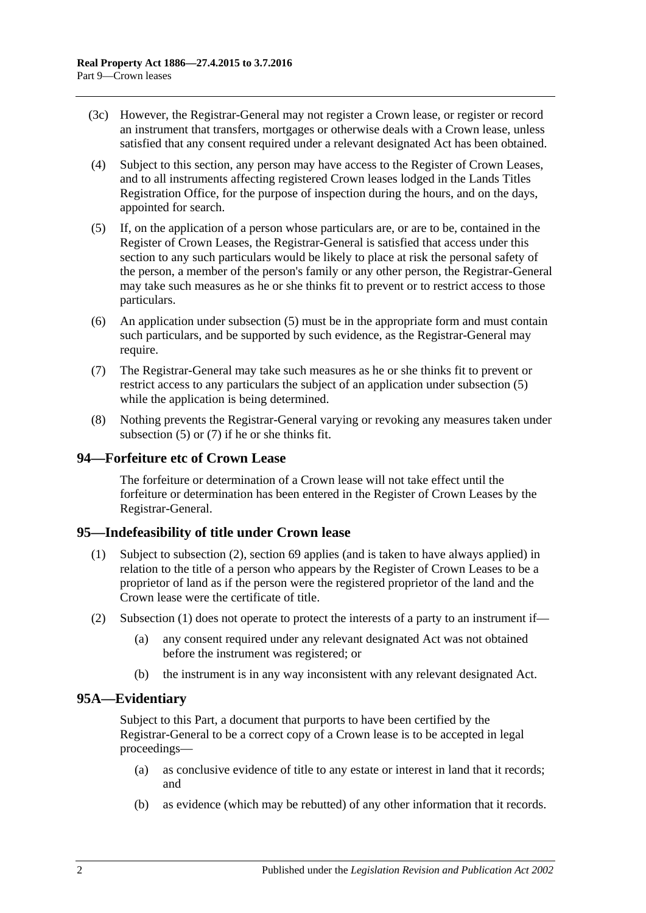- (3c) However, the Registrar-General may not register a Crown lease, or register or record an instrument that transfers, mortgages or otherwise deals with a Crown lease, unless satisfied that any consent required under a relevant designated Act has been obtained.
- (4) Subject to this section, any person may have access to the Register of Crown Leases, and to all instruments affecting registered Crown leases lodged in the Lands Titles Registration Office, for the purpose of inspection during the hours, and on the days, appointed for search.
- <span id="page-51-0"></span>(5) If, on the application of a person whose particulars are, or are to be, contained in the Register of Crown Leases, the Registrar-General is satisfied that access under this section to any such particulars would be likely to place at risk the personal safety of the person, a member of the person's family or any other person, the Registrar-General may take such measures as he or she thinks fit to prevent or to restrict access to those particulars.
- (6) An application under [subsection](#page-51-0) (5) must be in the appropriate form and must contain such particulars, and be supported by such evidence, as the Registrar-General may require.
- <span id="page-51-1"></span>(7) The Registrar-General may take such measures as he or she thinks fit to prevent or restrict access to any particulars the subject of an application under [subsection](#page-51-0) (5) while the application is being determined.
- (8) Nothing prevents the Registrar-General varying or revoking any measures taken under [subsection](#page-51-0) (5) or [\(7\)](#page-51-1) if he or she thinks fit.

## **94—Forfeiture etc of Crown Lease**

The forfeiture or determination of a Crown lease will not take effect until the forfeiture or determination has been entered in the Register of Crown Leases by the Registrar-General.

#### <span id="page-51-4"></span><span id="page-51-3"></span>**95—Indefeasibility of title under Crown lease**

- (1) Subject to [subsection](#page-51-2) (2), [section](#page-34-0) 69 applies (and is taken to have always applied) in relation to the title of a person who appears by the Register of Crown Leases to be a proprietor of land as if the person were the registered proprietor of the land and the Crown lease were the certificate of title.
- <span id="page-51-2"></span>(2) [Subsection](#page-51-3) (1) does not operate to protect the interests of a party to an instrument if—
	- (a) any consent required under any relevant designated Act was not obtained before the instrument was registered; or
	- (b) the instrument is in any way inconsistent with any relevant designated Act.

## **95A—Evidentiary**

Subject to this Part, a document that purports to have been certified by the Registrar-General to be a correct copy of a Crown lease is to be accepted in legal proceedings—

- (a) as conclusive evidence of title to any estate or interest in land that it records; and
- (b) as evidence (which may be rebutted) of any other information that it records.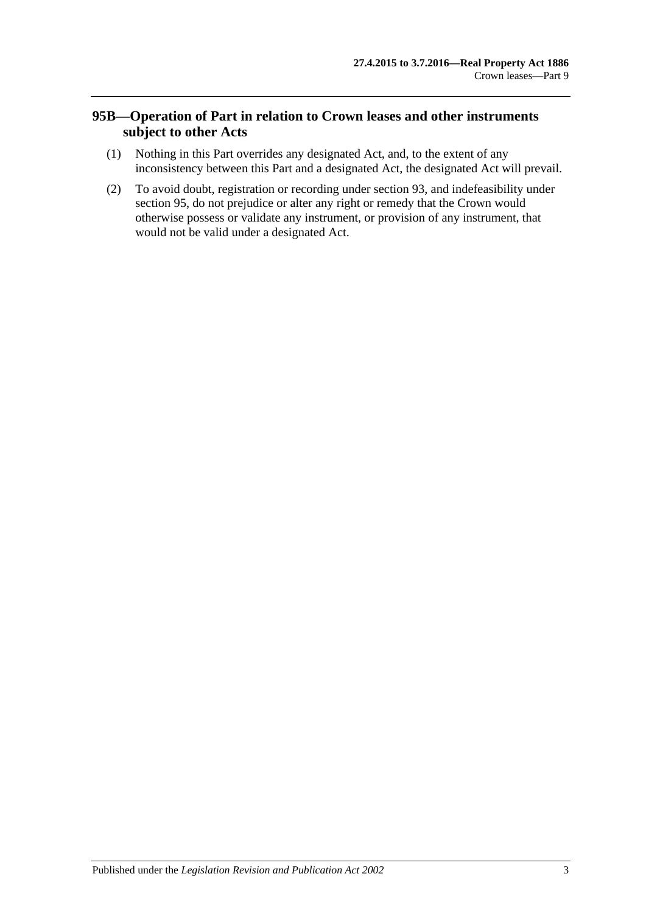# **95B—Operation of Part in relation to Crown leases and other instruments subject to other Acts**

- (1) Nothing in this Part overrides any designated Act, and, to the extent of any inconsistency between this Part and a designated Act, the designated Act will prevail.
- (2) To avoid doubt, registration or recording under [section](#page-50-1) 93, and indefeasibility under [section](#page-51-4) 95, do not prejudice or alter any right or remedy that the Crown would otherwise possess or validate any instrument, or provision of any instrument, that would not be valid under a designated Act.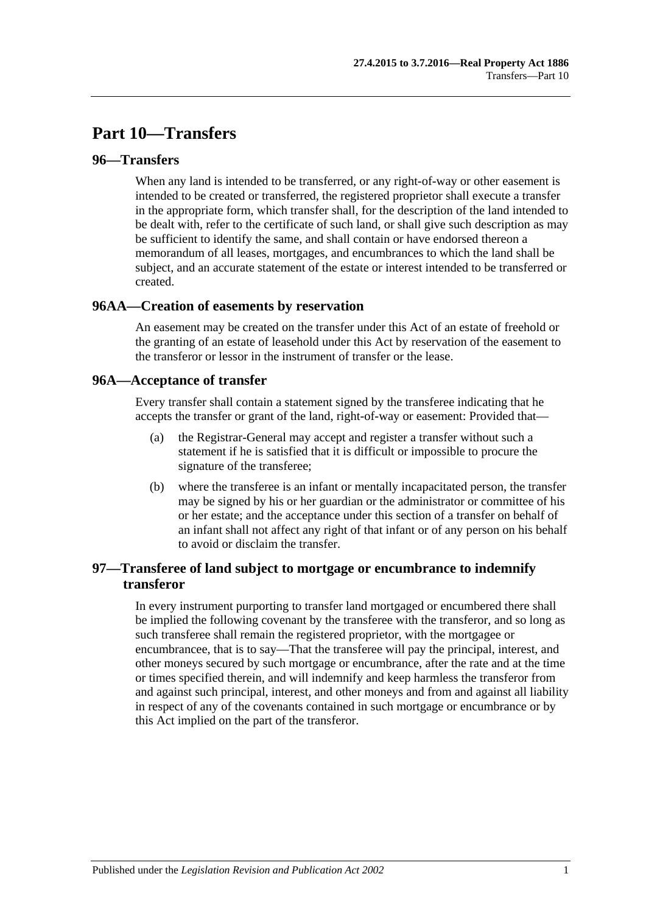# **Part 10—Transfers**

#### **96—Transfers**

When any land is intended to be transferred, or any right-of-way or other easement is intended to be created or transferred, the registered proprietor shall execute a transfer in the appropriate form, which transfer shall, for the description of the land intended to be dealt with, refer to the certificate of such land, or shall give such description as may be sufficient to identify the same, and shall contain or have endorsed thereon a memorandum of all leases, mortgages, and encumbrances to which the land shall be subject, and an accurate statement of the estate or interest intended to be transferred or created.

#### **96AA—Creation of easements by reservation**

An easement may be created on the transfer under this Act of an estate of freehold or the granting of an estate of leasehold under this Act by reservation of the easement to the transferor or lessor in the instrument of transfer or the lease.

#### **96A—Acceptance of transfer**

Every transfer shall contain a statement signed by the transferee indicating that he accepts the transfer or grant of the land, right-of-way or easement: Provided that—

- (a) the Registrar-General may accept and register a transfer without such a statement if he is satisfied that it is difficult or impossible to procure the signature of the transferee;
- (b) where the transferee is an infant or mentally incapacitated person, the transfer may be signed by his or her guardian or the administrator or committee of his or her estate; and the acceptance under this section of a transfer on behalf of an infant shall not affect any right of that infant or of any person on his behalf to avoid or disclaim the transfer.

# **97—Transferee of land subject to mortgage or encumbrance to indemnify transferor**

In every instrument purporting to transfer land mortgaged or encumbered there shall be implied the following covenant by the transferee with the transferor, and so long as such transferee shall remain the registered proprietor, with the mortgagee or encumbrancee, that is to say—That the transferee will pay the principal, interest, and other moneys secured by such mortgage or encumbrance, after the rate and at the time or times specified therein, and will indemnify and keep harmless the transferor from and against such principal, interest, and other moneys and from and against all liability in respect of any of the covenants contained in such mortgage or encumbrance or by this Act implied on the part of the transferor.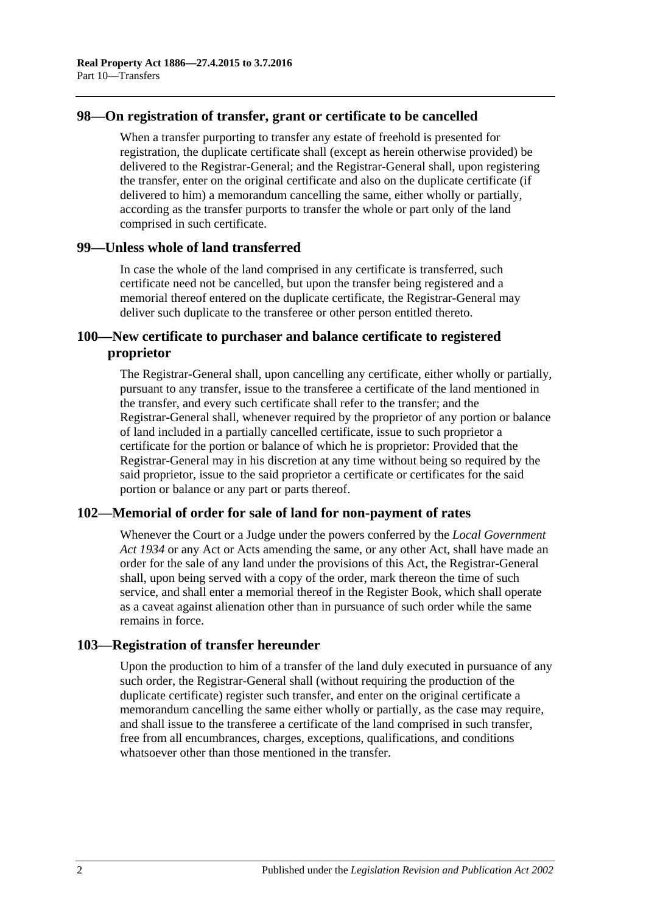#### **98—On registration of transfer, grant or certificate to be cancelled**

When a transfer purporting to transfer any estate of freehold is presented for registration, the duplicate certificate shall (except as herein otherwise provided) be delivered to the Registrar-General; and the Registrar-General shall, upon registering the transfer, enter on the original certificate and also on the duplicate certificate (if delivered to him) a memorandum cancelling the same, either wholly or partially, according as the transfer purports to transfer the whole or part only of the land comprised in such certificate.

#### **99—Unless whole of land transferred**

In case the whole of the land comprised in any certificate is transferred, such certificate need not be cancelled, but upon the transfer being registered and a memorial thereof entered on the duplicate certificate, the Registrar-General may deliver such duplicate to the transferee or other person entitled thereto.

## **100—New certificate to purchaser and balance certificate to registered proprietor**

The Registrar-General shall, upon cancelling any certificate, either wholly or partially, pursuant to any transfer, issue to the transferee a certificate of the land mentioned in the transfer, and every such certificate shall refer to the transfer; and the Registrar-General shall, whenever required by the proprietor of any portion or balance of land included in a partially cancelled certificate, issue to such proprietor a certificate for the portion or balance of which he is proprietor: Provided that the Registrar-General may in his discretion at any time without being so required by the said proprietor, issue to the said proprietor a certificate or certificates for the said portion or balance or any part or parts thereof.

## **102—Memorial of order for sale of land for non-payment of rates**

Whenever the Court or a Judge under the powers conferred by the *[Local Government](http://www.legislation.sa.gov.au/index.aspx?action=legref&type=act&legtitle=Local%20Government%20Act%201934)  Act [1934](http://www.legislation.sa.gov.au/index.aspx?action=legref&type=act&legtitle=Local%20Government%20Act%201934)* or any Act or Acts amending the same, or any other Act, shall have made an order for the sale of any land under the provisions of this Act, the Registrar-General shall, upon being served with a copy of the order, mark thereon the time of such service, and shall enter a memorial thereof in the Register Book, which shall operate as a caveat against alienation other than in pursuance of such order while the same remains in force.

## **103—Registration of transfer hereunder**

Upon the production to him of a transfer of the land duly executed in pursuance of any such order, the Registrar-General shall (without requiring the production of the duplicate certificate) register such transfer, and enter on the original certificate a memorandum cancelling the same either wholly or partially, as the case may require, and shall issue to the transferee a certificate of the land comprised in such transfer, free from all encumbrances, charges, exceptions, qualifications, and conditions whatsoever other than those mentioned in the transfer.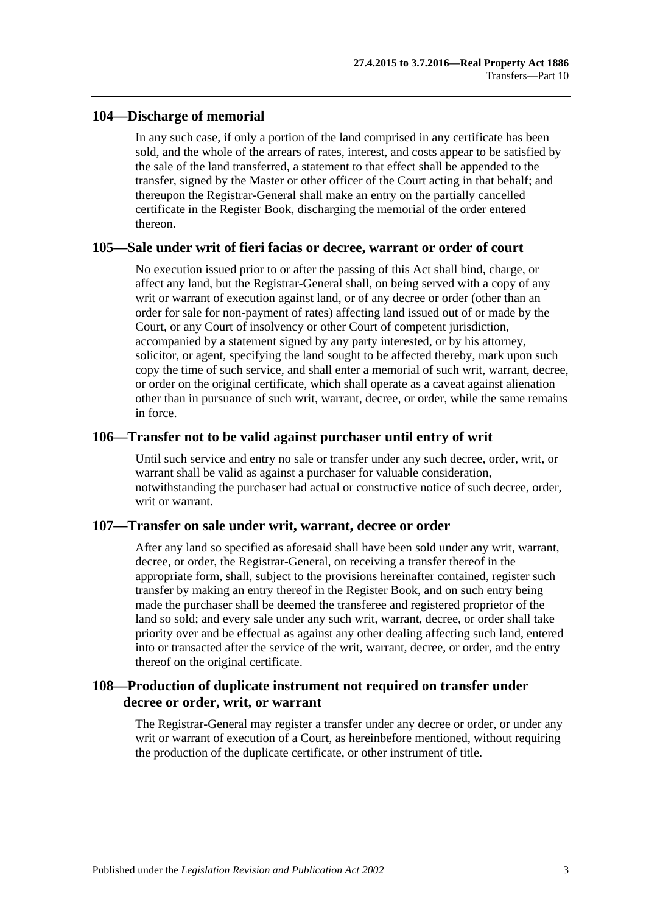#### **104—Discharge of memorial**

In any such case, if only a portion of the land comprised in any certificate has been sold, and the whole of the arrears of rates, interest, and costs appear to be satisfied by the sale of the land transferred, a statement to that effect shall be appended to the transfer, signed by the Master or other officer of the Court acting in that behalf; and thereupon the Registrar-General shall make an entry on the partially cancelled certificate in the Register Book, discharging the memorial of the order entered thereon.

#### **105—Sale under writ of fieri facias or decree, warrant or order of court**

No execution issued prior to or after the passing of this Act shall bind, charge, or affect any land, but the Registrar-General shall, on being served with a copy of any writ or warrant of execution against land, or of any decree or order (other than an order for sale for non-payment of rates) affecting land issued out of or made by the Court, or any Court of insolvency or other Court of competent jurisdiction, accompanied by a statement signed by any party interested, or by his attorney, solicitor, or agent, specifying the land sought to be affected thereby, mark upon such copy the time of such service, and shall enter a memorial of such writ, warrant, decree, or order on the original certificate, which shall operate as a caveat against alienation other than in pursuance of such writ, warrant, decree, or order, while the same remains in force.

#### **106—Transfer not to be valid against purchaser until entry of writ**

Until such service and entry no sale or transfer under any such decree, order, writ, or warrant shall be valid as against a purchaser for valuable consideration, notwithstanding the purchaser had actual or constructive notice of such decree, order, writ or warrant.

## **107—Transfer on sale under writ, warrant, decree or order**

After any land so specified as aforesaid shall have been sold under any writ, warrant, decree, or order, the Registrar-General, on receiving a transfer thereof in the appropriate form, shall, subject to the provisions hereinafter contained, register such transfer by making an entry thereof in the Register Book, and on such entry being made the purchaser shall be deemed the transferee and registered proprietor of the land so sold; and every sale under any such writ, warrant, decree, or order shall take priority over and be effectual as against any other dealing affecting such land, entered into or transacted after the service of the writ, warrant, decree, or order, and the entry thereof on the original certificate.

## **108—Production of duplicate instrument not required on transfer under decree or order, writ, or warrant**

The Registrar-General may register a transfer under any decree or order, or under any writ or warrant of execution of a Court, as hereinbefore mentioned, without requiring the production of the duplicate certificate, or other instrument of title.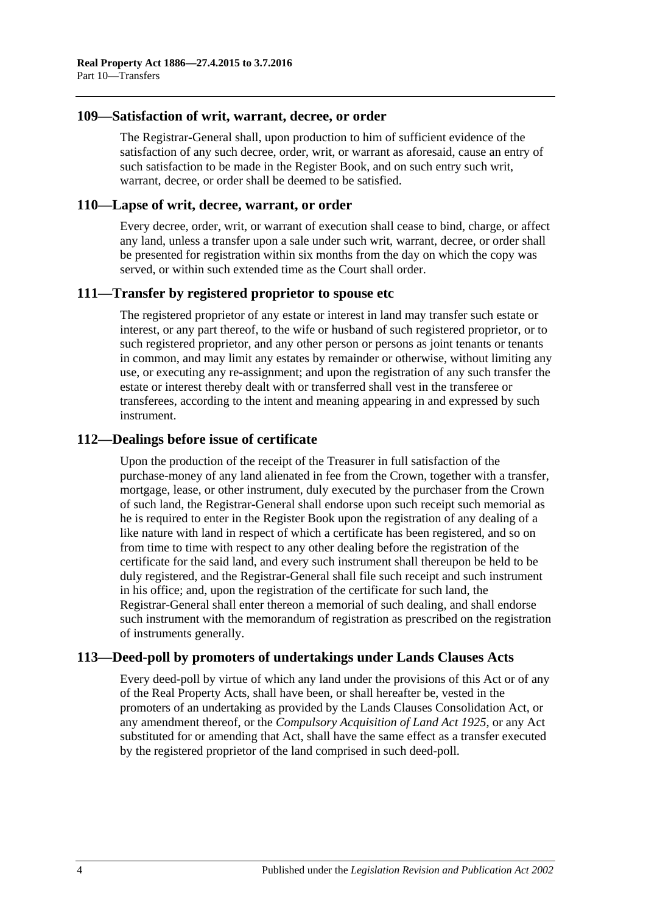#### **109—Satisfaction of writ, warrant, decree, or order**

The Registrar-General shall, upon production to him of sufficient evidence of the satisfaction of any such decree, order, writ, or warrant as aforesaid, cause an entry of such satisfaction to be made in the Register Book, and on such entry such writ, warrant, decree, or order shall be deemed to be satisfied.

#### **110—Lapse of writ, decree, warrant, or order**

Every decree, order, writ, or warrant of execution shall cease to bind, charge, or affect any land, unless a transfer upon a sale under such writ, warrant, decree, or order shall be presented for registration within six months from the day on which the copy was served, or within such extended time as the Court shall order.

## **111—Transfer by registered proprietor to spouse etc**

The registered proprietor of any estate or interest in land may transfer such estate or interest, or any part thereof, to the wife or husband of such registered proprietor, or to such registered proprietor, and any other person or persons as joint tenants or tenants in common, and may limit any estates by remainder or otherwise, without limiting any use, or executing any re-assignment; and upon the registration of any such transfer the estate or interest thereby dealt with or transferred shall vest in the transferee or transferees, according to the intent and meaning appearing in and expressed by such instrument.

#### **112—Dealings before issue of certificate**

Upon the production of the receipt of the Treasurer in full satisfaction of the purchase-money of any land alienated in fee from the Crown, together with a transfer, mortgage, lease, or other instrument, duly executed by the purchaser from the Crown of such land, the Registrar-General shall endorse upon such receipt such memorial as he is required to enter in the Register Book upon the registration of any dealing of a like nature with land in respect of which a certificate has been registered, and so on from time to time with respect to any other dealing before the registration of the certificate for the said land, and every such instrument shall thereupon be held to be duly registered, and the Registrar-General shall file such receipt and such instrument in his office; and, upon the registration of the certificate for such land, the Registrar-General shall enter thereon a memorial of such dealing, and shall endorse such instrument with the memorandum of registration as prescribed on the registration of instruments generally.

## **113—Deed-poll by promoters of undertakings under Lands Clauses Acts**

Every deed-poll by virtue of which any land under the provisions of this Act or of any of the Real Property Acts, shall have been, or shall hereafter be, vested in the promoters of an undertaking as provided by the Lands Clauses Consolidation Act, or any amendment thereof, or the *[Compulsory Acquisition of Land Act](http://www.legislation.sa.gov.au/index.aspx?action=legref&type=act&legtitle=Compulsory%20Acquisition%20of%20Land%20Act%201925) 1925*, or any Act substituted for or amending that Act, shall have the same effect as a transfer executed by the registered proprietor of the land comprised in such deed-poll.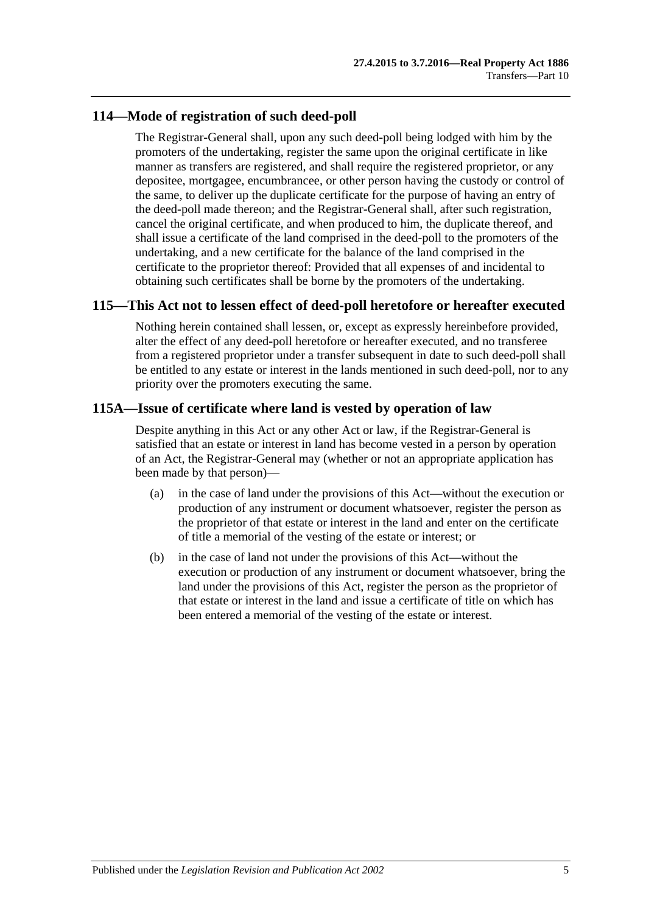## **114—Mode of registration of such deed-poll**

The Registrar-General shall, upon any such deed-poll being lodged with him by the promoters of the undertaking, register the same upon the original certificate in like manner as transfers are registered, and shall require the registered proprietor, or any depositee, mortgagee, encumbrancee, or other person having the custody or control of the same, to deliver up the duplicate certificate for the purpose of having an entry of the deed-poll made thereon; and the Registrar-General shall, after such registration, cancel the original certificate, and when produced to him, the duplicate thereof, and shall issue a certificate of the land comprised in the deed-poll to the promoters of the undertaking, and a new certificate for the balance of the land comprised in the certificate to the proprietor thereof: Provided that all expenses of and incidental to obtaining such certificates shall be borne by the promoters of the undertaking.

## **115—This Act not to lessen effect of deed-poll heretofore or hereafter executed**

Nothing herein contained shall lessen, or, except as expressly hereinbefore provided, alter the effect of any deed-poll heretofore or hereafter executed, and no transferee from a registered proprietor under a transfer subsequent in date to such deed-poll shall be entitled to any estate or interest in the lands mentioned in such deed-poll, nor to any priority over the promoters executing the same.

## **115A—Issue of certificate where land is vested by operation of law**

Despite anything in this Act or any other Act or law, if the Registrar-General is satisfied that an estate or interest in land has become vested in a person by operation of an Act, the Registrar-General may (whether or not an appropriate application has been made by that person)—

- (a) in the case of land under the provisions of this Act—without the execution or production of any instrument or document whatsoever, register the person as the proprietor of that estate or interest in the land and enter on the certificate of title a memorial of the vesting of the estate or interest; or
- (b) in the case of land not under the provisions of this Act—without the execution or production of any instrument or document whatsoever, bring the land under the provisions of this Act, register the person as the proprietor of that estate or interest in the land and issue a certificate of title on which has been entered a memorial of the vesting of the estate or interest.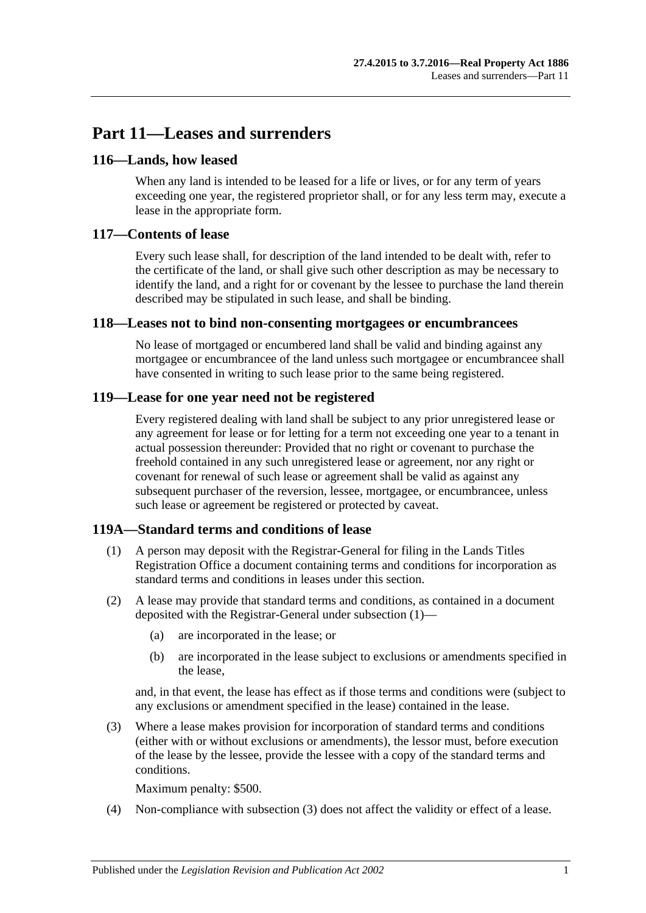# **Part 11—Leases and surrenders**

## **116—Lands, how leased**

When any land is intended to be leased for a life or lives, or for any term of years exceeding one year, the registered proprietor shall, or for any less term may, execute a lease in the appropriate form.

## **117—Contents of lease**

Every such lease shall, for description of the land intended to be dealt with, refer to the certificate of the land, or shall give such other description as may be necessary to identify the land, and a right for or covenant by the lessee to purchase the land therein described may be stipulated in such lease, and shall be binding.

## **118—Leases not to bind non-consenting mortgagees or encumbrancees**

No lease of mortgaged or encumbered land shall be valid and binding against any mortgagee or encumbrancee of the land unless such mortgagee or encumbrancee shall have consented in writing to such lease prior to the same being registered.

# **119—Lease for one year need not be registered**

Every registered dealing with land shall be subject to any prior unregistered lease or any agreement for lease or for letting for a term not exceeding one year to a tenant in actual possession thereunder: Provided that no right or covenant to purchase the freehold contained in any such unregistered lease or agreement, nor any right or covenant for renewal of such lease or agreement shall be valid as against any subsequent purchaser of the reversion, lessee, mortgagee, or encumbrancee, unless such lease or agreement be registered or protected by caveat.

## <span id="page-60-0"></span>**119A—Standard terms and conditions of lease**

- (1) A person may deposit with the Registrar-General for filing in the Lands Titles Registration Office a document containing terms and conditions for incorporation as standard terms and conditions in leases under this section.
- (2) A lease may provide that standard terms and conditions, as contained in a document deposited with the Registrar-General under [subsection](#page-60-0) (1)—
	- (a) are incorporated in the lease; or
	- (b) are incorporated in the lease subject to exclusions or amendments specified in the lease,

and, in that event, the lease has effect as if those terms and conditions were (subject to any exclusions or amendment specified in the lease) contained in the lease.

<span id="page-60-1"></span>(3) Where a lease makes provision for incorporation of standard terms and conditions (either with or without exclusions or amendments), the lessor must, before execution of the lease by the lessee, provide the lessee with a copy of the standard terms and conditions.

Maximum penalty: \$500.

(4) Non-compliance with [subsection](#page-60-1) (3) does not affect the validity or effect of a lease.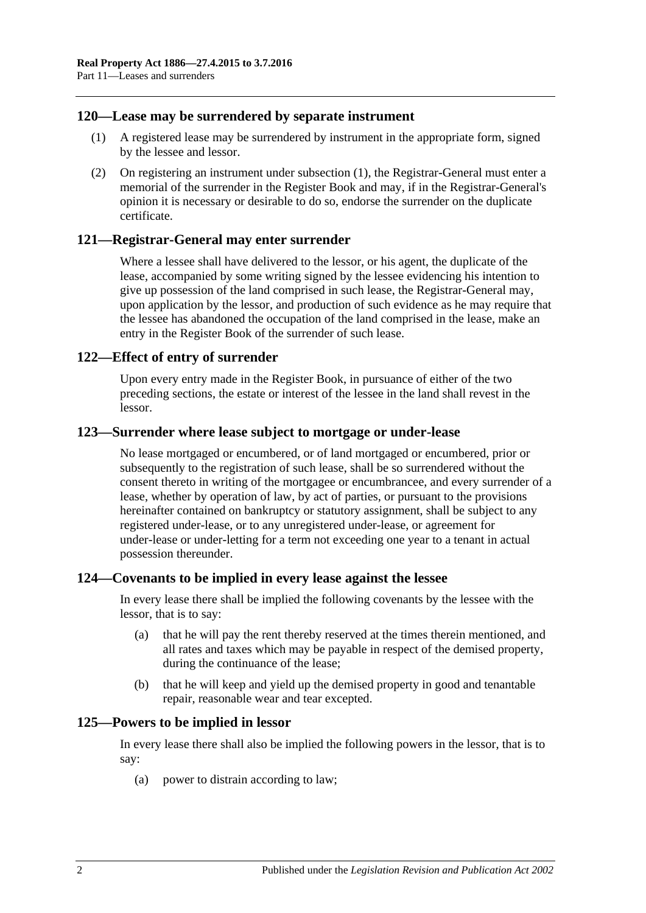#### <span id="page-61-0"></span>**120—Lease may be surrendered by separate instrument**

- (1) A registered lease may be surrendered by instrument in the appropriate form, signed by the lessee and lessor.
- (2) On registering an instrument under [subsection](#page-61-0) (1), the Registrar-General must enter a memorial of the surrender in the Register Book and may, if in the Registrar-General's opinion it is necessary or desirable to do so, endorse the surrender on the duplicate certificate.

#### **121—Registrar-General may enter surrender**

Where a lessee shall have delivered to the lessor, or his agent, the duplicate of the lease, accompanied by some writing signed by the lessee evidencing his intention to give up possession of the land comprised in such lease, the Registrar-General may, upon application by the lessor, and production of such evidence as he may require that the lessee has abandoned the occupation of the land comprised in the lease, make an entry in the Register Book of the surrender of such lease.

#### **122—Effect of entry of surrender**

Upon every entry made in the Register Book, in pursuance of either of the two preceding sections, the estate or interest of the lessee in the land shall revest in the lessor.

#### **123—Surrender where lease subject to mortgage or under-lease**

No lease mortgaged or encumbered, or of land mortgaged or encumbered, prior or subsequently to the registration of such lease, shall be so surrendered without the consent thereto in writing of the mortgagee or encumbrancee, and every surrender of a lease, whether by operation of law, by act of parties, or pursuant to the provisions hereinafter contained on bankruptcy or statutory assignment, shall be subject to any registered under-lease, or to any unregistered under-lease, or agreement for under-lease or under-letting for a term not exceeding one year to a tenant in actual possession thereunder.

#### **124—Covenants to be implied in every lease against the lessee**

In every lease there shall be implied the following covenants by the lessee with the lessor, that is to say:

- (a) that he will pay the rent thereby reserved at the times therein mentioned, and all rates and taxes which may be payable in respect of the demised property, during the continuance of the lease;
- (b) that he will keep and yield up the demised property in good and tenantable repair, reasonable wear and tear excepted.

#### **125—Powers to be implied in lessor**

In every lease there shall also be implied the following powers in the lessor, that is to say:

(a) power to distrain according to law;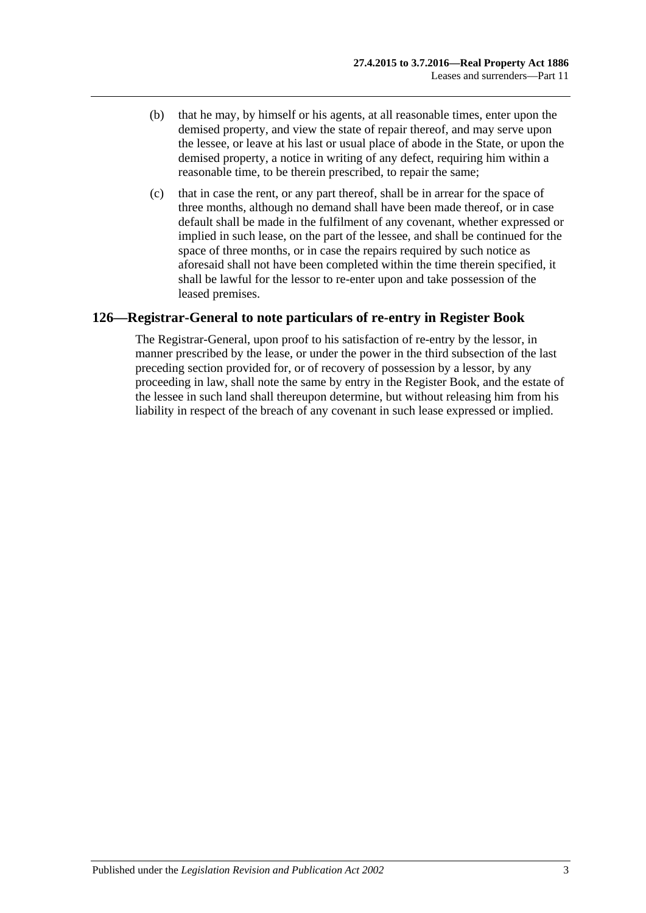- (b) that he may, by himself or his agents, at all reasonable times, enter upon the demised property, and view the state of repair thereof, and may serve upon the lessee, or leave at his last or usual place of abode in the State, or upon the demised property, a notice in writing of any defect, requiring him within a reasonable time, to be therein prescribed, to repair the same;
- (c) that in case the rent, or any part thereof, shall be in arrear for the space of three months, although no demand shall have been made thereof, or in case default shall be made in the fulfilment of any covenant, whether expressed or implied in such lease, on the part of the lessee, and shall be continued for the space of three months, or in case the repairs required by such notice as aforesaid shall not have been completed within the time therein specified, it shall be lawful for the lessor to re-enter upon and take possession of the leased premises.

# **126—Registrar-General to note particulars of re-entry in Register Book**

The Registrar-General, upon proof to his satisfaction of re-entry by the lessor, in manner prescribed by the lease, or under the power in the third subsection of the last preceding section provided for, or of recovery of possession by a lessor, by any proceeding in law, shall note the same by entry in the Register Book, and the estate of the lessee in such land shall thereupon determine, but without releasing him from his liability in respect of the breach of any covenant in such lease expressed or implied.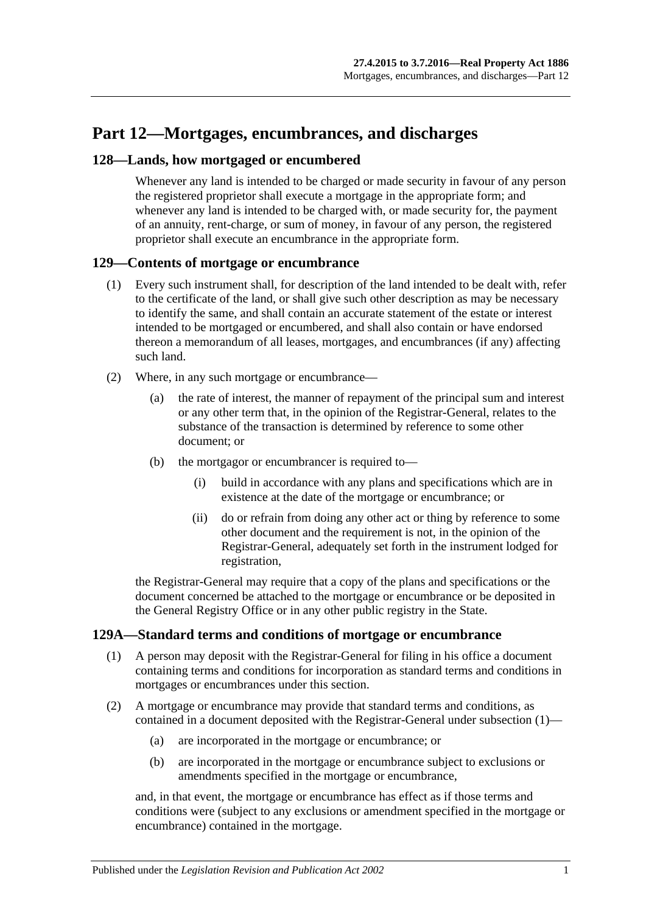# **Part 12—Mortgages, encumbrances, and discharges**

## **128—Lands, how mortgaged or encumbered**

Whenever any land is intended to be charged or made security in favour of any person the registered proprietor shall execute a mortgage in the appropriate form; and whenever any land is intended to be charged with, or made security for, the payment of an annuity, rent-charge, or sum of money, in favour of any person, the registered proprietor shall execute an encumbrance in the appropriate form.

## **129—Contents of mortgage or encumbrance**

- (1) Every such instrument shall, for description of the land intended to be dealt with, refer to the certificate of the land, or shall give such other description as may be necessary to identify the same, and shall contain an accurate statement of the estate or interest intended to be mortgaged or encumbered, and shall also contain or have endorsed thereon a memorandum of all leases, mortgages, and encumbrances (if any) affecting such land.
- (2) Where, in any such mortgage or encumbrance—
	- (a) the rate of interest, the manner of repayment of the principal sum and interest or any other term that, in the opinion of the Registrar-General, relates to the substance of the transaction is determined by reference to some other document; or
	- (b) the mortgagor or encumbrancer is required to—
		- (i) build in accordance with any plans and specifications which are in existence at the date of the mortgage or encumbrance; or
		- (ii) do or refrain from doing any other act or thing by reference to some other document and the requirement is not, in the opinion of the Registrar-General, adequately set forth in the instrument lodged for registration,

the Registrar-General may require that a copy of the plans and specifications or the document concerned be attached to the mortgage or encumbrance or be deposited in the General Registry Office or in any other public registry in the State.

## <span id="page-64-0"></span>**129A—Standard terms and conditions of mortgage or encumbrance**

- (1) A person may deposit with the Registrar-General for filing in his office a document containing terms and conditions for incorporation as standard terms and conditions in mortgages or encumbrances under this section.
- (2) A mortgage or encumbrance may provide that standard terms and conditions, as contained in a document deposited with the Registrar-General under [subsection](#page-64-0) (1)—
	- (a) are incorporated in the mortgage or encumbrance; or
	- (b) are incorporated in the mortgage or encumbrance subject to exclusions or amendments specified in the mortgage or encumbrance,

and, in that event, the mortgage or encumbrance has effect as if those terms and conditions were (subject to any exclusions or amendment specified in the mortgage or encumbrance) contained in the mortgage.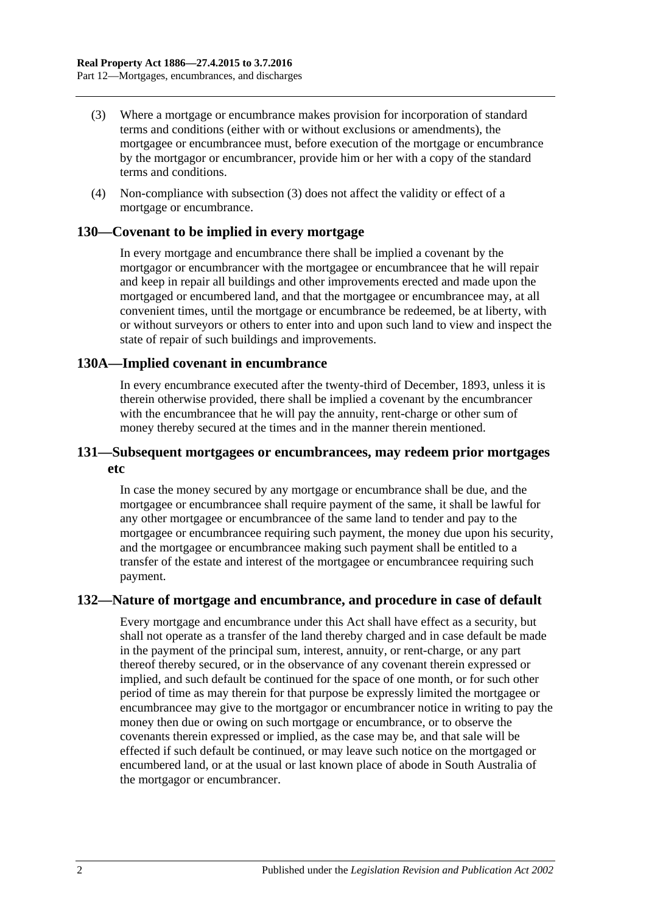- <span id="page-65-0"></span>(3) Where a mortgage or encumbrance makes provision for incorporation of standard terms and conditions (either with or without exclusions or amendments), the mortgagee or encumbrancee must, before execution of the mortgage or encumbrance by the mortgagor or encumbrancer, provide him or her with a copy of the standard terms and conditions.
- (4) Non-compliance with [subsection](#page-65-0) (3) does not affect the validity or effect of a mortgage or encumbrance.

#### **130—Covenant to be implied in every mortgage**

In every mortgage and encumbrance there shall be implied a covenant by the mortgagor or encumbrancer with the mortgagee or encumbrancee that he will repair and keep in repair all buildings and other improvements erected and made upon the mortgaged or encumbered land, and that the mortgagee or encumbrancee may, at all convenient times, until the mortgage or encumbrance be redeemed, be at liberty, with or without surveyors or others to enter into and upon such land to view and inspect the state of repair of such buildings and improvements.

#### **130A—Implied covenant in encumbrance**

In every encumbrance executed after the twenty-third of December, 1893, unless it is therein otherwise provided, there shall be implied a covenant by the encumbrancer with the encumbrancee that he will pay the annuity, rent-charge or other sum of money thereby secured at the times and in the manner therein mentioned.

#### **131—Subsequent mortgagees or encumbrancees, may redeem prior mortgages etc**

In case the money secured by any mortgage or encumbrance shall be due, and the mortgagee or encumbrancee shall require payment of the same, it shall be lawful for any other mortgagee or encumbrancee of the same land to tender and pay to the mortgagee or encumbrancee requiring such payment, the money due upon his security, and the mortgagee or encumbrancee making such payment shall be entitled to a transfer of the estate and interest of the mortgagee or encumbrancee requiring such payment.

## **132—Nature of mortgage and encumbrance, and procedure in case of default**

Every mortgage and encumbrance under this Act shall have effect as a security, but shall not operate as a transfer of the land thereby charged and in case default be made in the payment of the principal sum, interest, annuity, or rent-charge, or any part thereof thereby secured, or in the observance of any covenant therein expressed or implied, and such default be continued for the space of one month, or for such other period of time as may therein for that purpose be expressly limited the mortgagee or encumbrancee may give to the mortgagor or encumbrancer notice in writing to pay the money then due or owing on such mortgage or encumbrance, or to observe the covenants therein expressed or implied, as the case may be, and that sale will be effected if such default be continued, or may leave such notice on the mortgaged or encumbered land, or at the usual or last known place of abode in South Australia of the mortgagor or encumbrancer.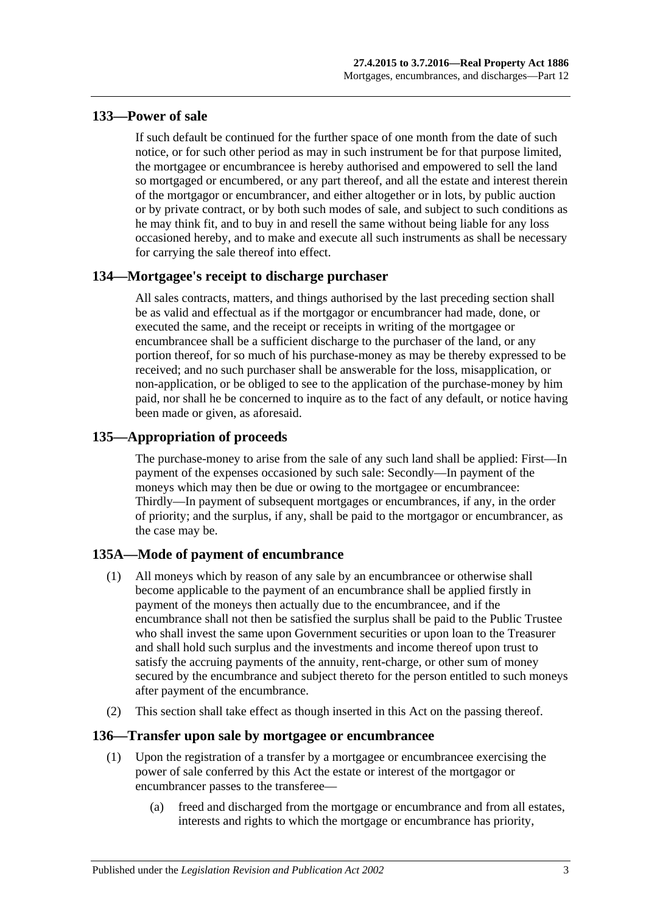# **133—Power of sale**

If such default be continued for the further space of one month from the date of such notice, or for such other period as may in such instrument be for that purpose limited, the mortgagee or encumbrancee is hereby authorised and empowered to sell the land so mortgaged or encumbered, or any part thereof, and all the estate and interest therein of the mortgagor or encumbrancer, and either altogether or in lots, by public auction or by private contract, or by both such modes of sale, and subject to such conditions as he may think fit, and to buy in and resell the same without being liable for any loss occasioned hereby, and to make and execute all such instruments as shall be necessary for carrying the sale thereof into effect.

# **134—Mortgagee's receipt to discharge purchaser**

All sales contracts, matters, and things authorised by the last preceding section shall be as valid and effectual as if the mortgagor or encumbrancer had made, done, or executed the same, and the receipt or receipts in writing of the mortgagee or encumbrancee shall be a sufficient discharge to the purchaser of the land, or any portion thereof, for so much of his purchase-money as may be thereby expressed to be received; and no such purchaser shall be answerable for the loss, misapplication, or non-application, or be obliged to see to the application of the purchase-money by him paid, nor shall he be concerned to inquire as to the fact of any default, or notice having been made or given, as aforesaid.

# **135—Appropriation of proceeds**

The purchase-money to arise from the sale of any such land shall be applied: First—In payment of the expenses occasioned by such sale: Secondly—In payment of the moneys which may then be due or owing to the mortgagee or encumbrancee: Thirdly—In payment of subsequent mortgages or encumbrances, if any, in the order of priority; and the surplus, if any, shall be paid to the mortgagor or encumbrancer, as the case may be.

# **135A—Mode of payment of encumbrance**

- (1) All moneys which by reason of any sale by an encumbrancee or otherwise shall become applicable to the payment of an encumbrance shall be applied firstly in payment of the moneys then actually due to the encumbrancee, and if the encumbrance shall not then be satisfied the surplus shall be paid to the Public Trustee who shall invest the same upon Government securities or upon loan to the Treasurer and shall hold such surplus and the investments and income thereof upon trust to satisfy the accruing payments of the annuity, rent-charge, or other sum of money secured by the encumbrance and subject thereto for the person entitled to such moneys after payment of the encumbrance.
- (2) This section shall take effect as though inserted in this Act on the passing thereof.

## **136—Transfer upon sale by mortgagee or encumbrancee**

- (1) Upon the registration of a transfer by a mortgagee or encumbrancee exercising the power of sale conferred by this Act the estate or interest of the mortgagor or encumbrancer passes to the transferee—
	- (a) freed and discharged from the mortgage or encumbrance and from all estates, interests and rights to which the mortgage or encumbrance has priority,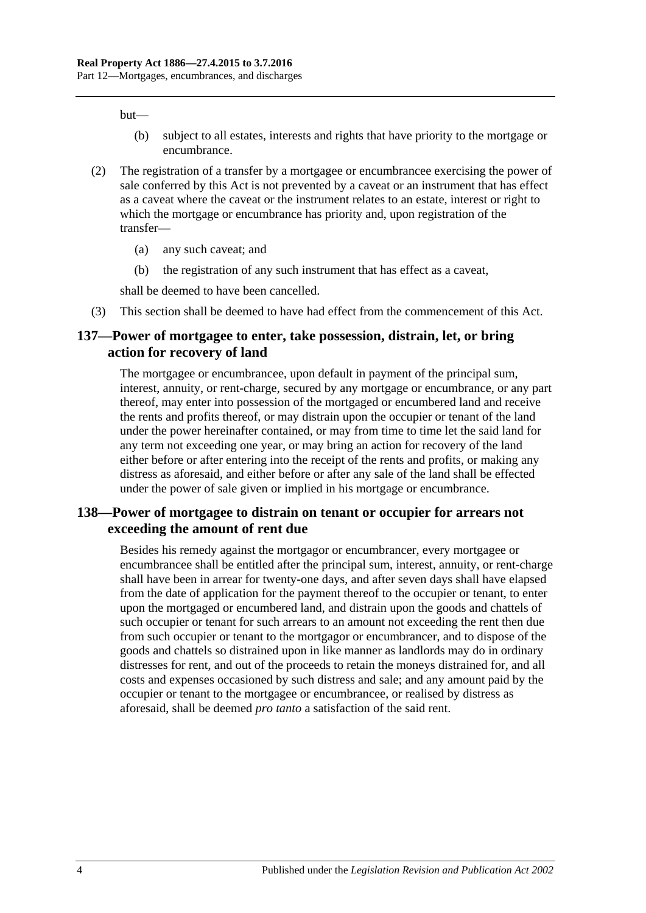but—

- (b) subject to all estates, interests and rights that have priority to the mortgage or encumbrance.
- (2) The registration of a transfer by a mortgagee or encumbrancee exercising the power of sale conferred by this Act is not prevented by a caveat or an instrument that has effect as a caveat where the caveat or the instrument relates to an estate, interest or right to which the mortgage or encumbrance has priority and, upon registration of the transfer—
	- (a) any such caveat; and
	- (b) the registration of any such instrument that has effect as a caveat,

shall be deemed to have been cancelled.

(3) This section shall be deemed to have had effect from the commencement of this Act.

#### **137—Power of mortgagee to enter, take possession, distrain, let, or bring action for recovery of land**

The mortgagee or encumbrancee, upon default in payment of the principal sum, interest, annuity, or rent-charge, secured by any mortgage or encumbrance, or any part thereof, may enter into possession of the mortgaged or encumbered land and receive the rents and profits thereof, or may distrain upon the occupier or tenant of the land under the power hereinafter contained, or may from time to time let the said land for any term not exceeding one year, or may bring an action for recovery of the land either before or after entering into the receipt of the rents and profits, or making any distress as aforesaid, and either before or after any sale of the land shall be effected under the power of sale given or implied in his mortgage or encumbrance.

## **138—Power of mortgagee to distrain on tenant or occupier for arrears not exceeding the amount of rent due**

Besides his remedy against the mortgagor or encumbrancer, every mortgagee or encumbrancee shall be entitled after the principal sum, interest, annuity, or rent-charge shall have been in arrear for twenty-one days, and after seven days shall have elapsed from the date of application for the payment thereof to the occupier or tenant, to enter upon the mortgaged or encumbered land, and distrain upon the goods and chattels of such occupier or tenant for such arrears to an amount not exceeding the rent then due from such occupier or tenant to the mortgagor or encumbrancer, and to dispose of the goods and chattels so distrained upon in like manner as landlords may do in ordinary distresses for rent, and out of the proceeds to retain the moneys distrained for, and all costs and expenses occasioned by such distress and sale; and any amount paid by the occupier or tenant to the mortgagee or encumbrancee, or realised by distress as aforesaid, shall be deemed *pro tanto* a satisfaction of the said rent.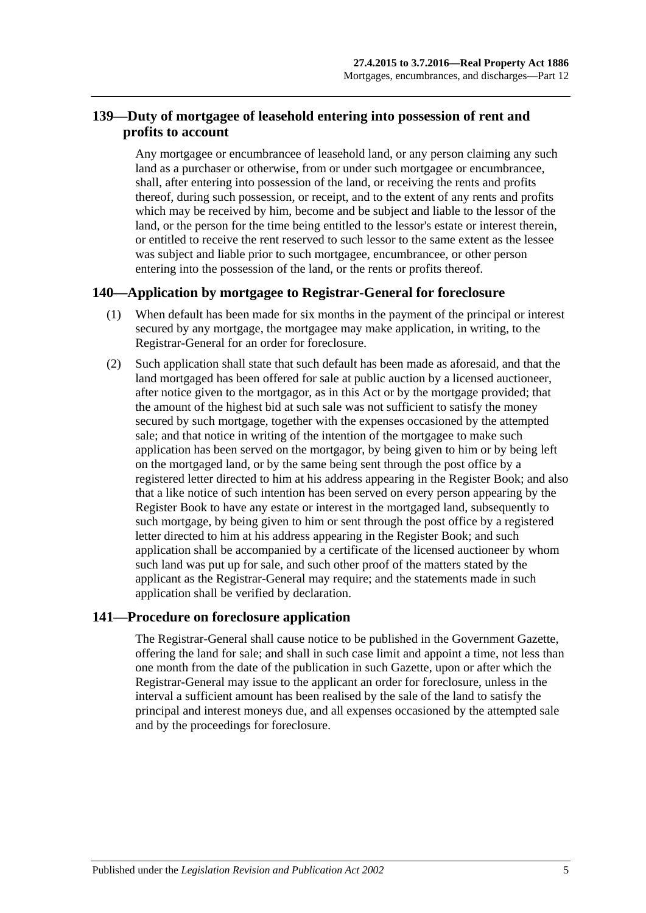# **139—Duty of mortgagee of leasehold entering into possession of rent and profits to account**

Any mortgagee or encumbrancee of leasehold land, or any person claiming any such land as a purchaser or otherwise, from or under such mortgagee or encumbrancee, shall, after entering into possession of the land, or receiving the rents and profits thereof, during such possession, or receipt, and to the extent of any rents and profits which may be received by him, become and be subject and liable to the lessor of the land, or the person for the time being entitled to the lessor's estate or interest therein, or entitled to receive the rent reserved to such lessor to the same extent as the lessee was subject and liable prior to such mortgagee, encumbrancee, or other person entering into the possession of the land, or the rents or profits thereof.

## **140—Application by mortgagee to Registrar-General for foreclosure**

- (1) When default has been made for six months in the payment of the principal or interest secured by any mortgage, the mortgagee may make application, in writing, to the Registrar-General for an order for foreclosure.
- (2) Such application shall state that such default has been made as aforesaid, and that the land mortgaged has been offered for sale at public auction by a licensed auctioneer, after notice given to the mortgagor, as in this Act or by the mortgage provided; that the amount of the highest bid at such sale was not sufficient to satisfy the money secured by such mortgage, together with the expenses occasioned by the attempted sale; and that notice in writing of the intention of the mortgagee to make such application has been served on the mortgagor, by being given to him or by being left on the mortgaged land, or by the same being sent through the post office by a registered letter directed to him at his address appearing in the Register Book; and also that a like notice of such intention has been served on every person appearing by the Register Book to have any estate or interest in the mortgaged land, subsequently to such mortgage, by being given to him or sent through the post office by a registered letter directed to him at his address appearing in the Register Book; and such application shall be accompanied by a certificate of the licensed auctioneer by whom such land was put up for sale, and such other proof of the matters stated by the applicant as the Registrar-General may require; and the statements made in such application shall be verified by declaration.

## **141—Procedure on foreclosure application**

The Registrar-General shall cause notice to be published in the Government Gazette, offering the land for sale; and shall in such case limit and appoint a time, not less than one month from the date of the publication in such Gazette, upon or after which the Registrar-General may issue to the applicant an order for foreclosure, unless in the interval a sufficient amount has been realised by the sale of the land to satisfy the principal and interest moneys due, and all expenses occasioned by the attempted sale and by the proceedings for foreclosure.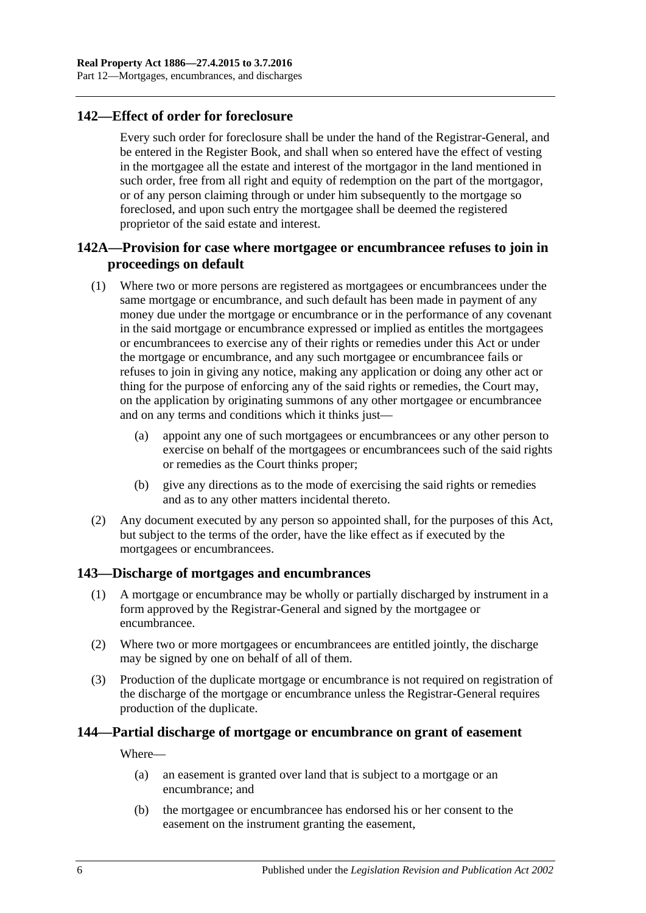# **142—Effect of order for foreclosure**

Every such order for foreclosure shall be under the hand of the Registrar-General, and be entered in the Register Book, and shall when so entered have the effect of vesting in the mortgagee all the estate and interest of the mortgagor in the land mentioned in such order, free from all right and equity of redemption on the part of the mortgagor, or of any person claiming through or under him subsequently to the mortgage so foreclosed, and upon such entry the mortgagee shall be deemed the registered proprietor of the said estate and interest.

# **142A—Provision for case where mortgagee or encumbrancee refuses to join in proceedings on default**

- (1) Where two or more persons are registered as mortgagees or encumbrancees under the same mortgage or encumbrance, and such default has been made in payment of any money due under the mortgage or encumbrance or in the performance of any covenant in the said mortgage or encumbrance expressed or implied as entitles the mortgagees or encumbrancees to exercise any of their rights or remedies under this Act or under the mortgage or encumbrance, and any such mortgagee or encumbrancee fails or refuses to join in giving any notice, making any application or doing any other act or thing for the purpose of enforcing any of the said rights or remedies, the Court may, on the application by originating summons of any other mortgagee or encumbrancee and on any terms and conditions which it thinks just—
	- (a) appoint any one of such mortgagees or encumbrancees or any other person to exercise on behalf of the mortgagees or encumbrancees such of the said rights or remedies as the Court thinks proper;
	- (b) give any directions as to the mode of exercising the said rights or remedies and as to any other matters incidental thereto.
- (2) Any document executed by any person so appointed shall, for the purposes of this Act, but subject to the terms of the order, have the like effect as if executed by the mortgagees or encumbrancees.

## **143—Discharge of mortgages and encumbrances**

- (1) A mortgage or encumbrance may be wholly or partially discharged by instrument in a form approved by the Registrar-General and signed by the mortgagee or encumbrancee.
- (2) Where two or more mortgagees or encumbrancees are entitled jointly, the discharge may be signed by one on behalf of all of them.
- (3) Production of the duplicate mortgage or encumbrance is not required on registration of the discharge of the mortgage or encumbrance unless the Registrar-General requires production of the duplicate.

## **144—Partial discharge of mortgage or encumbrance on grant of easement**

Where—

- (a) an easement is granted over land that is subject to a mortgage or an encumbrance; and
- (b) the mortgagee or encumbrancee has endorsed his or her consent to the easement on the instrument granting the easement,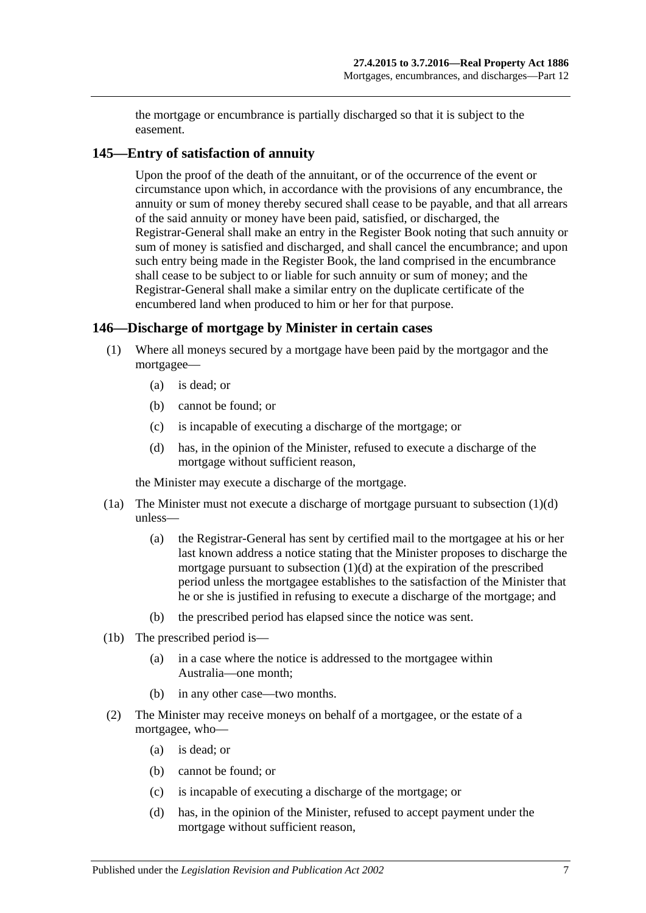the mortgage or encumbrance is partially discharged so that it is subject to the easement.

#### **145—Entry of satisfaction of annuity**

Upon the proof of the death of the annuitant, or of the occurrence of the event or circumstance upon which, in accordance with the provisions of any encumbrance, the annuity or sum of money thereby secured shall cease to be payable, and that all arrears of the said annuity or money have been paid, satisfied, or discharged, the Registrar-General shall make an entry in the Register Book noting that such annuity or sum of money is satisfied and discharged, and shall cancel the encumbrance; and upon such entry being made in the Register Book, the land comprised in the encumbrance shall cease to be subject to or liable for such annuity or sum of money; and the Registrar-General shall make a similar entry on the duplicate certificate of the encumbered land when produced to him or her for that purpose.

#### **146—Discharge of mortgage by Minister in certain cases**

- (1) Where all moneys secured by a mortgage have been paid by the mortgagor and the mortgagee—
	- (a) is dead; or
	- (b) cannot be found; or
	- (c) is incapable of executing a discharge of the mortgage; or
	- (d) has, in the opinion of the Minister, refused to execute a discharge of the mortgage without sufficient reason,

<span id="page-70-0"></span>the Minister may execute a discharge of the mortgage.

- (1a) The Minister must not execute a discharge of mortgage pursuant to [subsection](#page-70-0) (1)(d) unless—
	- (a) the Registrar-General has sent by certified mail to the mortgagee at his or her last known address a notice stating that the Minister proposes to discharge the mortgage pursuant to [subsection](#page-70-0) (1)(d) at the expiration of the prescribed period unless the mortgagee establishes to the satisfaction of the Minister that he or she is justified in refusing to execute a discharge of the mortgage; and
	- (b) the prescribed period has elapsed since the notice was sent.
- (1b) The prescribed period is—
	- (a) in a case where the notice is addressed to the mortgagee within Australia—one month;
	- (b) in any other case—two months.
- <span id="page-70-1"></span>(2) The Minister may receive moneys on behalf of a mortgagee, or the estate of a mortgagee, who—
	- (a) is dead; or
	- (b) cannot be found; or
	- (c) is incapable of executing a discharge of the mortgage; or
	- (d) has, in the opinion of the Minister, refused to accept payment under the mortgage without sufficient reason,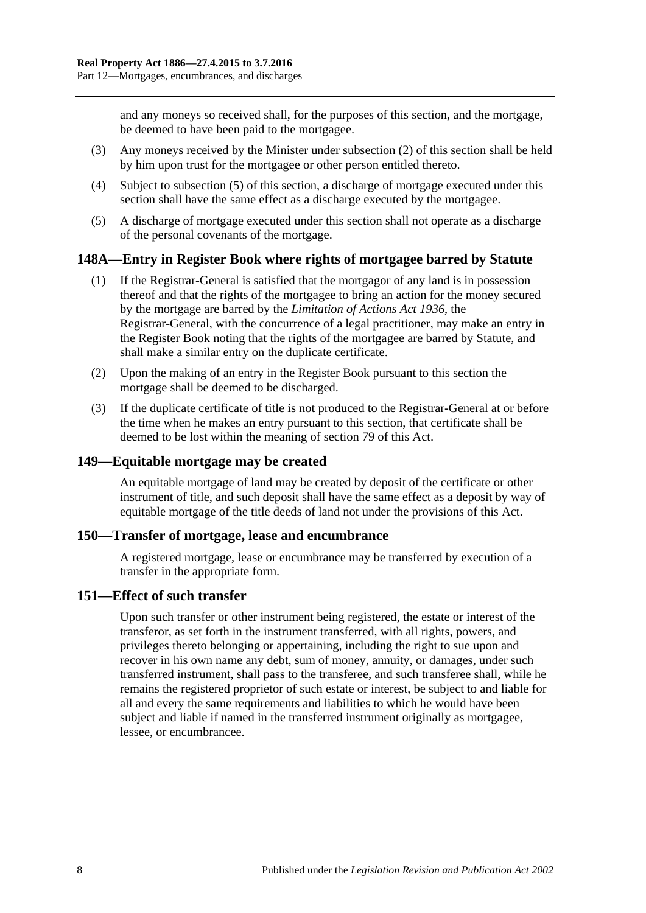and any moneys so received shall, for the purposes of this section, and the mortgage, be deemed to have been paid to the mortgagee.

- (3) Any moneys received by the Minister under [subsection](#page-70-1) (2) of this section shall be held by him upon trust for the mortgagee or other person entitled thereto.
- (4) Subject to [subsection](#page-71-0) (5) of this section, a discharge of mortgage executed under this section shall have the same effect as a discharge executed by the mortgagee.
- <span id="page-71-0"></span>(5) A discharge of mortgage executed under this section shall not operate as a discharge of the personal covenants of the mortgage.

#### **148A—Entry in Register Book where rights of mortgagee barred by Statute**

- (1) If the Registrar-General is satisfied that the mortgagor of any land is in possession thereof and that the rights of the mortgagee to bring an action for the money secured by the mortgage are barred by the *[Limitation of Actions Act](http://www.legislation.sa.gov.au/index.aspx?action=legref&type=act&legtitle=Limitation%20of%20Actions%20Act%201936) 1936*, the Registrar-General, with the concurrence of a legal practitioner, may make an entry in the Register Book noting that the rights of the mortgagee are barred by Statute, and shall make a similar entry on the duplicate certificate.
- (2) Upon the making of an entry in the Register Book pursuant to this section the mortgage shall be deemed to be discharged.
- (3) If the duplicate certificate of title is not produced to the Registrar-General at or before the time when he makes an entry pursuant to this section, that certificate shall be deemed to be lost within the meaning of [section](#page-39-0) 79 of this Act.

#### **149—Equitable mortgage may be created**

An equitable mortgage of land may be created by deposit of the certificate or other instrument of title, and such deposit shall have the same effect as a deposit by way of equitable mortgage of the title deeds of land not under the provisions of this Act.

#### **150—Transfer of mortgage, lease and encumbrance**

A registered mortgage, lease or encumbrance may be transferred by execution of a transfer in the appropriate form.

#### **151—Effect of such transfer**

Upon such transfer or other instrument being registered, the estate or interest of the transferor, as set forth in the instrument transferred, with all rights, powers, and privileges thereto belonging or appertaining, including the right to sue upon and recover in his own name any debt, sum of money, annuity, or damages, under such transferred instrument, shall pass to the transferee, and such transferee shall, while he remains the registered proprietor of such estate or interest, be subject to and liable for all and every the same requirements and liabilities to which he would have been subject and liable if named in the transferred instrument originally as mortgagee, lessee, or encumbrancee.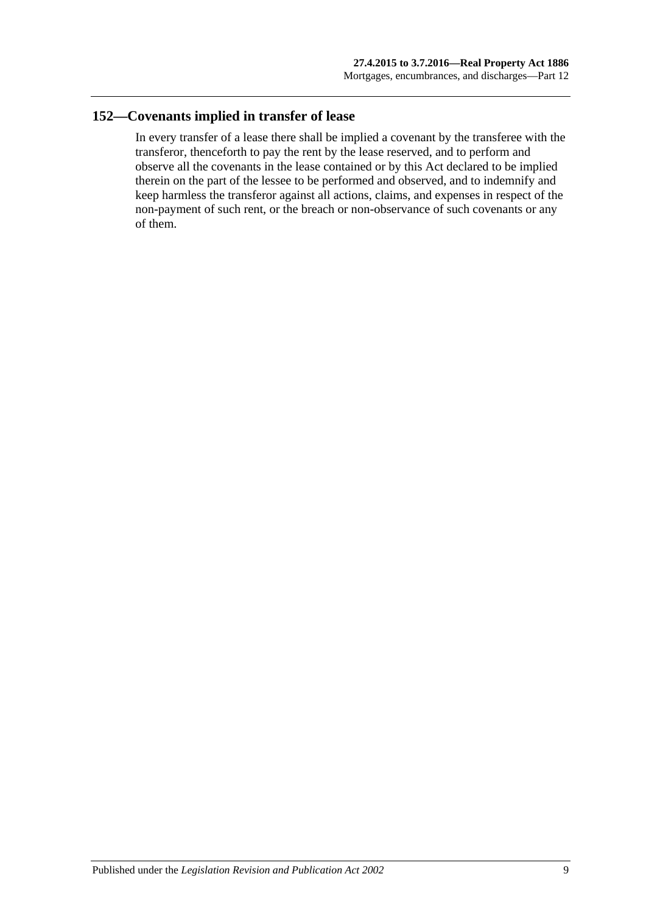## **152—Covenants implied in transfer of lease**

In every transfer of a lease there shall be implied a covenant by the transferee with the transferor, thenceforth to pay the rent by the lease reserved, and to perform and observe all the covenants in the lease contained or by this Act declared to be implied therein on the part of the lessee to be performed and observed, and to indemnify and keep harmless the transferor against all actions, claims, and expenses in respect of the non-payment of such rent, or the breach or non-observance of such covenants or any of them.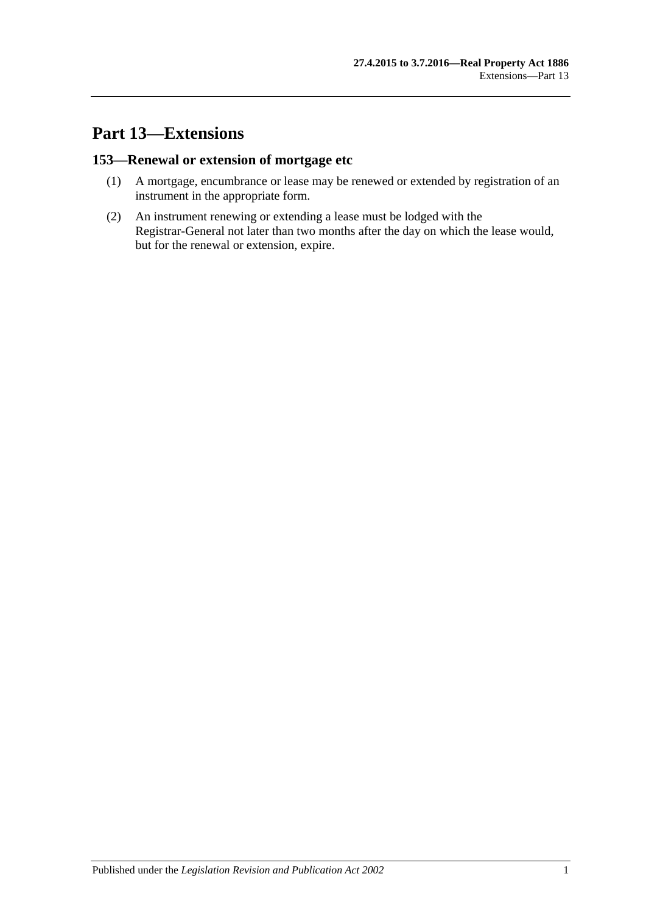# **Part 13—Extensions**

# **153—Renewal or extension of mortgage etc**

- (1) A mortgage, encumbrance or lease may be renewed or extended by registration of an instrument in the appropriate form.
- (2) An instrument renewing or extending a lease must be lodged with the Registrar-General not later than two months after the day on which the lease would, but for the renewal or extension, expire.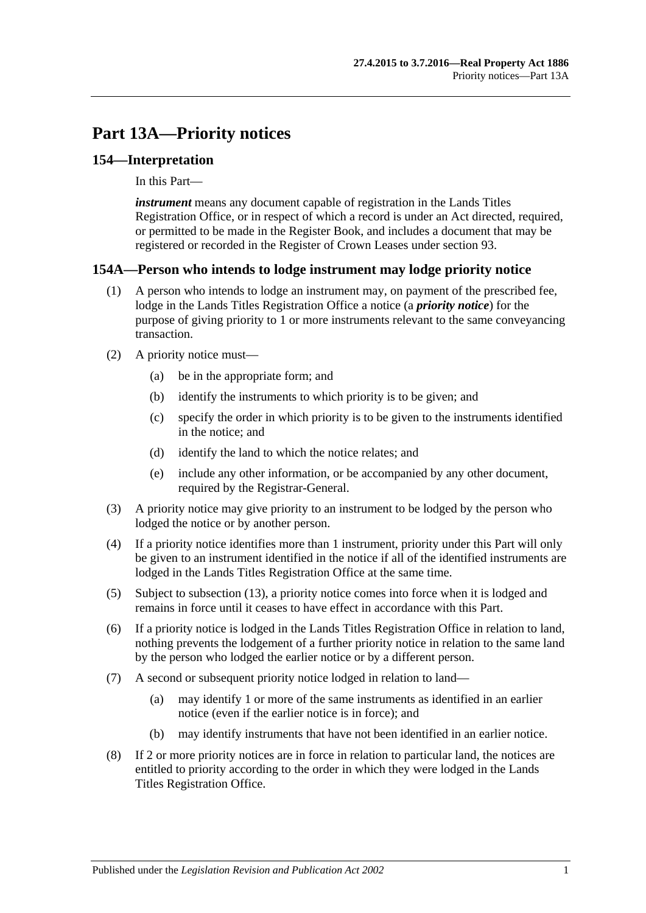# **Part 13A—Priority notices**

## **154—Interpretation**

In this Part—

*instrument* means any document capable of registration in the Lands Titles Registration Office, or in respect of which a record is under an Act directed, required, or permitted to be made in the Register Book, and includes a document that may be registered or recorded in the Register of Crown Leases under [section](#page-50-0) 93.

## **154A—Person who intends to lodge instrument may lodge priority notice**

- (1) A person who intends to lodge an instrument may, on payment of the prescribed fee, lodge in the Lands Titles Registration Office a notice (a *priority notice*) for the purpose of giving priority to 1 or more instruments relevant to the same conveyancing transaction.
- (2) A priority notice must—
	- (a) be in the appropriate form; and
	- (b) identify the instruments to which priority is to be given; and
	- (c) specify the order in which priority is to be given to the instruments identified in the notice; and
	- (d) identify the land to which the notice relates; and
	- (e) include any other information, or be accompanied by any other document, required by the Registrar-General.
- (3) A priority notice may give priority to an instrument to be lodged by the person who lodged the notice or by another person.
- <span id="page-76-0"></span>(4) If a priority notice identifies more than 1 instrument, priority under this Part will only be given to an instrument identified in the notice if all of the identified instruments are lodged in the Lands Titles Registration Office at the same time.
- (5) Subject to [subsection](#page-77-0) (13), a priority notice comes into force when it is lodged and remains in force until it ceases to have effect in accordance with this Part.
- (6) If a priority notice is lodged in the Lands Titles Registration Office in relation to land, nothing prevents the lodgement of a further priority notice in relation to the same land by the person who lodged the earlier notice or by a different person.
- (7) A second or subsequent priority notice lodged in relation to land—
	- (a) may identify 1 or more of the same instruments as identified in an earlier notice (even if the earlier notice is in force); and
	- (b) may identify instruments that have not been identified in an earlier notice.
- (8) If 2 or more priority notices are in force in relation to particular land, the notices are entitled to priority according to the order in which they were lodged in the Lands Titles Registration Office.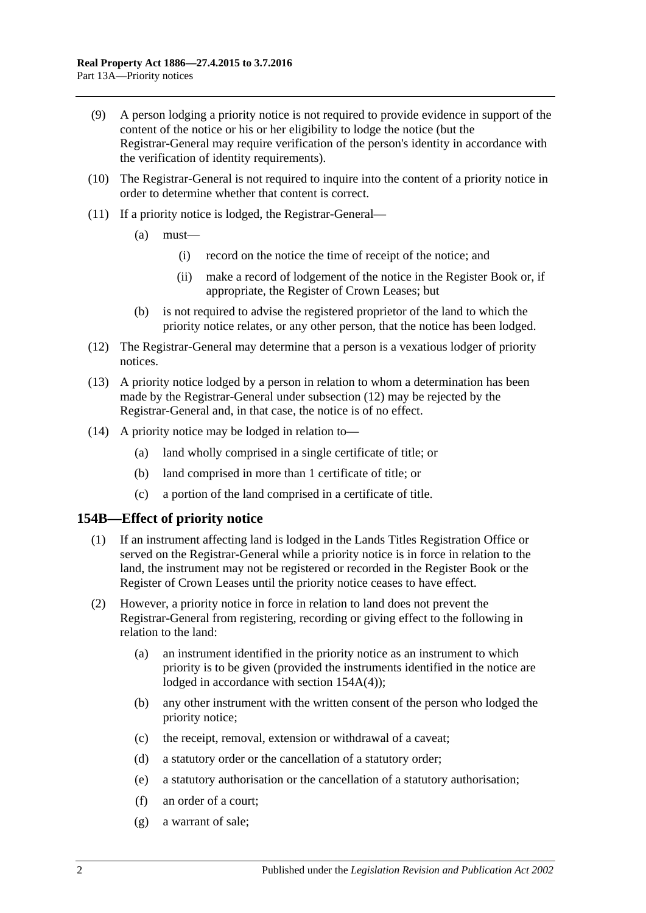- (9) A person lodging a priority notice is not required to provide evidence in support of the content of the notice or his or her eligibility to lodge the notice (but the Registrar-General may require verification of the person's identity in accordance with the verification of identity requirements).
- (10) The Registrar-General is not required to inquire into the content of a priority notice in order to determine whether that content is correct.
- (11) If a priority notice is lodged, the Registrar-General—
	- (a) must—
		- (i) record on the notice the time of receipt of the notice; and
		- (ii) make a record of lodgement of the notice in the Register Book or, if appropriate, the Register of Crown Leases; but
	- (b) is not required to advise the registered proprietor of the land to which the priority notice relates, or any other person, that the notice has been lodged.
- <span id="page-77-1"></span>(12) The Registrar-General may determine that a person is a vexatious lodger of priority notices.
- <span id="page-77-0"></span>(13) A priority notice lodged by a person in relation to whom a determination has been made by the Registrar-General under [subsection](#page-77-1) (12) may be rejected by the Registrar-General and, in that case, the notice is of no effect.
- (14) A priority notice may be lodged in relation to—
	- (a) land wholly comprised in a single certificate of title; or
	- (b) land comprised in more than 1 certificate of title; or
	- (c) a portion of the land comprised in a certificate of title.

## **154B—Effect of priority notice**

- (1) If an instrument affecting land is lodged in the Lands Titles Registration Office or served on the Registrar-General while a priority notice is in force in relation to the land, the instrument may not be registered or recorded in the Register Book or the Register of Crown Leases until the priority notice ceases to have effect.
- (2) However, a priority notice in force in relation to land does not prevent the Registrar-General from registering, recording or giving effect to the following in relation to the land:
	- (a) an instrument identified in the priority notice as an instrument to which priority is to be given (provided the instruments identified in the notice are lodged in accordance with section [154A\(4\)\)](#page-76-0);
	- (b) any other instrument with the written consent of the person who lodged the priority notice;
	- (c) the receipt, removal, extension or withdrawal of a caveat;
	- (d) a statutory order or the cancellation of a statutory order;
	- (e) a statutory authorisation or the cancellation of a statutory authorisation;
	- (f) an order of a court;
	- (g) a warrant of sale;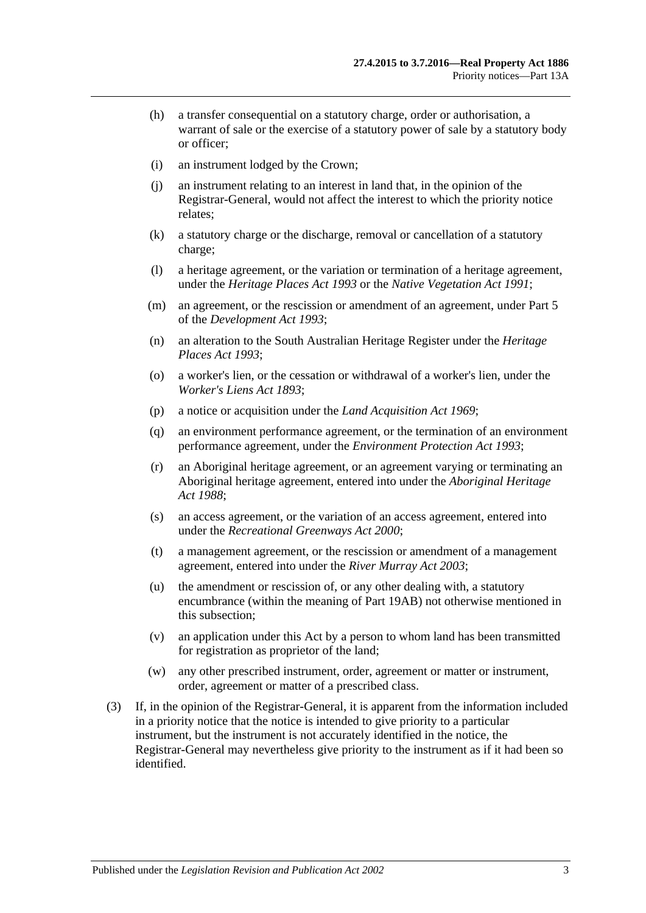- (h) a transfer consequential on a statutory charge, order or authorisation, a warrant of sale or the exercise of a statutory power of sale by a statutory body or officer;
- (i) an instrument lodged by the Crown;
- (j) an instrument relating to an interest in land that, in the opinion of the Registrar-General, would not affect the interest to which the priority notice relates;
- (k) a statutory charge or the discharge, removal or cancellation of a statutory charge;
- (l) a heritage agreement, or the variation or termination of a heritage agreement, under the *[Heritage Places Act](http://www.legislation.sa.gov.au/index.aspx?action=legref&type=act&legtitle=Heritage%20Places%20Act%201993) 1993* or the *[Native Vegetation Act](http://www.legislation.sa.gov.au/index.aspx?action=legref&type=act&legtitle=Native%20Vegetation%20Act%201991) 1991*;
- (m) an agreement, or the rescission or amendment of an agreement, under Part 5 of the *[Development Act](http://www.legislation.sa.gov.au/index.aspx?action=legref&type=act&legtitle=Development%20Act%201993) 1993*;
- (n) an alteration to the South Australian Heritage Register under the *[Heritage](http://www.legislation.sa.gov.au/index.aspx?action=legref&type=act&legtitle=Heritage%20Places%20Act%201993)  [Places Act](http://www.legislation.sa.gov.au/index.aspx?action=legref&type=act&legtitle=Heritage%20Places%20Act%201993) 1993*;
- (o) a worker's lien, or the cessation or withdrawal of a worker's lien, under the *[Worker's Liens Act](http://www.legislation.sa.gov.au/index.aspx?action=legref&type=act&legtitle=Workers%20Liens%20Act%201893) 1893*;
- (p) a notice or acquisition under the *[Land Acquisition Act](http://www.legislation.sa.gov.au/index.aspx?action=legref&type=act&legtitle=Land%20Acquisition%20Act%201969) 1969*;
- (q) an environment performance agreement, or the termination of an environment performance agreement, under the *[Environment Protection Act](http://www.legislation.sa.gov.au/index.aspx?action=legref&type=act&legtitle=Environment%20Protection%20Act%201993) 1993*;
- (r) an Aboriginal heritage agreement, or an agreement varying or terminating an Aboriginal heritage agreement, entered into under the *[Aboriginal Heritage](http://www.legislation.sa.gov.au/index.aspx?action=legref&type=act&legtitle=Aboriginal%20Heritage%20Act%201988)  Act [1988](http://www.legislation.sa.gov.au/index.aspx?action=legref&type=act&legtitle=Aboriginal%20Heritage%20Act%201988)*;
- (s) an access agreement, or the variation of an access agreement, entered into under the *[Recreational Greenways Act](http://www.legislation.sa.gov.au/index.aspx?action=legref&type=act&legtitle=Recreational%20Greenways%20Act%202000) 2000*;
- (t) a management agreement, or the rescission or amendment of a management agreement, entered into under the *[River Murray Act](http://www.legislation.sa.gov.au/index.aspx?action=legref&type=act&legtitle=River%20Murray%20Act%202003) 2003*;
- (u) the amendment or rescission of, or any other dealing with, a statutory encumbrance (within the meaning of Part 19AB) not otherwise mentioned in this subsection;
- (v) an application under this Act by a person to whom land has been transmitted for registration as proprietor of the land;
- (w) any other prescribed instrument, order, agreement or matter or instrument, order, agreement or matter of a prescribed class.
- (3) If, in the opinion of the Registrar-General, it is apparent from the information included in a priority notice that the notice is intended to give priority to a particular instrument, but the instrument is not accurately identified in the notice, the Registrar-General may nevertheless give priority to the instrument as if it had been so identified.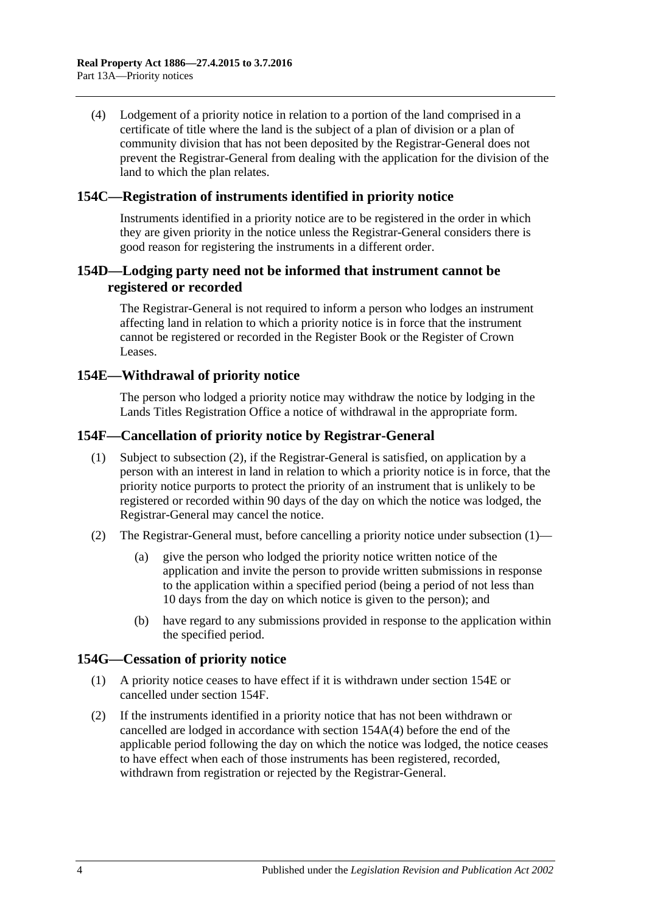(4) Lodgement of a priority notice in relation to a portion of the land comprised in a certificate of title where the land is the subject of a plan of division or a plan of community division that has not been deposited by the Registrar-General does not prevent the Registrar-General from dealing with the application for the division of the land to which the plan relates.

## **154C—Registration of instruments identified in priority notice**

Instruments identified in a priority notice are to be registered in the order in which they are given priority in the notice unless the Registrar-General considers there is good reason for registering the instruments in a different order.

## **154D—Lodging party need not be informed that instrument cannot be registered or recorded**

The Registrar-General is not required to inform a person who lodges an instrument affecting land in relation to which a priority notice is in force that the instrument cannot be registered or recorded in the Register Book or the Register of Crown Leases.

## <span id="page-79-2"></span>**154E—Withdrawal of priority notice**

The person who lodged a priority notice may withdraw the notice by lodging in the Lands Titles Registration Office a notice of withdrawal in the appropriate form.

## <span id="page-79-3"></span><span id="page-79-1"></span>**154F—Cancellation of priority notice by Registrar-General**

- (1) Subject to [subsection](#page-79-0) (2), if the Registrar-General is satisfied, on application by a person with an interest in land in relation to which a priority notice is in force, that the priority notice purports to protect the priority of an instrument that is unlikely to be registered or recorded within 90 days of the day on which the notice was lodged, the Registrar-General may cancel the notice.
- <span id="page-79-0"></span>(2) The Registrar-General must, before cancelling a priority notice under [subsection](#page-79-1)  $(1)$ —
	- (a) give the person who lodged the priority notice written notice of the application and invite the person to provide written submissions in response to the application within a specified period (being a period of not less than 10 days from the day on which notice is given to the person); and
	- (b) have regard to any submissions provided in response to the application within the specified period.

## <span id="page-79-4"></span>**154G—Cessation of priority notice**

- (1) A priority notice ceases to have effect if it is withdrawn under [section](#page-79-2) 154E or cancelled under [section](#page-79-3) 154F.
- (2) If the instruments identified in a priority notice that has not been withdrawn or cancelled are lodged in accordance with section [154A\(4\)](#page-76-0) before the end of the applicable period following the day on which the notice was lodged, the notice ceases to have effect when each of those instruments has been registered, recorded, withdrawn from registration or rejected by the Registrar-General.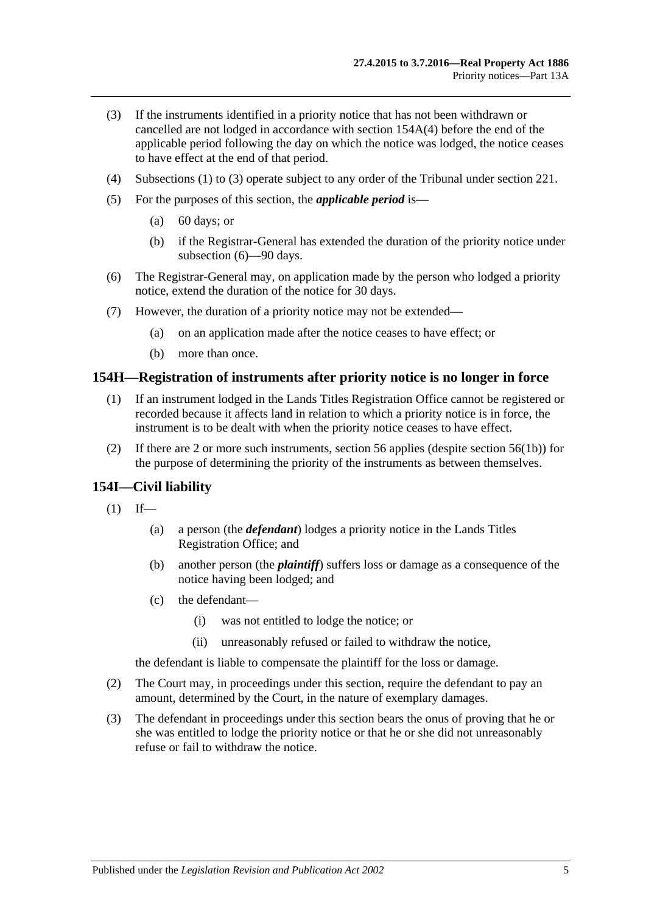- <span id="page-80-0"></span>(3) If the instruments identified in a priority notice that has not been withdrawn or cancelled are not lodged in accordance with section [154A\(4\)](#page-76-0) before the end of the applicable period following the day on which the notice was lodged, the notice ceases to have effect at the end of that period.
- (4) [Subsections \(1\)](#page-79-4) to [\(3\)](#page-80-0) operate subject to any order of the Tribunal under [section](#page-107-0) 221.
- (5) For the purposes of this section, the *applicable period* is—
	- (a) 60 days; or
	- (b) if the Registrar-General has extended the duration of the priority notice under [subsection](#page-80-1) (6)—90 days.
- <span id="page-80-1"></span>(6) The Registrar-General may, on application made by the person who lodged a priority notice, extend the duration of the notice for 30 days.
- (7) However, the duration of a priority notice may not be extended—
	- (a) on an application made after the notice ceases to have effect; or
	- (b) more than once.

## **154H—Registration of instruments after priority notice is no longer in force**

- (1) If an instrument lodged in the Lands Titles Registration Office cannot be registered or recorded because it affects land in relation to which a priority notice is in force, the instrument is to be dealt with when the priority notice ceases to have effect.
- (2) If there are 2 or more such instruments, [section](#page-29-0) 56 applies (despite [section](#page-29-1) 56(1b)) for the purpose of determining the priority of the instruments as between themselves.

## **154I—Civil liability**

- $(1)$  If—
	- (a) a person (the *defendant*) lodges a priority notice in the Lands Titles Registration Office; and
	- (b) another person (the *plaintiff*) suffers loss or damage as a consequence of the notice having been lodged; and
	- (c) the defendant—
		- (i) was not entitled to lodge the notice; or
		- (ii) unreasonably refused or failed to withdraw the notice,

the defendant is liable to compensate the plaintiff for the loss or damage.

- (2) The Court may, in proceedings under this section, require the defendant to pay an amount, determined by the Court, in the nature of exemplary damages.
- (3) The defendant in proceedings under this section bears the onus of proving that he or she was entitled to lodge the priority notice or that he or she did not unreasonably refuse or fail to withdraw the notice.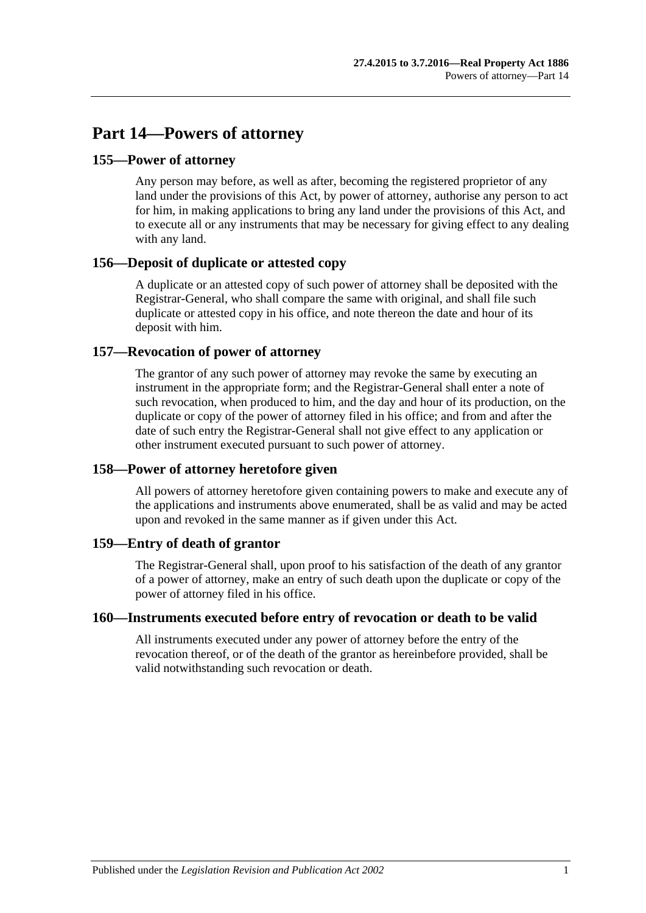# **Part 14—Powers of attorney**

## **155—Power of attorney**

Any person may before, as well as after, becoming the registered proprietor of any land under the provisions of this Act, by power of attorney, authorise any person to act for him, in making applications to bring any land under the provisions of this Act, and to execute all or any instruments that may be necessary for giving effect to any dealing with any land.

# **156—Deposit of duplicate or attested copy**

A duplicate or an attested copy of such power of attorney shall be deposited with the Registrar-General, who shall compare the same with original, and shall file such duplicate or attested copy in his office, and note thereon the date and hour of its deposit with him.

# **157—Revocation of power of attorney**

The grantor of any such power of attorney may revoke the same by executing an instrument in the appropriate form; and the Registrar-General shall enter a note of such revocation, when produced to him, and the day and hour of its production, on the duplicate or copy of the power of attorney filed in his office; and from and after the date of such entry the Registrar-General shall not give effect to any application or other instrument executed pursuant to such power of attorney.

# **158—Power of attorney heretofore given**

All powers of attorney heretofore given containing powers to make and execute any of the applications and instruments above enumerated, shall be as valid and may be acted upon and revoked in the same manner as if given under this Act.

## **159—Entry of death of grantor**

The Registrar-General shall, upon proof to his satisfaction of the death of any grantor of a power of attorney, make an entry of such death upon the duplicate or copy of the power of attorney filed in his office.

## **160—Instruments executed before entry of revocation or death to be valid**

All instruments executed under any power of attorney before the entry of the revocation thereof, or of the death of the grantor as hereinbefore provided, shall be valid notwithstanding such revocation or death.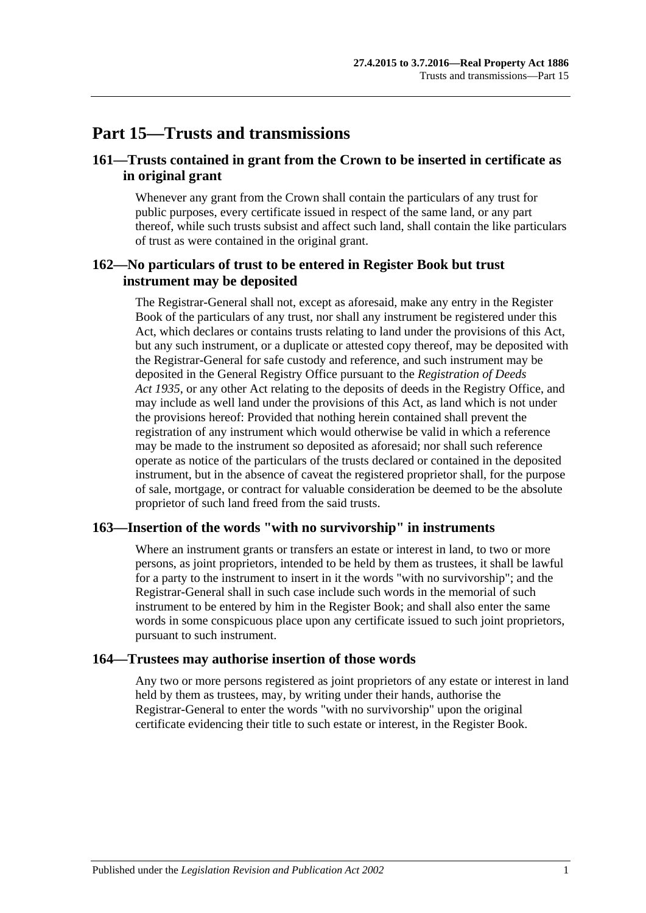# **Part 15—Trusts and transmissions**

## **161—Trusts contained in grant from the Crown to be inserted in certificate as in original grant**

Whenever any grant from the Crown shall contain the particulars of any trust for public purposes, every certificate issued in respect of the same land, or any part thereof, while such trusts subsist and affect such land, shall contain the like particulars of trust as were contained in the original grant.

## **162—No particulars of trust to be entered in Register Book but trust instrument may be deposited**

The Registrar-General shall not, except as aforesaid, make any entry in the Register Book of the particulars of any trust, nor shall any instrument be registered under this Act, which declares or contains trusts relating to land under the provisions of this Act, but any such instrument, or a duplicate or attested copy thereof, may be deposited with the Registrar-General for safe custody and reference, and such instrument may be deposited in the General Registry Office pursuant to the *[Registration of Deeds](http://www.legislation.sa.gov.au/index.aspx?action=legref&type=act&legtitle=Registration%20of%20Deeds%20Act%201935)  Act [1935](http://www.legislation.sa.gov.au/index.aspx?action=legref&type=act&legtitle=Registration%20of%20Deeds%20Act%201935)*, or any other Act relating to the deposits of deeds in the Registry Office, and may include as well land under the provisions of this Act, as land which is not under the provisions hereof: Provided that nothing herein contained shall prevent the registration of any instrument which would otherwise be valid in which a reference may be made to the instrument so deposited as aforesaid; nor shall such reference operate as notice of the particulars of the trusts declared or contained in the deposited instrument, but in the absence of caveat the registered proprietor shall, for the purpose of sale, mortgage, or contract for valuable consideration be deemed to be the absolute proprietor of such land freed from the said trusts.

## **163—Insertion of the words "with no survivorship" in instruments**

Where an instrument grants or transfers an estate or interest in land, to two or more persons, as joint proprietors, intended to be held by them as trustees, it shall be lawful for a party to the instrument to insert in it the words "with no survivorship"; and the Registrar-General shall in such case include such words in the memorial of such instrument to be entered by him in the Register Book; and shall also enter the same words in some conspicuous place upon any certificate issued to such joint proprietors, pursuant to such instrument.

## **164—Trustees may authorise insertion of those words**

Any two or more persons registered as joint proprietors of any estate or interest in land held by them as trustees, may, by writing under their hands, authorise the Registrar-General to enter the words "with no survivorship" upon the original certificate evidencing their title to such estate or interest, in the Register Book.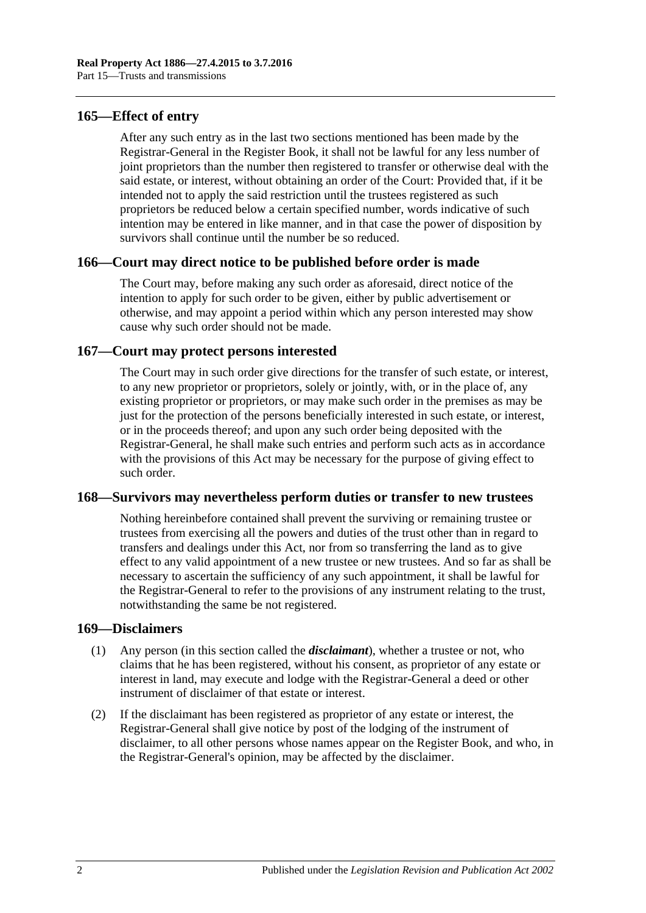## **165—Effect of entry**

After any such entry as in the last two sections mentioned has been made by the Registrar-General in the Register Book, it shall not be lawful for any less number of joint proprietors than the number then registered to transfer or otherwise deal with the said estate, or interest, without obtaining an order of the Court: Provided that, if it be intended not to apply the said restriction until the trustees registered as such proprietors be reduced below a certain specified number, words indicative of such intention may be entered in like manner, and in that case the power of disposition by survivors shall continue until the number be so reduced.

## **166—Court may direct notice to be published before order is made**

The Court may, before making any such order as aforesaid, direct notice of the intention to apply for such order to be given, either by public advertisement or otherwise, and may appoint a period within which any person interested may show cause why such order should not be made.

## **167—Court may protect persons interested**

The Court may in such order give directions for the transfer of such estate, or interest, to any new proprietor or proprietors, solely or jointly, with, or in the place of, any existing proprietor or proprietors, or may make such order in the premises as may be just for the protection of the persons beneficially interested in such estate, or interest, or in the proceeds thereof; and upon any such order being deposited with the Registrar-General, he shall make such entries and perform such acts as in accordance with the provisions of this Act may be necessary for the purpose of giving effect to such order.

## **168—Survivors may nevertheless perform duties or transfer to new trustees**

Nothing hereinbefore contained shall prevent the surviving or remaining trustee or trustees from exercising all the powers and duties of the trust other than in regard to transfers and dealings under this Act, nor from so transferring the land as to give effect to any valid appointment of a new trustee or new trustees. And so far as shall be necessary to ascertain the sufficiency of any such appointment, it shall be lawful for the Registrar-General to refer to the provisions of any instrument relating to the trust, notwithstanding the same be not registered.

## **169—Disclaimers**

- (1) Any person (in this section called the *disclaimant*), whether a trustee or not, who claims that he has been registered, without his consent, as proprietor of any estate or interest in land, may execute and lodge with the Registrar-General a deed or other instrument of disclaimer of that estate or interest.
- (2) If the disclaimant has been registered as proprietor of any estate or interest, the Registrar-General shall give notice by post of the lodging of the instrument of disclaimer, to all other persons whose names appear on the Register Book, and who, in the Registrar-General's opinion, may be affected by the disclaimer.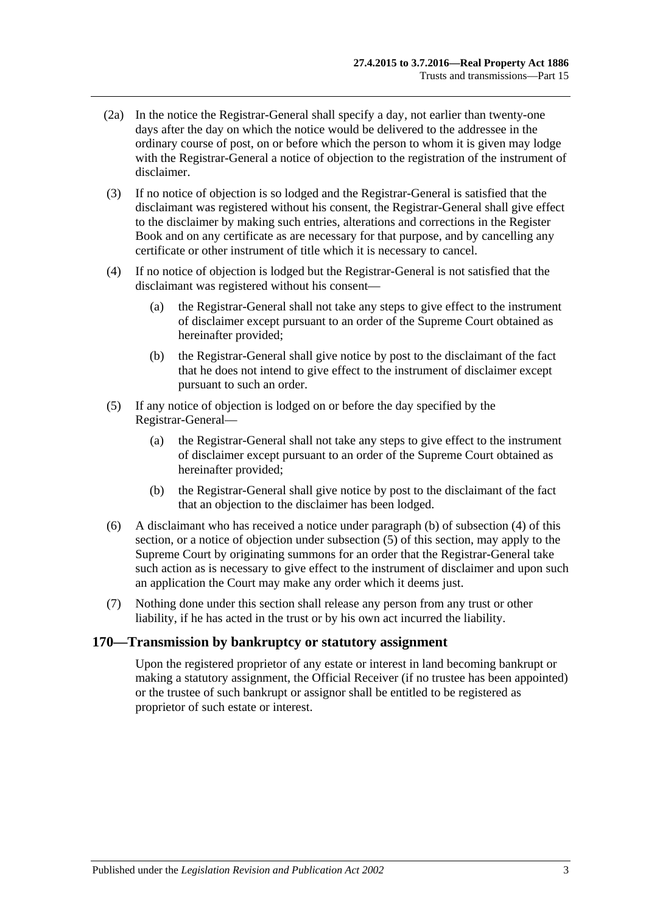- (2a) In the notice the Registrar-General shall specify a day, not earlier than twenty-one days after the day on which the notice would be delivered to the addressee in the ordinary course of post, on or before which the person to whom it is given may lodge with the Registrar-General a notice of objection to the registration of the instrument of disclaimer.
- (3) If no notice of objection is so lodged and the Registrar-General is satisfied that the disclaimant was registered without his consent, the Registrar-General shall give effect to the disclaimer by making such entries, alterations and corrections in the Register Book and on any certificate as are necessary for that purpose, and by cancelling any certificate or other instrument of title which it is necessary to cancel.
- <span id="page-86-1"></span>(4) If no notice of objection is lodged but the Registrar-General is not satisfied that the disclaimant was registered without his consent—
	- (a) the Registrar-General shall not take any steps to give effect to the instrument of disclaimer except pursuant to an order of the Supreme Court obtained as hereinafter provided;
	- (b) the Registrar-General shall give notice by post to the disclaimant of the fact that he does not intend to give effect to the instrument of disclaimer except pursuant to such an order.
- <span id="page-86-2"></span><span id="page-86-0"></span>(5) If any notice of objection is lodged on or before the day specified by the Registrar-General—
	- (a) the Registrar-General shall not take any steps to give effect to the instrument of disclaimer except pursuant to an order of the Supreme Court obtained as hereinafter provided;
	- (b) the Registrar-General shall give notice by post to the disclaimant of the fact that an objection to the disclaimer has been lodged.
- (6) A disclaimant who has received a notice under [paragraph](#page-86-0) (b) of [subsection](#page-86-1) (4) of this section, or a notice of objection under [subsection](#page-86-2) (5) of this section, may apply to the Supreme Court by originating summons for an order that the Registrar-General take such action as is necessary to give effect to the instrument of disclaimer and upon such an application the Court may make any order which it deems just.
- (7) Nothing done under this section shall release any person from any trust or other liability, if he has acted in the trust or by his own act incurred the liability.

## **170—Transmission by bankruptcy or statutory assignment**

Upon the registered proprietor of any estate or interest in land becoming bankrupt or making a statutory assignment, the Official Receiver (if no trustee has been appointed) or the trustee of such bankrupt or assignor shall be entitled to be registered as proprietor of such estate or interest.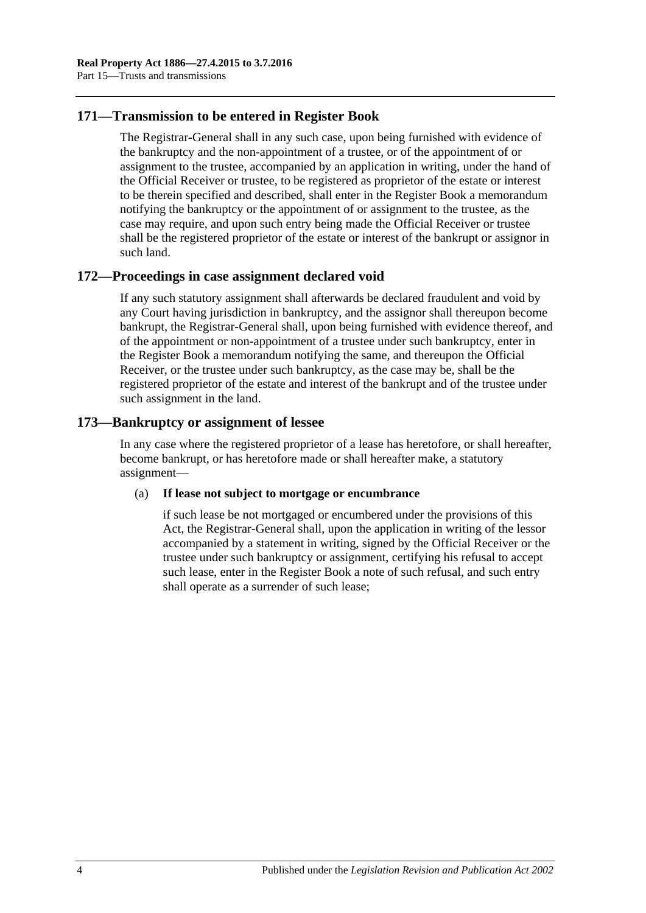# **171—Transmission to be entered in Register Book**

The Registrar-General shall in any such case, upon being furnished with evidence of the bankruptcy and the non-appointment of a trustee, or of the appointment of or assignment to the trustee, accompanied by an application in writing, under the hand of the Official Receiver or trustee, to be registered as proprietor of the estate or interest to be therein specified and described, shall enter in the Register Book a memorandum notifying the bankruptcy or the appointment of or assignment to the trustee, as the case may require, and upon such entry being made the Official Receiver or trustee shall be the registered proprietor of the estate or interest of the bankrupt or assignor in such land.

# **172—Proceedings in case assignment declared void**

If any such statutory assignment shall afterwards be declared fraudulent and void by any Court having jurisdiction in bankruptcy, and the assignor shall thereupon become bankrupt, the Registrar-General shall, upon being furnished with evidence thereof, and of the appointment or non-appointment of a trustee under such bankruptcy, enter in the Register Book a memorandum notifying the same, and thereupon the Official Receiver, or the trustee under such bankruptcy, as the case may be, shall be the registered proprietor of the estate and interest of the bankrupt and of the trustee under such assignment in the land.

# **173—Bankruptcy or assignment of lessee**

In any case where the registered proprietor of a lease has heretofore, or shall hereafter, become bankrupt, or has heretofore made or shall hereafter make, a statutory assignment—

## (a) **If lease not subject to mortgage or encumbrance**

if such lease be not mortgaged or encumbered under the provisions of this Act, the Registrar-General shall, upon the application in writing of the lessor accompanied by a statement in writing, signed by the Official Receiver or the trustee under such bankruptcy or assignment, certifying his refusal to accept such lease, enter in the Register Book a note of such refusal, and such entry shall operate as a surrender of such lease;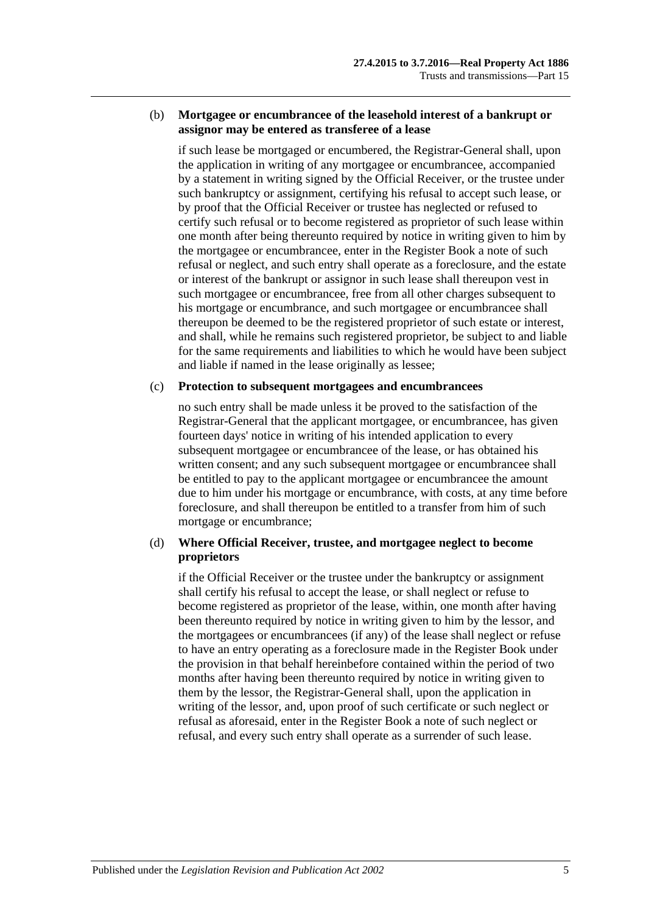#### (b) **Mortgagee or encumbrancee of the leasehold interest of a bankrupt or assignor may be entered as transferee of a lease**

if such lease be mortgaged or encumbered, the Registrar-General shall, upon the application in writing of any mortgagee or encumbrancee, accompanied by a statement in writing signed by the Official Receiver, or the trustee under such bankruptcy or assignment, certifying his refusal to accept such lease, or by proof that the Official Receiver or trustee has neglected or refused to certify such refusal or to become registered as proprietor of such lease within one month after being thereunto required by notice in writing given to him by the mortgagee or encumbrancee, enter in the Register Book a note of such refusal or neglect, and such entry shall operate as a foreclosure, and the estate or interest of the bankrupt or assignor in such lease shall thereupon vest in such mortgagee or encumbrancee, free from all other charges subsequent to his mortgage or encumbrance, and such mortgagee or encumbrancee shall thereupon be deemed to be the registered proprietor of such estate or interest, and shall, while he remains such registered proprietor, be subject to and liable for the same requirements and liabilities to which he would have been subject and liable if named in the lease originally as lessee;

#### (c) **Protection to subsequent mortgagees and encumbrancees**

no such entry shall be made unless it be proved to the satisfaction of the Registrar-General that the applicant mortgagee, or encumbrancee, has given fourteen days' notice in writing of his intended application to every subsequent mortgagee or encumbrancee of the lease, or has obtained his written consent; and any such subsequent mortgagee or encumbrancee shall be entitled to pay to the applicant mortgagee or encumbrancee the amount due to him under his mortgage or encumbrance, with costs, at any time before foreclosure, and shall thereupon be entitled to a transfer from him of such mortgage or encumbrance;

## (d) **Where Official Receiver, trustee, and mortgagee neglect to become proprietors**

if the Official Receiver or the trustee under the bankruptcy or assignment shall certify his refusal to accept the lease, or shall neglect or refuse to become registered as proprietor of the lease, within, one month after having been thereunto required by notice in writing given to him by the lessor, and the mortgagees or encumbrancees (if any) of the lease shall neglect or refuse to have an entry operating as a foreclosure made in the Register Book under the provision in that behalf hereinbefore contained within the period of two months after having been thereunto required by notice in writing given to them by the lessor, the Registrar-General shall, upon the application in writing of the lessor, and, upon proof of such certificate or such neglect or refusal as aforesaid, enter in the Register Book a note of such neglect or refusal, and every such entry shall operate as a surrender of such lease.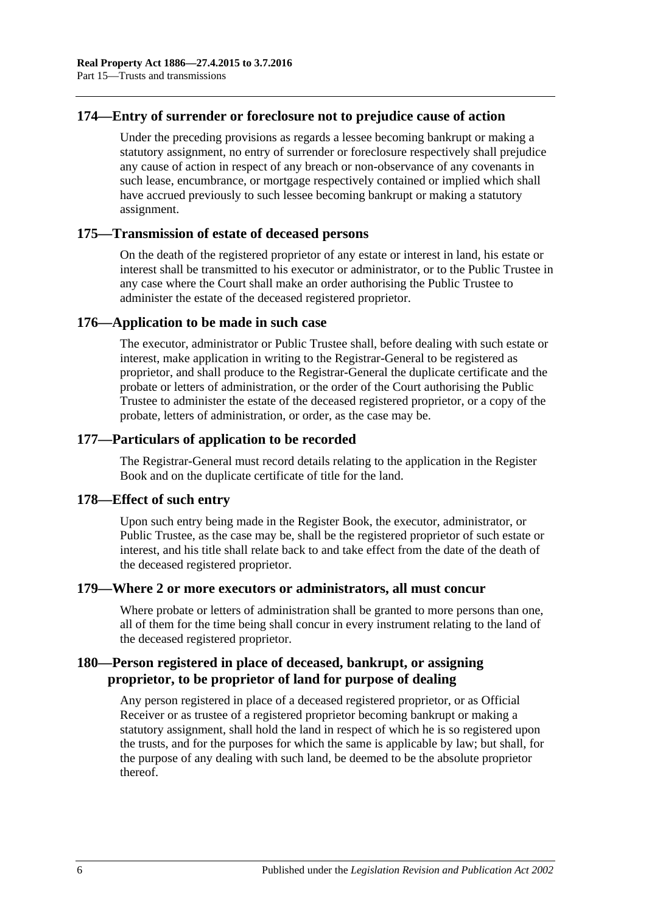## **174—Entry of surrender or foreclosure not to prejudice cause of action**

Under the preceding provisions as regards a lessee becoming bankrupt or making a statutory assignment, no entry of surrender or foreclosure respectively shall prejudice any cause of action in respect of any breach or non-observance of any covenants in such lease, encumbrance, or mortgage respectively contained or implied which shall have accrued previously to such lessee becoming bankrupt or making a statutory assignment.

## **175—Transmission of estate of deceased persons**

On the death of the registered proprietor of any estate or interest in land, his estate or interest shall be transmitted to his executor or administrator, or to the Public Trustee in any case where the Court shall make an order authorising the Public Trustee to administer the estate of the deceased registered proprietor.

## **176—Application to be made in such case**

The executor, administrator or Public Trustee shall, before dealing with such estate or interest, make application in writing to the Registrar-General to be registered as proprietor, and shall produce to the Registrar-General the duplicate certificate and the probate or letters of administration, or the order of the Court authorising the Public Trustee to administer the estate of the deceased registered proprietor, or a copy of the probate, letters of administration, or order, as the case may be.

## **177—Particulars of application to be recorded**

The Registrar-General must record details relating to the application in the Register Book and on the duplicate certificate of title for the land.

## **178—Effect of such entry**

Upon such entry being made in the Register Book, the executor, administrator, or Public Trustee, as the case may be, shall be the registered proprietor of such estate or interest, and his title shall relate back to and take effect from the date of the death of the deceased registered proprietor.

## **179—Where 2 or more executors or administrators, all must concur**

Where probate or letters of administration shall be granted to more persons than one, all of them for the time being shall concur in every instrument relating to the land of the deceased registered proprietor.

# **180—Person registered in place of deceased, bankrupt, or assigning proprietor, to be proprietor of land for purpose of dealing**

Any person registered in place of a deceased registered proprietor, or as Official Receiver or as trustee of a registered proprietor becoming bankrupt or making a statutory assignment, shall hold the land in respect of which he is so registered upon the trusts, and for the purposes for which the same is applicable by law; but shall, for the purpose of any dealing with such land, be deemed to be the absolute proprietor thereof.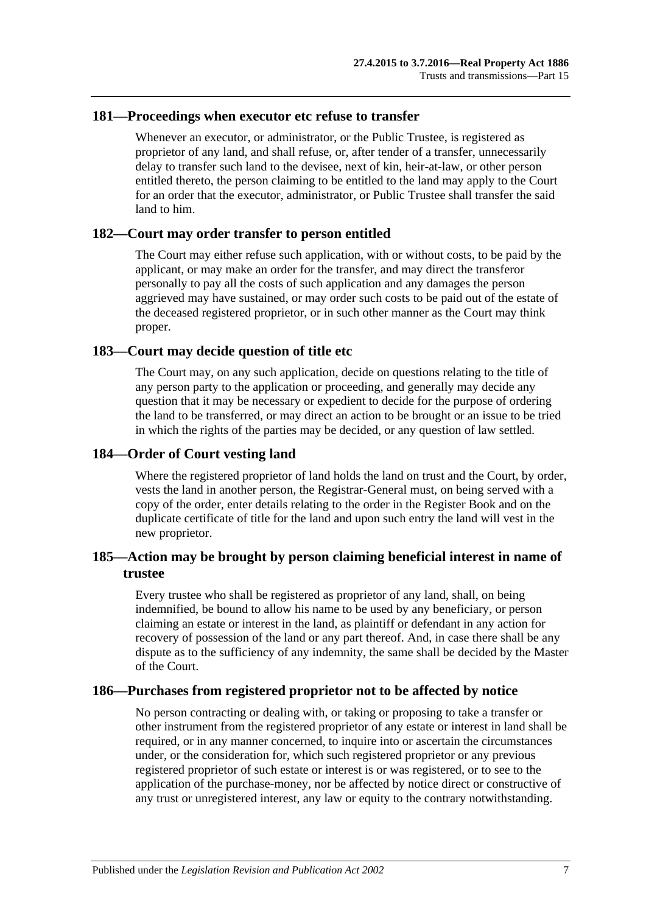## **181—Proceedings when executor etc refuse to transfer**

Whenever an executor, or administrator, or the Public Trustee, is registered as proprietor of any land, and shall refuse, or, after tender of a transfer, unnecessarily delay to transfer such land to the devisee, next of kin, heir-at-law, or other person entitled thereto, the person claiming to be entitled to the land may apply to the Court for an order that the executor, administrator, or Public Trustee shall transfer the said land to him.

## **182—Court may order transfer to person entitled**

The Court may either refuse such application, with or without costs, to be paid by the applicant, or may make an order for the transfer, and may direct the transferor personally to pay all the costs of such application and any damages the person aggrieved may have sustained, or may order such costs to be paid out of the estate of the deceased registered proprietor, or in such other manner as the Court may think proper.

## **183—Court may decide question of title etc**

The Court may, on any such application, decide on questions relating to the title of any person party to the application or proceeding, and generally may decide any question that it may be necessary or expedient to decide for the purpose of ordering the land to be transferred, or may direct an action to be brought or an issue to be tried in which the rights of the parties may be decided, or any question of law settled.

## **184—Order of Court vesting land**

Where the registered proprietor of land holds the land on trust and the Court, by order, vests the land in another person, the Registrar-General must, on being served with a copy of the order, enter details relating to the order in the Register Book and on the duplicate certificate of title for the land and upon such entry the land will vest in the new proprietor.

# **185—Action may be brought by person claiming beneficial interest in name of trustee**

Every trustee who shall be registered as proprietor of any land, shall, on being indemnified, be bound to allow his name to be used by any beneficiary, or person claiming an estate or interest in the land, as plaintiff or defendant in any action for recovery of possession of the land or any part thereof. And, in case there shall be any dispute as to the sufficiency of any indemnity, the same shall be decided by the Master of the Court.

## **186—Purchases from registered proprietor not to be affected by notice**

No person contracting or dealing with, or taking or proposing to take a transfer or other instrument from the registered proprietor of any estate or interest in land shall be required, or in any manner concerned, to inquire into or ascertain the circumstances under, or the consideration for, which such registered proprietor or any previous registered proprietor of such estate or interest is or was registered, or to see to the application of the purchase-money, nor be affected by notice direct or constructive of any trust or unregistered interest, any law or equity to the contrary notwithstanding.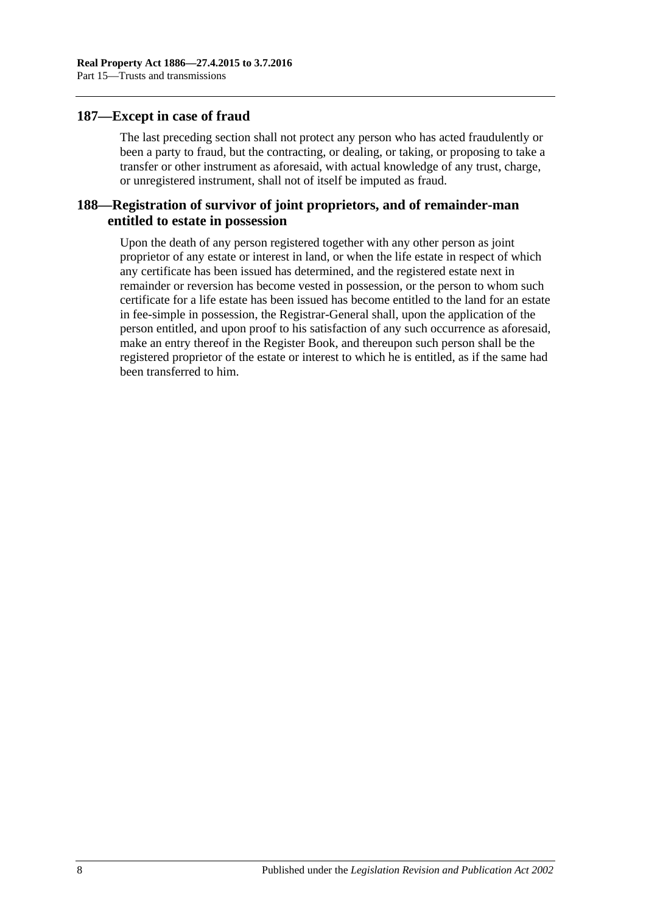## **187—Except in case of fraud**

The last preceding section shall not protect any person who has acted fraudulently or been a party to fraud, but the contracting, or dealing, or taking, or proposing to take a transfer or other instrument as aforesaid, with actual knowledge of any trust, charge, or unregistered instrument, shall not of itself be imputed as fraud.

## **188—Registration of survivor of joint proprietors, and of remainder-man entitled to estate in possession**

Upon the death of any person registered together with any other person as joint proprietor of any estate or interest in land, or when the life estate in respect of which any certificate has been issued has determined, and the registered estate next in remainder or reversion has become vested in possession, or the person to whom such certificate for a life estate has been issued has become entitled to the land for an estate in fee-simple in possession, the Registrar-General shall, upon the application of the person entitled, and upon proof to his satisfaction of any such occurrence as aforesaid, make an entry thereof in the Register Book, and thereupon such person shall be the registered proprietor of the estate or interest to which he is entitled, as if the same had been transferred to him.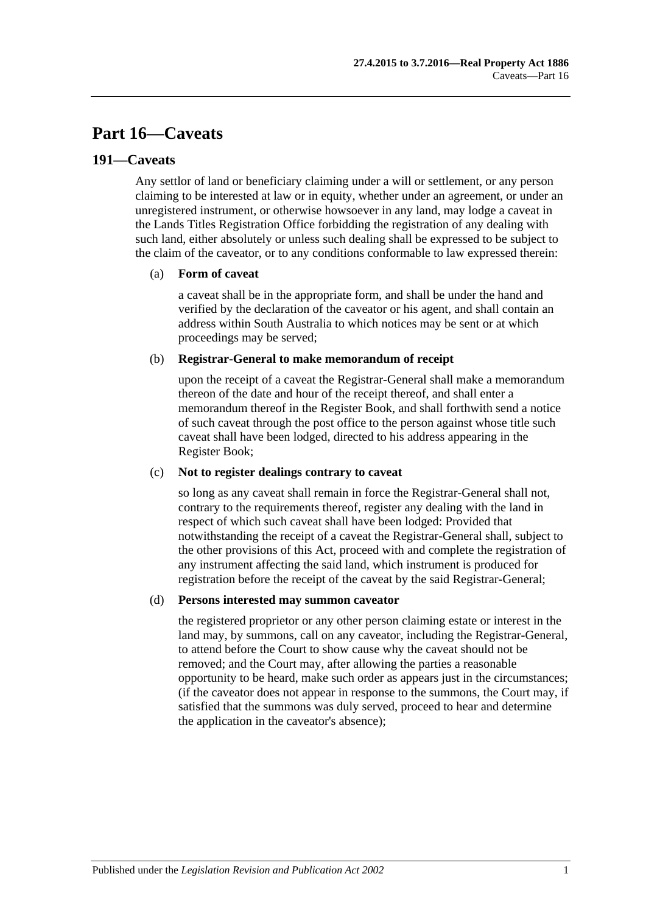# **Part 16—Caveats**

## **191—Caveats**

Any settlor of land or beneficiary claiming under a will or settlement, or any person claiming to be interested at law or in equity, whether under an agreement, or under an unregistered instrument, or otherwise howsoever in any land, may lodge a caveat in the Lands Titles Registration Office forbidding the registration of any dealing with such land, either absolutely or unless such dealing shall be expressed to be subject to the claim of the caveator, or to any conditions conformable to law expressed therein:

## (a) **Form of caveat**

a caveat shall be in the appropriate form, and shall be under the hand and verified by the declaration of the caveator or his agent, and shall contain an address within South Australia to which notices may be sent or at which proceedings may be served;

#### (b) **Registrar-General to make memorandum of receipt**

upon the receipt of a caveat the Registrar-General shall make a memorandum thereon of the date and hour of the receipt thereof, and shall enter a memorandum thereof in the Register Book, and shall forthwith send a notice of such caveat through the post office to the person against whose title such caveat shall have been lodged, directed to his address appearing in the Register Book;

## (c) **Not to register dealings contrary to caveat**

so long as any caveat shall remain in force the Registrar-General shall not, contrary to the requirements thereof, register any dealing with the land in respect of which such caveat shall have been lodged: Provided that notwithstanding the receipt of a caveat the Registrar-General shall, subject to the other provisions of this Act, proceed with and complete the registration of any instrument affecting the said land, which instrument is produced for registration before the receipt of the caveat by the said Registrar-General;

#### (d) **Persons interested may summon caveator**

the registered proprietor or any other person claiming estate or interest in the land may, by summons, call on any caveator, including the Registrar-General, to attend before the Court to show cause why the caveat should not be removed; and the Court may, after allowing the parties a reasonable opportunity to be heard, make such order as appears just in the circumstances; (if the caveator does not appear in response to the summons, the Court may, if satisfied that the summons was duly served, proceed to hear and determine the application in the caveator's absence);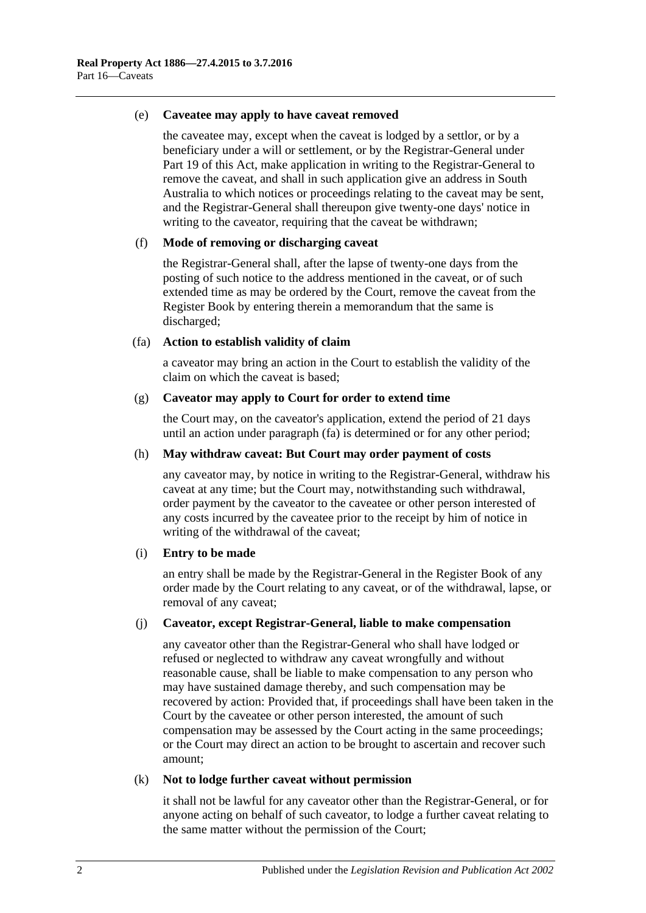#### (e) **Caveatee may apply to have caveat removed**

the caveatee may, except when the caveat is lodged by a settlor, or by a beneficiary under a will or settlement, or by the Registrar-General under [Part](#page-104-0) 19 of this Act, make application in writing to the Registrar-General to remove the caveat, and shall in such application give an address in South Australia to which notices or proceedings relating to the caveat may be sent, and the Registrar-General shall thereupon give twenty-one days' notice in writing to the caveator, requiring that the caveat be withdrawn;

#### (f) **Mode of removing or discharging caveat**

the Registrar-General shall, after the lapse of twenty-one days from the posting of such notice to the address mentioned in the caveat, or of such extended time as may be ordered by the Court, remove the caveat from the Register Book by entering therein a memorandum that the same is discharged;

#### <span id="page-93-0"></span>(fa) **Action to establish validity of claim**

a caveator may bring an action in the Court to establish the validity of the claim on which the caveat is based;

#### (g) **Caveator may apply to Court for order to extend time**

the Court may, on the caveator's application, extend the period of 21 days until an action under [paragraph](#page-93-0) (fa) is determined or for any other period;

#### (h) **May withdraw caveat: But Court may order payment of costs**

any caveator may, by notice in writing to the Registrar-General, withdraw his caveat at any time; but the Court may, notwithstanding such withdrawal, order payment by the caveator to the caveatee or other person interested of any costs incurred by the caveatee prior to the receipt by him of notice in writing of the withdrawal of the caveat;

## (i) **Entry to be made**

an entry shall be made by the Registrar-General in the Register Book of any order made by the Court relating to any caveat, or of the withdrawal, lapse, or removal of any caveat;

#### (j) **Caveator, except Registrar-General, liable to make compensation**

any caveator other than the Registrar-General who shall have lodged or refused or neglected to withdraw any caveat wrongfully and without reasonable cause, shall be liable to make compensation to any person who may have sustained damage thereby, and such compensation may be recovered by action: Provided that, if proceedings shall have been taken in the Court by the caveatee or other person interested, the amount of such compensation may be assessed by the Court acting in the same proceedings; or the Court may direct an action to be brought to ascertain and recover such amount;

#### (k) **Not to lodge further caveat without permission**

it shall not be lawful for any caveator other than the Registrar-General, or for anyone acting on behalf of such caveator, to lodge a further caveat relating to the same matter without the permission of the Court;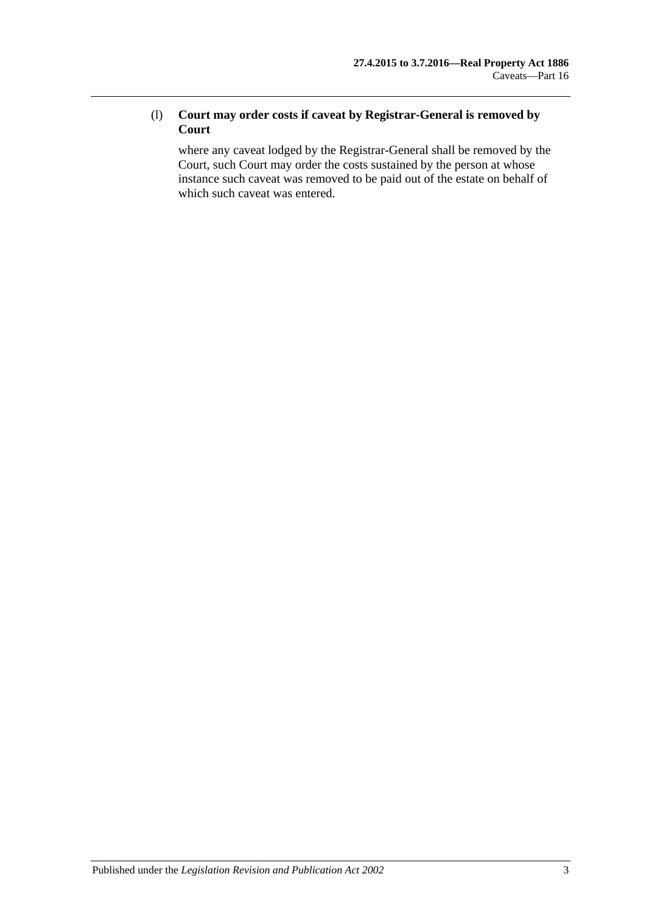## (l) **Court may order costs if caveat by Registrar-General is removed by Court**

where any caveat lodged by the Registrar-General shall be removed by the Court, such Court may order the costs sustained by the person at whose instance such caveat was removed to be paid out of the estate on behalf of which such caveat was entered.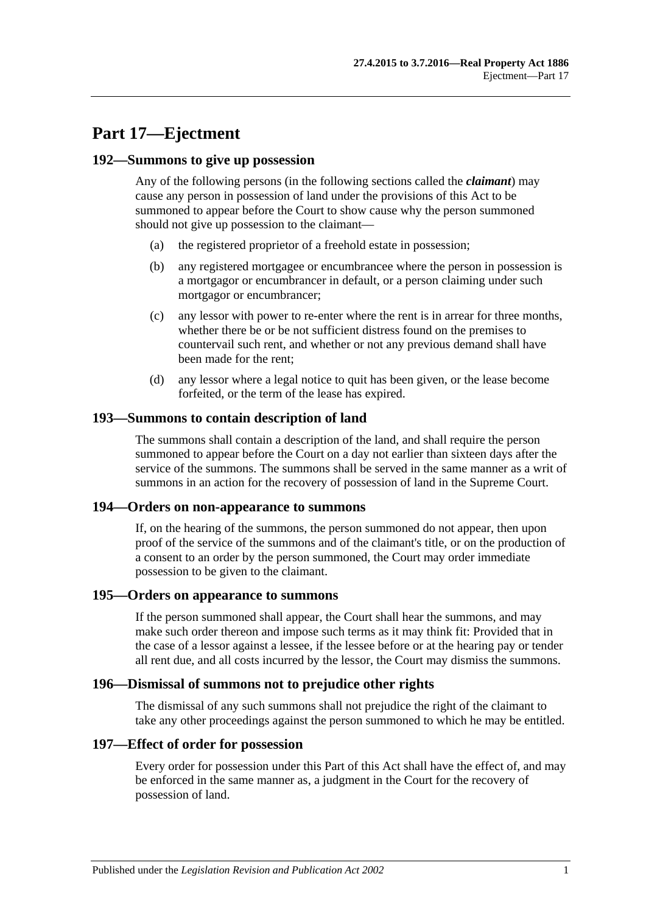# **Part 17—Ejectment**

## **192—Summons to give up possession**

Any of the following persons (in the following sections called the *claimant*) may cause any person in possession of land under the provisions of this Act to be summoned to appear before the Court to show cause why the person summoned should not give up possession to the claimant—

- (a) the registered proprietor of a freehold estate in possession;
- (b) any registered mortgagee or encumbrancee where the person in possession is a mortgagor or encumbrancer in default, or a person claiming under such mortgagor or encumbrancer;
- (c) any lessor with power to re-enter where the rent is in arrear for three months, whether there be or be not sufficient distress found on the premises to countervail such rent, and whether or not any previous demand shall have been made for the rent;
- (d) any lessor where a legal notice to quit has been given, or the lease become forfeited, or the term of the lease has expired.

## **193—Summons to contain description of land**

The summons shall contain a description of the land, and shall require the person summoned to appear before the Court on a day not earlier than sixteen days after the service of the summons. The summons shall be served in the same manner as a writ of summons in an action for the recovery of possession of land in the Supreme Court.

## **194—Orders on non-appearance to summons**

If, on the hearing of the summons, the person summoned do not appear, then upon proof of the service of the summons and of the claimant's title, or on the production of a consent to an order by the person summoned, the Court may order immediate possession to be given to the claimant.

## **195—Orders on appearance to summons**

If the person summoned shall appear, the Court shall hear the summons, and may make such order thereon and impose such terms as it may think fit: Provided that in the case of a lessor against a lessee, if the lessee before or at the hearing pay or tender all rent due, and all costs incurred by the lessor, the Court may dismiss the summons.

#### **196—Dismissal of summons not to prejudice other rights**

The dismissal of any such summons shall not prejudice the right of the claimant to take any other proceedings against the person summoned to which he may be entitled.

#### **197—Effect of order for possession**

Every order for possession under this Part of this Act shall have the effect of, and may be enforced in the same manner as, a judgment in the Court for the recovery of possession of land.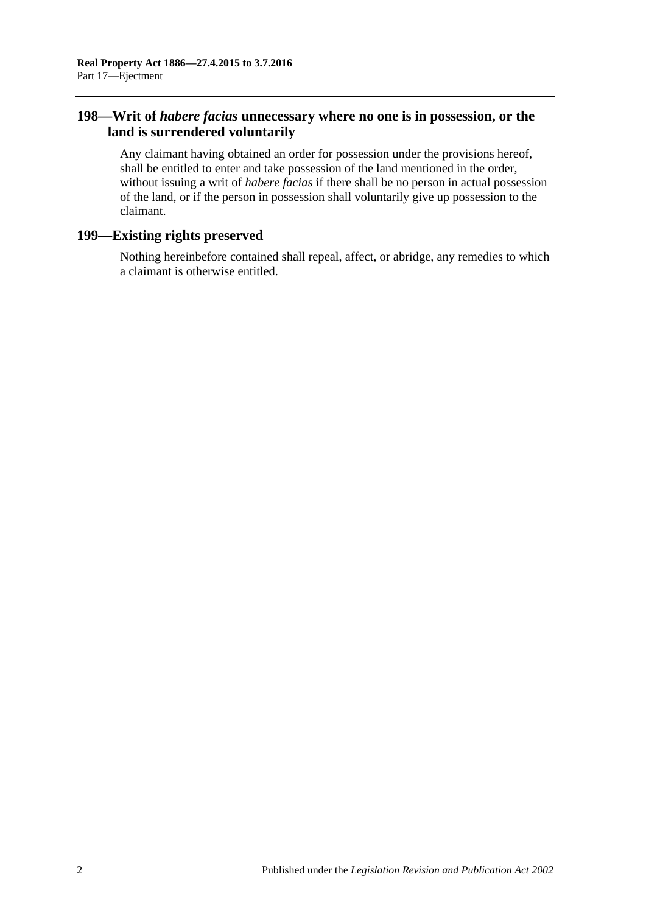# **198—Writ of** *habere facias* **unnecessary where no one is in possession, or the land is surrendered voluntarily**

Any claimant having obtained an order for possession under the provisions hereof, shall be entitled to enter and take possession of the land mentioned in the order, without issuing a writ of *habere facias* if there shall be no person in actual possession of the land, or if the person in possession shall voluntarily give up possession to the claimant.

# **199—Existing rights preserved**

Nothing hereinbefore contained shall repeal, affect, or abridge, any remedies to which a claimant is otherwise entitled.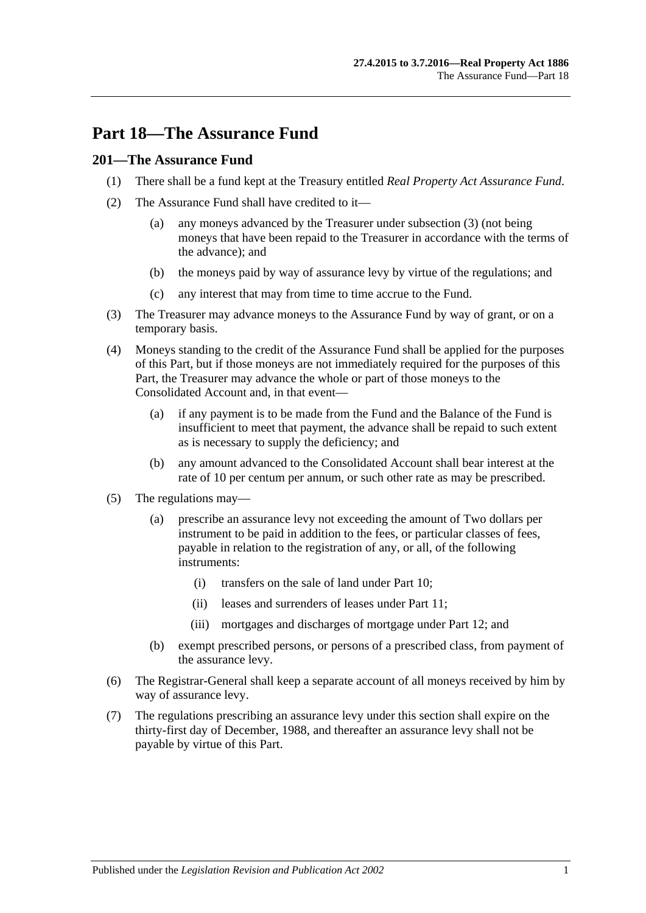# **Part 18—The Assurance Fund**

## **201—The Assurance Fund**

- (1) There shall be a fund kept at the Treasury entitled *Real Property Act Assurance Fund*.
- (2) The Assurance Fund shall have credited to it—
	- (a) any moneys advanced by the Treasurer under [subsection](#page-98-0) (3) (not being moneys that have been repaid to the Treasurer in accordance with the terms of the advance); and
	- (b) the moneys paid by way of assurance levy by virtue of the regulations; and
	- (c) any interest that may from time to time accrue to the Fund.
- <span id="page-98-0"></span>(3) The Treasurer may advance moneys to the Assurance Fund by way of grant, or on a temporary basis.
- (4) Moneys standing to the credit of the Assurance Fund shall be applied for the purposes of this Part, but if those moneys are not immediately required for the purposes of this Part, the Treasurer may advance the whole or part of those moneys to the Consolidated Account and, in that event—
	- (a) if any payment is to be made from the Fund and the Balance of the Fund is insufficient to meet that payment, the advance shall be repaid to such extent as is necessary to supply the deficiency; and
	- (b) any amount advanced to the Consolidated Account shall bear interest at the rate of 10 per centum per annum, or such other rate as may be prescribed.
- (5) The regulations may—
	- (a) prescribe an assurance levy not exceeding the amount of Two dollars per instrument to be paid in addition to the fees, or particular classes of fees, payable in relation to the registration of any, or all, of the following instruments:
		- (i) transfers on the sale of land under [Part 10;](#page-54-0)
		- (ii) leases and surrenders of leases under [Part 11;](#page-60-0)
		- (iii) mortgages and discharges of mortgage under [Part 12;](#page-64-0) and
	- (b) exempt prescribed persons, or persons of a prescribed class, from payment of the assurance levy.
- (6) The Registrar-General shall keep a separate account of all moneys received by him by way of assurance levy.
- (7) The regulations prescribing an assurance levy under this section shall expire on the thirty-first day of December, 1988, and thereafter an assurance levy shall not be payable by virtue of this Part.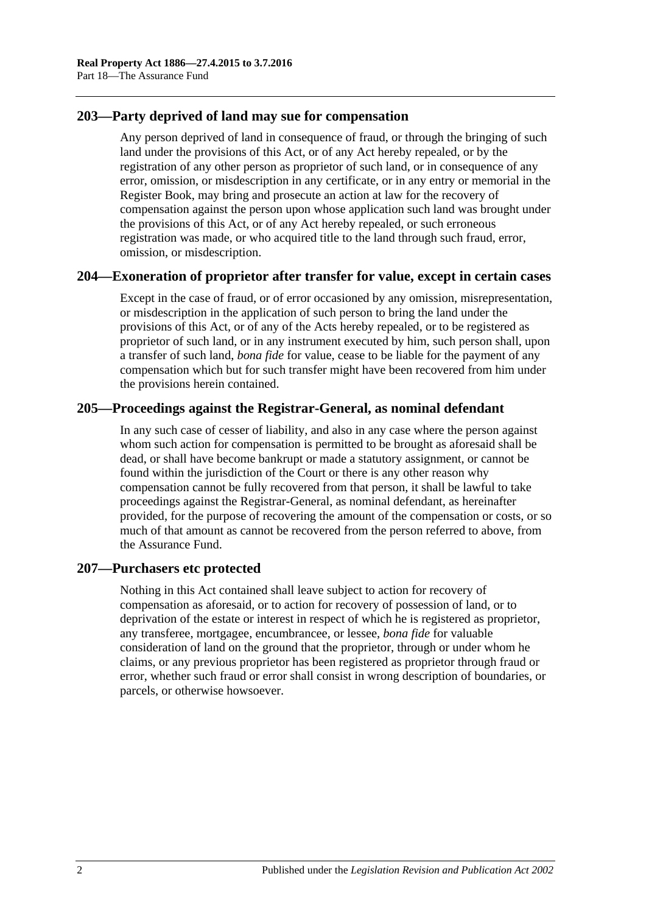## **203—Party deprived of land may sue for compensation**

Any person deprived of land in consequence of fraud, or through the bringing of such land under the provisions of this Act, or of any Act hereby repealed, or by the registration of any other person as proprietor of such land, or in consequence of any error, omission, or misdescription in any certificate, or in any entry or memorial in the Register Book, may bring and prosecute an action at law for the recovery of compensation against the person upon whose application such land was brought under the provisions of this Act, or of any Act hereby repealed, or such erroneous registration was made, or who acquired title to the land through such fraud, error, omission, or misdescription.

## **204—Exoneration of proprietor after transfer for value, except in certain cases**

Except in the case of fraud, or of error occasioned by any omission, misrepresentation, or misdescription in the application of such person to bring the land under the provisions of this Act, or of any of the Acts hereby repealed, or to be registered as proprietor of such land, or in any instrument executed by him, such person shall, upon a transfer of such land, *bona fide* for value, cease to be liable for the payment of any compensation which but for such transfer might have been recovered from him under the provisions herein contained.

# **205—Proceedings against the Registrar-General, as nominal defendant**

In any such case of cesser of liability, and also in any case where the person against whom such action for compensation is permitted to be brought as aforesaid shall be dead, or shall have become bankrupt or made a statutory assignment, or cannot be found within the jurisdiction of the Court or there is any other reason why compensation cannot be fully recovered from that person, it shall be lawful to take proceedings against the Registrar-General, as nominal defendant, as hereinafter provided, for the purpose of recovering the amount of the compensation or costs, or so much of that amount as cannot be recovered from the person referred to above, from the Assurance Fund.

## **207—Purchasers etc protected**

Nothing in this Act contained shall leave subject to action for recovery of compensation as aforesaid, or to action for recovery of possession of land, or to deprivation of the estate or interest in respect of which he is registered as proprietor, any transferee, mortgagee, encumbrancee, or lessee, *bona fide* for valuable consideration of land on the ground that the proprietor, through or under whom he claims, or any previous proprietor has been registered as proprietor through fraud or error, whether such fraud or error shall consist in wrong description of boundaries, or parcels, or otherwise howsoever.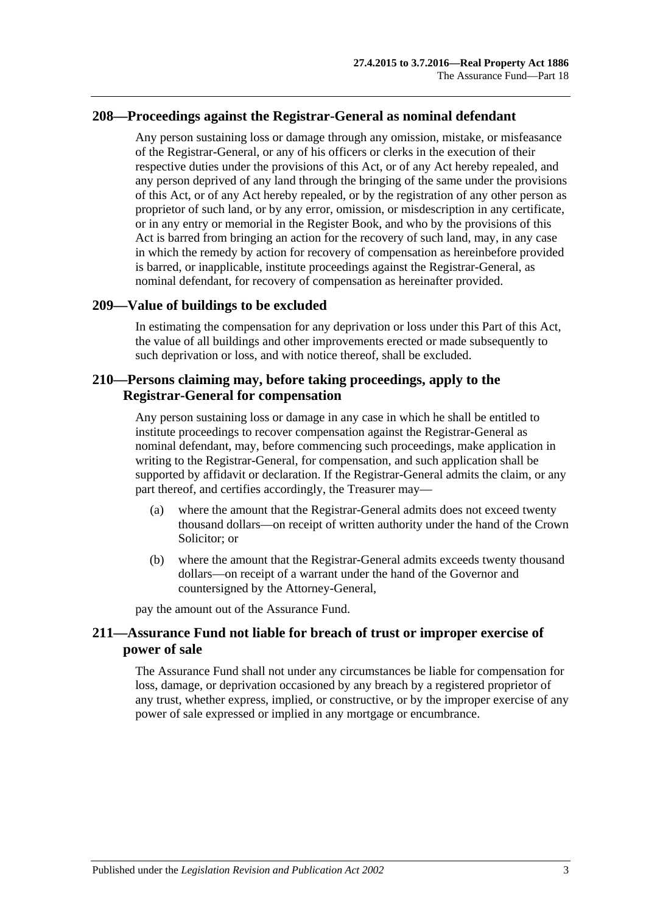## **208—Proceedings against the Registrar-General as nominal defendant**

Any person sustaining loss or damage through any omission, mistake, or misfeasance of the Registrar-General, or any of his officers or clerks in the execution of their respective duties under the provisions of this Act, or of any Act hereby repealed, and any person deprived of any land through the bringing of the same under the provisions of this Act, or of any Act hereby repealed, or by the registration of any other person as proprietor of such land, or by any error, omission, or misdescription in any certificate, or in any entry or memorial in the Register Book, and who by the provisions of this Act is barred from bringing an action for the recovery of such land, may, in any case in which the remedy by action for recovery of compensation as hereinbefore provided is barred, or inapplicable, institute proceedings against the Registrar-General, as nominal defendant, for recovery of compensation as hereinafter provided.

## **209—Value of buildings to be excluded**

In estimating the compensation for any deprivation or loss under this Part of this Act, the value of all buildings and other improvements erected or made subsequently to such deprivation or loss, and with notice thereof, shall be excluded.

## **210—Persons claiming may, before taking proceedings, apply to the Registrar-General for compensation**

Any person sustaining loss or damage in any case in which he shall be entitled to institute proceedings to recover compensation against the Registrar-General as nominal defendant, may, before commencing such proceedings, make application in writing to the Registrar-General, for compensation, and such application shall be supported by affidavit or declaration. If the Registrar-General admits the claim, or any part thereof, and certifies accordingly, the Treasurer may—

- (a) where the amount that the Registrar-General admits does not exceed twenty thousand dollars—on receipt of written authority under the hand of the Crown Solicitor; or
- (b) where the amount that the Registrar-General admits exceeds twenty thousand dollars—on receipt of a warrant under the hand of the Governor and countersigned by the Attorney-General,

pay the amount out of the Assurance Fund.

## **211—Assurance Fund not liable for breach of trust or improper exercise of power of sale**

The Assurance Fund shall not under any circumstances be liable for compensation for loss, damage, or deprivation occasioned by any breach by a registered proprietor of any trust, whether express, implied, or constructive, or by the improper exercise of any power of sale expressed or implied in any mortgage or encumbrance.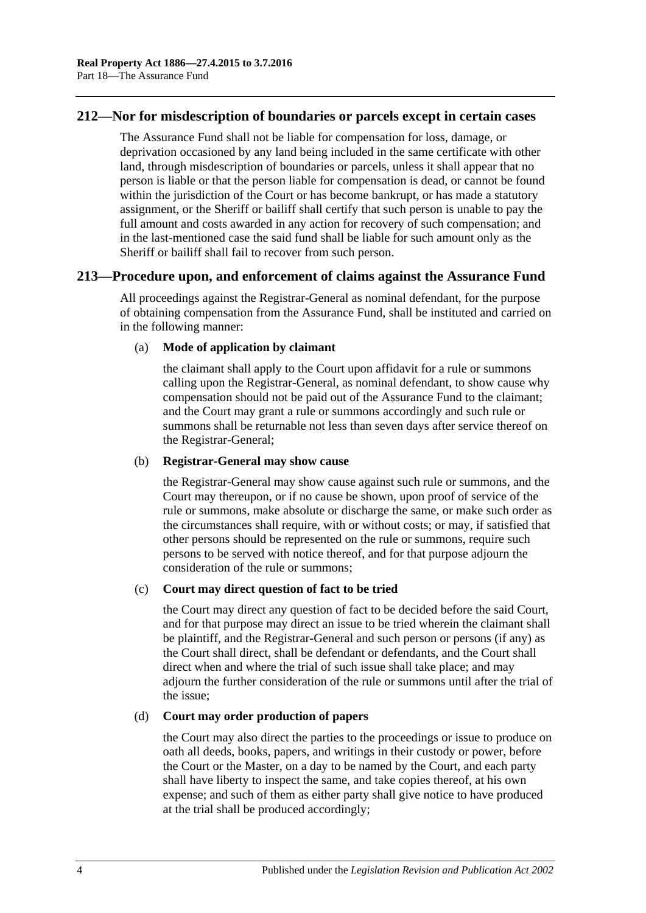## **212—Nor for misdescription of boundaries or parcels except in certain cases**

The Assurance Fund shall not be liable for compensation for loss, damage, or deprivation occasioned by any land being included in the same certificate with other land, through misdescription of boundaries or parcels, unless it shall appear that no person is liable or that the person liable for compensation is dead, or cannot be found within the jurisdiction of the Court or has become bankrupt, or has made a statutory assignment, or the Sheriff or bailiff shall certify that such person is unable to pay the full amount and costs awarded in any action for recovery of such compensation; and in the last-mentioned case the said fund shall be liable for such amount only as the Sheriff or bailiff shall fail to recover from such person.

## **213—Procedure upon, and enforcement of claims against the Assurance Fund**

All proceedings against the Registrar-General as nominal defendant, for the purpose of obtaining compensation from the Assurance Fund, shall be instituted and carried on in the following manner:

## (a) **Mode of application by claimant**

the claimant shall apply to the Court upon affidavit for a rule or summons calling upon the Registrar-General, as nominal defendant, to show cause why compensation should not be paid out of the Assurance Fund to the claimant; and the Court may grant a rule or summons accordingly and such rule or summons shall be returnable not less than seven days after service thereof on the Registrar-General;

#### (b) **Registrar-General may show cause**

the Registrar-General may show cause against such rule or summons, and the Court may thereupon, or if no cause be shown, upon proof of service of the rule or summons, make absolute or discharge the same, or make such order as the circumstances shall require, with or without costs; or may, if satisfied that other persons should be represented on the rule or summons, require such persons to be served with notice thereof, and for that purpose adjourn the consideration of the rule or summons;

## (c) **Court may direct question of fact to be tried**

the Court may direct any question of fact to be decided before the said Court, and for that purpose may direct an issue to be tried wherein the claimant shall be plaintiff, and the Registrar-General and such person or persons (if any) as the Court shall direct, shall be defendant or defendants, and the Court shall direct when and where the trial of such issue shall take place; and may adjourn the further consideration of the rule or summons until after the trial of the issue;

## (d) **Court may order production of papers**

the Court may also direct the parties to the proceedings or issue to produce on oath all deeds, books, papers, and writings in their custody or power, before the Court or the Master, on a day to be named by the Court, and each party shall have liberty to inspect the same, and take copies thereof, at his own expense; and such of them as either party shall give notice to have produced at the trial shall be produced accordingly;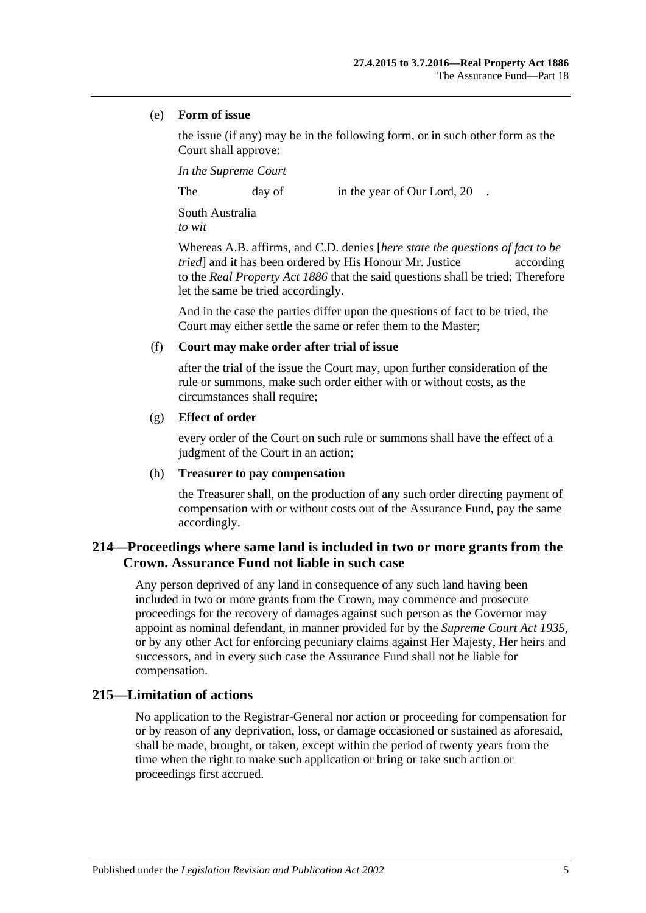#### (e) **Form of issue**

the issue (if any) may be in the following form, or in such other form as the Court shall approve:

*In the Supreme Court*

The day of in the year of Our Lord, 20

South Australia *to wit*

Whereas A.B. affirms, and C.D. denies [*here state the questions of fact to be tried* and it has been ordered by His Honour Mr. Justice according to the *[Real Property Act](http://www.legislation.sa.gov.au/index.aspx?action=legref&type=act&legtitle=Real%20Property%20Act%201886) 1886* that the said questions shall be tried; Therefore let the same be tried accordingly.

And in the case the parties differ upon the questions of fact to be tried, the Court may either settle the same or refer them to the Master;

#### (f) **Court may make order after trial of issue**

after the trial of the issue the Court may, upon further consideration of the rule or summons, make such order either with or without costs, as the circumstances shall require;

#### (g) **Effect of order**

every order of the Court on such rule or summons shall have the effect of a judgment of the Court in an action;

#### (h) **Treasurer to pay compensation**

the Treasurer shall, on the production of any such order directing payment of compensation with or without costs out of the Assurance Fund, pay the same accordingly.

# **214—Proceedings where same land is included in two or more grants from the Crown. Assurance Fund not liable in such case**

Any person deprived of any land in consequence of any such land having been included in two or more grants from the Crown, may commence and prosecute proceedings for the recovery of damages against such person as the Governor may appoint as nominal defendant, in manner provided for by the *[Supreme Court Act](http://www.legislation.sa.gov.au/index.aspx?action=legref&type=act&legtitle=Supreme%20Court%20Act%201935) 1935*, or by any other Act for enforcing pecuniary claims against Her Majesty, Her heirs and successors, and in every such case the Assurance Fund shall not be liable for compensation.

## **215—Limitation of actions**

No application to the Registrar-General nor action or proceeding for compensation for or by reason of any deprivation, loss, or damage occasioned or sustained as aforesaid, shall be made, brought, or taken, except within the period of twenty years from the time when the right to make such application or bring or take such action or proceedings first accrued.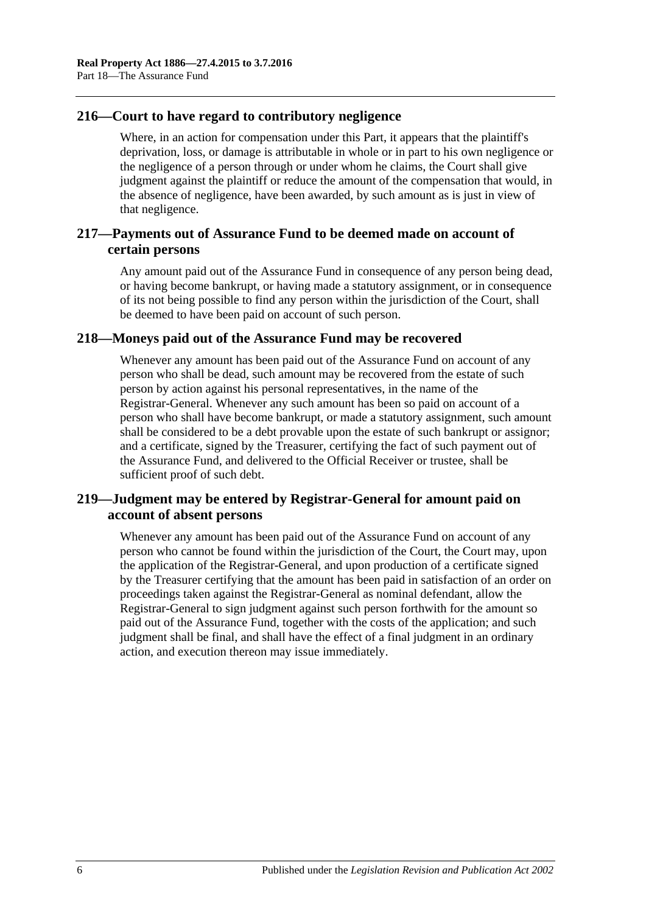# **216—Court to have regard to contributory negligence**

Where, in an action for compensation under this Part, it appears that the plaintiff's deprivation, loss, or damage is attributable in whole or in part to his own negligence or the negligence of a person through or under whom he claims, the Court shall give judgment against the plaintiff or reduce the amount of the compensation that would, in the absence of negligence, have been awarded, by such amount as is just in view of that negligence.

# **217—Payments out of Assurance Fund to be deemed made on account of certain persons**

Any amount paid out of the Assurance Fund in consequence of any person being dead, or having become bankrupt, or having made a statutory assignment, or in consequence of its not being possible to find any person within the jurisdiction of the Court, shall be deemed to have been paid on account of such person.

## **218—Moneys paid out of the Assurance Fund may be recovered**

Whenever any amount has been paid out of the Assurance Fund on account of any person who shall be dead, such amount may be recovered from the estate of such person by action against his personal representatives, in the name of the Registrar-General. Whenever any such amount has been so paid on account of a person who shall have become bankrupt, or made a statutory assignment, such amount shall be considered to be a debt provable upon the estate of such bankrupt or assignor; and a certificate, signed by the Treasurer, certifying the fact of such payment out of the Assurance Fund, and delivered to the Official Receiver or trustee, shall be sufficient proof of such debt.

# **219—Judgment may be entered by Registrar-General for amount paid on account of absent persons**

Whenever any amount has been paid out of the Assurance Fund on account of any person who cannot be found within the jurisdiction of the Court, the Court may, upon the application of the Registrar-General, and upon production of a certificate signed by the Treasurer certifying that the amount has been paid in satisfaction of an order on proceedings taken against the Registrar-General as nominal defendant, allow the Registrar-General to sign judgment against such person forthwith for the amount so paid out of the Assurance Fund, together with the costs of the application; and such judgment shall be final, and shall have the effect of a final judgment in an ordinary action, and execution thereon may issue immediately.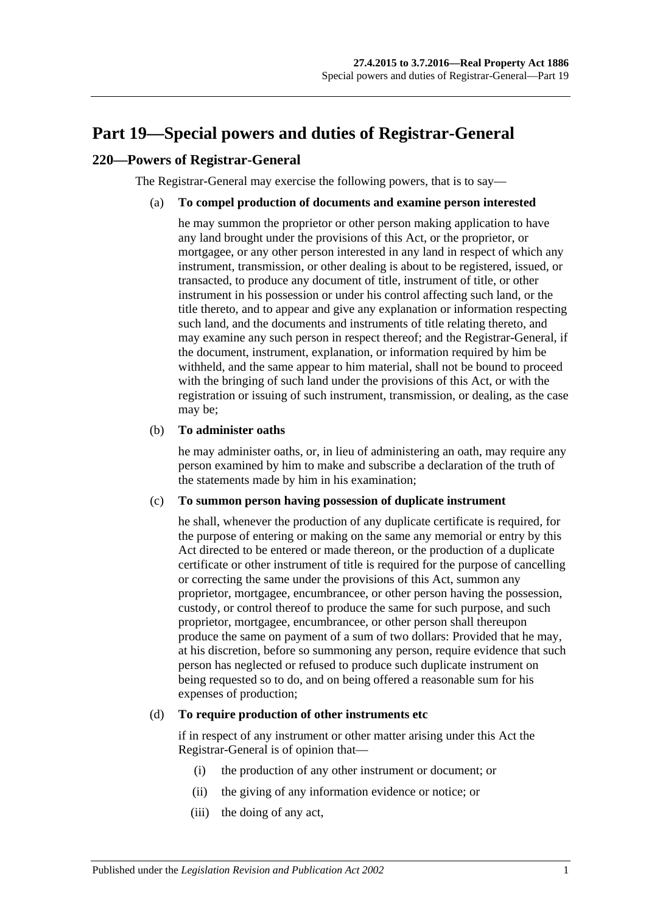# <span id="page-104-0"></span>**Part 19—Special powers and duties of Registrar-General**

## **220—Powers of Registrar-General**

The Registrar-General may exercise the following powers, that is to say—

## (a) **To compel production of documents and examine person interested**

he may summon the proprietor or other person making application to have any land brought under the provisions of this Act, or the proprietor, or mortgagee, or any other person interested in any land in respect of which any instrument, transmission, or other dealing is about to be registered, issued, or transacted, to produce any document of title, instrument of title, or other instrument in his possession or under his control affecting such land, or the title thereto, and to appear and give any explanation or information respecting such land, and the documents and instruments of title relating thereto, and may examine any such person in respect thereof; and the Registrar-General, if the document, instrument, explanation, or information required by him be withheld, and the same appear to him material, shall not be bound to proceed with the bringing of such land under the provisions of this Act, or with the registration or issuing of such instrument, transmission, or dealing, as the case may be;

#### (b) **To administer oaths**

he may administer oaths, or, in lieu of administering an oath, may require any person examined by him to make and subscribe a declaration of the truth of the statements made by him in his examination;

#### (c) **To summon person having possession of duplicate instrument**

he shall, whenever the production of any duplicate certificate is required, for the purpose of entering or making on the same any memorial or entry by this Act directed to be entered or made thereon, or the production of a duplicate certificate or other instrument of title is required for the purpose of cancelling or correcting the same under the provisions of this Act, summon any proprietor, mortgagee, encumbrancee, or other person having the possession, custody, or control thereof to produce the same for such purpose, and such proprietor, mortgagee, encumbrancee, or other person shall thereupon produce the same on payment of a sum of two dollars: Provided that he may, at his discretion, before so summoning any person, require evidence that such person has neglected or refused to produce such duplicate instrument on being requested so to do, and on being offered a reasonable sum for his expenses of production;

## <span id="page-104-1"></span>(d) **To require production of other instruments etc**

if in respect of any instrument or other matter arising under this Act the Registrar-General is of opinion that—

- (i) the production of any other instrument or document; or
- (ii) the giving of any information evidence or notice; or
- (iii) the doing of any act,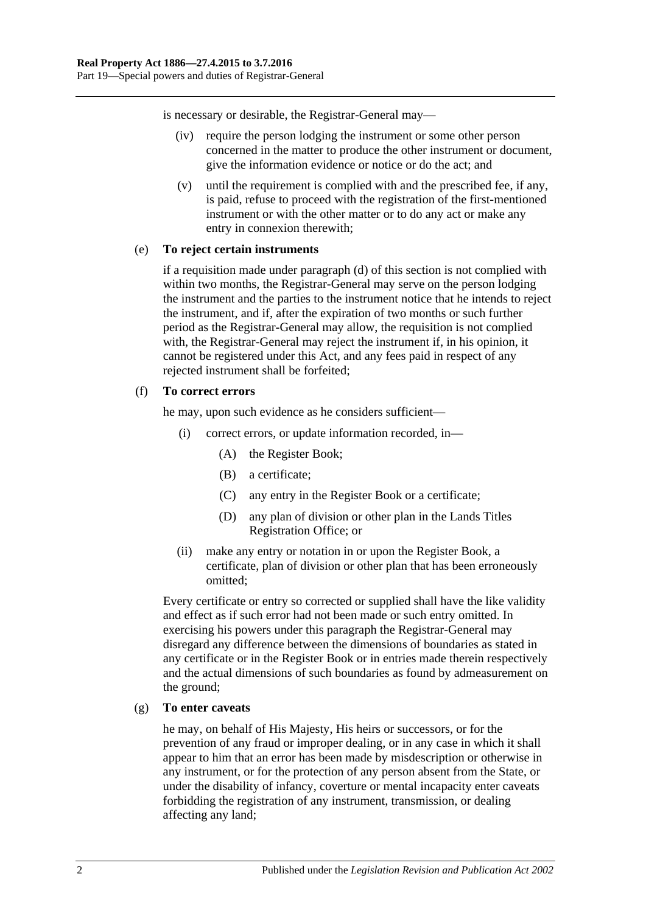is necessary or desirable, the Registrar-General may—

- (iv) require the person lodging the instrument or some other person concerned in the matter to produce the other instrument or document, give the information evidence or notice or do the act; and
- (v) until the requirement is complied with and the prescribed fee, if any, is paid, refuse to proceed with the registration of the first-mentioned instrument or with the other matter or to do any act or make any entry in connexion therewith;

## (e) **To reject certain instruments**

if a requisition made under [paragraph](#page-104-1) (d) of this section is not complied with within two months, the Registrar-General may serve on the person lodging the instrument and the parties to the instrument notice that he intends to reject the instrument, and if, after the expiration of two months or such further period as the Registrar-General may allow, the requisition is not complied with, the Registrar-General may reject the instrument if, in his opinion, it cannot be registered under this Act, and any fees paid in respect of any rejected instrument shall be forfeited;

## (f) **To correct errors**

he may, upon such evidence as he considers sufficient—

- (i) correct errors, or update information recorded, in—
	- (A) the Register Book;
	- (B) a certificate;
	- (C) any entry in the Register Book or a certificate;
	- (D) any plan of division or other plan in the Lands Titles Registration Office; or
- (ii) make any entry or notation in or upon the Register Book, a certificate, plan of division or other plan that has been erroneously omitted;

Every certificate or entry so corrected or supplied shall have the like validity and effect as if such error had not been made or such entry omitted. In exercising his powers under this paragraph the Registrar-General may disregard any difference between the dimensions of boundaries as stated in any certificate or in the Register Book or in entries made therein respectively and the actual dimensions of such boundaries as found by admeasurement on the ground;

## (g) **To enter caveats**

he may, on behalf of His Majesty, His heirs or successors, or for the prevention of any fraud or improper dealing, or in any case in which it shall appear to him that an error has been made by misdescription or otherwise in any instrument, or for the protection of any person absent from the State, or under the disability of infancy, coverture or mental incapacity enter caveats forbidding the registration of any instrument, transmission, or dealing affecting any land;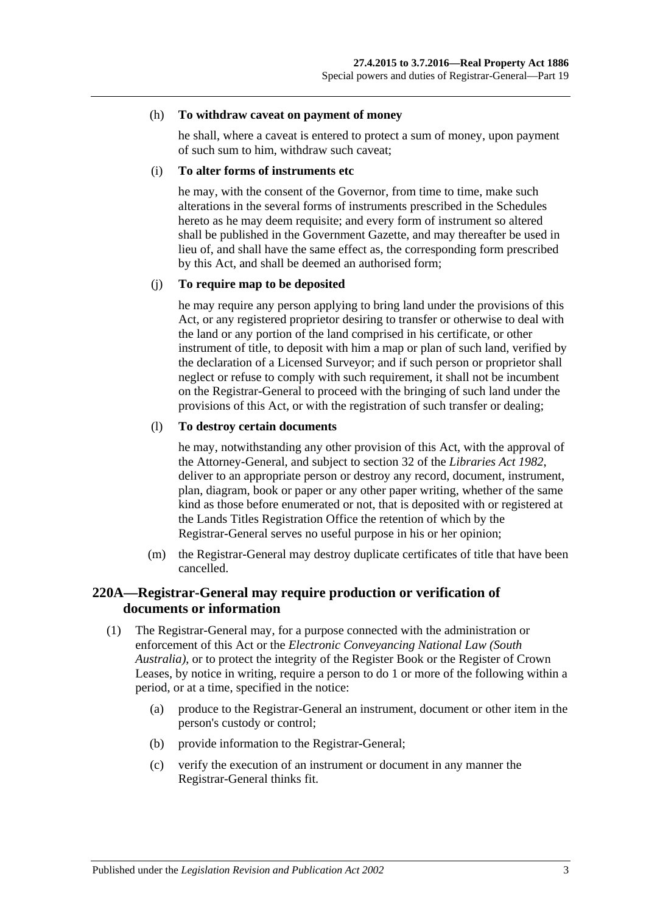#### (h) **To withdraw caveat on payment of money**

he shall, where a caveat is entered to protect a sum of money, upon payment of such sum to him, withdraw such caveat;

#### (i) **To alter forms of instruments etc**

he may, with the consent of the Governor, from time to time, make such alterations in the several forms of instruments prescribed in the Schedules hereto as he may deem requisite; and every form of instrument so altered shall be published in the Government Gazette, and may thereafter be used in lieu of, and shall have the same effect as, the corresponding form prescribed by this Act, and shall be deemed an authorised form;

#### (j) **To require map to be deposited**

he may require any person applying to bring land under the provisions of this Act, or any registered proprietor desiring to transfer or otherwise to deal with the land or any portion of the land comprised in his certificate, or other instrument of title, to deposit with him a map or plan of such land, verified by the declaration of a Licensed Surveyor; and if such person or proprietor shall neglect or refuse to comply with such requirement, it shall not be incumbent on the Registrar-General to proceed with the bringing of such land under the provisions of this Act, or with the registration of such transfer or dealing;

#### (l) **To destroy certain documents**

he may, notwithstanding any other provision of this Act, with the approval of the Attorney-General, and subject to section 32 of the *[Libraries Act](http://www.legislation.sa.gov.au/index.aspx?action=legref&type=act&legtitle=Libraries%20Act%201982) 1982*, deliver to an appropriate person or destroy any record, document, instrument, plan, diagram, book or paper or any other paper writing, whether of the same kind as those before enumerated or not, that is deposited with or registered at the Lands Titles Registration Office the retention of which by the Registrar-General serves no useful purpose in his or her opinion;

(m) the Registrar-General may destroy duplicate certificates of title that have been cancelled.

## **220A—Registrar-General may require production or verification of documents or information**

- <span id="page-106-0"></span>(1) The Registrar-General may, for a purpose connected with the administration or enforcement of this Act or the *Electronic Conveyancing National Law (South Australia)*, or to protect the integrity of the Register Book or the Register of Crown Leases, by notice in writing, require a person to do 1 or more of the following within a period, or at a time, specified in the notice:
	- (a) produce to the Registrar-General an instrument, document or other item in the person's custody or control;
	- (b) provide information to the Registrar-General;
	- (c) verify the execution of an instrument or document in any manner the Registrar-General thinks fit.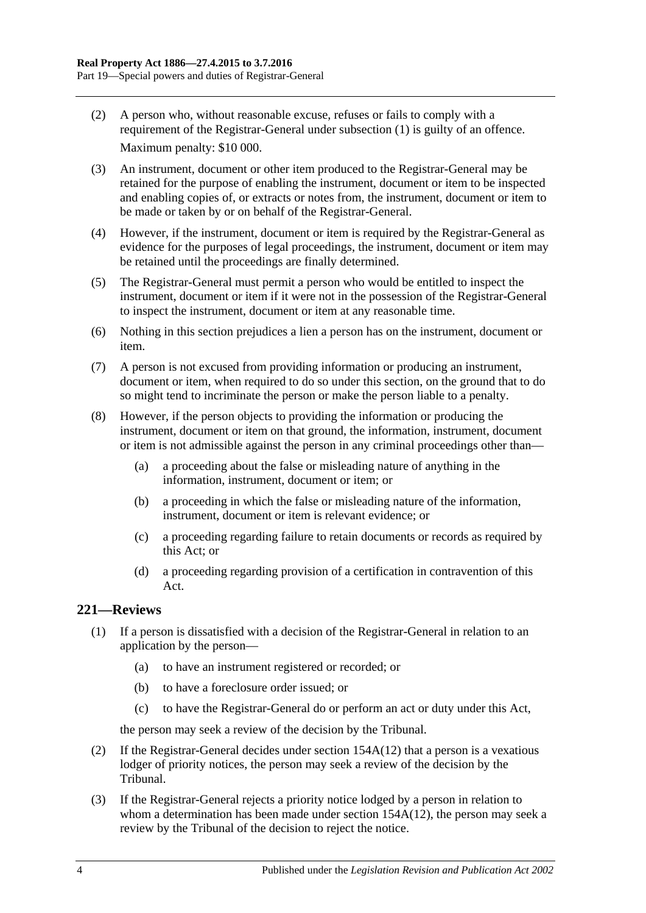- (2) A person who, without reasonable excuse, refuses or fails to comply with a requirement of the Registrar-General under [subsection](#page-106-0) (1) is guilty of an offence. Maximum penalty: \$10 000.
- (3) An instrument, document or other item produced to the Registrar-General may be retained for the purpose of enabling the instrument, document or item to be inspected and enabling copies of, or extracts or notes from, the instrument, document or item to be made or taken by or on behalf of the Registrar-General.
- (4) However, if the instrument, document or item is required by the Registrar-General as evidence for the purposes of legal proceedings, the instrument, document or item may be retained until the proceedings are finally determined.
- (5) The Registrar-General must permit a person who would be entitled to inspect the instrument, document or item if it were not in the possession of the Registrar-General to inspect the instrument, document or item at any reasonable time.
- (6) Nothing in this section prejudices a lien a person has on the instrument, document or item.
- (7) A person is not excused from providing information or producing an instrument, document or item, when required to do so under this section, on the ground that to do so might tend to incriminate the person or make the person liable to a penalty.
- (8) However, if the person objects to providing the information or producing the instrument, document or item on that ground, the information, instrument, document or item is not admissible against the person in any criminal proceedings other than—
	- (a) a proceeding about the false or misleading nature of anything in the information, instrument, document or item; or
	- (b) a proceeding in which the false or misleading nature of the information, instrument, document or item is relevant evidence; or
	- (c) a proceeding regarding failure to retain documents or records as required by this Act; or
	- (d) a proceeding regarding provision of a certification in contravention of this Act.

# <span id="page-107-0"></span>**221—Reviews**

- (1) If a person is dissatisfied with a decision of the Registrar-General in relation to an application by the person—
	- (a) to have an instrument registered or recorded; or
	- (b) to have a foreclosure order issued; or
	- (c) to have the Registrar-General do or perform an act or duty under this Act,

the person may seek a review of the decision by the Tribunal.

- (2) If the Registrar-General decides under section [154A\(12\)](#page-77-1) that a person is a vexatious lodger of priority notices, the person may seek a review of the decision by the Tribunal.
- (3) If the Registrar-General rejects a priority notice lodged by a person in relation to whom a determination has been made under section [154A\(12\),](#page-77-1) the person may seek a review by the Tribunal of the decision to reject the notice.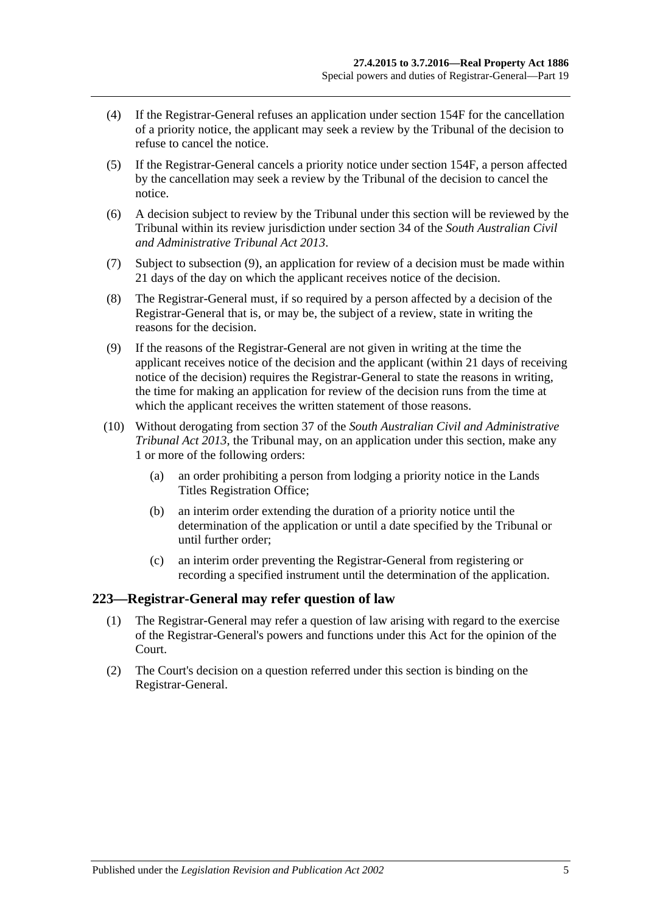- (4) If the Registrar-General refuses an application under [section](#page-79-0) 154F for the cancellation of a priority notice, the applicant may seek a review by the Tribunal of the decision to refuse to cancel the notice.
- (5) If the Registrar-General cancels a priority notice under [section](#page-79-0) 154F, a person affected by the cancellation may seek a review by the Tribunal of the decision to cancel the notice.
- (6) A decision subject to review by the Tribunal under this section will be reviewed by the Tribunal within its review jurisdiction under section 34 of the *[South Australian Civil](http://www.legislation.sa.gov.au/index.aspx?action=legref&type=act&legtitle=South%20Australian%20Civil%20and%20Administrative%20Tribunal%20Act%202013) [and Administrative Tribunal Act](http://www.legislation.sa.gov.au/index.aspx?action=legref&type=act&legtitle=South%20Australian%20Civil%20and%20Administrative%20Tribunal%20Act%202013) 2013*.
- (7) Subject to [subsection](#page-108-0) (9), an application for review of a decision must be made within 21 days of the day on which the applicant receives notice of the decision.
- (8) The Registrar-General must, if so required by a person affected by a decision of the Registrar-General that is, or may be, the subject of a review, state in writing the reasons for the decision.
- <span id="page-108-0"></span>(9) If the reasons of the Registrar-General are not given in writing at the time the applicant receives notice of the decision and the applicant (within 21 days of receiving notice of the decision) requires the Registrar-General to state the reasons in writing, the time for making an application for review of the decision runs from the time at which the applicant receives the written statement of those reasons.
- (10) Without derogating from section 37 of the *[South Australian Civil and Administrative](http://www.legislation.sa.gov.au/index.aspx?action=legref&type=act&legtitle=South%20Australian%20Civil%20and%20Administrative%20Tribunal%20Act%202013)  [Tribunal Act](http://www.legislation.sa.gov.au/index.aspx?action=legref&type=act&legtitle=South%20Australian%20Civil%20and%20Administrative%20Tribunal%20Act%202013) 2013*, the Tribunal may, on an application under this section, make any 1 or more of the following orders:
	- (a) an order prohibiting a person from lodging a priority notice in the Lands Titles Registration Office;
	- (b) an interim order extending the duration of a priority notice until the determination of the application or until a date specified by the Tribunal or until further order;
	- (c) an interim order preventing the Registrar-General from registering or recording a specified instrument until the determination of the application.

### **223—Registrar-General may refer question of law**

- (1) The Registrar-General may refer a question of law arising with regard to the exercise of the Registrar-General's powers and functions under this Act for the opinion of the Court.
- (2) The Court's decision on a question referred under this section is binding on the Registrar-General.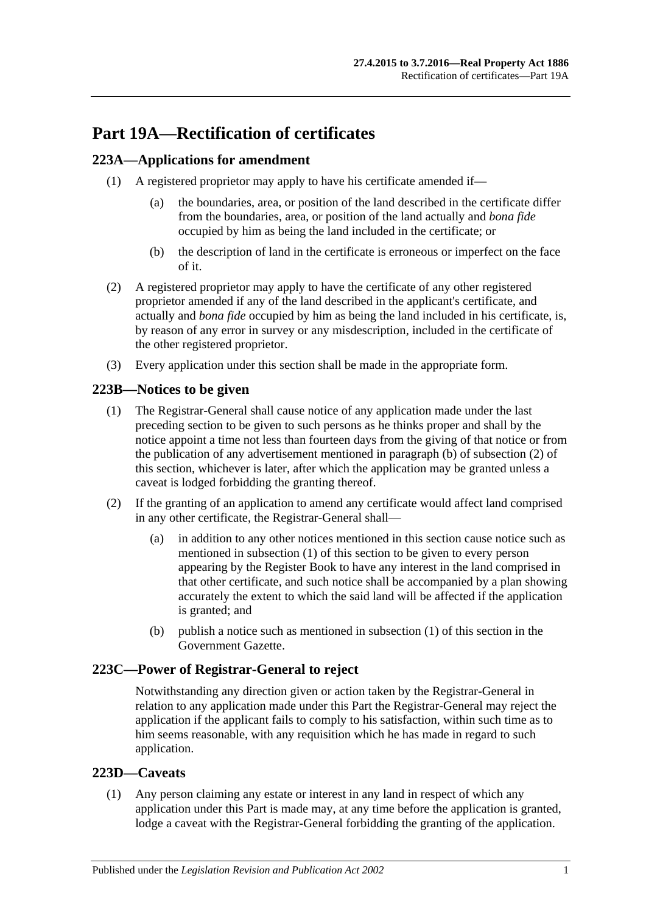# **Part 19A—Rectification of certificates**

# <span id="page-110-3"></span>**223A—Applications for amendment**

- (1) A registered proprietor may apply to have his certificate amended if—
	- (a) the boundaries, area, or position of the land described in the certificate differ from the boundaries, area, or position of the land actually and *bona fide* occupied by him as being the land included in the certificate; or
	- (b) the description of land in the certificate is erroneous or imperfect on the face of it.
- (2) A registered proprietor may apply to have the certificate of any other registered proprietor amended if any of the land described in the applicant's certificate, and actually and *bona fide* occupied by him as being the land included in his certificate, is, by reason of any error in survey or any misdescription, included in the certificate of the other registered proprietor.
- (3) Every application under this section shall be made in the appropriate form.

# <span id="page-110-2"></span>**223B—Notices to be given**

- (1) The Registrar-General shall cause notice of any application made under the last preceding section to be given to such persons as he thinks proper and shall by the notice appoint a time not less than fourteen days from the giving of that notice or from the publication of any advertisement mentioned in [paragraph](#page-110-0) (b) of [subsection](#page-110-1) (2) of this section, whichever is later, after which the application may be granted unless a caveat is lodged forbidding the granting thereof.
- <span id="page-110-1"></span>(2) If the granting of an application to amend any certificate would affect land comprised in any other certificate, the Registrar-General shall—
	- (a) in addition to any other notices mentioned in this section cause notice such as mentioned in [subsection](#page-110-2) (1) of this section to be given to every person appearing by the Register Book to have any interest in the land comprised in that other certificate, and such notice shall be accompanied by a plan showing accurately the extent to which the said land will be affected if the application is granted; and
	- (b) publish a notice such as mentioned in [subsection](#page-110-2) (1) of this section in the Government Gazette.

## <span id="page-110-0"></span>**223C—Power of Registrar-General to reject**

Notwithstanding any direction given or action taken by the Registrar-General in relation to any application made under this Part the Registrar-General may reject the application if the applicant fails to comply to his satisfaction, within such time as to him seems reasonable, with any requisition which he has made in regard to such application.

## **223D—Caveats**

(1) Any person claiming any estate or interest in any land in respect of which any application under this Part is made may, at any time before the application is granted, lodge a caveat with the Registrar-General forbidding the granting of the application.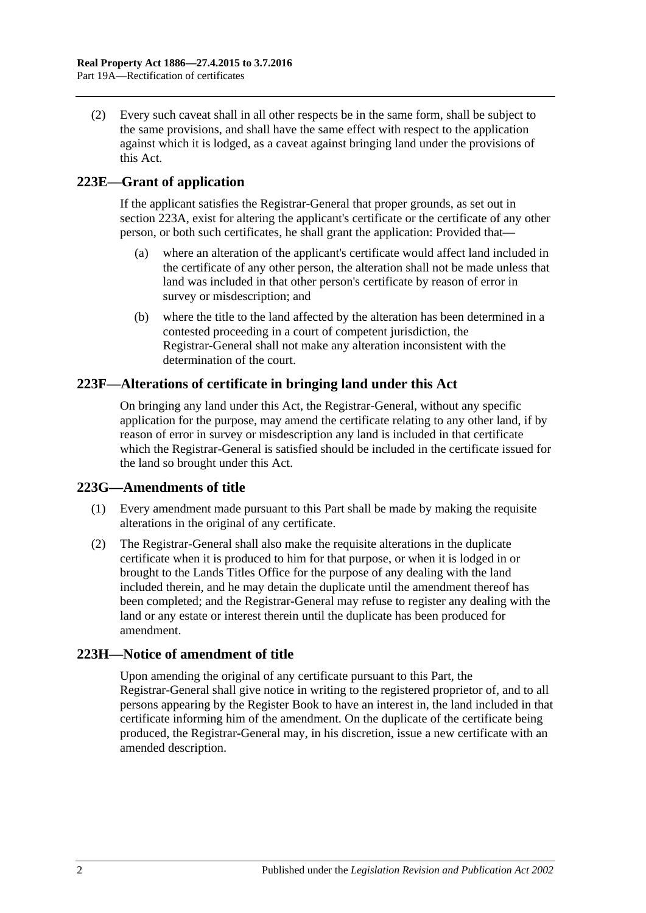(2) Every such caveat shall in all other respects be in the same form, shall be subject to the same provisions, and shall have the same effect with respect to the application against which it is lodged, as a caveat against bringing land under the provisions of this Act.

# **223E—Grant of application**

If the applicant satisfies the Registrar-General that proper grounds, as set out in [section](#page-110-3) 223A, exist for altering the applicant's certificate or the certificate of any other person, or both such certificates, he shall grant the application: Provided that—

- (a) where an alteration of the applicant's certificate would affect land included in the certificate of any other person, the alteration shall not be made unless that land was included in that other person's certificate by reason of error in survey or misdescription; and
- (b) where the title to the land affected by the alteration has been determined in a contested proceeding in a court of competent jurisdiction, the Registrar-General shall not make any alteration inconsistent with the determination of the court.

## **223F—Alterations of certificate in bringing land under this Act**

On bringing any land under this Act, the Registrar-General, without any specific application for the purpose, may amend the certificate relating to any other land, if by reason of error in survey or misdescription any land is included in that certificate which the Registrar-General is satisfied should be included in the certificate issued for the land so brought under this Act.

## **223G—Amendments of title**

- (1) Every amendment made pursuant to this Part shall be made by making the requisite alterations in the original of any certificate.
- (2) The Registrar-General shall also make the requisite alterations in the duplicate certificate when it is produced to him for that purpose, or when it is lodged in or brought to the Lands Titles Office for the purpose of any dealing with the land included therein, and he may detain the duplicate until the amendment thereof has been completed; and the Registrar-General may refuse to register any dealing with the land or any estate or interest therein until the duplicate has been produced for amendment.

## **223H—Notice of amendment of title**

Upon amending the original of any certificate pursuant to this Part, the Registrar-General shall give notice in writing to the registered proprietor of, and to all persons appearing by the Register Book to have an interest in, the land included in that certificate informing him of the amendment. On the duplicate of the certificate being produced, the Registrar-General may, in his discretion, issue a new certificate with an amended description.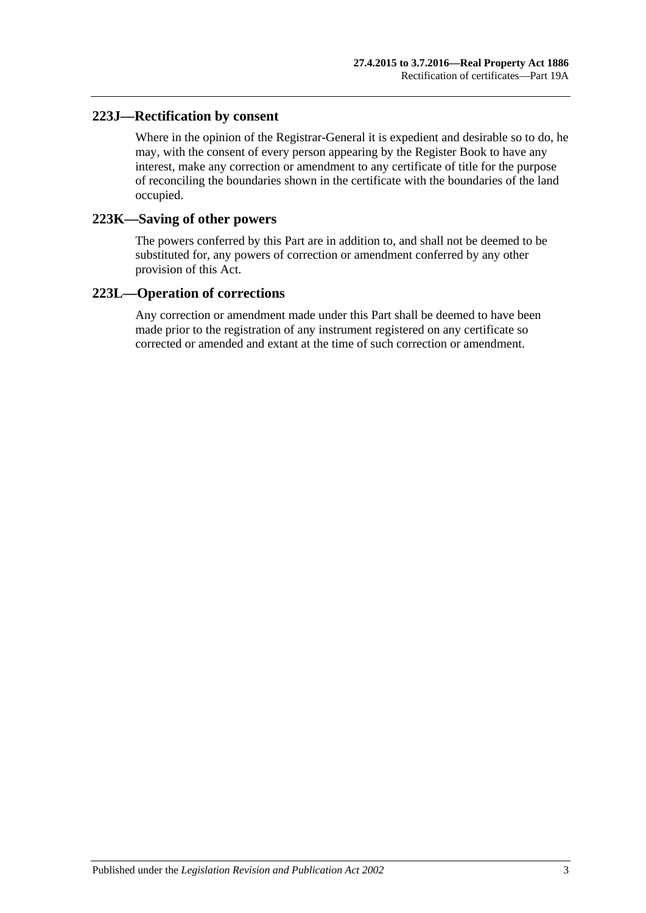## **223J—Rectification by consent**

Where in the opinion of the Registrar-General it is expedient and desirable so to do, he may, with the consent of every person appearing by the Register Book to have any interest, make any correction or amendment to any certificate of title for the purpose of reconciling the boundaries shown in the certificate with the boundaries of the land occupied.

### **223K—Saving of other powers**

The powers conferred by this Part are in addition to, and shall not be deemed to be substituted for, any powers of correction or amendment conferred by any other provision of this Act.

### **223L—Operation of corrections**

Any correction or amendment made under this Part shall be deemed to have been made prior to the registration of any instrument registered on any certificate so corrected or amended and extant at the time of such correction or amendment.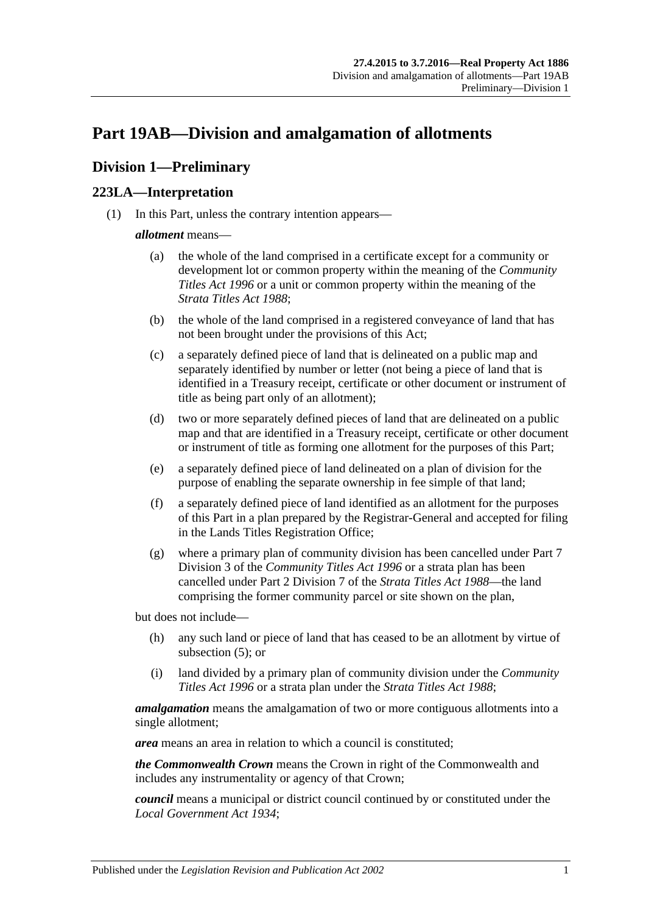# <span id="page-114-2"></span>**Part 19AB—Division and amalgamation of allotments**

# **Division 1—Preliminary**

# <span id="page-114-1"></span>**223LA—Interpretation**

(1) In this Part, unless the contrary intention appears—

### *allotment* means—

- (a) the whole of the land comprised in a certificate except for a community or development lot or common property within the meaning of the *[Community](http://www.legislation.sa.gov.au/index.aspx?action=legref&type=act&legtitle=Community%20Titles%20Act%201996)  [Titles Act](http://www.legislation.sa.gov.au/index.aspx?action=legref&type=act&legtitle=Community%20Titles%20Act%201996) 1996* or a unit or common property within the meaning of the *[Strata Titles Act](http://www.legislation.sa.gov.au/index.aspx?action=legref&type=act&legtitle=Strata%20Titles%20Act%201988) 1988*;
- (b) the whole of the land comprised in a registered conveyance of land that has not been brought under the provisions of this Act;
- (c) a separately defined piece of land that is delineated on a public map and separately identified by number or letter (not being a piece of land that is identified in a Treasury receipt, certificate or other document or instrument of title as being part only of an allotment);
- (d) two or more separately defined pieces of land that are delineated on a public map and that are identified in a Treasury receipt, certificate or other document or instrument of title as forming one allotment for the purposes of this Part;
- <span id="page-114-0"></span>(e) a separately defined piece of land delineated on a plan of division for the purpose of enabling the separate ownership in fee simple of that land;
- (f) a separately defined piece of land identified as an allotment for the purposes of this Part in a plan prepared by the Registrar-General and accepted for filing in the Lands Titles Registration Office;
- (g) where a primary plan of community division has been cancelled under Part 7 Division 3 of the *[Community Titles Act](http://www.legislation.sa.gov.au/index.aspx?action=legref&type=act&legtitle=Community%20Titles%20Act%201996) 1996* or a strata plan has been cancelled under Part 2 Division 7 of the *[Strata Titles Act](http://www.legislation.sa.gov.au/index.aspx?action=legref&type=act&legtitle=Strata%20Titles%20Act%201988) 1988*—the land comprising the former community parcel or site shown on the plan,

but does not include—

- (h) any such land or piece of land that has ceased to be an allotment by virtue of [subsection](#page-116-0) (5); or
- (i) land divided by a primary plan of community division under the *[Community](http://www.legislation.sa.gov.au/index.aspx?action=legref&type=act&legtitle=Community%20Titles%20Act%201996)  [Titles Act](http://www.legislation.sa.gov.au/index.aspx?action=legref&type=act&legtitle=Community%20Titles%20Act%201996) 1996* or a strata plan under the *[Strata Titles Act](http://www.legislation.sa.gov.au/index.aspx?action=legref&type=act&legtitle=Strata%20Titles%20Act%201988) 1988*;

*amalgamation* means the amalgamation of two or more contiguous allotments into a single allotment;

*area* means an area in relation to which a council is constituted;

*the Commonwealth Crown* means the Crown in right of the Commonwealth and includes any instrumentality or agency of that Crown;

*council* means a municipal or district council continued by or constituted under the *[Local Government Act](http://www.legislation.sa.gov.au/index.aspx?action=legref&type=act&legtitle=Local%20Government%20Act%201934) 1934*;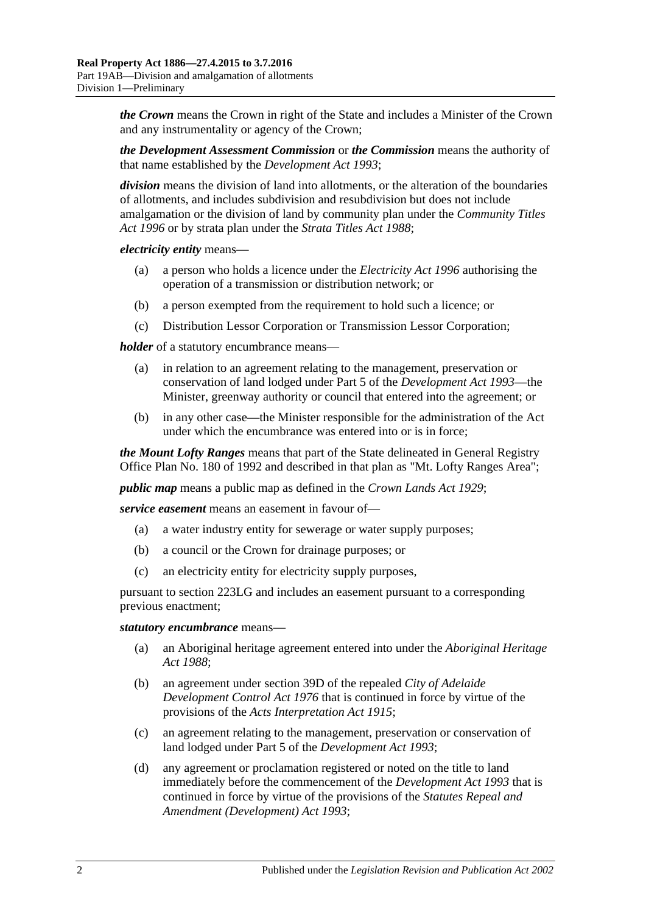*the Crown* means the Crown in right of the State and includes a Minister of the Crown and any instrumentality or agency of the Crown;

*the Development Assessment Commission* or *the Commission* means the authority of that name established by the *[Development Act](http://www.legislation.sa.gov.au/index.aspx?action=legref&type=act&legtitle=Development%20Act%201993) 1993*;

*division* means the division of land into allotments, or the alteration of the boundaries of allotments, and includes subdivision and resubdivision but does not include amalgamation or the division of land by community plan under the *[Community Titles](http://www.legislation.sa.gov.au/index.aspx?action=legref&type=act&legtitle=Community%20Titles%20Act%201996)  Act [1996](http://www.legislation.sa.gov.au/index.aspx?action=legref&type=act&legtitle=Community%20Titles%20Act%201996)* or by strata plan under the *[Strata Titles Act](http://www.legislation.sa.gov.au/index.aspx?action=legref&type=act&legtitle=Strata%20Titles%20Act%201988) 1988*;

*electricity entity* means—

- (a) a person who holds a licence under the *[Electricity Act](http://www.legislation.sa.gov.au/index.aspx?action=legref&type=act&legtitle=Electricity%20Act%201996) 1996* authorising the operation of a transmission or distribution network; or
- (b) a person exempted from the requirement to hold such a licence; or
- (c) Distribution Lessor Corporation or Transmission Lessor Corporation;

*holder* of a statutory encumbrance means—

- (a) in relation to an agreement relating to the management, preservation or conservation of land lodged under Part 5 of the *[Development Act](http://www.legislation.sa.gov.au/index.aspx?action=legref&type=act&legtitle=Development%20Act%201993) 1993*—the Minister, greenway authority or council that entered into the agreement; or
- (b) in any other case—the Minister responsible for the administration of the Act under which the encumbrance was entered into or is in force;

*the Mount Lofty Ranges* means that part of the State delineated in General Registry Office Plan No. 180 of 1992 and described in that plan as "Mt. Lofty Ranges Area";

*public map* means a public map as defined in the *[Crown Lands Act](http://www.legislation.sa.gov.au/index.aspx?action=legref&type=act&legtitle=Crown%20Lands%20Act%201929) 1929*;

*service easement* means an easement in favour of—

- (a) a water industry entity for sewerage or water supply purposes;
- (b) a council or the Crown for drainage purposes; or
- (c) an electricity entity for electricity supply purposes,

pursuant to [section](#page-122-0) 223LG and includes an easement pursuant to a corresponding previous enactment;

#### *statutory encumbrance* means—

- (a) an Aboriginal heritage agreement entered into under the *[Aboriginal Heritage](http://www.legislation.sa.gov.au/index.aspx?action=legref&type=act&legtitle=Aboriginal%20Heritage%20Act%201988)  Act [1988](http://www.legislation.sa.gov.au/index.aspx?action=legref&type=act&legtitle=Aboriginal%20Heritage%20Act%201988)*;
- (b) an agreement under section 39D of the repealed *[City of Adelaide](http://www.legislation.sa.gov.au/index.aspx?action=legref&type=act&legtitle=City%20of%20Adelaide%20Development%20Control%20Act%201976)  [Development Control Act](http://www.legislation.sa.gov.au/index.aspx?action=legref&type=act&legtitle=City%20of%20Adelaide%20Development%20Control%20Act%201976) 1976* that is continued in force by virtue of the provisions of the *[Acts Interpretation Act](http://www.legislation.sa.gov.au/index.aspx?action=legref&type=act&legtitle=Acts%20Interpretation%20Act%201915) 1915*;
- (c) an agreement relating to the management, preservation or conservation of land lodged under Part 5 of the *[Development Act](http://www.legislation.sa.gov.au/index.aspx?action=legref&type=act&legtitle=Development%20Act%201993) 1993*;
- (d) any agreement or proclamation registered or noted on the title to land immediately before the commencement of the *[Development Act](http://www.legislation.sa.gov.au/index.aspx?action=legref&type=act&legtitle=Development%20Act%201993) 1993* that is continued in force by virtue of the provisions of the *[Statutes Repeal and](http://www.legislation.sa.gov.au/index.aspx?action=legref&type=act&legtitle=Statutes%20Repeal%20and%20Amendment%20(Development)%20Act%201993)  [Amendment \(Development\) Act](http://www.legislation.sa.gov.au/index.aspx?action=legref&type=act&legtitle=Statutes%20Repeal%20and%20Amendment%20(Development)%20Act%201993) 1993*;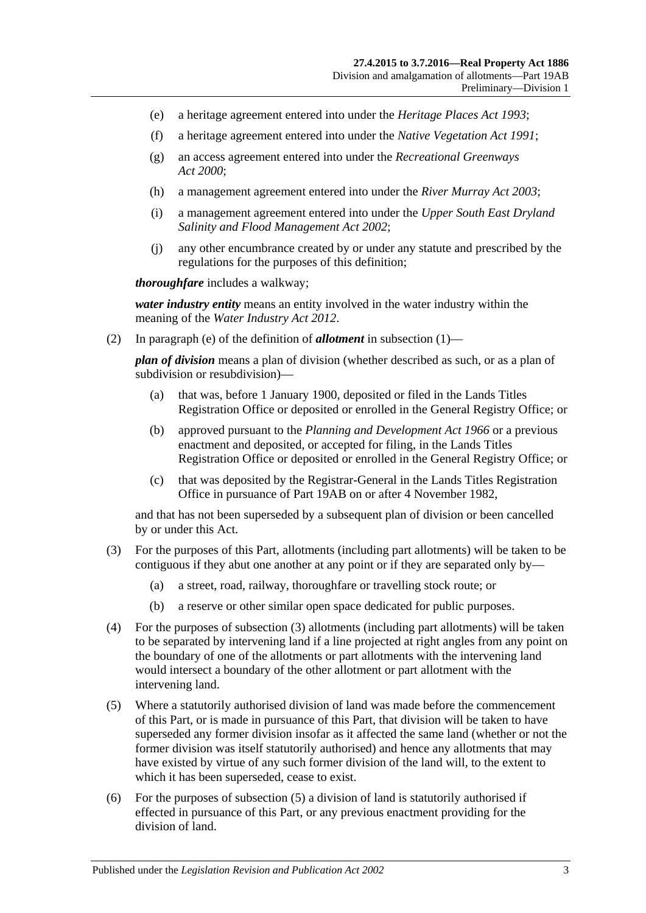- (e) a heritage agreement entered into under the *[Heritage Places Act](http://www.legislation.sa.gov.au/index.aspx?action=legref&type=act&legtitle=Heritage%20Places%20Act%201993) 1993*;
- (f) a heritage agreement entered into under the *[Native Vegetation Act](http://www.legislation.sa.gov.au/index.aspx?action=legref&type=act&legtitle=Native%20Vegetation%20Act%201991) 1991*;
- (g) an access agreement entered into under the *[Recreational Greenways](http://www.legislation.sa.gov.au/index.aspx?action=legref&type=act&legtitle=Recreational%20Greenways%20Act%202000)  Act [2000](http://www.legislation.sa.gov.au/index.aspx?action=legref&type=act&legtitle=Recreational%20Greenways%20Act%202000)*;
- (h) a management agreement entered into under the *[River Murray Act](http://www.legislation.sa.gov.au/index.aspx?action=legref&type=act&legtitle=River%20Murray%20Act%202003) 2003*;
- (i) a management agreement entered into under the *[Upper South East Dryland](http://www.legislation.sa.gov.au/index.aspx?action=legref&type=act&legtitle=Upper%20South%20East%20Dryland%20Salinity%20and%20Flood%20Management%20Act%202002)  [Salinity and Flood Management Act](http://www.legislation.sa.gov.au/index.aspx?action=legref&type=act&legtitle=Upper%20South%20East%20Dryland%20Salinity%20and%20Flood%20Management%20Act%202002) 2002*;
- (j) any other encumbrance created by or under any statute and prescribed by the regulations for the purposes of this definition;

*thoroughfare* includes a walkway;

*water industry entity* means an entity involved in the water industry within the meaning of the *[Water Industry Act](http://www.legislation.sa.gov.au/index.aspx?action=legref&type=act&legtitle=Water%20Industry%20Act%202012) 2012*.

(2) In [paragraph](#page-114-0) (e) of the definition of *allotment* in [subsection](#page-114-1) (1)—

*plan of division* means a plan of division (whether described as such, or as a plan of subdivision or resubdivision)—

- (a) that was, before 1 January 1900, deposited or filed in the Lands Titles Registration Office or deposited or enrolled in the General Registry Office; or
- (b) approved pursuant to the *[Planning and Development Act](http://www.legislation.sa.gov.au/index.aspx?action=legref&type=act&legtitle=Planning%20and%20Development%20Act%201966) 1966* or a previous enactment and deposited, or accepted for filing, in the Lands Titles Registration Office or deposited or enrolled in the General Registry Office; or
- (c) that was deposited by the Registrar-General in the Lands Titles Registration Office in pursuance of [Part 19AB](#page-114-2) on or after 4 November 1982,

and that has not been superseded by a subsequent plan of division or been cancelled by or under this Act.

- <span id="page-116-1"></span>(3) For the purposes of this Part, allotments (including part allotments) will be taken to be contiguous if they abut one another at any point or if they are separated only by—
	- (a) a street, road, railway, thoroughfare or travelling stock route; or
	- (b) a reserve or other similar open space dedicated for public purposes.
- (4) For the purposes of [subsection](#page-116-1) (3) allotments (including part allotments) will be taken to be separated by intervening land if a line projected at right angles from any point on the boundary of one of the allotments or part allotments with the intervening land would intersect a boundary of the other allotment or part allotment with the intervening land.
- <span id="page-116-0"></span>(5) Where a statutorily authorised division of land was made before the commencement of this Part, or is made in pursuance of this Part, that division will be taken to have superseded any former division insofar as it affected the same land (whether or not the former division was itself statutorily authorised) and hence any allotments that may have existed by virtue of any such former division of the land will, to the extent to which it has been superseded, cease to exist.
- (6) For the purposes of [subsection](#page-116-0) (5) a division of land is statutorily authorised if effected in pursuance of this Part, or any previous enactment providing for the division of land.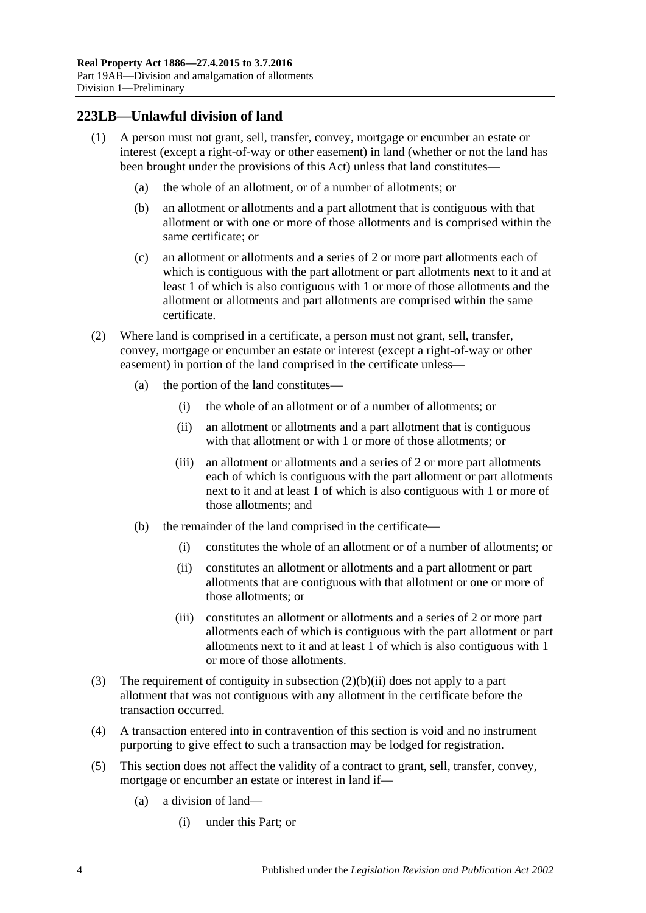## **223LB—Unlawful division of land**

- (1) A person must not grant, sell, transfer, convey, mortgage or encumber an estate or interest (except a right-of-way or other easement) in land (whether or not the land has been brought under the provisions of this Act) unless that land constitutes—
	- (a) the whole of an allotment, or of a number of allotments; or
	- (b) an allotment or allotments and a part allotment that is contiguous with that allotment or with one or more of those allotments and is comprised within the same certificate; or
	- (c) an allotment or allotments and a series of 2 or more part allotments each of which is contiguous with the part allotment or part allotments next to it and at least 1 of which is also contiguous with 1 or more of those allotments and the allotment or allotments and part allotments are comprised within the same certificate.
- (2) Where land is comprised in a certificate, a person must not grant, sell, transfer, convey, mortgage or encumber an estate or interest (except a right-of-way or other easement) in portion of the land comprised in the certificate unless—
	- (a) the portion of the land constitutes—
		- (i) the whole of an allotment or of a number of allotments; or
		- (ii) an allotment or allotments and a part allotment that is contiguous with that allotment or with 1 or more of those allotments; or
		- (iii) an allotment or allotments and a series of 2 or more part allotments each of which is contiguous with the part allotment or part allotments next to it and at least 1 of which is also contiguous with 1 or more of those allotments; and
	- (b) the remainder of the land comprised in the certificate—
		- (i) constitutes the whole of an allotment or of a number of allotments; or
		- (ii) constitutes an allotment or allotments and a part allotment or part allotments that are contiguous with that allotment or one or more of those allotments; or
		- (iii) constitutes an allotment or allotments and a series of 2 or more part allotments each of which is contiguous with the part allotment or part allotments next to it and at least 1 of which is also contiguous with 1 or more of those allotments.
- <span id="page-117-0"></span>(3) The requirement of contiguity in [subsection](#page-117-0) (2)(b)(ii) does not apply to a part allotment that was not contiguous with any allotment in the certificate before the transaction occurred.
- (4) A transaction entered into in contravention of this section is void and no instrument purporting to give effect to such a transaction may be lodged for registration.
- (5) This section does not affect the validity of a contract to grant, sell, transfer, convey, mortgage or encumber an estate or interest in land if—
	- (a) a division of land—
		- (i) under this Part; or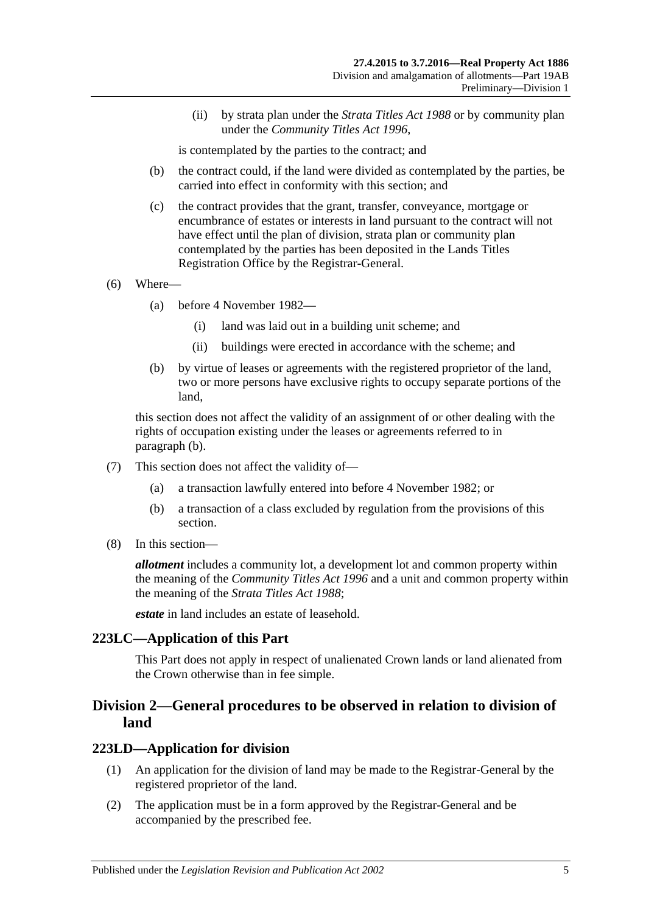(ii) by strata plan under the *[Strata Titles Act](http://www.legislation.sa.gov.au/index.aspx?action=legref&type=act&legtitle=Strata%20Titles%20Act%201988) 1988* or by community plan under the *[Community Titles Act](http://www.legislation.sa.gov.au/index.aspx?action=legref&type=act&legtitle=Community%20Titles%20Act%201996) 1996*,

is contemplated by the parties to the contract; and

- (b) the contract could, if the land were divided as contemplated by the parties, be carried into effect in conformity with this section; and
- (c) the contract provides that the grant, transfer, conveyance, mortgage or encumbrance of estates or interests in land pursuant to the contract will not have effect until the plan of division, strata plan or community plan contemplated by the parties has been deposited in the Lands Titles Registration Office by the Registrar-General.
- (6) Where—
	- (a) before 4 November 1982—
		- (i) land was laid out in a building unit scheme; and
		- (ii) buildings were erected in accordance with the scheme; and
	- (b) by virtue of leases or agreements with the registered proprietor of the land, two or more persons have exclusive rights to occupy separate portions of the land,

<span id="page-118-0"></span>this section does not affect the validity of an assignment of or other dealing with the rights of occupation existing under the leases or agreements referred to in [paragraph](#page-118-0) (b).

- (7) This section does not affect the validity of—
	- (a) a transaction lawfully entered into before 4 November 1982; or
	- (b) a transaction of a class excluded by regulation from the provisions of this section.
- (8) In this section—

*allotment* includes a community lot, a development lot and common property within the meaning of the *[Community Titles Act](http://www.legislation.sa.gov.au/index.aspx?action=legref&type=act&legtitle=Community%20Titles%20Act%201996) 1996* and a unit and common property within the meaning of the *[Strata Titles Act](http://www.legislation.sa.gov.au/index.aspx?action=legref&type=act&legtitle=Strata%20Titles%20Act%201988) 1988*;

*estate* in land includes an estate of leasehold.

### **223LC—Application of this Part**

This Part does not apply in respect of unalienated Crown lands or land alienated from the Crown otherwise than in fee simple.

# **Division 2—General procedures to be observed in relation to division of land**

### <span id="page-118-1"></span>**223LD—Application for division**

- (1) An application for the division of land may be made to the Registrar-General by the registered proprietor of the land.
- (2) The application must be in a form approved by the Registrar-General and be accompanied by the prescribed fee.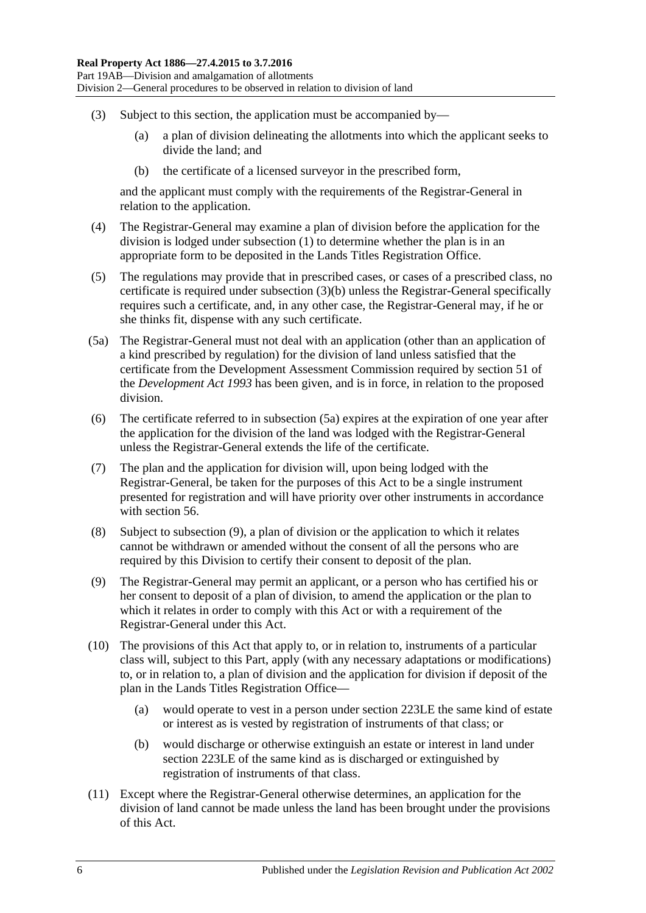- <span id="page-119-0"></span>(3) Subject to this section, the application must be accompanied by—
	- (a) a plan of division delineating the allotments into which the applicant seeks to divide the land; and
	- (b) the certificate of a licensed surveyor in the prescribed form,

and the applicant must comply with the requirements of the Registrar-General in relation to the application.

- (4) The Registrar-General may examine a plan of division before the application for the division is lodged under [subsection](#page-118-1) (1) to determine whether the plan is in an appropriate form to be deposited in the Lands Titles Registration Office.
- (5) The regulations may provide that in prescribed cases, or cases of a prescribed class, no certificate is required under [subsection](#page-119-0) (3)(b) unless the Registrar-General specifically requires such a certificate, and, in any other case, the Registrar-General may, if he or she thinks fit, dispense with any such certificate.
- <span id="page-119-1"></span>(5a) The Registrar-General must not deal with an application (other than an application of a kind prescribed by regulation) for the division of land unless satisfied that the certificate from the Development Assessment Commission required by section 51 of the *[Development Act](http://www.legislation.sa.gov.au/index.aspx?action=legref&type=act&legtitle=Development%20Act%201993) 1993* has been given, and is in force, in relation to the proposed division.
- (6) The certificate referred to in [subsection](#page-119-1) (5a) expires at the expiration of one year after the application for the division of the land was lodged with the Registrar-General unless the Registrar-General extends the life of the certificate.
- (7) The plan and the application for division will, upon being lodged with the Registrar-General, be taken for the purposes of this Act to be a single instrument presented for registration and will have priority over other instruments in accordance with [section](#page-29-0) 56.
- (8) Subject to [subsection](#page-119-2) (9), a plan of division or the application to which it relates cannot be withdrawn or amended without the consent of all the persons who are required by this Division to certify their consent to deposit of the plan.
- <span id="page-119-2"></span>(9) The Registrar-General may permit an applicant, or a person who has certified his or her consent to deposit of a plan of division, to amend the application or the plan to which it relates in order to comply with this Act or with a requirement of the Registrar-General under this Act.
- (10) The provisions of this Act that apply to, or in relation to, instruments of a particular class will, subject to this Part, apply (with any necessary adaptations or modifications) to, or in relation to, a plan of division and the application for division if deposit of the plan in the Lands Titles Registration Office—
	- (a) would operate to vest in a person under [section](#page-120-0) 223LE the same kind of estate or interest as is vested by registration of instruments of that class; or
	- (b) would discharge or otherwise extinguish an estate or interest in land under [section](#page-120-0) 223LE of the same kind as is discharged or extinguished by registration of instruments of that class.
- (11) Except where the Registrar-General otherwise determines, an application for the division of land cannot be made unless the land has been brought under the provisions of this Act.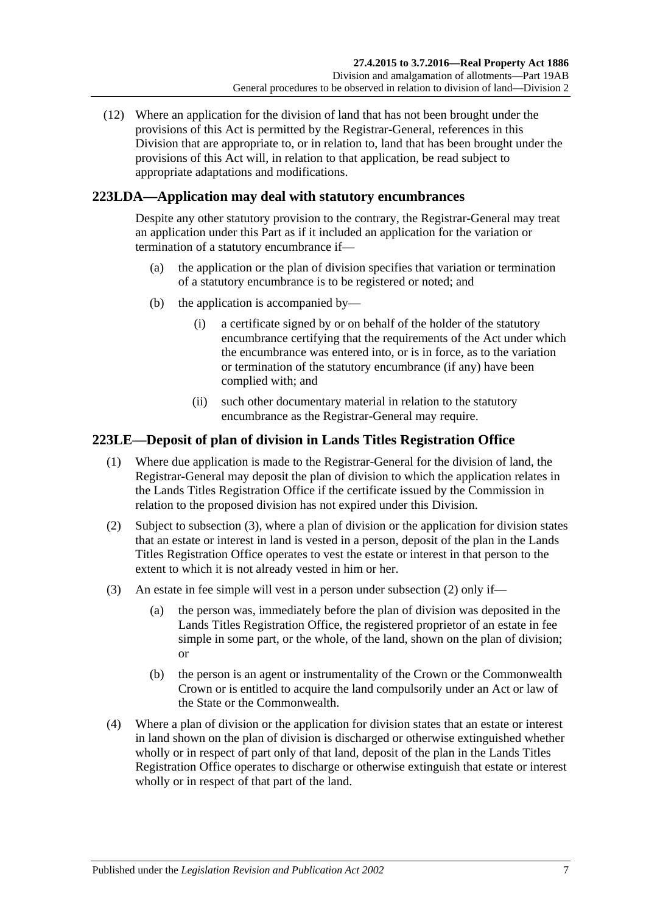(12) Where an application for the division of land that has not been brought under the provisions of this Act is permitted by the Registrar-General, references in this Division that are appropriate to, or in relation to, land that has been brought under the provisions of this Act will, in relation to that application, be read subject to appropriate adaptations and modifications.

# **223LDA—Application may deal with statutory encumbrances**

Despite any other statutory provision to the contrary, the Registrar-General may treat an application under this Part as if it included an application for the variation or termination of a statutory encumbrance if—

- (a) the application or the plan of division specifies that variation or termination of a statutory encumbrance is to be registered or noted; and
- (b) the application is accompanied by—
	- (i) a certificate signed by or on behalf of the holder of the statutory encumbrance certifying that the requirements of the Act under which the encumbrance was entered into, or is in force, as to the variation or termination of the statutory encumbrance (if any) have been complied with; and
	- (ii) such other documentary material in relation to the statutory encumbrance as the Registrar-General may require.

# <span id="page-120-0"></span>**223LE—Deposit of plan of division in Lands Titles Registration Office**

- (1) Where due application is made to the Registrar-General for the division of land, the Registrar-General may deposit the plan of division to which the application relates in the Lands Titles Registration Office if the certificate issued by the Commission in relation to the proposed division has not expired under this Division.
- <span id="page-120-2"></span>(2) Subject to [subsection](#page-120-1) (3), where a plan of division or the application for division states that an estate or interest in land is vested in a person, deposit of the plan in the Lands Titles Registration Office operates to vest the estate or interest in that person to the extent to which it is not already vested in him or her.
- <span id="page-120-1"></span>(3) An estate in fee simple will vest in a person under [subsection](#page-120-2) (2) only if—
	- (a) the person was, immediately before the plan of division was deposited in the Lands Titles Registration Office, the registered proprietor of an estate in fee simple in some part, or the whole, of the land, shown on the plan of division; or
	- (b) the person is an agent or instrumentality of the Crown or the Commonwealth Crown or is entitled to acquire the land compulsorily under an Act or law of the State or the Commonwealth.
- (4) Where a plan of division or the application for division states that an estate or interest in land shown on the plan of division is discharged or otherwise extinguished whether wholly or in respect of part only of that land, deposit of the plan in the Lands Titles Registration Office operates to discharge or otherwise extinguish that estate or interest wholly or in respect of that part of the land.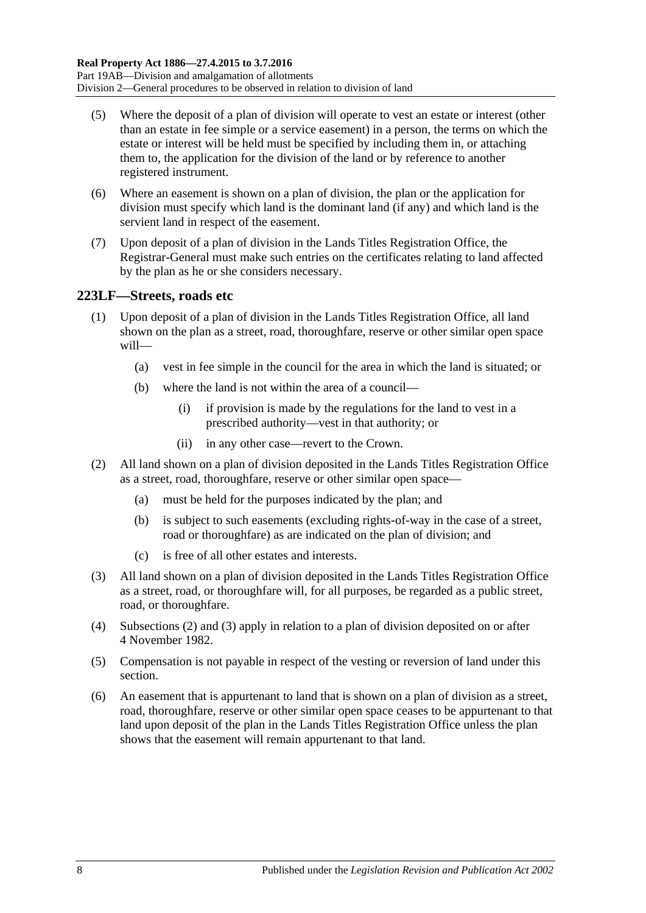- (5) Where the deposit of a plan of division will operate to vest an estate or interest (other than an estate in fee simple or a service easement) in a person, the terms on which the estate or interest will be held must be specified by including them in, or attaching them to, the application for the division of the land or by reference to another registered instrument.
- (6) Where an easement is shown on a plan of division, the plan or the application for division must specify which land is the dominant land (if any) and which land is the servient land in respect of the easement.
- (7) Upon deposit of a plan of division in the Lands Titles Registration Office, the Registrar-General must make such entries on the certificates relating to land affected by the plan as he or she considers necessary.

## <span id="page-121-2"></span>**223LF—Streets, roads etc**

- (1) Upon deposit of a plan of division in the Lands Titles Registration Office, all land shown on the plan as a street, road, thoroughfare, reserve or other similar open space will—
	- (a) vest in fee simple in the council for the area in which the land is situated; or
	- (b) where the land is not within the area of a council—
		- (i) if provision is made by the regulations for the land to vest in a prescribed authority—vest in that authority; or
		- (ii) in any other case—revert to the Crown.
- <span id="page-121-0"></span>(2) All land shown on a plan of division deposited in the Lands Titles Registration Office as a street, road, thoroughfare, reserve or other similar open space—
	- (a) must be held for the purposes indicated by the plan; and
	- (b) is subject to such easements (excluding rights-of-way in the case of a street, road or thoroughfare) as are indicated on the plan of division; and
	- (c) is free of all other estates and interests.
- <span id="page-121-1"></span>(3) All land shown on a plan of division deposited in the Lands Titles Registration Office as a street, road, or thoroughfare will, for all purposes, be regarded as a public street, road, or thoroughfare.
- (4) [Subsections](#page-121-0) (2) and [\(3\)](#page-121-1) apply in relation to a plan of division deposited on or after 4 November 1982.
- (5) Compensation is not payable in respect of the vesting or reversion of land under this section.
- (6) An easement that is appurtenant to land that is shown on a plan of division as a street, road, thoroughfare, reserve or other similar open space ceases to be appurtenant to that land upon deposit of the plan in the Lands Titles Registration Office unless the plan shows that the easement will remain appurtenant to that land.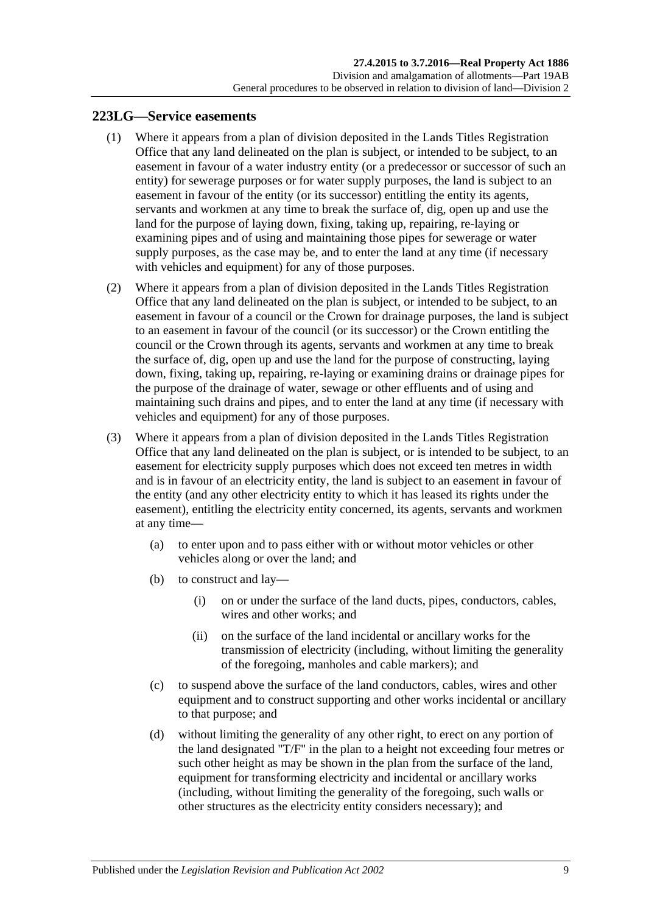### <span id="page-122-1"></span><span id="page-122-0"></span>**223LG—Service easements**

- (1) Where it appears from a plan of division deposited in the Lands Titles Registration Office that any land delineated on the plan is subject, or intended to be subject, to an easement in favour of a water industry entity (or a predecessor or successor of such an entity) for sewerage purposes or for water supply purposes, the land is subject to an easement in favour of the entity (or its successor) entitling the entity its agents, servants and workmen at any time to break the surface of, dig, open up and use the land for the purpose of laying down, fixing, taking up, repairing, re-laying or examining pipes and of using and maintaining those pipes for sewerage or water supply purposes, as the case may be, and to enter the land at any time (if necessary with vehicles and equipment) for any of those purposes.
- <span id="page-122-2"></span>(2) Where it appears from a plan of division deposited in the Lands Titles Registration Office that any land delineated on the plan is subject, or intended to be subject, to an easement in favour of a council or the Crown for drainage purposes, the land is subject to an easement in favour of the council (or its successor) or the Crown entitling the council or the Crown through its agents, servants and workmen at any time to break the surface of, dig, open up and use the land for the purpose of constructing, laying down, fixing, taking up, repairing, re-laying or examining drains or drainage pipes for the purpose of the drainage of water, sewage or other effluents and of using and maintaining such drains and pipes, and to enter the land at any time (if necessary with vehicles and equipment) for any of those purposes.
- <span id="page-122-3"></span>(3) Where it appears from a plan of division deposited in the Lands Titles Registration Office that any land delineated on the plan is subject, or is intended to be subject, to an easement for electricity supply purposes which does not exceed ten metres in width and is in favour of an electricity entity, the land is subject to an easement in favour of the entity (and any other electricity entity to which it has leased its rights under the easement), entitling the electricity entity concerned, its agents, servants and workmen at any time—
	- (a) to enter upon and to pass either with or without motor vehicles or other vehicles along or over the land; and
	- (b) to construct and lay—
		- (i) on or under the surface of the land ducts, pipes, conductors, cables, wires and other works; and
		- (ii) on the surface of the land incidental or ancillary works for the transmission of electricity (including, without limiting the generality of the foregoing, manholes and cable markers); and
	- (c) to suspend above the surface of the land conductors, cables, wires and other equipment and to construct supporting and other works incidental or ancillary to that purpose; and
	- (d) without limiting the generality of any other right, to erect on any portion of the land designated "T/F" in the plan to a height not exceeding four metres or such other height as may be shown in the plan from the surface of the land, equipment for transforming electricity and incidental or ancillary works (including, without limiting the generality of the foregoing, such walls or other structures as the electricity entity considers necessary); and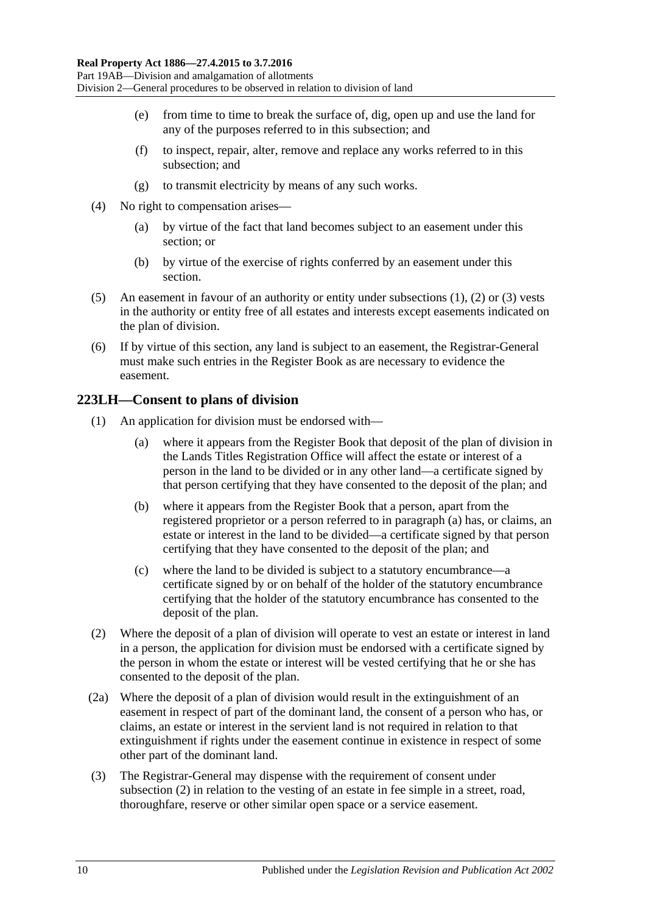- (e) from time to time to break the surface of, dig, open up and use the land for any of the purposes referred to in this subsection; and
- (f) to inspect, repair, alter, remove and replace any works referred to in this subsection; and
- (g) to transmit electricity by means of any such works.
- (4) No right to compensation arises—
	- (a) by virtue of the fact that land becomes subject to an easement under this section; or
	- (b) by virtue of the exercise of rights conferred by an easement under this section.
- (5) An easement in favour of an authority or entity under [subsections](#page-122-1) (1), [\(2\)](#page-122-2) or [\(3\)](#page-122-3) vests in the authority or entity free of all estates and interests except easements indicated on the plan of division.
- (6) If by virtue of this section, any land is subject to an easement, the Registrar-General must make such entries in the Register Book as are necessary to evidence the easement.

## **223LH—Consent to plans of division**

- <span id="page-123-0"></span>(1) An application for division must be endorsed with—
	- (a) where it appears from the Register Book that deposit of the plan of division in the Lands Titles Registration Office will affect the estate or interest of a person in the land to be divided or in any other land—a certificate signed by that person certifying that they have consented to the deposit of the plan; and
	- (b) where it appears from the Register Book that a person, apart from the registered proprietor or a person referred to in [paragraph](#page-123-0) (a) has, or claims, an estate or interest in the land to be divided—a certificate signed by that person certifying that they have consented to the deposit of the plan; and
	- (c) where the land to be divided is subject to a statutory encumbrance—a certificate signed by or on behalf of the holder of the statutory encumbrance certifying that the holder of the statutory encumbrance has consented to the deposit of the plan.
- <span id="page-123-1"></span>(2) Where the deposit of a plan of division will operate to vest an estate or interest in land in a person, the application for division must be endorsed with a certificate signed by the person in whom the estate or interest will be vested certifying that he or she has consented to the deposit of the plan.
- (2a) Where the deposit of a plan of division would result in the extinguishment of an easement in respect of part of the dominant land, the consent of a person who has, or claims, an estate or interest in the servient land is not required in relation to that extinguishment if rights under the easement continue in existence in respect of some other part of the dominant land.
- (3) The Registrar-General may dispense with the requirement of consent under [subsection](#page-123-1) (2) in relation to the vesting of an estate in fee simple in a street, road, thoroughfare, reserve or other similar open space or a service easement.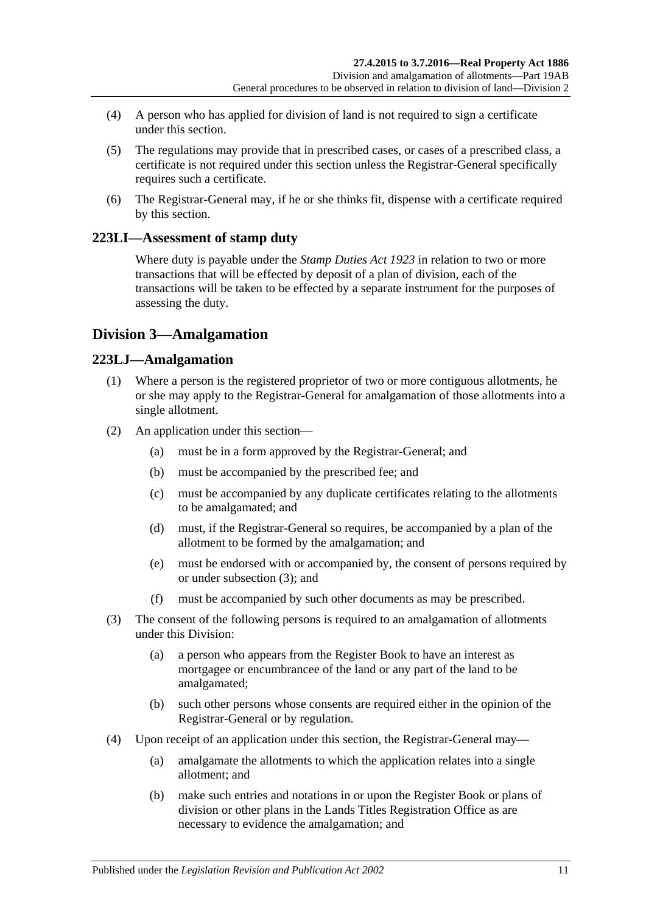- (4) A person who has applied for division of land is not required to sign a certificate under this section.
- (5) The regulations may provide that in prescribed cases, or cases of a prescribed class, a certificate is not required under this section unless the Registrar-General specifically requires such a certificate.
- (6) The Registrar-General may, if he or she thinks fit, dispense with a certificate required by this section.

# **223LI—Assessment of stamp duty**

Where duty is payable under the *[Stamp Duties Act](http://www.legislation.sa.gov.au/index.aspx?action=legref&type=act&legtitle=Stamp%20Duties%20Act%201923) 1923* in relation to two or more transactions that will be effected by deposit of a plan of division, each of the transactions will be taken to be effected by a separate instrument for the purposes of assessing the duty.

# **Division 3—Amalgamation**

## **223LJ—Amalgamation**

- (1) Where a person is the registered proprietor of two or more contiguous allotments, he or she may apply to the Registrar-General for amalgamation of those allotments into a single allotment.
- (2) An application under this section—
	- (a) must be in a form approved by the Registrar-General; and
	- (b) must be accompanied by the prescribed fee; and
	- (c) must be accompanied by any duplicate certificates relating to the allotments to be amalgamated; and
	- (d) must, if the Registrar-General so requires, be accompanied by a plan of the allotment to be formed by the amalgamation; and
	- (e) must be endorsed with or accompanied by, the consent of persons required by or under [subsection](#page-124-0) (3); and
	- (f) must be accompanied by such other documents as may be prescribed.
- <span id="page-124-0"></span>(3) The consent of the following persons is required to an amalgamation of allotments under this Division:
	- (a) a person who appears from the Register Book to have an interest as mortgagee or encumbrancee of the land or any part of the land to be amalgamated;
	- (b) such other persons whose consents are required either in the opinion of the Registrar-General or by regulation.
- (4) Upon receipt of an application under this section, the Registrar-General may—
	- (a) amalgamate the allotments to which the application relates into a single allotment; and
	- (b) make such entries and notations in or upon the Register Book or plans of division or other plans in the Lands Titles Registration Office as are necessary to evidence the amalgamation; and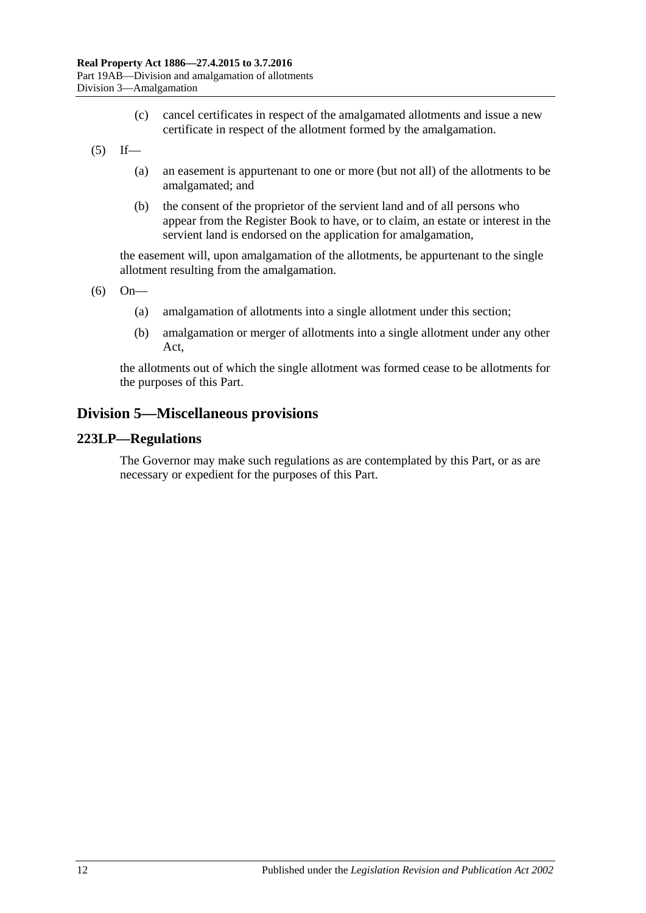- (c) cancel certificates in respect of the amalgamated allotments and issue a new certificate in respect of the allotment formed by the amalgamation.
- $(5)$  If—
	- (a) an easement is appurtenant to one or more (but not all) of the allotments to be amalgamated; and
	- (b) the consent of the proprietor of the servient land and of all persons who appear from the Register Book to have, or to claim, an estate or interest in the servient land is endorsed on the application for amalgamation,

the easement will, upon amalgamation of the allotments, be appurtenant to the single allotment resulting from the amalgamation.

(6) On—

- (a) amalgamation of allotments into a single allotment under this section;
- (b) amalgamation or merger of allotments into a single allotment under any other Act,

the allotments out of which the single allotment was formed cease to be allotments for the purposes of this Part.

# **Division 5—Miscellaneous provisions**

### **223LP—Regulations**

The Governor may make such regulations as are contemplated by this Part, or as are necessary or expedient for the purposes of this Part.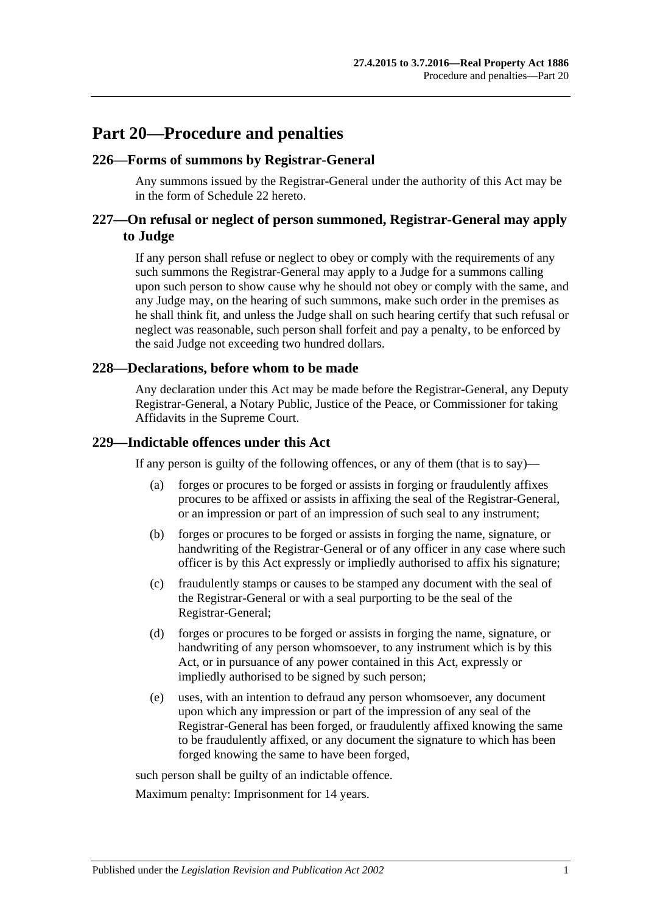# **Part 20—Procedure and penalties**

### **226—Forms of summons by Registrar-General**

Any summons issued by the Registrar-General under the authority of this Act may be in the form of [Schedule 22](#page-149-0) hereto.

# **227—On refusal or neglect of person summoned, Registrar-General may apply to Judge**

If any person shall refuse or neglect to obey or comply with the requirements of any such summons the Registrar-General may apply to a Judge for a summons calling upon such person to show cause why he should not obey or comply with the same, and any Judge may, on the hearing of such summons, make such order in the premises as he shall think fit, and unless the Judge shall on such hearing certify that such refusal or neglect was reasonable, such person shall forfeit and pay a penalty, to be enforced by the said Judge not exceeding two hundred dollars.

### **228—Declarations, before whom to be made**

Any declaration under this Act may be made before the Registrar-General, any Deputy Registrar-General, a Notary Public, Justice of the Peace, or Commissioner for taking Affidavits in the Supreme Court.

### **229—Indictable offences under this Act**

If any person is guilty of the following offences, or any of them (that is to say)—

- (a) forges or procures to be forged or assists in forging or fraudulently affixes procures to be affixed or assists in affixing the seal of the Registrar-General, or an impression or part of an impression of such seal to any instrument;
- (b) forges or procures to be forged or assists in forging the name, signature, or handwriting of the Registrar-General or of any officer in any case where such officer is by this Act expressly or impliedly authorised to affix his signature;
- (c) fraudulently stamps or causes to be stamped any document with the seal of the Registrar-General or with a seal purporting to be the seal of the Registrar-General;
- (d) forges or procures to be forged or assists in forging the name, signature, or handwriting of any person whomsoever, to any instrument which is by this Act, or in pursuance of any power contained in this Act, expressly or impliedly authorised to be signed by such person;
- (e) uses, with an intention to defraud any person whomsoever, any document upon which any impression or part of the impression of any seal of the Registrar-General has been forged, or fraudulently affixed knowing the same to be fraudulently affixed, or any document the signature to which has been forged knowing the same to have been forged,

such person shall be guilty of an indictable offence.

Maximum penalty: Imprisonment for 14 years.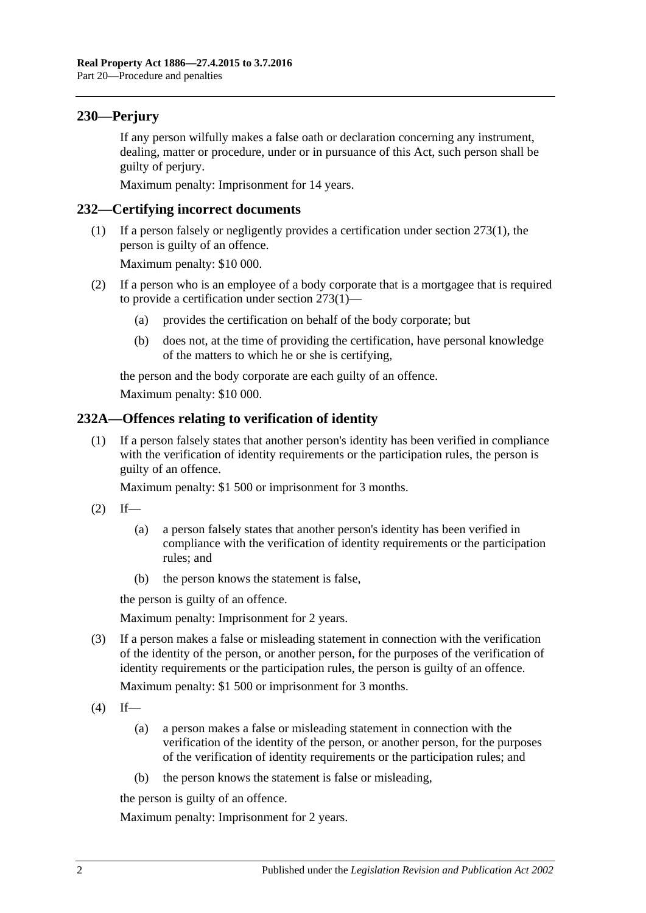# **230—Perjury**

If any person wilfully makes a false oath or declaration concerning any instrument, dealing, matter or procedure, under or in pursuance of this Act, such person shall be guilty of perjury.

Maximum penalty: Imprisonment for 14 years.

### **232—Certifying incorrect documents**

(1) If a person falsely or negligently provides a certification under [section](#page-135-0) 273(1), the person is guilty of an offence.

Maximum penalty: \$10 000.

- (2) If a person who is an employee of a body corporate that is a mortgagee that is required to provide a certification under [section](#page-135-0) 273(1)—
	- (a) provides the certification on behalf of the body corporate; but
	- (b) does not, at the time of providing the certification, have personal knowledge of the matters to which he or she is certifying,

the person and the body corporate are each guilty of an offence.

Maximum penalty: \$10 000.

### **232A—Offences relating to verification of identity**

(1) If a person falsely states that another person's identity has been verified in compliance with the verification of identity requirements or the participation rules, the person is guilty of an offence.

Maximum penalty: \$1 500 or imprisonment for 3 months.

- $(2)$  If—
	- (a) a person falsely states that another person's identity has been verified in compliance with the verification of identity requirements or the participation rules; and
	- (b) the person knows the statement is false,

the person is guilty of an offence.

Maximum penalty: Imprisonment for 2 years.

(3) If a person makes a false or misleading statement in connection with the verification of the identity of the person, or another person, for the purposes of the verification of identity requirements or the participation rules, the person is guilty of an offence.

Maximum penalty: \$1 500 or imprisonment for 3 months.

- $(4)$  If—
	- (a) a person makes a false or misleading statement in connection with the verification of the identity of the person, or another person, for the purposes of the verification of identity requirements or the participation rules; and
	- (b) the person knows the statement is false or misleading,

the person is guilty of an offence.

Maximum penalty: Imprisonment for 2 years.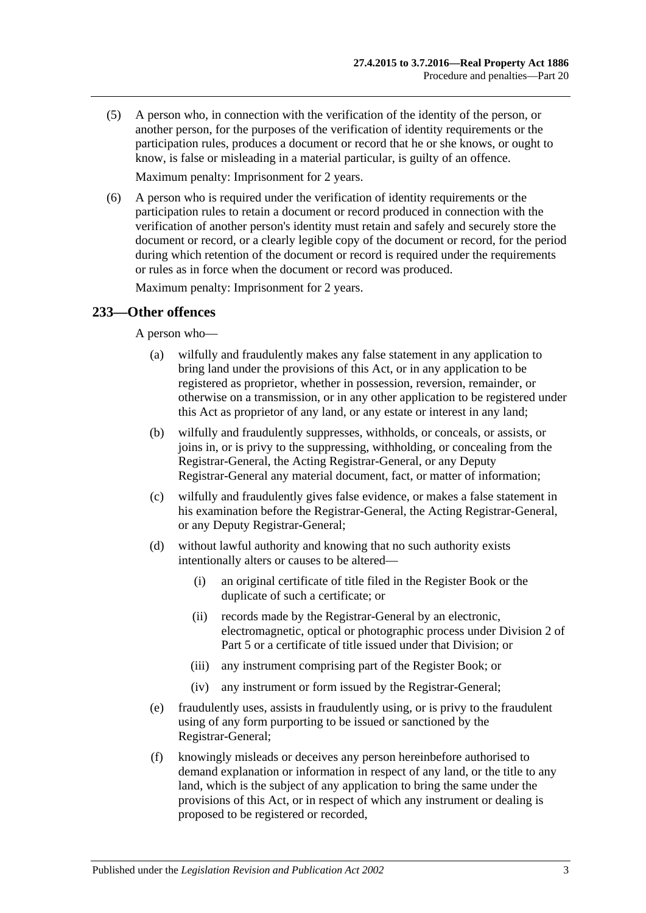(5) A person who, in connection with the verification of the identity of the person, or another person, for the purposes of the verification of identity requirements or the participation rules, produces a document or record that he or she knows, or ought to know, is false or misleading in a material particular, is guilty of an offence.

Maximum penalty: Imprisonment for 2 years.

(6) A person who is required under the verification of identity requirements or the participation rules to retain a document or record produced in connection with the verification of another person's identity must retain and safely and securely store the document or record, or a clearly legible copy of the document or record, for the period during which retention of the document or record is required under the requirements or rules as in force when the document or record was produced.

Maximum penalty: Imprisonment for 2 years.

## **233—Other offences**

A person who—

- (a) wilfully and fraudulently makes any false statement in any application to bring land under the provisions of this Act, or in any application to be registered as proprietor, whether in possession, reversion, remainder, or otherwise on a transmission, or in any other application to be registered under this Act as proprietor of any land, or any estate or interest in any land;
- (b) wilfully and fraudulently suppresses, withholds, or conceals, or assists, or joins in, or is privy to the suppressing, withholding, or concealing from the Registrar-General, the Acting Registrar-General, or any Deputy Registrar-General any material document, fact, or matter of information;
- (c) wilfully and fraudulently gives false evidence, or makes a false statement in his examination before the Registrar-General, the Acting Registrar-General, or any Deputy Registrar-General;
- (d) without lawful authority and knowing that no such authority exists intentionally alters or causes to be altered—
	- (i) an original certificate of title filed in the Register Book or the duplicate of such a certificate; or
	- (ii) records made by the Registrar-General by an electronic, electromagnetic, optical or photographic process under [Division 2](#page-26-0) of [Part 5](#page-26-1) or a certificate of title issued under that Division; or
	- (iii) any instrument comprising part of the Register Book; or
	- (iv) any instrument or form issued by the Registrar-General;
- (e) fraudulently uses, assists in fraudulently using, or is privy to the fraudulent using of any form purporting to be issued or sanctioned by the Registrar-General;
- (f) knowingly misleads or deceives any person hereinbefore authorised to demand explanation or information in respect of any land, or the title to any land, which is the subject of any application to bring the same under the provisions of this Act, or in respect of which any instrument or dealing is proposed to be registered or recorded,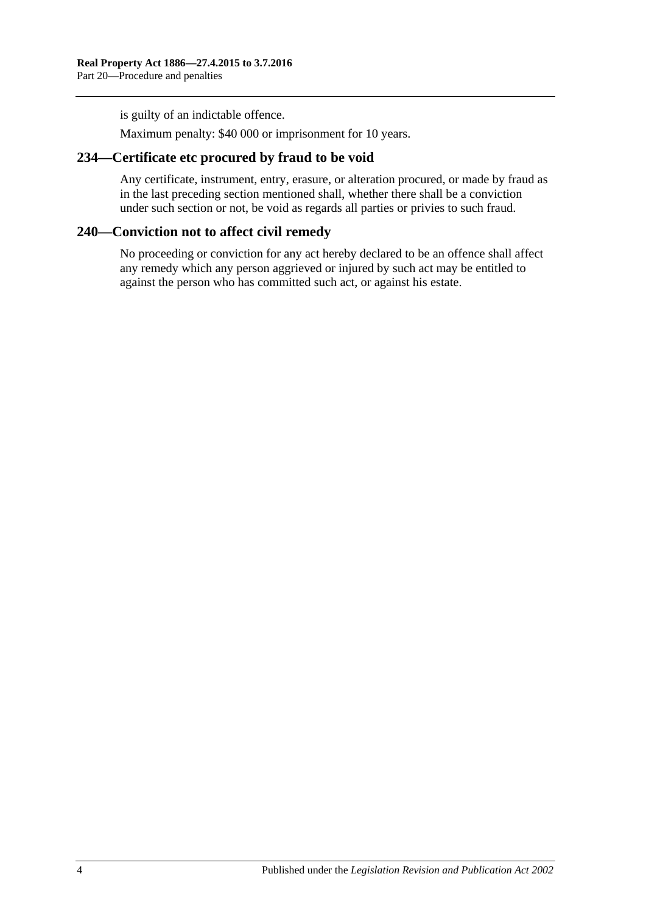is guilty of an indictable offence.

Maximum penalty: \$40 000 or imprisonment for 10 years.

## **234—Certificate etc procured by fraud to be void**

Any certificate, instrument, entry, erasure, or alteration procured, or made by fraud as in the last preceding section mentioned shall, whether there shall be a conviction under such section or not, be void as regards all parties or privies to such fraud.

## **240—Conviction not to affect civil remedy**

No proceeding or conviction for any act hereby declared to be an offence shall affect any remedy which any person aggrieved or injured by such act may be entitled to against the person who has committed such act, or against his estate.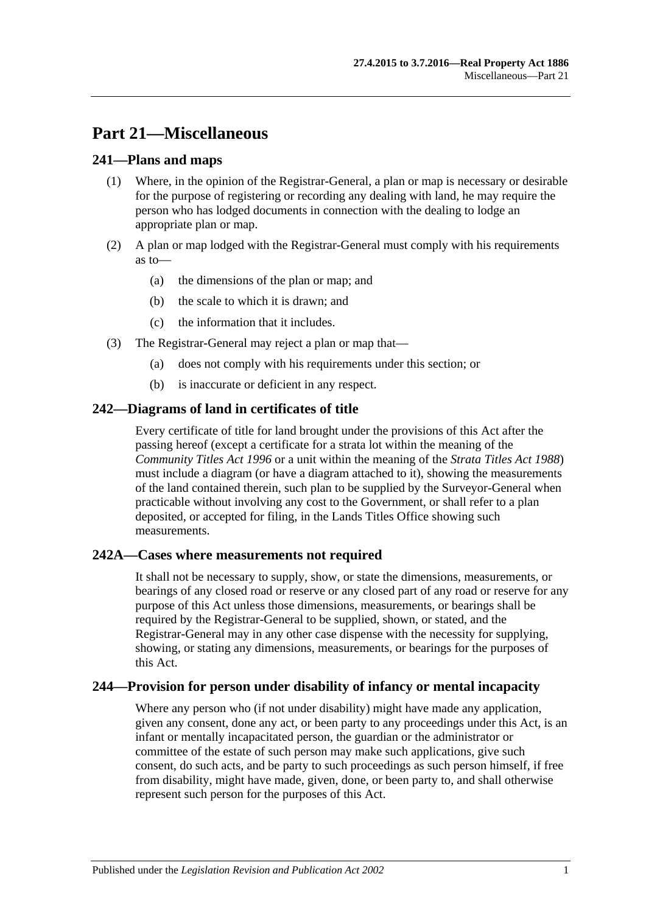# **Part 21—Miscellaneous**

## **241—Plans and maps**

- (1) Where, in the opinion of the Registrar-General, a plan or map is necessary or desirable for the purpose of registering or recording any dealing with land, he may require the person who has lodged documents in connection with the dealing to lodge an appropriate plan or map.
- (2) A plan or map lodged with the Registrar-General must comply with his requirements as to—
	- (a) the dimensions of the plan or map; and
	- (b) the scale to which it is drawn; and
	- (c) the information that it includes.
- (3) The Registrar-General may reject a plan or map that—
	- (a) does not comply with his requirements under this section; or
	- (b) is inaccurate or deficient in any respect.

# **242—Diagrams of land in certificates of title**

Every certificate of title for land brought under the provisions of this Act after the passing hereof (except a certificate for a strata lot within the meaning of the *[Community Titles Act](http://www.legislation.sa.gov.au/index.aspx?action=legref&type=act&legtitle=Community%20Titles%20Act%201996) 1996* or a unit within the meaning of the *[Strata Titles Act](http://www.legislation.sa.gov.au/index.aspx?action=legref&type=act&legtitle=Strata%20Titles%20Act%201988) 1988*) must include a diagram (or have a diagram attached to it), showing the measurements of the land contained therein, such plan to be supplied by the Surveyor-General when practicable without involving any cost to the Government, or shall refer to a plan deposited, or accepted for filing, in the Lands Titles Office showing such measurements.

## **242A—Cases where measurements not required**

It shall not be necessary to supply, show, or state the dimensions, measurements, or bearings of any closed road or reserve or any closed part of any road or reserve for any purpose of this Act unless those dimensions, measurements, or bearings shall be required by the Registrar-General to be supplied, shown, or stated, and the Registrar-General may in any other case dispense with the necessity for supplying, showing, or stating any dimensions, measurements, or bearings for the purposes of this Act.

## **244—Provision for person under disability of infancy or mental incapacity**

Where any person who (if not under disability) might have made any application, given any consent, done any act, or been party to any proceedings under this Act, is an infant or mentally incapacitated person, the guardian or the administrator or committee of the estate of such person may make such applications, give such consent, do such acts, and be party to such proceedings as such person himself, if free from disability, might have made, given, done, or been party to, and shall otherwise represent such person for the purposes of this Act.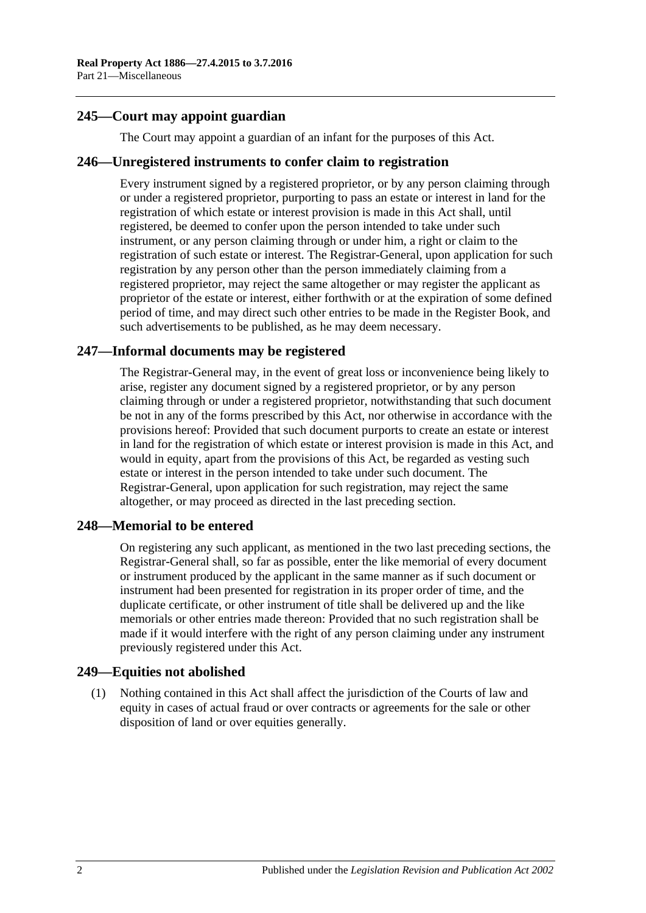# **245—Court may appoint guardian**

The Court may appoint a guardian of an infant for the purposes of this Act.

### **246—Unregistered instruments to confer claim to registration**

Every instrument signed by a registered proprietor, or by any person claiming through or under a registered proprietor, purporting to pass an estate or interest in land for the registration of which estate or interest provision is made in this Act shall, until registered, be deemed to confer upon the person intended to take under such instrument, or any person claiming through or under him, a right or claim to the registration of such estate or interest. The Registrar-General, upon application for such registration by any person other than the person immediately claiming from a registered proprietor, may reject the same altogether or may register the applicant as proprietor of the estate or interest, either forthwith or at the expiration of some defined period of time, and may direct such other entries to be made in the Register Book, and such advertisements to be published, as he may deem necessary.

## **247—Informal documents may be registered**

The Registrar-General may, in the event of great loss or inconvenience being likely to arise, register any document signed by a registered proprietor, or by any person claiming through or under a registered proprietor, notwithstanding that such document be not in any of the forms prescribed by this Act, nor otherwise in accordance with the provisions hereof: Provided that such document purports to create an estate or interest in land for the registration of which estate or interest provision is made in this Act, and would in equity, apart from the provisions of this Act, be regarded as vesting such estate or interest in the person intended to take under such document. The Registrar-General, upon application for such registration, may reject the same altogether, or may proceed as directed in the last preceding section.

## **248—Memorial to be entered**

On registering any such applicant, as mentioned in the two last preceding sections, the Registrar-General shall, so far as possible, enter the like memorial of every document or instrument produced by the applicant in the same manner as if such document or instrument had been presented for registration in its proper order of time, and the duplicate certificate, or other instrument of title shall be delivered up and the like memorials or other entries made thereon: Provided that no such registration shall be made if it would interfere with the right of any person claiming under any instrument previously registered under this Act.

## **249—Equities not abolished**

(1) Nothing contained in this Act shall affect the jurisdiction of the Courts of law and equity in cases of actual fraud or over contracts or agreements for the sale or other disposition of land or over equities generally.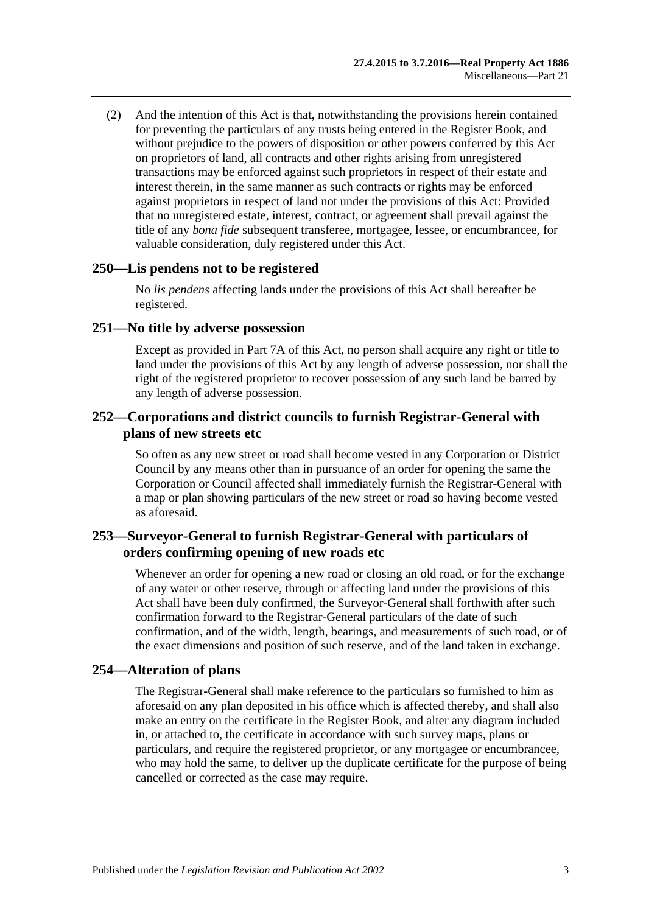(2) And the intention of this Act is that, notwithstanding the provisions herein contained for preventing the particulars of any trusts being entered in the Register Book, and without prejudice to the powers of disposition or other powers conferred by this Act on proprietors of land, all contracts and other rights arising from unregistered transactions may be enforced against such proprietors in respect of their estate and interest therein, in the same manner as such contracts or rights may be enforced against proprietors in respect of land not under the provisions of this Act: Provided that no unregistered estate, interest, contract, or agreement shall prevail against the title of any *bona fide* subsequent transferee, mortgagee, lessee, or encumbrancee, for valuable consideration, duly registered under this Act.

### **250—Lis pendens not to be registered**

No *lis pendens* affecting lands under the provisions of this Act shall hereafter be registered.

### **251—No title by adverse possession**

Except as provided in [Part 7A](#page-40-0) of this Act, no person shall acquire any right or title to land under the provisions of this Act by any length of adverse possession, nor shall the right of the registered proprietor to recover possession of any such land be barred by any length of adverse possession.

### **252—Corporations and district councils to furnish Registrar-General with plans of new streets etc**

So often as any new street or road shall become vested in any Corporation or District Council by any means other than in pursuance of an order for opening the same the Corporation or Council affected shall immediately furnish the Registrar-General with a map or plan showing particulars of the new street or road so having become vested as aforesaid.

# **253—Surveyor-General to furnish Registrar-General with particulars of orders confirming opening of new roads etc**

Whenever an order for opening a new road or closing an old road, or for the exchange of any water or other reserve, through or affecting land under the provisions of this Act shall have been duly confirmed, the Surveyor-General shall forthwith after such confirmation forward to the Registrar-General particulars of the date of such confirmation, and of the width, length, bearings, and measurements of such road, or of the exact dimensions and position of such reserve, and of the land taken in exchange.

## **254—Alteration of plans**

The Registrar-General shall make reference to the particulars so furnished to him as aforesaid on any plan deposited in his office which is affected thereby, and shall also make an entry on the certificate in the Register Book, and alter any diagram included in, or attached to, the certificate in accordance with such survey maps, plans or particulars, and require the registered proprietor, or any mortgagee or encumbrancee, who may hold the same, to deliver up the duplicate certificate for the purpose of being cancelled or corrected as the case may require.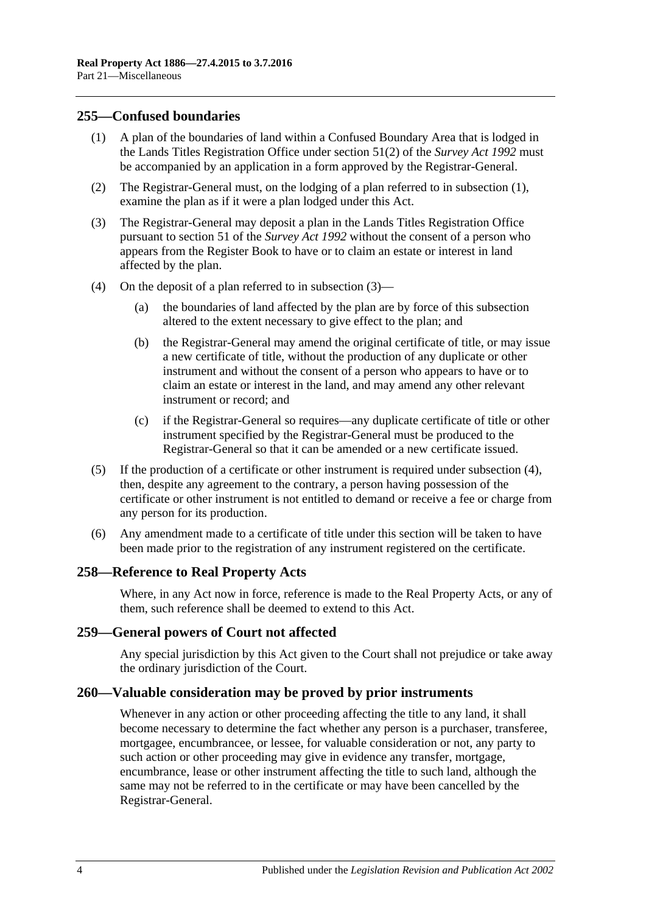### <span id="page-133-0"></span>**255—Confused boundaries**

- (1) A plan of the boundaries of land within a Confused Boundary Area that is lodged in the Lands Titles Registration Office under section 51(2) of the *[Survey Act](http://www.legislation.sa.gov.au/index.aspx?action=legref&type=act&legtitle=Survey%20Act%201992) 1992* must be accompanied by an application in a form approved by the Registrar-General.
- (2) The Registrar-General must, on the lodging of a plan referred to in [subsection](#page-133-0) (1), examine the plan as if it were a plan lodged under this Act.
- <span id="page-133-1"></span>(3) The Registrar-General may deposit a plan in the Lands Titles Registration Office pursuant to section 51 of the *[Survey Act](http://www.legislation.sa.gov.au/index.aspx?action=legref&type=act&legtitle=Survey%20Act%201992) 1992* without the consent of a person who appears from the Register Book to have or to claim an estate or interest in land affected by the plan.
- <span id="page-133-2"></span>(4) On the deposit of a plan referred to in [subsection](#page-133-1) (3)—
	- (a) the boundaries of land affected by the plan are by force of this subsection altered to the extent necessary to give effect to the plan; and
	- (b) the Registrar-General may amend the original certificate of title, or may issue a new certificate of title, without the production of any duplicate or other instrument and without the consent of a person who appears to have or to claim an estate or interest in the land, and may amend any other relevant instrument or record; and
	- (c) if the Registrar-General so requires—any duplicate certificate of title or other instrument specified by the Registrar-General must be produced to the Registrar-General so that it can be amended or a new certificate issued.
- (5) If the production of a certificate or other instrument is required under [subsection](#page-133-2) (4), then, despite any agreement to the contrary, a person having possession of the certificate or other instrument is not entitled to demand or receive a fee or charge from any person for its production.
- (6) Any amendment made to a certificate of title under this section will be taken to have been made prior to the registration of any instrument registered on the certificate.

### **258—Reference to Real Property Acts**

Where, in any Act now in force, reference is made to the Real Property Acts, or any of them, such reference shall be deemed to extend to this Act.

### **259—General powers of Court not affected**

Any special jurisdiction by this Act given to the Court shall not prejudice or take away the ordinary jurisdiction of the Court.

### **260—Valuable consideration may be proved by prior instruments**

Whenever in any action or other proceeding affecting the title to any land, it shall become necessary to determine the fact whether any person is a purchaser, transferee, mortgagee, encumbrancee, or lessee, for valuable consideration or not, any party to such action or other proceeding may give in evidence any transfer, mortgage, encumbrance, lease or other instrument affecting the title to such land, although the same may not be referred to in the certificate or may have been cancelled by the Registrar-General.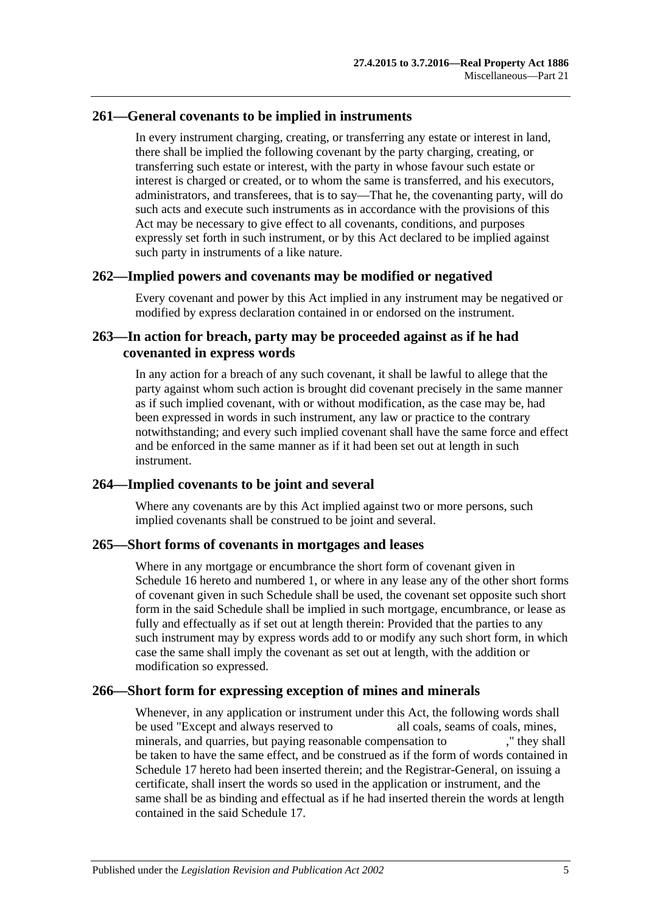## **261—General covenants to be implied in instruments**

In every instrument charging, creating, or transferring any estate or interest in land, there shall be implied the following covenant by the party charging, creating, or transferring such estate or interest, with the party in whose favour such estate or interest is charged or created, or to whom the same is transferred, and his executors, administrators, and transferees, that is to say—That he, the covenanting party, will do such acts and execute such instruments as in accordance with the provisions of this Act may be necessary to give effect to all covenants, conditions, and purposes expressly set forth in such instrument, or by this Act declared to be implied against such party in instruments of a like nature.

### **262—Implied powers and covenants may be modified or negatived**

Every covenant and power by this Act implied in any instrument may be negatived or modified by express declaration contained in or endorsed on the instrument.

## **263—In action for breach, party may be proceeded against as if he had covenanted in express words**

In any action for a breach of any such covenant, it shall be lawful to allege that the party against whom such action is brought did covenant precisely in the same manner as if such implied covenant, with or without modification, as the case may be, had been expressed in words in such instrument, any law or practice to the contrary notwithstanding; and every such implied covenant shall have the same force and effect and be enforced in the same manner as if it had been set out at length in such instrument.

## **264—Implied covenants to be joint and several**

Where any covenants are by this Act implied against two or more persons, such implied covenants shall be construed to be joint and several.

### **265—Short forms of covenants in mortgages and leases**

Where in any mortgage or encumbrance the short form of covenant given in [Schedule](#page-147-0) 16 hereto and numbered 1, or where in any lease any of the other short forms of covenant given in such Schedule shall be used, the covenant set opposite such short form in the said Schedule shall be implied in such mortgage, encumbrance, or lease as fully and effectually as if set out at length therein: Provided that the parties to any such instrument may by express words add to or modify any such short form, in which case the same shall imply the covenant as set out at length, with the addition or modification so expressed.

## **266—Short form for expressing exception of mines and minerals**

Whenever, in any application or instrument under this Act, the following words shall be used "Except and always reserved to all coals, seams of coals, mines, minerals, and quarries, but paying reasonable compensation to ," they shall be taken to have the same effect, and be construed as if the form of words contained in [Schedule 17](#page-149-1) hereto had been inserted therein; and the Registrar-General, on issuing a certificate, shall insert the words so used in the application or instrument, and the same shall be as binding and effectual as if he had inserted therein the words at length contained in the said [Schedule 17.](#page-149-1)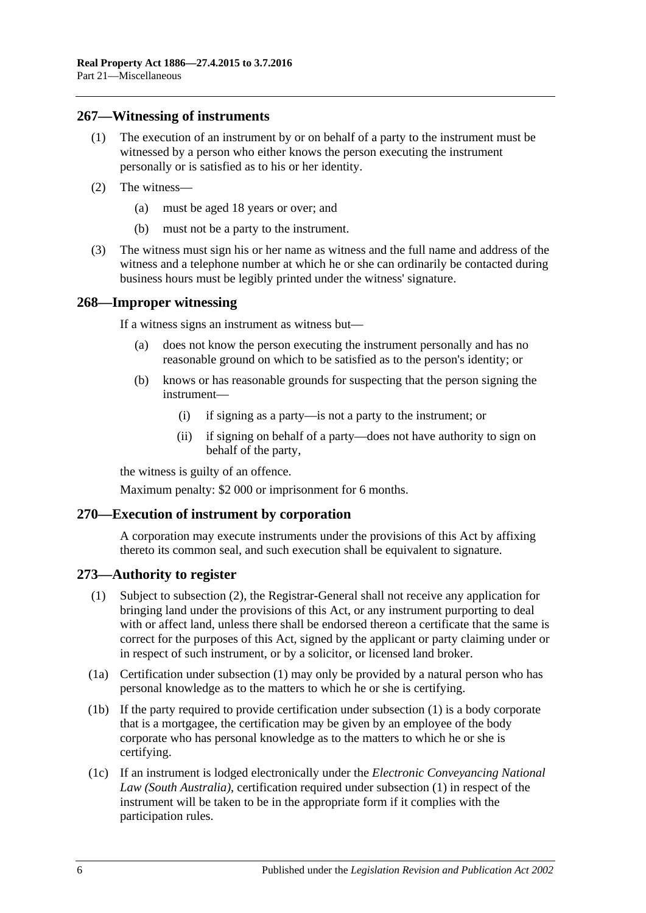### **267—Witnessing of instruments**

- (1) The execution of an instrument by or on behalf of a party to the instrument must be witnessed by a person who either knows the person executing the instrument personally or is satisfied as to his or her identity.
- (2) The witness—
	- (a) must be aged 18 years or over; and
	- (b) must not be a party to the instrument.
- (3) The witness must sign his or her name as witness and the full name and address of the witness and a telephone number at which he or she can ordinarily be contacted during business hours must be legibly printed under the witness' signature.

### **268—Improper witnessing**

If a witness signs an instrument as witness but—

- (a) does not know the person executing the instrument personally and has no reasonable ground on which to be satisfied as to the person's identity; or
- (b) knows or has reasonable grounds for suspecting that the person signing the instrument—
	- (i) if signing as a party—is not a party to the instrument; or
	- (ii) if signing on behalf of a party—does not have authority to sign on behalf of the party,

the witness is guilty of an offence.

Maximum penalty: \$2 000 or imprisonment for 6 months.

### **270—Execution of instrument by corporation**

A corporation may execute instruments under the provisions of this Act by affixing thereto its common seal, and such execution shall be equivalent to signature.

### <span id="page-135-0"></span>**273—Authority to register**

- (1) Subject to [subsection](#page-136-0) (2), the Registrar-General shall not receive any application for bringing land under the provisions of this Act, or any instrument purporting to deal with or affect land, unless there shall be endorsed thereon a certificate that the same is correct for the purposes of this Act, signed by the applicant or party claiming under or in respect of such instrument, or by a solicitor, or licensed land broker.
- (1a) Certification under [subsection](#page-135-0) (1) may only be provided by a natural person who has personal knowledge as to the matters to which he or she is certifying.
- (1b) If the party required to provide certification under [subsection](#page-135-0) (1) is a body corporate that is a mortgagee, the certification may be given by an employee of the body corporate who has personal knowledge as to the matters to which he or she is certifying.
- (1c) If an instrument is lodged electronically under the *Electronic Conveyancing National Law (South Australia)*, certification required under [subsection](#page-135-0) (1) in respect of the instrument will be taken to be in the appropriate form if it complies with the participation rules.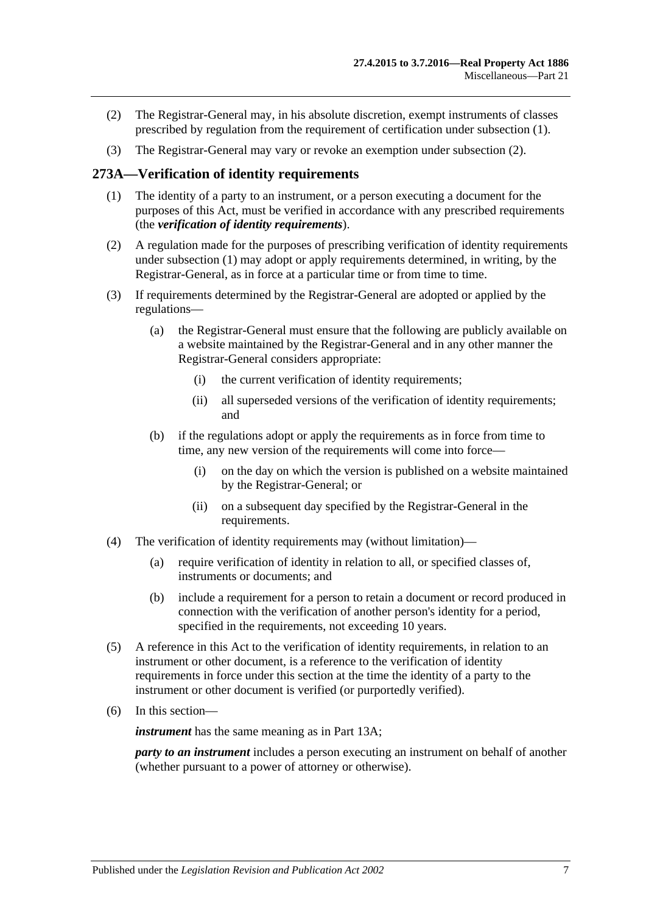- <span id="page-136-0"></span>(2) The Registrar-General may, in his absolute discretion, exempt instruments of classes prescribed by regulation from the requirement of certification under [subsection](#page-135-0) (1).
- (3) The Registrar-General may vary or revoke an exemption under [subsection](#page-136-0) (2).

### <span id="page-136-1"></span>**273A—Verification of identity requirements**

- (1) The identity of a party to an instrument, or a person executing a document for the purposes of this Act, must be verified in accordance with any prescribed requirements (the *verification of identity requirements*).
- (2) A regulation made for the purposes of prescribing verification of identity requirements under [subsection](#page-136-1) (1) may adopt or apply requirements determined, in writing, by the Registrar-General, as in force at a particular time or from time to time.
- (3) If requirements determined by the Registrar-General are adopted or applied by the regulations—
	- (a) the Registrar-General must ensure that the following are publicly available on a website maintained by the Registrar-General and in any other manner the Registrar-General considers appropriate:
		- (i) the current verification of identity requirements;
		- (ii) all superseded versions of the verification of identity requirements; and
	- (b) if the regulations adopt or apply the requirements as in force from time to time, any new version of the requirements will come into force—
		- (i) on the day on which the version is published on a website maintained by the Registrar-General; or
		- (ii) on a subsequent day specified by the Registrar-General in the requirements.
- (4) The verification of identity requirements may (without limitation)—
	- (a) require verification of identity in relation to all, or specified classes of, instruments or documents; and
	- (b) include a requirement for a person to retain a document or record produced in connection with the verification of another person's identity for a period, specified in the requirements, not exceeding 10 years.
- (5) A reference in this Act to the verification of identity requirements, in relation to an instrument or other document, is a reference to the verification of identity requirements in force under this section at the time the identity of a party to the instrument or other document is verified (or purportedly verified).
- (6) In this section—

*instrument* has the same meaning as in Part [13A;](#page-76-0)

*party to an instrument* includes a person executing an instrument on behalf of another (whether pursuant to a power of attorney or otherwise).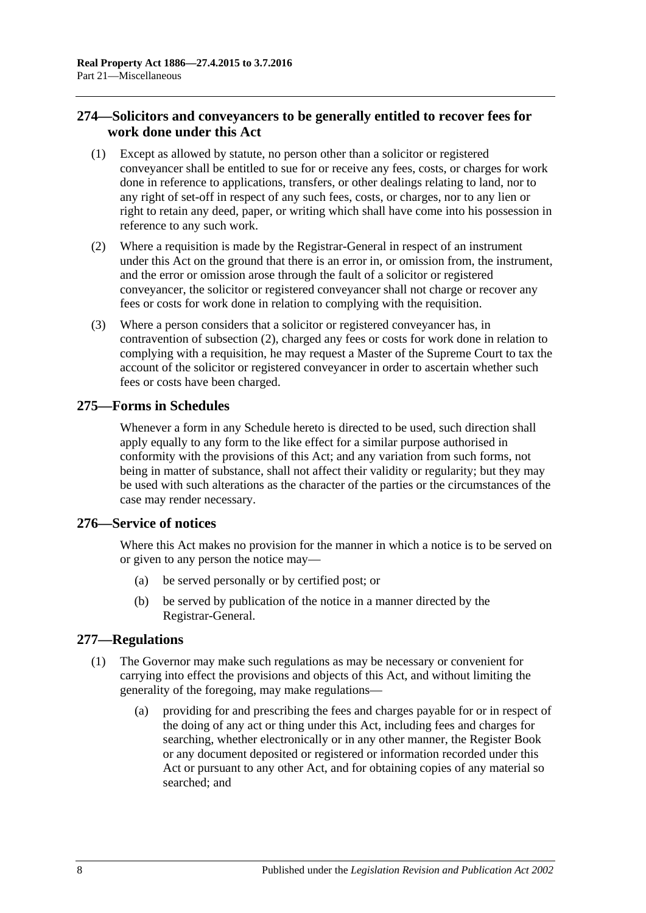# **274—Solicitors and conveyancers to be generally entitled to recover fees for work done under this Act**

- (1) Except as allowed by statute, no person other than a solicitor or registered conveyancer shall be entitled to sue for or receive any fees, costs, or charges for work done in reference to applications, transfers, or other dealings relating to land, nor to any right of set-off in respect of any such fees, costs, or charges, nor to any lien or right to retain any deed, paper, or writing which shall have come into his possession in reference to any such work.
- <span id="page-137-0"></span>(2) Where a requisition is made by the Registrar-General in respect of an instrument under this Act on the ground that there is an error in, or omission from, the instrument, and the error or omission arose through the fault of a solicitor or registered conveyancer, the solicitor or registered conveyancer shall not charge or recover any fees or costs for work done in relation to complying with the requisition.
- (3) Where a person considers that a solicitor or registered conveyancer has, in contravention of [subsection](#page-137-0) (2), charged any fees or costs for work done in relation to complying with a requisition, he may request a Master of the Supreme Court to tax the account of the solicitor or registered conveyancer in order to ascertain whether such fees or costs have been charged.

## **275—Forms in Schedules**

Whenever a form in any Schedule hereto is directed to be used, such direction shall apply equally to any form to the like effect for a similar purpose authorised in conformity with the provisions of this Act; and any variation from such forms, not being in matter of substance, shall not affect their validity or regularity; but they may be used with such alterations as the character of the parties or the circumstances of the case may render necessary.

## **276—Service of notices**

Where this Act makes no provision for the manner in which a notice is to be served on or given to any person the notice may—

- (a) be served personally or by certified post; or
- (b) be served by publication of the notice in a manner directed by the Registrar-General.

## <span id="page-137-1"></span>**277—Regulations**

- (1) The Governor may make such regulations as may be necessary or convenient for carrying into effect the provisions and objects of this Act, and without limiting the generality of the foregoing, may make regulations—
	- (a) providing for and prescribing the fees and charges payable for or in respect of the doing of any act or thing under this Act, including fees and charges for searching, whether electronically or in any other manner, the Register Book or any document deposited or registered or information recorded under this Act or pursuant to any other Act, and for obtaining copies of any material so searched; and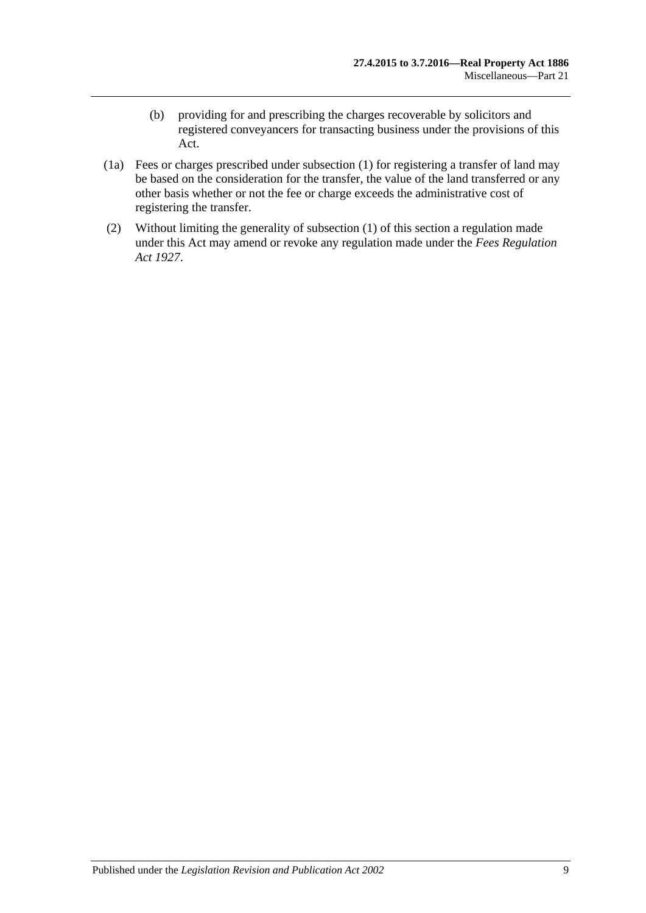- (b) providing for and prescribing the charges recoverable by solicitors and registered conveyancers for transacting business under the provisions of this Act.
- (1a) Fees or charges prescribed under [subsection](#page-137-1) (1) for registering a transfer of land may be based on the consideration for the transfer, the value of the land transferred or any other basis whether or not the fee or charge exceeds the administrative cost of registering the transfer.
- (2) Without limiting the generality of [subsection](#page-137-1) (1) of this section a regulation made under this Act may amend or revoke any regulation made under the *[Fees Regulation](http://www.legislation.sa.gov.au/index.aspx?action=legref&type=act&legtitle=Fees%20Regulation%20Act%201927)  Act [1927](http://www.legislation.sa.gov.au/index.aspx?action=legref&type=act&legtitle=Fees%20Regulation%20Act%201927)*.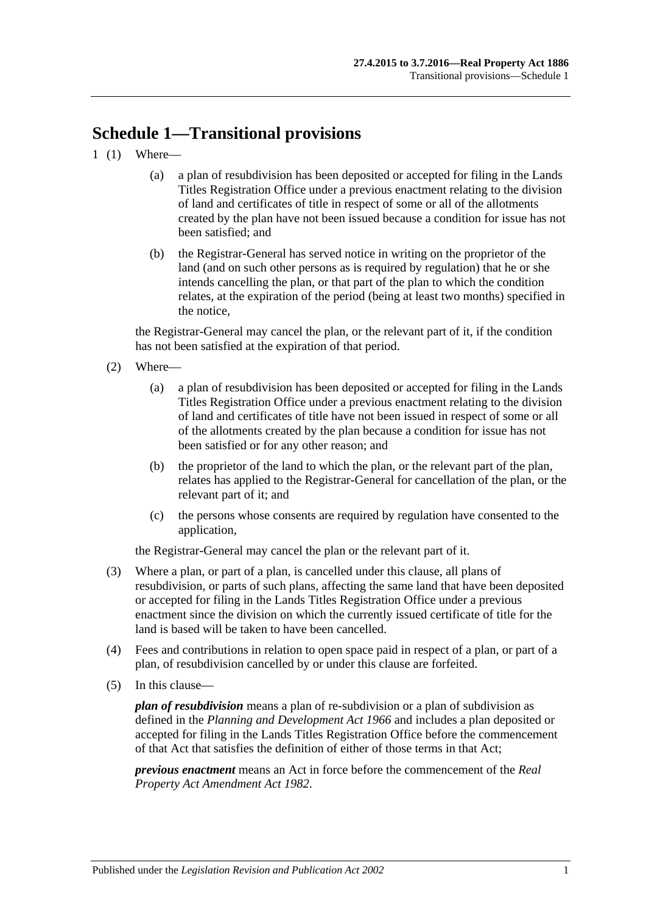# **Schedule 1—Transitional provisions**

- 1 (1) Where—
	- (a) a plan of resubdivision has been deposited or accepted for filing in the Lands Titles Registration Office under a previous enactment relating to the division of land and certificates of title in respect of some or all of the allotments created by the plan have not been issued because a condition for issue has not been satisfied; and
	- (b) the Registrar-General has served notice in writing on the proprietor of the land (and on such other persons as is required by regulation) that he or she intends cancelling the plan, or that part of the plan to which the condition relates, at the expiration of the period (being at least two months) specified in the notice,

the Registrar-General may cancel the plan, or the relevant part of it, if the condition has not been satisfied at the expiration of that period.

- (2) Where—
	- (a) a plan of resubdivision has been deposited or accepted for filing in the Lands Titles Registration Office under a previous enactment relating to the division of land and certificates of title have not been issued in respect of some or all of the allotments created by the plan because a condition for issue has not been satisfied or for any other reason; and
	- (b) the proprietor of the land to which the plan, or the relevant part of the plan, relates has applied to the Registrar-General for cancellation of the plan, or the relevant part of it; and
	- (c) the persons whose consents are required by regulation have consented to the application,

the Registrar-General may cancel the plan or the relevant part of it.

- (3) Where a plan, or part of a plan, is cancelled under this clause, all plans of resubdivision, or parts of such plans, affecting the same land that have been deposited or accepted for filing in the Lands Titles Registration Office under a previous enactment since the division on which the currently issued certificate of title for the land is based will be taken to have been cancelled.
- (4) Fees and contributions in relation to open space paid in respect of a plan, or part of a plan, of resubdivision cancelled by or under this clause are forfeited.
- (5) In this clause—

*plan of resubdivision* means a plan of re-subdivision or a plan of subdivision as defined in the *[Planning and Development Act](http://www.legislation.sa.gov.au/index.aspx?action=legref&type=act&legtitle=Planning%20and%20Development%20Act%201966) 1966* and includes a plan deposited or accepted for filing in the Lands Titles Registration Office before the commencement of that Act that satisfies the definition of either of those terms in that Act;

*previous enactment* means an Act in force before the commencement of the *[Real](http://www.legislation.sa.gov.au/index.aspx?action=legref&type=act&legtitle=Real%20Property%20Act%20Amendment%20Act%201982)  [Property Act Amendment Act](http://www.legislation.sa.gov.au/index.aspx?action=legref&type=act&legtitle=Real%20Property%20Act%20Amendment%20Act%201982) 1982*.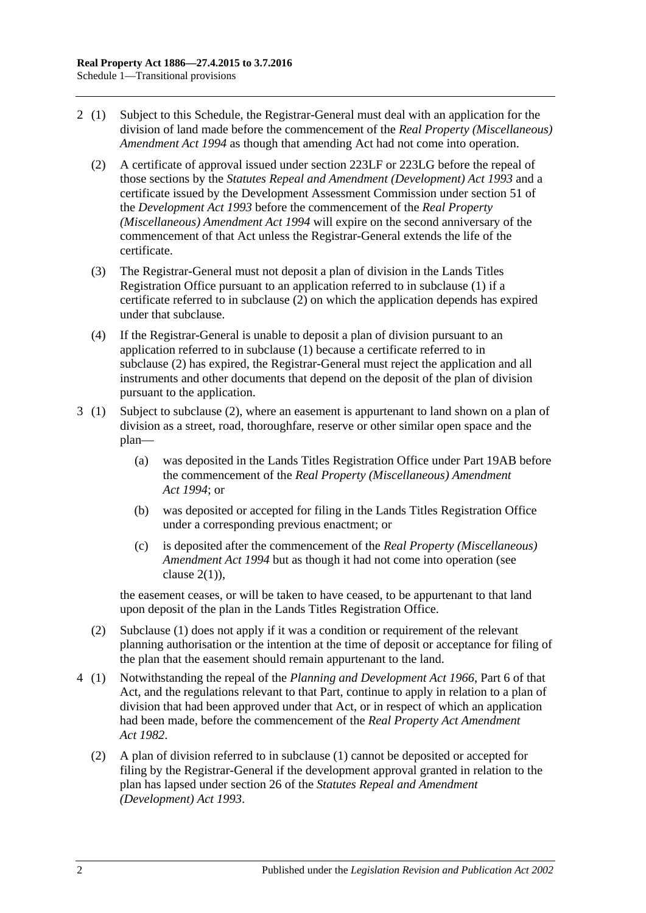- <span id="page-141-0"></span>2 (1) Subject to this Schedule, the Registrar-General must deal with an application for the division of land made before the commencement of the *[Real Property \(Miscellaneous\)](http://www.legislation.sa.gov.au/index.aspx?action=legref&type=act&legtitle=Real%20Property%20(Miscellaneous)%20Amendment%20Act%201994)  [Amendment Act](http://www.legislation.sa.gov.au/index.aspx?action=legref&type=act&legtitle=Real%20Property%20(Miscellaneous)%20Amendment%20Act%201994) 1994* as though that amending Act had not come into operation.
	- (2) A certificate of approval issued under [section](#page-121-2) 223LF or [223LG](#page-122-0) before the repeal of those sections by the *[Statutes Repeal and Amendment \(Development\) Act](http://www.legislation.sa.gov.au/index.aspx?action=legref&type=act&legtitle=Statutes%20Repeal%20and%20Amendment%20(Development)%20Act%201993) 1993* and a certificate issued by the Development Assessment Commission under section 51 of the *[Development Act](http://www.legislation.sa.gov.au/index.aspx?action=legref&type=act&legtitle=Development%20Act%201993) 1993* before the commencement of the *[Real Property](http://www.legislation.sa.gov.au/index.aspx?action=legref&type=act&legtitle=Real%20Property%20(Miscellaneous)%20Amendment%20Act%201994)  [\(Miscellaneous\) Amendment Act](http://www.legislation.sa.gov.au/index.aspx?action=legref&type=act&legtitle=Real%20Property%20(Miscellaneous)%20Amendment%20Act%201994) 1994* will expire on the second anniversary of the commencement of that Act unless the Registrar-General extends the life of the certificate.
	- (3) The Registrar-General must not deposit a plan of division in the Lands Titles Registration Office pursuant to an application referred to in subclause (1) if a certificate referred to in [subclause](#page-141-0) (2) on which the application depends has expired under that subclause.
	- (4) If the Registrar-General is unable to deposit a plan of division pursuant to an application referred to in subclause (1) because a certificate referred to in [subclause](#page-141-0) (2) has expired, the Registrar-General must reject the application and all instruments and other documents that depend on the deposit of the plan of division pursuant to the application.
- 3 (1) Subject to [subclause](#page-141-1) (2), where an easement is appurtenant to land shown on a plan of division as a street, road, thoroughfare, reserve or other similar open space and the plan—
	- (a) was deposited in the Lands Titles Registration Office under [Part 19AB](#page-114-2) before the commencement of the *[Real Property \(Miscellaneous\) Amendment](http://www.legislation.sa.gov.au/index.aspx?action=legref&type=act&legtitle=Real%20Property%20(Miscellaneous)%20Amendment%20Act%201994)  Act [1994](http://www.legislation.sa.gov.au/index.aspx?action=legref&type=act&legtitle=Real%20Property%20(Miscellaneous)%20Amendment%20Act%201994)*; or
	- (b) was deposited or accepted for filing in the Lands Titles Registration Office under a corresponding previous enactment; or
	- (c) is deposited after the commencement of the *[Real Property \(Miscellaneous\)](http://www.legislation.sa.gov.au/index.aspx?action=legref&type=act&legtitle=Real%20Property%20(Miscellaneous)%20Amendment%20Act%201994)  [Amendment Act](http://www.legislation.sa.gov.au/index.aspx?action=legref&type=act&legtitle=Real%20Property%20(Miscellaneous)%20Amendment%20Act%201994) 1994* but as though it had not come into operation (see clause  $2(1)$ ).

the easement ceases, or will be taken to have ceased, to be appurtenant to that land upon deposit of the plan in the Lands Titles Registration Office.

- <span id="page-141-1"></span>(2) Subclause (1) does not apply if it was a condition or requirement of the relevant planning authorisation or the intention at the time of deposit or acceptance for filing of the plan that the easement should remain appurtenant to the land.
- 4 (1) Notwithstanding the repeal of the *[Planning and Development Act](http://www.legislation.sa.gov.au/index.aspx?action=legref&type=act&legtitle=Planning%20and%20Development%20Act%201966) 1966*, Part 6 of that Act, and the regulations relevant to that Part, continue to apply in relation to a plan of division that had been approved under that Act, or in respect of which an application had been made, before the commencement of the *[Real Property Act Amendment](http://www.legislation.sa.gov.au/index.aspx?action=legref&type=act&legtitle=Real%20Property%20Act%20Amendment%20Act%201982)  Act [1982](http://www.legislation.sa.gov.au/index.aspx?action=legref&type=act&legtitle=Real%20Property%20Act%20Amendment%20Act%201982)*.
	- (2) A plan of division referred to in subclause (1) cannot be deposited or accepted for filing by the Registrar-General if the development approval granted in relation to the plan has lapsed under section 26 of the *[Statutes Repeal and Amendment](http://www.legislation.sa.gov.au/index.aspx?action=legref&type=act&legtitle=Statutes%20Repeal%20and%20Amendment%20(Development)%20Act%201993)  [\(Development\) Act](http://www.legislation.sa.gov.au/index.aspx?action=legref&type=act&legtitle=Statutes%20Repeal%20and%20Amendment%20(Development)%20Act%201993) 1993*.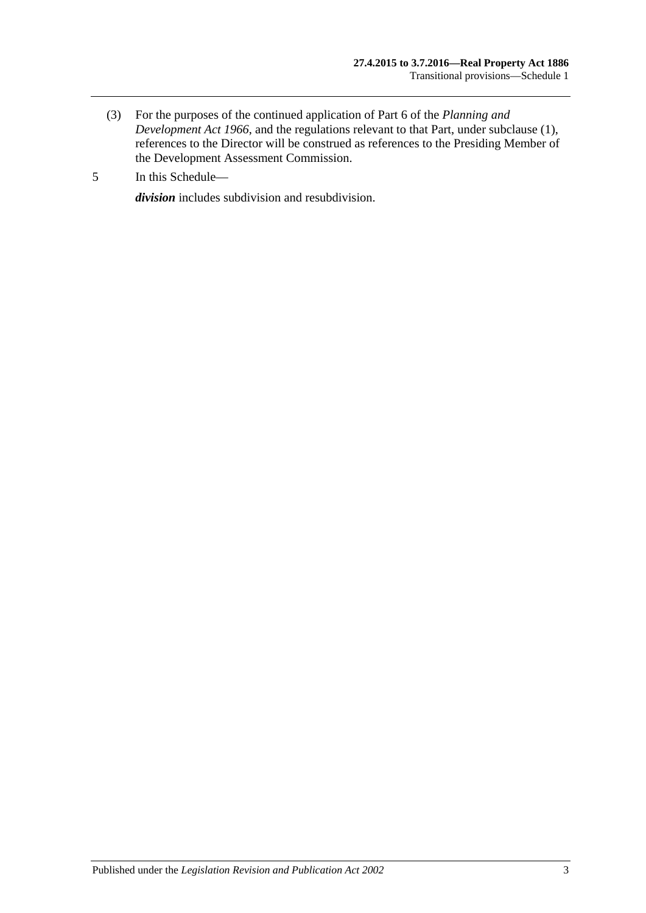- (3) For the purposes of the continued application of Part 6 of the *[Planning and](http://www.legislation.sa.gov.au/index.aspx?action=legref&type=act&legtitle=Planning%20and%20Development%20Act%201966)  [Development Act](http://www.legislation.sa.gov.au/index.aspx?action=legref&type=act&legtitle=Planning%20and%20Development%20Act%201966) 1966*, and the regulations relevant to that Part, under subclause (1), references to the Director will be construed as references to the Presiding Member of the Development Assessment Commission.
- 5 In this Schedule—

*division* includes subdivision and resubdivision.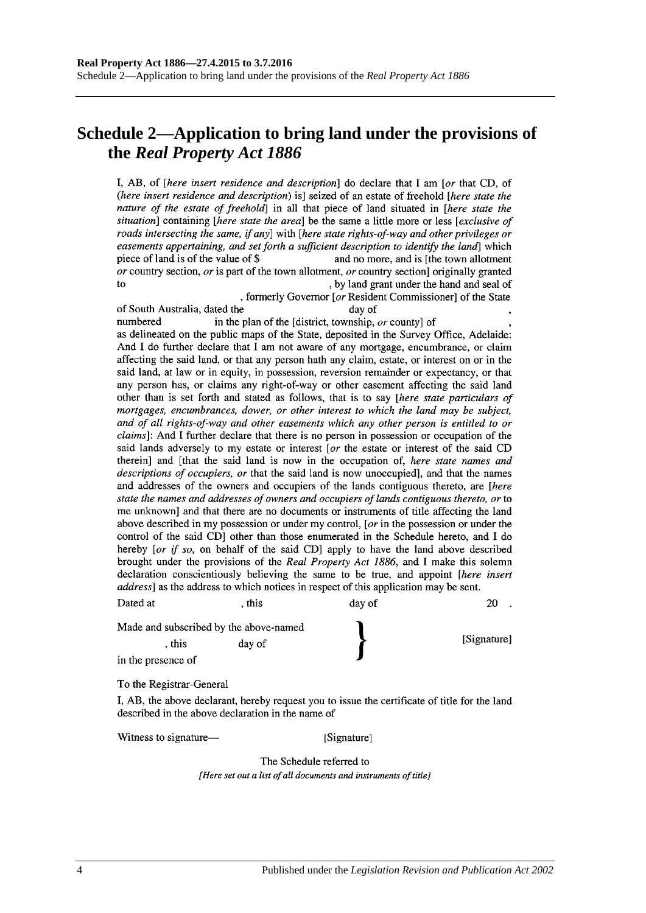# **Schedule 2—Application to bring land under the provisions of the** *Real Property Act 1886*

I, AB, of *[here insert residence and description*] do declare that I am *[or that CD, of* (here insert residence and description) is] seized of an estate of freehold [here state the nature of the estate of freehold] in all that piece of land situated in [here state the situation] containing [here state the area] be the same a little more or less [exclusive of roads intersecting the same, if any] with [here state rights-of-way and other privileges or easements appertaining, and set forth a sufficient description to identify the land which piece of land is of the value of \$ and no more, and is [the town allotment] or country section, or is part of the town allotment, or country section originally granted  $f<sub>O</sub>$ , by land grant under the hand and seal of

, formerly Governor [or Resident Commissioner] of the State of South Australia, dated the day of numbered in the plan of the [district, township, or county] of as delineated on the public maps of the State, deposited in the Survey Office, Adelaide: And I do further declare that I am not aware of any mortgage, encumbrance, or claim affecting the said land, or that any person hath any claim, estate, or interest on or in the said land, at law or in equity, in possession, reversion remainder or expectancy, or that any person has, or claims any right-of-way or other easement affecting the said land other than is set forth and stated as follows, that is to say [here state particulars of mortgages, encumbrances, dower, or other interest to which the land may be subject, and of all rights-of-way and other easements which any other person is entitled to or *claims*]: And I further declare that there is no person in possession or occupation of the said lands adversely to my estate or interest [or the estate or interest of the said CD therein] and [that the said land is now in the occupation of, here state names and descriptions of occupiers, or that the said land is now unoccupied], and that the names and addresses of the owners and occupiers of the lands contiguous thereto, are [here state the names and addresses of owners and occupiers of lands contiguous thereto, or to me unknown and that there are no documents or instruments of title affecting the land above described in my possession or under my control, [ $or$  in the possession or under the

control of the said CD] other than those enumerated in the Schedule hereto, and I do hereby [or if so, on behalf of the said CD] apply to have the land above described brought under the provisions of the Real Property Act 1886, and I make this solemn declaration conscientiously believing the same to be true, and appoint [here insert address] as the address to which notices in respect of this application may be sent.

| Dated at                               | . this | day of | 20          |
|----------------------------------------|--------|--------|-------------|
| Made and subscribed by the above-named |        |        |             |
| . this                                 | day of |        | [Signature] |
| in the presence of                     |        |        |             |

To the Registrar-General

I, AB, the above declarant, hereby request you to issue the certificate of title for the land described in the above declaration in the name of

Witness to signature—

[Signature]

The Schedule referred to [Here set out a list of all documents and instruments of title]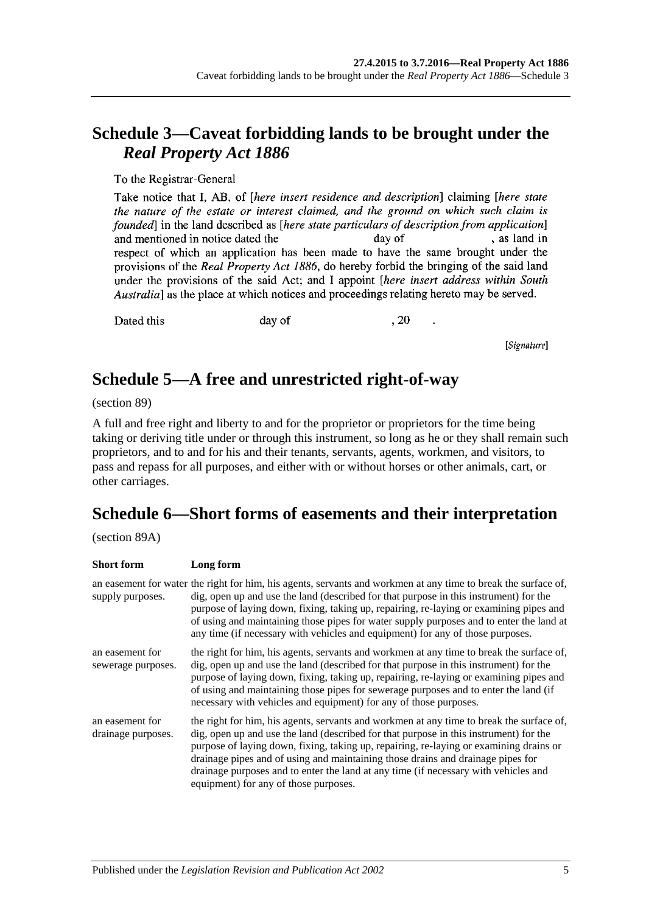# **Schedule 3—Caveat forbidding lands to be brought under the**  *Real Property Act 1886*

To the Registrar-General

Take notice that I, AB, of *[here insert residence and description*] claiming *[here state* the nature of the estate or interest claimed, and the ground on which such claim is founded in the land described as *[here state particulars of description from application*] , as land in and mentioned in notice dated the day of respect of which an application has been made to have the same brought under the provisions of the Real Property Act 1886, do hereby forbid the bringing of the said land under the provisions of the said Act; and I appoint *[here insert address within South* Australia] as the place at which notices and proceedings relating hereto may be served.

Dated this

day of

, 20

[Signature]

## **Schedule 5—A free and unrestricted right-of-way**

(section 89)

A full and free right and liberty to and for the proprietor or proprietors for the time being taking or deriving title under or through this instrument, so long as he or they shall remain such proprietors, and to and for his and their tenants, servants, agents, workmen, and visitors, to pass and repass for all purposes, and either with or without horses or other animals, cart, or other carriages.

# **Schedule 6—Short forms of easements and their interpretation**

(section 89A)

| <b>Short form</b>                     | Long form                                                                                                                                                                                                                                                                                                                                                                                                                                                                                      |
|---------------------------------------|------------------------------------------------------------------------------------------------------------------------------------------------------------------------------------------------------------------------------------------------------------------------------------------------------------------------------------------------------------------------------------------------------------------------------------------------------------------------------------------------|
| supply purposes.                      | an easement for water the right for him, his agents, servants and workmen at any time to break the surface of,<br>dig, open up and use the land (described for that purpose in this instrument) for the<br>purpose of laying down, fixing, taking up, repairing, re-laying or examining pipes and<br>of using and maintaining those pipes for water supply purposes and to enter the land at<br>any time (if necessary with vehicles and equipment) for any of those purposes.                 |
| an easement for<br>sewerage purposes. | the right for him, his agents, servants and workmen at any time to break the surface of,<br>dig, open up and use the land (described for that purpose in this instrument) for the<br>purpose of laying down, fixing, taking up, repairing, re-laying or examining pipes and<br>of using and maintaining those pipes for sewerage purposes and to enter the land (if<br>necessary with vehicles and equipment) for any of those purposes.                                                       |
| an easement for<br>drainage purposes. | the right for him, his agents, servants and workmen at any time to break the surface of,<br>dig, open up and use the land (described for that purpose in this instrument) for the<br>purpose of laying down, fixing, taking up, repairing, re-laying or examining drains or<br>drainage pipes and of using and maintaining those drains and drainage pipes for<br>drainage purposes and to enter the land at any time (if necessary with vehicles and<br>equipment) for any of those purposes. |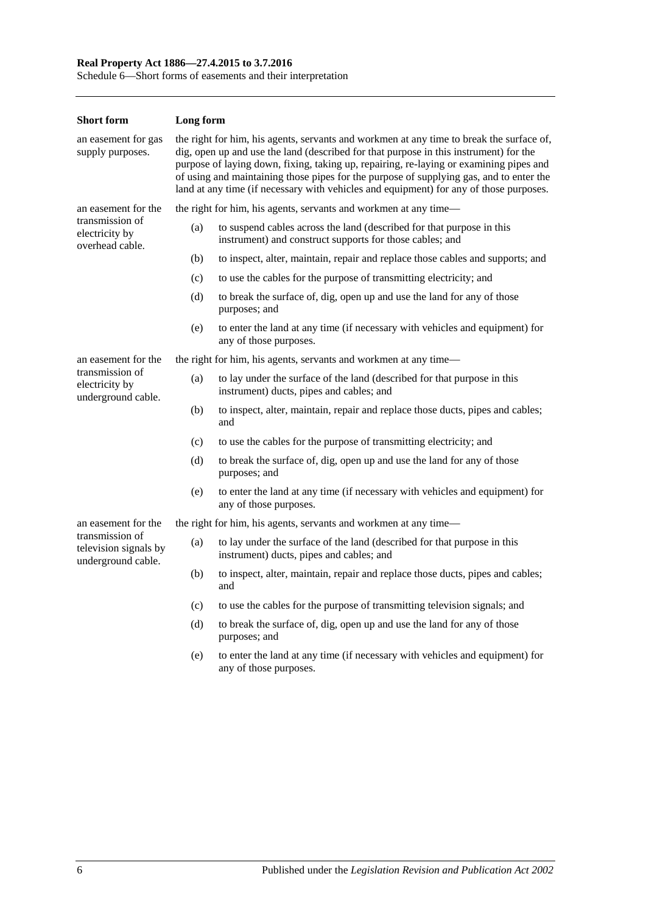### **Real Property Act 1886—27.4.2015 to 3.7.2016**

Schedule 6—Short forms of easements and their interpretation

| <b>Short form</b>                                              | Long form                                                                                                                                                                                                                                                                                                                                                                                                                                                        |                                                                                                                                   |  |  |
|----------------------------------------------------------------|------------------------------------------------------------------------------------------------------------------------------------------------------------------------------------------------------------------------------------------------------------------------------------------------------------------------------------------------------------------------------------------------------------------------------------------------------------------|-----------------------------------------------------------------------------------------------------------------------------------|--|--|
| an easement for gas<br>supply purposes.                        | the right for him, his agents, servants and workmen at any time to break the surface of,<br>dig, open up and use the land (described for that purpose in this instrument) for the<br>purpose of laying down, fixing, taking up, repairing, re-laying or examining pipes and<br>of using and maintaining those pipes for the purpose of supplying gas, and to enter the<br>land at any time (if necessary with vehicles and equipment) for any of those purposes. |                                                                                                                                   |  |  |
| an easement for the                                            |                                                                                                                                                                                                                                                                                                                                                                                                                                                                  | the right for him, his agents, servants and workmen at any time—                                                                  |  |  |
| transmission of<br>electricity by<br>overhead cable.           | (a)                                                                                                                                                                                                                                                                                                                                                                                                                                                              | to suspend cables across the land (described for that purpose in this<br>instrument) and construct supports for those cables; and |  |  |
|                                                                | (b)                                                                                                                                                                                                                                                                                                                                                                                                                                                              | to inspect, alter, maintain, repair and replace those cables and supports; and                                                    |  |  |
|                                                                | (c)                                                                                                                                                                                                                                                                                                                                                                                                                                                              | to use the cables for the purpose of transmitting electricity; and                                                                |  |  |
|                                                                | (d)                                                                                                                                                                                                                                                                                                                                                                                                                                                              | to break the surface of, dig, open up and use the land for any of those<br>purposes; and                                          |  |  |
|                                                                | (e)                                                                                                                                                                                                                                                                                                                                                                                                                                                              | to enter the land at any time (if necessary with vehicles and equipment) for<br>any of those purposes.                            |  |  |
| an easement for the                                            | the right for him, his agents, servants and workmen at any time—                                                                                                                                                                                                                                                                                                                                                                                                 |                                                                                                                                   |  |  |
| transmission of<br>electricity by<br>underground cable.        | (a)                                                                                                                                                                                                                                                                                                                                                                                                                                                              | to lay under the surface of the land (described for that purpose in this<br>instrument) ducts, pipes and cables; and              |  |  |
|                                                                | (b)                                                                                                                                                                                                                                                                                                                                                                                                                                                              | to inspect, alter, maintain, repair and replace those ducts, pipes and cables;<br>and                                             |  |  |
|                                                                | (c)                                                                                                                                                                                                                                                                                                                                                                                                                                                              | to use the cables for the purpose of transmitting electricity; and                                                                |  |  |
|                                                                | (d)                                                                                                                                                                                                                                                                                                                                                                                                                                                              | to break the surface of, dig, open up and use the land for any of those<br>purposes; and                                          |  |  |
|                                                                | (e)                                                                                                                                                                                                                                                                                                                                                                                                                                                              | to enter the land at any time (if necessary with vehicles and equipment) for<br>any of those purposes.                            |  |  |
| an easement for the                                            |                                                                                                                                                                                                                                                                                                                                                                                                                                                                  | the right for him, his agents, servants and workmen at any time—                                                                  |  |  |
| transmission of<br>television signals by<br>underground cable. | (a)                                                                                                                                                                                                                                                                                                                                                                                                                                                              | to lay under the surface of the land (described for that purpose in this<br>instrument) ducts, pipes and cables; and              |  |  |
|                                                                | (b)                                                                                                                                                                                                                                                                                                                                                                                                                                                              | to inspect, alter, maintain, repair and replace those ducts, pipes and cables;<br>and                                             |  |  |
|                                                                | (c)                                                                                                                                                                                                                                                                                                                                                                                                                                                              | to use the cables for the purpose of transmitting television signals; and                                                         |  |  |
|                                                                | (d)                                                                                                                                                                                                                                                                                                                                                                                                                                                              | to break the surface of, dig, open up and use the land for any of those<br>purposes; and                                          |  |  |
|                                                                | (e)                                                                                                                                                                                                                                                                                                                                                                                                                                                              | to enter the land at any time (if necessary with vehicles and equipment) for<br>any of those purposes.                            |  |  |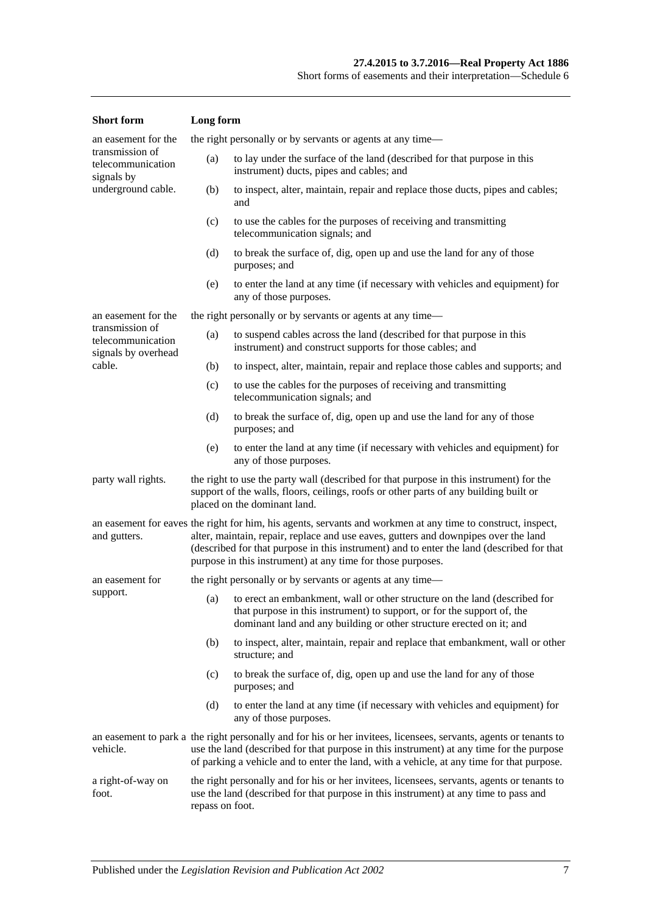| <b>Short</b> form                                           | Long form                                                                                                                                                                                                                                                                                                                                                       |                                                                                                                                                                                                                                   |  |
|-------------------------------------------------------------|-----------------------------------------------------------------------------------------------------------------------------------------------------------------------------------------------------------------------------------------------------------------------------------------------------------------------------------------------------------------|-----------------------------------------------------------------------------------------------------------------------------------------------------------------------------------------------------------------------------------|--|
| an easement for the                                         |                                                                                                                                                                                                                                                                                                                                                                 | the right personally or by servants or agents at any time—                                                                                                                                                                        |  |
| transmission of<br>telecommunication<br>signals by          | (a)<br>to lay under the surface of the land (described for that purpose in this<br>instrument) ducts, pipes and cables; and                                                                                                                                                                                                                                     |                                                                                                                                                                                                                                   |  |
| underground cable.                                          | (b)                                                                                                                                                                                                                                                                                                                                                             | to inspect, alter, maintain, repair and replace those ducts, pipes and cables;<br>and                                                                                                                                             |  |
|                                                             | (c)                                                                                                                                                                                                                                                                                                                                                             | to use the cables for the purposes of receiving and transmitting<br>telecommunication signals; and                                                                                                                                |  |
|                                                             | (d)                                                                                                                                                                                                                                                                                                                                                             | to break the surface of, dig, open up and use the land for any of those<br>purposes; and                                                                                                                                          |  |
|                                                             | (e)                                                                                                                                                                                                                                                                                                                                                             | to enter the land at any time (if necessary with vehicles and equipment) for<br>any of those purposes.                                                                                                                            |  |
| an easement for the                                         |                                                                                                                                                                                                                                                                                                                                                                 | the right personally or by servants or agents at any time—                                                                                                                                                                        |  |
| transmission of<br>telecommunication<br>signals by overhead | (a)                                                                                                                                                                                                                                                                                                                                                             | to suspend cables across the land (described for that purpose in this<br>instrument) and construct supports for those cables; and                                                                                                 |  |
| cable.                                                      | (b)                                                                                                                                                                                                                                                                                                                                                             | to inspect, alter, maintain, repair and replace those cables and supports; and                                                                                                                                                    |  |
|                                                             | (c)                                                                                                                                                                                                                                                                                                                                                             | to use the cables for the purposes of receiving and transmitting<br>telecommunication signals; and                                                                                                                                |  |
|                                                             | (d)                                                                                                                                                                                                                                                                                                                                                             | to break the surface of, dig, open up and use the land for any of those<br>purposes; and                                                                                                                                          |  |
|                                                             | (e)                                                                                                                                                                                                                                                                                                                                                             | to enter the land at any time (if necessary with vehicles and equipment) for<br>any of those purposes.                                                                                                                            |  |
| party wall rights.                                          | the right to use the party wall (described for that purpose in this instrument) for the<br>support of the walls, floors, ceilings, roofs or other parts of any building built or<br>placed on the dominant land.                                                                                                                                                |                                                                                                                                                                                                                                   |  |
| and gutters.                                                | an easement for eaves the right for him, his agents, servants and workmen at any time to construct, inspect,<br>alter, maintain, repair, replace and use eaves, gutters and downpipes over the land<br>(described for that purpose in this instrument) and to enter the land (described for that<br>purpose in this instrument) at any time for those purposes. |                                                                                                                                                                                                                                   |  |
| an easement for                                             |                                                                                                                                                                                                                                                                                                                                                                 | the right personally or by servants or agents at any time—                                                                                                                                                                        |  |
| support.                                                    |                                                                                                                                                                                                                                                                                                                                                                 | (a) to erect an embankment, wall or other structure on the land (described for<br>that purpose in this instrument) to support, or for the support of, the<br>dominant land and any building or other structure erected on it; and |  |
|                                                             | (b)                                                                                                                                                                                                                                                                                                                                                             | to inspect, alter, maintain, repair and replace that embankment, wall or other<br>structure; and                                                                                                                                  |  |
|                                                             | (c)                                                                                                                                                                                                                                                                                                                                                             | to break the surface of, dig, open up and use the land for any of those<br>purposes; and                                                                                                                                          |  |
|                                                             | (d)                                                                                                                                                                                                                                                                                                                                                             | to enter the land at any time (if necessary with vehicles and equipment) for<br>any of those purposes.                                                                                                                            |  |
| vehicle.                                                    | an easement to park a the right personally and for his or her invitees, licensees, servants, agents or tenants to<br>use the land (described for that purpose in this instrument) at any time for the purpose<br>of parking a vehicle and to enter the land, with a vehicle, at any time for that purpose.                                                      |                                                                                                                                                                                                                                   |  |
| a right-of-way on<br>foot.<br>repass on foot.               |                                                                                                                                                                                                                                                                                                                                                                 | the right personally and for his or her invitees, licensees, servants, agents or tenants to<br>use the land (described for that purpose in this instrument) at any time to pass and                                               |  |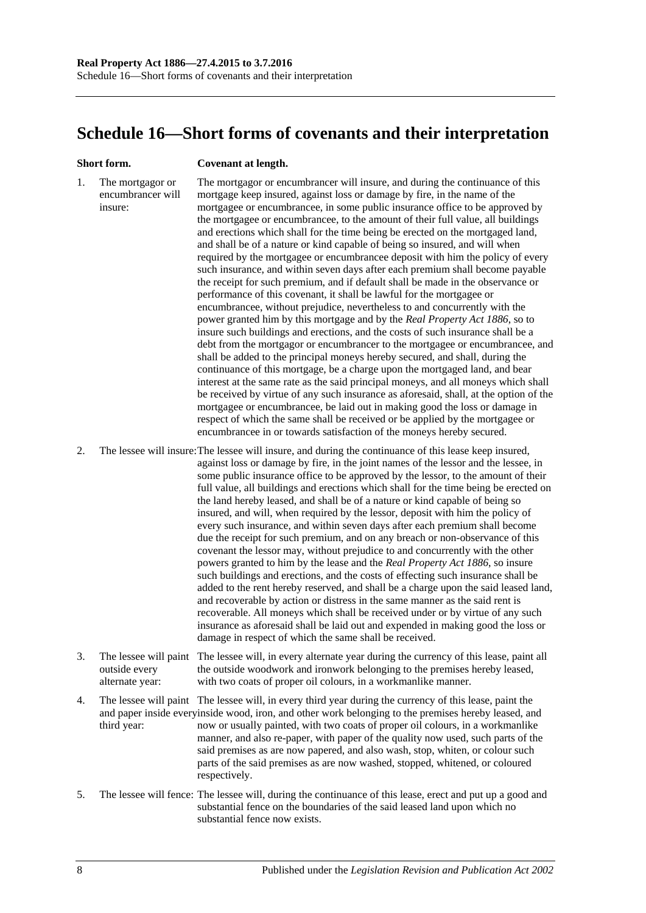# **Schedule 16—Short forms of covenants and their interpretation**

#### **Short form. Covenant at length.**

1. The mortgagor or encumbrancer will insure: The mortgagor or encumbrancer will insure, and during the continuance of this mortgage keep insured, against loss or damage by fire, in the name of the mortgagee or encumbrancee, in some public insurance office to be approved by the mortgagee or encumbrancee, to the amount of their full value, all buildings and erections which shall for the time being be erected on the mortgaged land, and shall be of a nature or kind capable of being so insured, and will when required by the mortgagee or encumbrancee deposit with him the policy of every such insurance, and within seven days after each premium shall become payable the receipt for such premium, and if default shall be made in the observance or performance of this covenant, it shall be lawful for the mortgagee or encumbrancee, without prejudice, nevertheless to and concurrently with the power granted him by this mortgage and by the *[Real Property Act](http://www.legislation.sa.gov.au/index.aspx?action=legref&type=act&legtitle=Real%20Property%20Act%201886) 1886*, so to insure such buildings and erections, and the costs of such insurance shall be a debt from the mortgagor or encumbrancer to the mortgagee or encumbrancee, and shall be added to the principal moneys hereby secured, and shall, during the continuance of this mortgage, be a charge upon the mortgaged land, and bear interest at the same rate as the said principal moneys, and all moneys which shall be received by virtue of any such insurance as aforesaid, shall, at the option of the mortgagee or encumbrancee, be laid out in making good the loss or damage in respect of which the same shall be received or be applied by the mortgagee or encumbrancee in or towards satisfaction of the moneys hereby secured.

2. The lessee will insure:The lessee will insure, and during the continuance of this lease keep insured, against loss or damage by fire, in the joint names of the lessor and the lessee, in some public insurance office to be approved by the lessor, to the amount of their full value, all buildings and erections which shall for the time being be erected on the land hereby leased, and shall be of a nature or kind capable of being so insured, and will, when required by the lessor, deposit with him the policy of every such insurance, and within seven days after each premium shall become due the receipt for such premium, and on any breach or non-observance of this covenant the lessor may, without prejudice to and concurrently with the other powers granted to him by the lease and the *[Real Property Act](http://www.legislation.sa.gov.au/index.aspx?action=legref&type=act&legtitle=Real%20Property%20Act%201886) 1886*, so insure such buildings and erections, and the costs of effecting such insurance shall be added to the rent hereby reserved, and shall be a charge upon the said leased land, and recoverable by action or distress in the same manner as the said rent is recoverable. All moneys which shall be received under or by virtue of any such insurance as aforesaid shall be laid out and expended in making good the loss or damage in respect of which the same shall be received.

- 3. The lessee will paint The lessee will, in every alternate year during the currency of this lease, paint all outside every alternate year: the outside woodwork and ironwork belonging to the premises hereby leased, with two coats of proper oil colours, in a workmanlike manner.
- 4. The lessee will paint The lessee will, in every third year during the currency of this lease, paint the and paper inside everyinside wood, iron, and other work belonging to the premises hereby leased, and third year: now or usually painted, with two coats of proper oil colours, in a workmanlike manner, and also re-paper, with paper of the quality now used, such parts of the said premises as are now papered, and also wash, stop, whiten, or colour such parts of the said premises as are now washed, stopped, whitened, or coloured respectively.
- 5. The lessee will fence: The lessee will, during the continuance of this lease, erect and put up a good and substantial fence on the boundaries of the said leased land upon which no substantial fence now exists.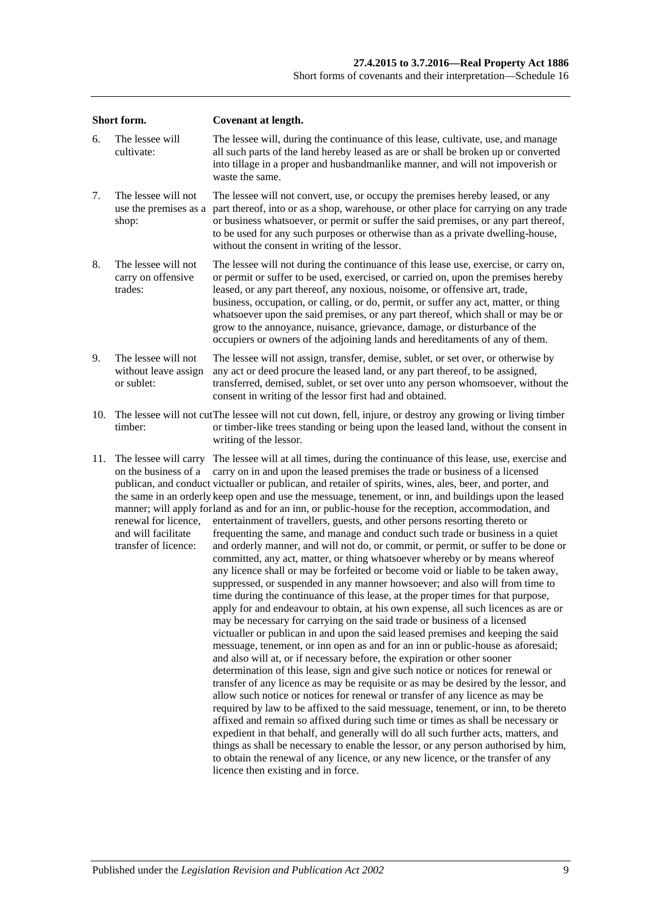| Short form. |                                                                                                                      | Covenant at length.                                                                                                                                                                                                                                                                                                                                                                                                                                                                                                                                                                                                                                                                                                                                                                                                                                                                                                                                                                                                                                                                                                                                                                                                                                                                                                                                                                                                                                                                                                                                                                                                                                                                                                                                                                                                                                                                                                                                                                                                                                                                                                                                                                                                                                                     |  |  |  |
|-------------|----------------------------------------------------------------------------------------------------------------------|-------------------------------------------------------------------------------------------------------------------------------------------------------------------------------------------------------------------------------------------------------------------------------------------------------------------------------------------------------------------------------------------------------------------------------------------------------------------------------------------------------------------------------------------------------------------------------------------------------------------------------------------------------------------------------------------------------------------------------------------------------------------------------------------------------------------------------------------------------------------------------------------------------------------------------------------------------------------------------------------------------------------------------------------------------------------------------------------------------------------------------------------------------------------------------------------------------------------------------------------------------------------------------------------------------------------------------------------------------------------------------------------------------------------------------------------------------------------------------------------------------------------------------------------------------------------------------------------------------------------------------------------------------------------------------------------------------------------------------------------------------------------------------------------------------------------------------------------------------------------------------------------------------------------------------------------------------------------------------------------------------------------------------------------------------------------------------------------------------------------------------------------------------------------------------------------------------------------------------------------------------------------------|--|--|--|
| 6.          | The lessee will<br>cultivate:                                                                                        | The lessee will, during the continuance of this lease, cultivate, use, and manage<br>all such parts of the land hereby leased as are or shall be broken up or converted<br>into tillage in a proper and husbandmanlike manner, and will not impoverish or<br>waste the same.                                                                                                                                                                                                                                                                                                                                                                                                                                                                                                                                                                                                                                                                                                                                                                                                                                                                                                                                                                                                                                                                                                                                                                                                                                                                                                                                                                                                                                                                                                                                                                                                                                                                                                                                                                                                                                                                                                                                                                                            |  |  |  |
| 7.          | The lessee will not<br>use the premises as a<br>shop:                                                                | The lessee will not convert, use, or occupy the premises hereby leased, or any<br>part thereof, into or as a shop, warehouse, or other place for carrying on any trade<br>or business whatsoever, or permit or suffer the said premises, or any part thereof,<br>to be used for any such purposes or otherwise than as a private dwelling-house,<br>without the consent in writing of the lessor.                                                                                                                                                                                                                                                                                                                                                                                                                                                                                                                                                                                                                                                                                                                                                                                                                                                                                                                                                                                                                                                                                                                                                                                                                                                                                                                                                                                                                                                                                                                                                                                                                                                                                                                                                                                                                                                                       |  |  |  |
| 8.          | The lessee will not<br>carry on offensive<br>trades:                                                                 | The lessee will not during the continuance of this lease use, exercise, or carry on,<br>or permit or suffer to be used, exercised, or carried on, upon the premises hereby<br>leased, or any part thereof, any noxious, noisome, or offensive art, trade,<br>business, occupation, or calling, or do, permit, or suffer any act, matter, or thing<br>whatsoever upon the said premises, or any part thereof, which shall or may be or<br>grow to the annoyance, nuisance, grievance, damage, or disturbance of the<br>occupiers or owners of the adjoining lands and hereditaments of any of them.                                                                                                                                                                                                                                                                                                                                                                                                                                                                                                                                                                                                                                                                                                                                                                                                                                                                                                                                                                                                                                                                                                                                                                                                                                                                                                                                                                                                                                                                                                                                                                                                                                                                      |  |  |  |
| 9.          | The lessee will not<br>without leave assign<br>or sublet:                                                            | The lessee will not assign, transfer, demise, sublet, or set over, or otherwise by<br>any act or deed procure the leased land, or any part thereof, to be assigned,<br>transferred, demised, sublet, or set over unto any person whomsoever, without the<br>consent in writing of the lessor first had and obtained.                                                                                                                                                                                                                                                                                                                                                                                                                                                                                                                                                                                                                                                                                                                                                                                                                                                                                                                                                                                                                                                                                                                                                                                                                                                                                                                                                                                                                                                                                                                                                                                                                                                                                                                                                                                                                                                                                                                                                    |  |  |  |
| 10.         | timber:                                                                                                              | The lessee will not cut The lessee will not cut down, fell, injure, or destroy any growing or living timber<br>or timber-like trees standing or being upon the leased land, without the consent in<br>writing of the lessor.                                                                                                                                                                                                                                                                                                                                                                                                                                                                                                                                                                                                                                                                                                                                                                                                                                                                                                                                                                                                                                                                                                                                                                                                                                                                                                                                                                                                                                                                                                                                                                                                                                                                                                                                                                                                                                                                                                                                                                                                                                            |  |  |  |
| 11.         | The lessee will carry<br>on the business of a<br>renewal for licence,<br>and will facilitate<br>transfer of licence: | The lessee will at all times, during the continuance of this lease, use, exercise and<br>carry on in and upon the leased premises the trade or business of a licensed<br>publican, and conduct victualler or publican, and retailer of spirits, wines, ales, beer, and porter, and<br>the same in an orderly keep open and use the messuage, tenement, or inn, and buildings upon the leased<br>manner; will apply forland as and for an inn, or public-house for the reception, accommodation, and<br>entertainment of travellers, guests, and other persons resorting thereto or<br>frequenting the same, and manage and conduct such trade or business in a quiet<br>and orderly manner, and will not do, or commit, or permit, or suffer to be done or<br>committed, any act, matter, or thing whatsoever whereby or by means whereof<br>any licence shall or may be forfeited or become void or liable to be taken away,<br>suppressed, or suspended in any manner howsoever; and also will from time to<br>time during the continuance of this lease, at the proper times for that purpose,<br>apply for and endeavour to obtain, at his own expense, all such licences as are or<br>may be necessary for carrying on the said trade or business of a licensed<br>victualler or publican in and upon the said leased premises and keeping the said<br>messuage, tenement, or inn open as and for an inn or public-house as aforesaid;<br>and also will at, or if necessary before, the expiration or other sooner<br>determination of this lease, sign and give such notice or notices for renewal or<br>transfer of any licence as may be requisite or as may be desired by the lessor, and<br>allow such notice or notices for renewal or transfer of any licence as may be<br>required by law to be affixed to the said messuage, tenement, or inn, to be thereto<br>affixed and remain so affixed during such time or times as shall be necessary or<br>expedient in that behalf, and generally will do all such further acts, matters, and<br>things as shall be necessary to enable the lessor, or any person authorised by him,<br>to obtain the renewal of any licence, or any new licence, or the transfer of any<br>licence then existing and in force. |  |  |  |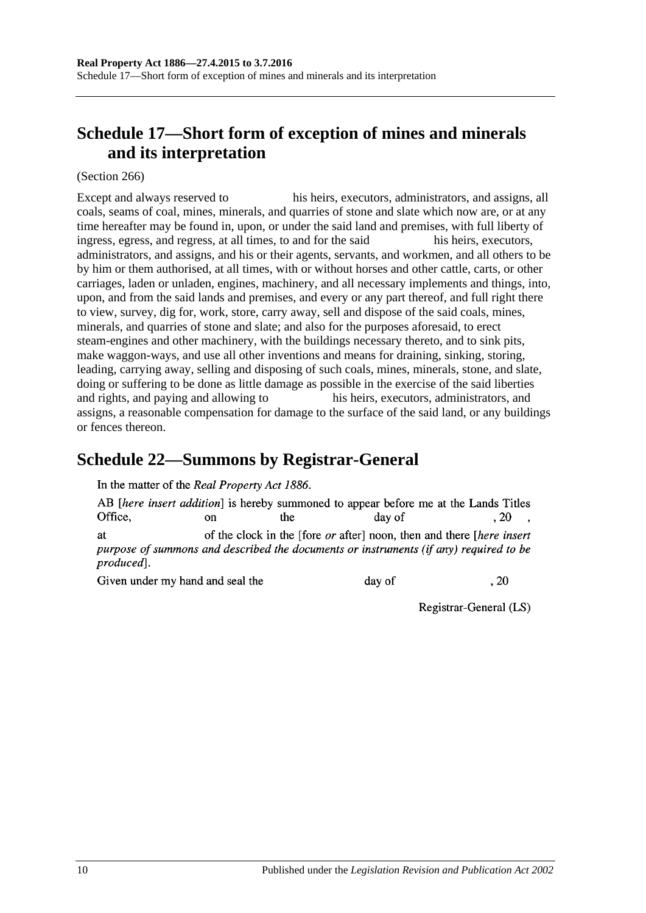# **Schedule 17—Short form of exception of mines and minerals and its interpretation**

(Section 266)

Except and always reserved to his heirs, executors, administrators, and assigns, all coals, seams of coal, mines, minerals, and quarries of stone and slate which now are, or at any time hereafter may be found in, upon, or under the said land and premises, with full liberty of ingress, egress, and regress, at all times, to and for the said his heirs, executors, administrators, and assigns, and his or their agents, servants, and workmen, and all others to be by him or them authorised, at all times, with or without horses and other cattle, carts, or other carriages, laden or unladen, engines, machinery, and all necessary implements and things, into, upon, and from the said lands and premises, and every or any part thereof, and full right there to view, survey, dig for, work, store, carry away, sell and dispose of the said coals, mines, minerals, and quarries of stone and slate; and also for the purposes aforesaid, to erect steam-engines and other machinery, with the buildings necessary thereto, and to sink pits, make waggon-ways, and use all other inventions and means for draining, sinking, storing, leading, carrying away, selling and disposing of such coals, mines, minerals, stone, and slate, doing or suffering to be done as little damage as possible in the exercise of the said liberties and rights, and paying and allowing to his heirs, executors, administrators, and assigns, a reasonable compensation for damage to the surface of the said land, or any buildings or fences thereon.

## **Schedule 22—Summons by Registrar-General**

In the matter of the Real Property Act 1886.

AB *[here insert addition]* is hereby summoned to appear before me at the Lands Titles Office. the  $.20$  $\alpha$ n day of of the clock in the [fore *or* after] noon, then and there *[here insert*] **at** purpose of summons and described the documents or instruments (if any) required to be produced].

Given under my hand and seal the

day of

Registrar-General (LS)

 $.20$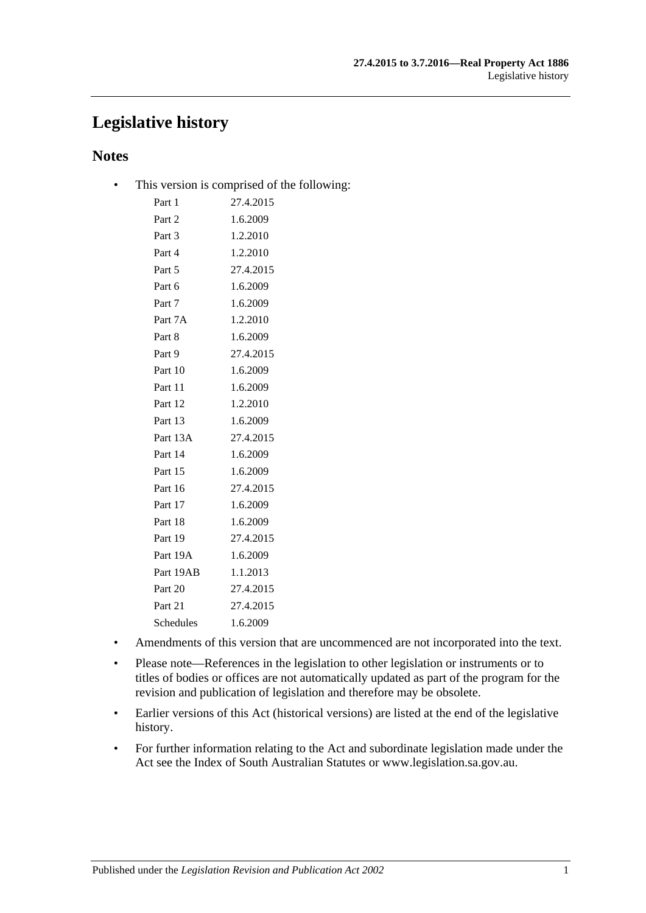# **Legislative history**

### **Notes**

• This version is comprised of the following:

| 27.4.2015 |
|-----------|
| 1.6.2009  |
| 1.2.2010  |
| 1.2.2010  |
| 27.4.2015 |
| 1.6.2009  |
| 1.6.2009  |
| 1.2.2010  |
| 1.6.2009  |
| 27.4.2015 |
| 1.6.2009  |
| 1.6.2009  |
| 1.2.2010  |
| 1.6.2009  |
| 27.4.2015 |
| 1.6.2009  |
| 1.6.2009  |
| 27.4.2015 |
| 1.6.2009  |
| 1.6.2009  |
| 27.4.2015 |
| 1.6.2009  |
| 1.1.2013  |
| 27.4.2015 |
| 27.4.2015 |
| 1.6.2009  |
|           |

- Amendments of this version that are uncommenced are not incorporated into the text.
- Please note—References in the legislation to other legislation or instruments or to titles of bodies or offices are not automatically updated as part of the program for the revision and publication of legislation and therefore may be obsolete.
- Earlier versions of this Act (historical versions) are listed at the end of the legislative history.
- For further information relating to the Act and subordinate legislation made under the Act see the Index of South Australian Statutes or www.legislation.sa.gov.au.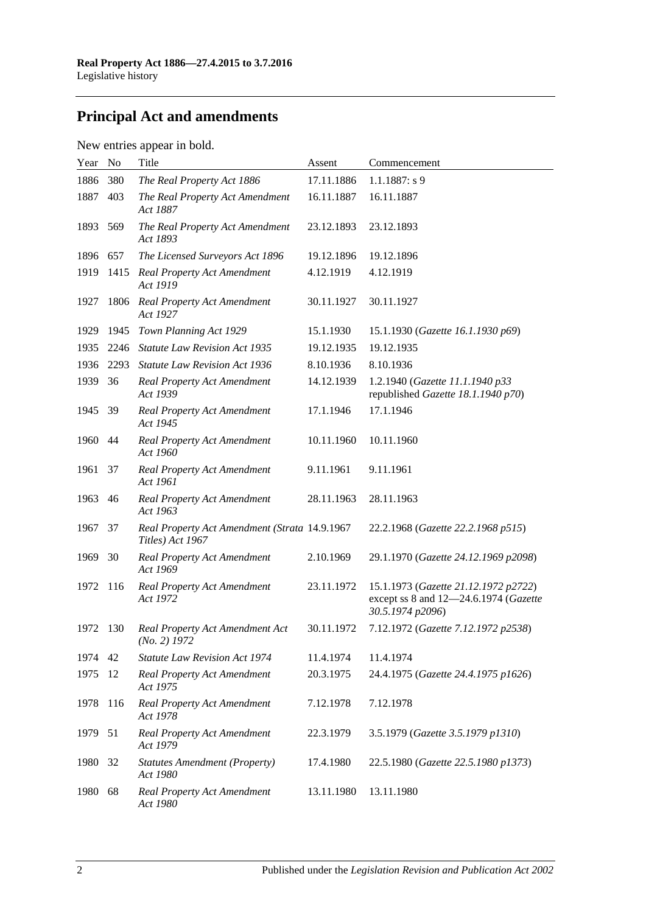# **Principal Act and amendments**

## New entries appear in bold.

| Year | N <sub>o</sub> | Title                                                             | Assent     | Commencement                                                                                      |
|------|----------------|-------------------------------------------------------------------|------------|---------------------------------------------------------------------------------------------------|
| 1886 | 380            | The Real Property Act 1886                                        | 17.11.1886 | $1.1.1887: s$ 9                                                                                   |
| 1887 | 403            | The Real Property Act Amendment<br>Act 1887                       | 16.11.1887 | 16.11.1887                                                                                        |
| 1893 | 569            | The Real Property Act Amendment<br>Act 1893                       | 23.12.1893 | 23.12.1893                                                                                        |
| 1896 | 657            | The Licensed Surveyors Act 1896                                   | 19.12.1896 | 19.12.1896                                                                                        |
| 1919 | 1415           | Real Property Act Amendment<br>Act 1919                           | 4.12.1919  | 4.12.1919                                                                                         |
| 1927 | 1806           | Real Property Act Amendment<br>Act 1927                           | 30.11.1927 | 30.11.1927                                                                                        |
| 1929 | 1945           | Town Planning Act 1929                                            | 15.1.1930  | 15.1.1930 (Gazette 16.1.1930 p69)                                                                 |
| 1935 | 2246           | <b>Statute Law Revision Act 1935</b>                              | 19.12.1935 | 19.12.1935                                                                                        |
| 1936 | 2293           | <b>Statute Law Revision Act 1936</b>                              | 8.10.1936  | 8.10.1936                                                                                         |
| 1939 | 36             | <b>Real Property Act Amendment</b><br>Act 1939                    | 14.12.1939 | 1.2.1940 (Gazette 11.1.1940 p33<br>republished Gazette 18.1.1940 p70)                             |
| 1945 | -39            | <b>Real Property Act Amendment</b><br>Act 1945                    | 17.1.1946  | 17.1.1946                                                                                         |
| 1960 | 44             | <b>Real Property Act Amendment</b><br>Act 1960                    | 10.11.1960 | 10.11.1960                                                                                        |
| 1961 | 37             | <b>Real Property Act Amendment</b><br>Act 1961                    | 9.11.1961  | 9.11.1961                                                                                         |
| 1963 | 46             | <b>Real Property Act Amendment</b><br>Act 1963                    | 28.11.1963 | 28.11.1963                                                                                        |
| 1967 | 37             | Real Property Act Amendment (Strata 14.9.1967<br>Titles) Act 1967 |            | 22.2.1968 (Gazette 22.2.1968 p515)                                                                |
| 1969 | 30             | <b>Real Property Act Amendment</b><br>Act 1969                    | 2.10.1969  | 29.1.1970 (Gazette 24.12.1969 p2098)                                                              |
| 1972 | 116            | <b>Real Property Act Amendment</b><br>Act 1972                    | 23.11.1972 | 15.1.1973 (Gazette 21.12.1972 p2722)<br>except ss 8 and 12-24.6.1974 (Gazette<br>30.5.1974 p2096) |
| 1972 | 130            | Real Property Act Amendment Act<br>$(No. 2)$ 1972                 | 30.11.1972 | 7.12.1972 (Gazette 7.12.1972 p2538)                                                               |
| 1974 | 42             | <b>Statute Law Revision Act 1974</b>                              | 11.4.1974  | 11.4.1974                                                                                         |
| 1975 | 12             | <b>Real Property Act Amendment</b><br>Act 1975                    | 20.3.1975  | 24.4.1975 (Gazette 24.4.1975 p1626)                                                               |
| 1978 | 116            | Real Property Act Amendment<br>Act 1978                           | 7.12.1978  | 7.12.1978                                                                                         |
| 1979 | 51             | <b>Real Property Act Amendment</b><br>Act 1979                    | 22.3.1979  | 3.5.1979 (Gazette 3.5.1979 p1310)                                                                 |
| 1980 | 32             | <b>Statutes Amendment (Property)</b><br>Act 1980                  | 17.4.1980  | 22.5.1980 (Gazette 22.5.1980 p1373)                                                               |
| 1980 | 68             | <b>Real Property Act Amendment</b><br>Act 1980                    | 13.11.1980 | 13.11.1980                                                                                        |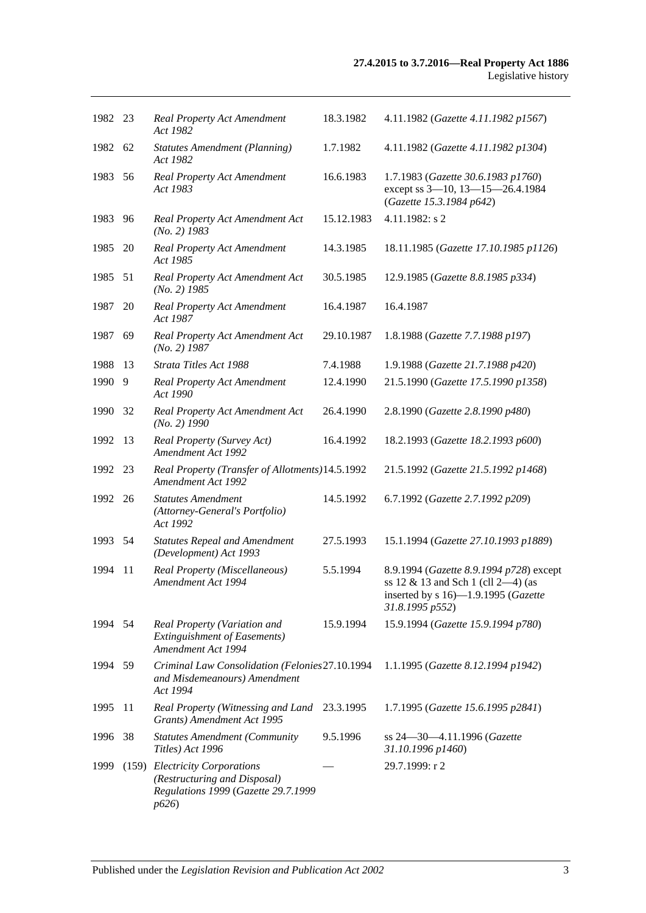| 1982 23 |    | <b>Real Property Act Amendment</b><br>Act 1982                                                                | 18.3.1982  | 4.11.1982 (Gazette 4.11.1982 p1567)                                                                                                        |
|---------|----|---------------------------------------------------------------------------------------------------------------|------------|--------------------------------------------------------------------------------------------------------------------------------------------|
| 1982 62 |    | <b>Statutes Amendment (Planning)</b><br>Act 1982                                                              | 1.7.1982   | 4.11.1982 (Gazette 4.11.1982 p1304)                                                                                                        |
| 1983    | 56 | Real Property Act Amendment<br>Act 1983                                                                       | 16.6.1983  | 1.7.1983 (Gazette 30.6.1983 p1760)<br>except ss 3-10, 13-15-26.4.1984<br>(Gazette 15.3.1984 p642)                                          |
| 1983    | 96 | Real Property Act Amendment Act<br>$(No. 2)$ 1983                                                             | 15.12.1983 | 4.11.1982: s 2                                                                                                                             |
| 1985    | 20 | <b>Real Property Act Amendment</b><br>Act 1985                                                                | 14.3.1985  | 18.11.1985 (Gazette 17.10.1985 p1126)                                                                                                      |
| 1985 51 |    | Real Property Act Amendment Act<br>$(No. 2)$ 1985                                                             | 30.5.1985  | 12.9.1985 (Gazette 8.8.1985 p334)                                                                                                          |
| 1987    | 20 | <b>Real Property Act Amendment</b><br>Act 1987                                                                | 16.4.1987  | 16.4.1987                                                                                                                                  |
| 1987    | 69 | Real Property Act Amendment Act<br>$(No. 2)$ 1987                                                             | 29.10.1987 | 1.8.1988 (Gazette 7.7.1988 p197)                                                                                                           |
| 1988    | 13 | Strata Titles Act 1988                                                                                        | 7.4.1988   | 1.9.1988 (Gazette 21.7.1988 p420)                                                                                                          |
| 1990    | 9  | <b>Real Property Act Amendment</b><br>Act 1990                                                                | 12.4.1990  | 21.5.1990 (Gazette 17.5.1990 p1358)                                                                                                        |
| 1990    | 32 | Real Property Act Amendment Act<br>$(No. 2)$ 1990                                                             | 26.4.1990  | 2.8.1990 (Gazette 2.8.1990 p480)                                                                                                           |
| 1992    | 13 | Real Property (Survey Act)<br><b>Amendment Act 1992</b>                                                       | 16.4.1992  | 18.2.1993 (Gazette 18.2.1993 p600)                                                                                                         |
| 1992    | 23 | Real Property (Transfer of Allotments) 14.5.1992<br>Amendment Act 1992                                        |            | 21.5.1992 (Gazette 21.5.1992 p1468)                                                                                                        |
| 1992 26 |    | <b>Statutes Amendment</b><br>(Attorney-General's Portfolio)<br>Act 1992                                       | 14.5.1992  | 6.7.1992 (Gazette 2.7.1992 p209)                                                                                                           |
| 1993 54 |    | <b>Statutes Repeal and Amendment</b><br>(Development) Act 1993                                                | 27.5.1993  | 15.1.1994 (Gazette 27.10.1993 p1889)                                                                                                       |
| 1994    | 11 | Real Property (Miscellaneous)<br>Amendment Act 1994                                                           | 5.5.1994   | 8.9.1994 (Gazette 8.9.1994 p728) except<br>ss $12 \& 13$ and Sch 1 (cll 2-4) (as<br>inserted by s 16)-1.9.1995 (Gazette<br>31.8.1995 p552) |
| 1994    | 54 | Real Property (Variation and<br><b>Extinguishment of Easements)</b><br>Amendment Act 1994                     | 15.9.1994  | 15.9.1994 (Gazette 15.9.1994 p780)                                                                                                         |
| 1994 59 |    | Criminal Law Consolidation (Felonies 27.10.1994<br>and Misdemeanours) Amendment<br>Act 1994                   |            | 1.1.1995 (Gazette 8.12.1994 p1942)                                                                                                         |
| 1995    | 11 | Real Property (Witnessing and Land<br>Grants) Amendment Act 1995                                              | 23.3.1995  | 1.7.1995 (Gazette 15.6.1995 p2841)                                                                                                         |
| 1996    | 38 | <b>Statutes Amendment (Community</b><br>Titles) Act 1996                                                      | 9.5.1996   | ss 24-30-4.11.1996 (Gazette<br>31.10.1996 p1460)                                                                                           |
| 1999    |    | (159) Electricity Corporations<br>(Restructuring and Disposal)<br>Regulations 1999 (Gazette 29.7.1999<br>p626 |            | 29.7.1999: r 2                                                                                                                             |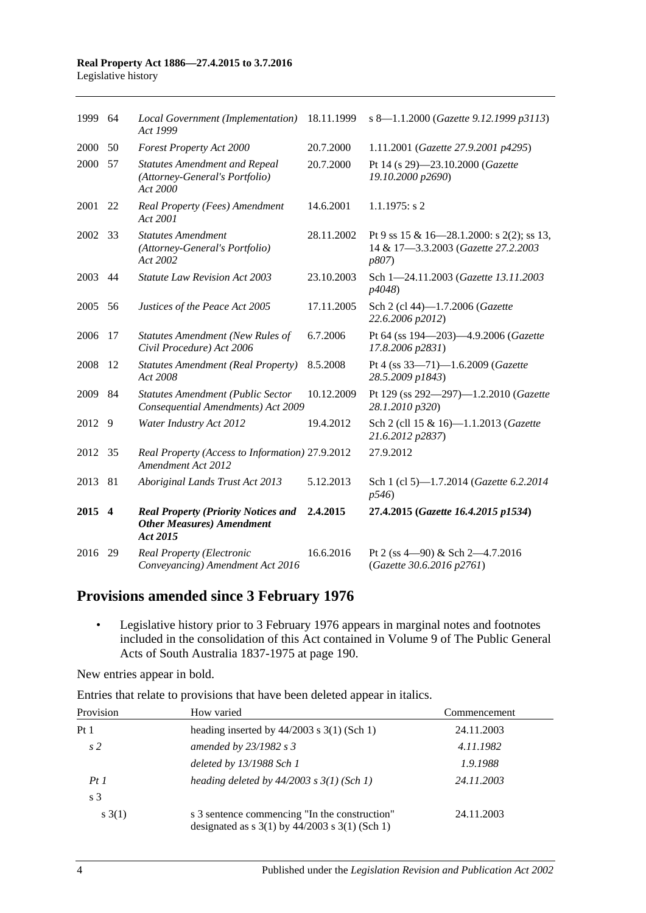| 1999 64 |    | Local Government (Implementation)<br>Act 1999                                               | 18.11.1999 | s 8-1.1.2000 (Gazette 9.12.1999 p3113)                                                    |
|---------|----|---------------------------------------------------------------------------------------------|------------|-------------------------------------------------------------------------------------------|
| 2000    | 50 | Forest Property Act 2000                                                                    | 20.7.2000  | 1.11.2001 (Gazette 27.9.2001 p4295)                                                       |
| 2000    | 57 | <b>Statutes Amendment and Repeal</b><br>(Attorney-General's Portfolio)<br>Act 2000          | 20.7.2000  | Pt 14 (s 29)-23.10.2000 (Gazette<br>19.10.2000 p2690)                                     |
| 2001    | 22 | Real Property (Fees) Amendment<br>Act 2001                                                  | 14.6.2001  | $1.1.1975$ : s 2                                                                          |
| 2002 33 |    | <b>Statutes Amendment</b><br>(Attorney-General's Portfolio)<br>Act 2002                     | 28.11.2002 | Pt 9 ss 15 & 16-28.1.2000: s 2(2); ss 13,<br>14 & 17-3.3.2003 (Gazette 27.2.2003<br>p807) |
| 2003    | 44 | <b>Statute Law Revision Act 2003</b>                                                        | 23.10.2003 | Sch 1-24.11.2003 (Gazette 13.11.2003<br>p4048)                                            |
| 2005    | 56 | Justices of the Peace Act 2005                                                              | 17.11.2005 | Sch 2 (cl 44)-1.7.2006 (Gazette<br>22.6.2006 p2012)                                       |
| 2006    | 17 | <b>Statutes Amendment (New Rules of</b><br>Civil Procedure) Act 2006                        | 6.7.2006   | Pt 64 (ss 194-203)-4.9.2006 (Gazette<br>17.8.2006 p2831)                                  |
| 2008    | 12 | <b>Statutes Amendment (Real Property)</b><br>Act 2008                                       | 8.5.2008   | Pt 4 (ss 33-71)-1.6.2009 (Gazette<br>28.5.2009 p1843)                                     |
| 2009    | 84 | <b>Statutes Amendment (Public Sector</b><br>Consequential Amendments) Act 2009              | 10.12.2009 | Pt 129 (ss 292-297)-1.2.2010 (Gazette<br>28.1.2010 p320)                                  |
| 2012    | 9  | Water Industry Act 2012                                                                     | 19.4.2012  | Sch 2 (cll 15 & 16)-1.1.2013 (Gazette<br>21.6.2012 p2837)                                 |
| 2012    | 35 | Real Property (Access to Information) 27.9.2012<br>Amendment Act 2012                       |            | 27.9.2012                                                                                 |
| 2013    | 81 | Aboriginal Lands Trust Act 2013                                                             | 5.12.2013  | Sch 1 (cl 5)-1.7.2014 (Gazette 6.2.2014<br>p546                                           |
| 2015 4  |    | <b>Real Property (Priority Notices and</b><br><b>Other Measures</b> ) Amendment<br>Act 2015 | 2.4.2015   | 27.4.2015 (Gazette 16.4.2015 p1534)                                                       |
| 2016    | 29 | Real Property (Electronic<br>Conveyancing) Amendment Act 2016                               | 16.6.2016  | Pt 2 (ss $4-90$ ) & Sch $2-4.7.2016$<br>(Gazette 30.6.2016 p2761)                         |

## **Provisions amended since 3 February 1976**

• Legislative history prior to 3 February 1976 appears in marginal notes and footnotes included in the consolidation of this Act contained in Volume 9 of The Public General Acts of South Australia 1837-1975 at page 190.

New entries appear in bold.

Entries that relate to provisions that have been deleted appear in italics.

| Provision       | How varied                                                                                                                           | Commencement |
|-----------------|--------------------------------------------------------------------------------------------------------------------------------------|--------------|
| Pt <sub>1</sub> | heading inserted by $44/2003$ s 3(1) (Sch 1)                                                                                         | 24.11.2003   |
| s <sub>2</sub>  | amended by $23/1982$ s 3                                                                                                             | 4.11.1982    |
|                 | deleted by 13/1988 Sch 1                                                                                                             | 1.9.1988     |
| PtI             | heading deleted by $44/2003$ s $3(1)$ (Sch 1)                                                                                        | 24.11.2003   |
| s <sub>3</sub>  |                                                                                                                                      |              |
| s(3(1))         | s 3 sentence commencing "In the construction"<br>designated as $s \frac{3(1)}{y} \frac{44}{2003} \frac{s \frac{3(1)}{5}}{h}$ (Sch 1) | 24.11.2003   |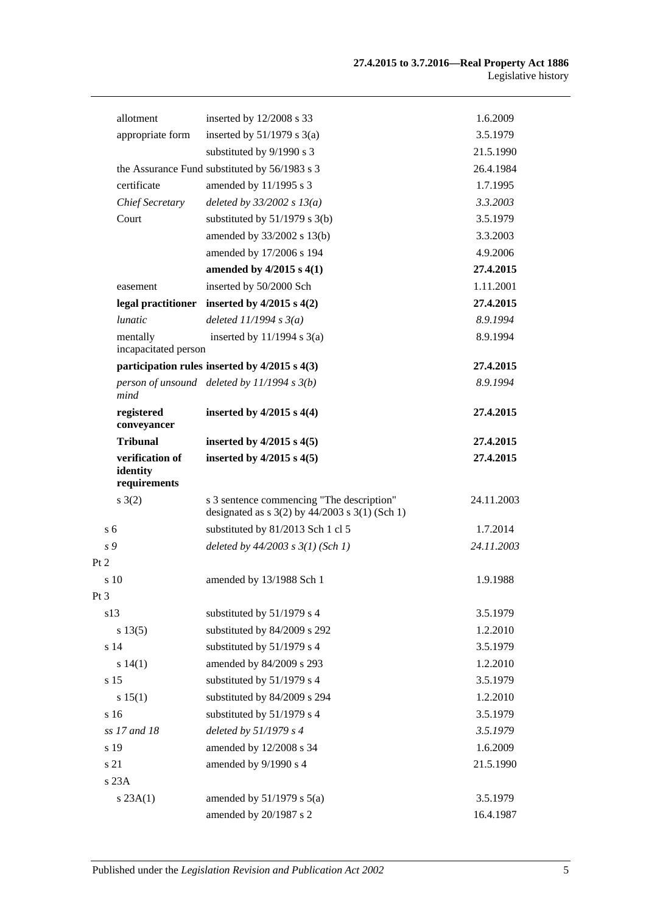|                 | allotment                                   | inserted by 12/2008 s 33                           | 1.6.2009   |
|-----------------|---------------------------------------------|----------------------------------------------------|------------|
|                 | appropriate form                            | inserted by $51/1979$ s $3(a)$                     | 3.5.1979   |
|                 |                                             | substituted by 9/1990 s 3                          | 21.5.1990  |
|                 |                                             | the Assurance Fund substituted by 56/1983 s 3      | 26.4.1984  |
|                 | certificate                                 | amended by 11/1995 s 3                             | 1.7.1995   |
|                 | Chief Secretary                             | deleted by $33/2002$ s $13(a)$                     | 3.3.2003   |
|                 | Court                                       | substituted by $51/1979$ s 3(b)                    | 3.5.1979   |
|                 |                                             | amended by 33/2002 s 13(b)                         | 3.3.2003   |
|                 |                                             | amended by 17/2006 s 194                           | 4.9.2006   |
|                 |                                             | amended by $4/2015$ s $4(1)$                       | 27.4.2015  |
|                 | easement                                    | inserted by 50/2000 Sch                            | 1.11.2001  |
|                 | legal practitioner                          | inserted by $4/2015$ s $4(2)$                      | 27.4.2015  |
|                 | <i>lunatic</i>                              | deleted $11/1994 s3(a)$                            | 8.9.1994   |
|                 | mentally<br>incapacitated person            | inserted by $11/1994$ s $3(a)$                     | 8.9.1994   |
|                 |                                             | participation rules inserted by $4/2015$ s $4(3)$  | 27.4.2015  |
|                 | mind                                        | person of unsound deleted by $11/1994 s 3(b)$      | 8.9.1994   |
|                 | registered<br>conveyancer                   | inserted by $4/2015$ s $4(4)$                      | 27.4.2015  |
|                 | <b>Tribunal</b>                             | inserted by $4/2015$ s $4(5)$                      | 27.4.2015  |
|                 | verification of<br>identity<br>requirements | inserted by $4/2015$ s $4(5)$                      | 27.4.2015  |
|                 | s(2)                                        | s 3 sentence commencing "The description"          | 24.11.2003 |
|                 |                                             | designated as $s$ 3(2) by 44/2003 $s$ 3(1) (Sch 1) |            |
| s 6             |                                             | substituted by 81/2013 Sch 1 cl 5                  | 1.7.2014   |
| s 9             |                                             | deleted by $44/2003$ s $3(1)$ (Sch 1)              | 24.11.2003 |
| Pt 2            |                                             |                                                    |            |
|                 | s 10                                        | amended by 13/1988 Sch 1                           | 1.9.1988   |
| Pt <sub>3</sub> |                                             |                                                    |            |
|                 | s13                                         | substituted by 51/1979 s 4                         | 3.5.1979   |
|                 | s 13(5)                                     | substituted by 84/2009 s 292                       | 1.2.2010   |
|                 | s 14                                        | substituted by 51/1979 s 4                         | 3.5.1979   |
|                 | s 14(1)                                     | amended by 84/2009 s 293                           | 1.2.2010   |
|                 | s 15                                        | substituted by 51/1979 s 4                         | 3.5.1979   |
|                 | s 15(1)                                     | substituted by 84/2009 s 294                       | 1.2.2010   |
|                 | s 16                                        | substituted by 51/1979 s 4                         | 3.5.1979   |
|                 | ss 17 and 18                                | deleted by 51/1979 s 4                             | 3.5.1979   |
|                 | s 19                                        | amended by 12/2008 s 34                            | 1.6.2009   |
|                 | s 21                                        | amended by 9/1990 s 4                              | 21.5.1990  |
|                 | s 23A                                       |                                                    |            |
|                 | $s$ 23A $(1)$                               | amended by $51/1979$ s $5(a)$                      | 3.5.1979   |
|                 |                                             | amended by 20/1987 s 2                             | 16.4.1987  |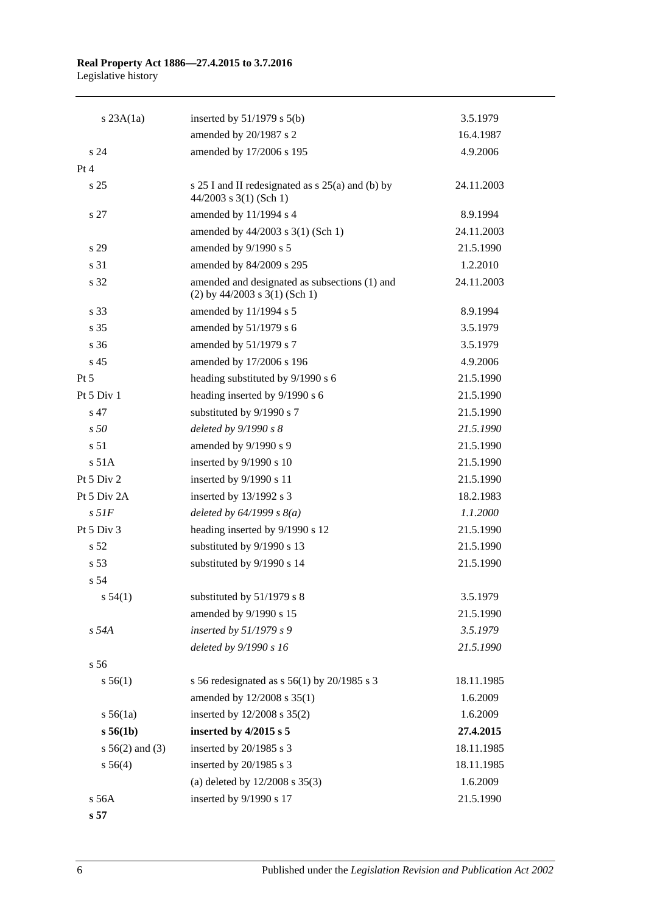| $s$ 23A $(1a)$     | inserted by $51/1979$ s $5(b)$                                                   | 3.5.1979   |
|--------------------|----------------------------------------------------------------------------------|------------|
|                    | amended by 20/1987 s 2                                                           | 16.4.1987  |
| s <sub>24</sub>    | amended by 17/2006 s 195                                                         | 4.9.2006   |
| Pt 4               |                                                                                  |            |
| s 25               | s $25 I$ and II redesignated as s $25(a)$ and (b) by<br>$44/2003$ s 3(1) (Sch 1) | 24.11.2003 |
| s 27               | amended by 11/1994 s 4                                                           | 8.9.1994   |
|                    | amended by 44/2003 s 3(1) (Sch 1)                                                | 24.11.2003 |
| s 29               | amended by 9/1990 s 5                                                            | 21.5.1990  |
| s 31               | amended by 84/2009 s 295                                                         | 1.2.2010   |
| s 32               | amended and designated as subsections (1) and<br>$(2)$ by 44/2003 s 3(1) (Sch 1) | 24.11.2003 |
| s 33               | amended by 11/1994 s 5                                                           | 8.9.1994   |
| s 35               | amended by 51/1979 s 6                                                           | 3.5.1979   |
| s <sub>36</sub>    | amended by 51/1979 s 7                                                           | 3.5.1979   |
| s <sub>45</sub>    | amended by 17/2006 s 196                                                         | 4.9.2006   |
| $Pt\,5$            | heading substituted by 9/1990 s 6                                                | 21.5.1990  |
| Pt 5 Div 1         | heading inserted by 9/1990 s 6                                                   | 21.5.1990  |
| s 47               | substituted by 9/1990 s 7                                                        | 21.5.1990  |
| s50                | deleted by 9/1990 s 8                                                            | 21.5.1990  |
| s 51               | amended by 9/1990 s 9                                                            | 21.5.1990  |
| s 51A              | inserted by 9/1990 s 10                                                          | 21.5.1990  |
| Pt 5 Div 2         | inserted by 9/1990 s 11                                                          | 21.5.1990  |
| Pt 5 Div 2A        | inserted by 13/1992 s 3                                                          | 18.2.1983  |
| $s$ 51 $F$         | deleted by $64/1999 s 8(a)$                                                      | 1.1.2000   |
| Pt 5 Div 3         | heading inserted by 9/1990 s 12                                                  | 21.5.1990  |
| s <sub>52</sub>    | substituted by 9/1990 s 13                                                       | 21.5.1990  |
| s 53               | substituted by 9/1990 s 14                                                       | 21.5.1990  |
| s 54               |                                                                                  |            |
| s 54(1)            | substituted by 51/1979 s 8                                                       | 3.5.1979   |
|                    | amended by 9/1990 s 15                                                           | 21.5.1990  |
| s 54A              | inserted by $51/1979 s 9$                                                        | 3.5.1979   |
|                    | deleted by 9/1990 s 16                                                           | 21.5.1990  |
| s <sub>56</sub>    |                                                                                  |            |
| s 56(1)            | s 56 redesignated as s $56(1)$ by 20/1985 s 3                                    | 18.11.1985 |
|                    | amended by 12/2008 s 35(1)                                                       | 1.6.2009   |
| $s\,56(1a)$        | inserted by 12/2008 s 35(2)                                                      | 1.6.2009   |
| s 56(1b)           | inserted by $4/2015$ s 5                                                         | 27.4.2015  |
| $s\,56(2)$ and (3) | inserted by 20/1985 s 3                                                          | 18.11.1985 |
| s 56(4)            | inserted by 20/1985 s 3                                                          | 18.11.1985 |
|                    | (a) deleted by $12/2008$ s $35(3)$                                               | 1.6.2009   |
| s 56A              | inserted by 9/1990 s 17                                                          | 21.5.1990  |

**s 57**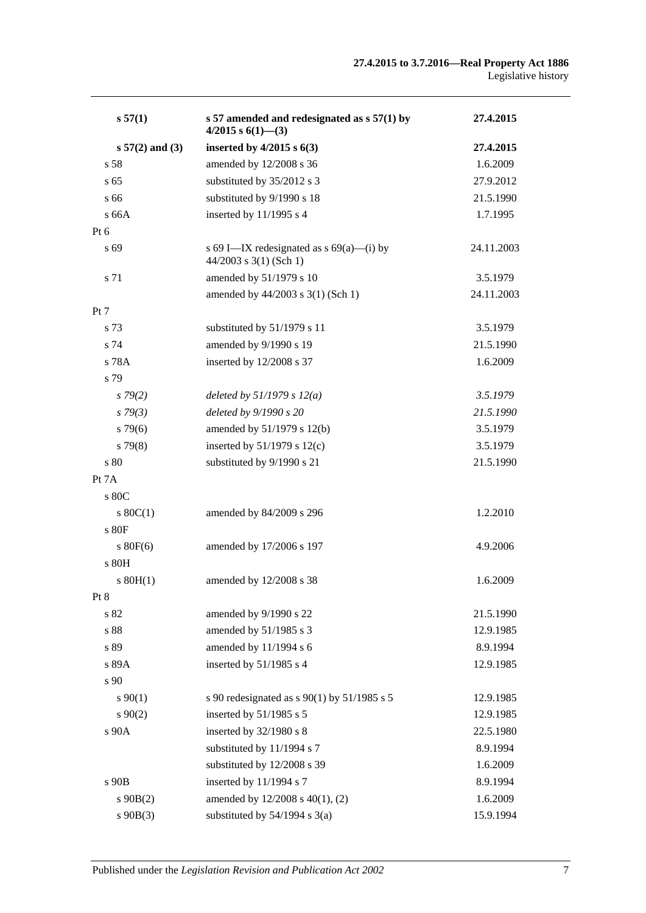| s 57(1)           | s 57 amended and redesignated as $s$ 57(1) by<br>$4/2015$ s $6(1)$ - (3) | 27.4.2015  |
|-------------------|--------------------------------------------------------------------------|------------|
| $s 57(2)$ and (3) | inserted by $4/2015$ s $6(3)$                                            | 27.4.2015  |
| s 58              | amended by 12/2008 s 36                                                  | 1.6.2009   |
| s <sub>65</sub>   | substituted by 35/2012 s 3                                               | 27.9.2012  |
| s 66              | substituted by 9/1990 s 18                                               | 21.5.1990  |
| s66A              | inserted by $11/1995$ s 4                                                | 1.7.1995   |
| $Pt\ 6$           |                                                                          |            |
| s 69              | s 69 I—IX redesignated as $s$ 69(a)—(i) by<br>$44/2003$ s 3(1) (Sch 1)   | 24.11.2003 |
| s 71              | amended by 51/1979 s 10                                                  | 3.5.1979   |
|                   | amended by 44/2003 s 3(1) (Sch 1)                                        | 24.11.2003 |
| Pt 7              |                                                                          |            |
| s 73              | substituted by 51/1979 s 11                                              | 3.5.1979   |
| s 74              | amended by 9/1990 s 19                                                   | 21.5.1990  |
| s 78A             | inserted by 12/2008 s 37                                                 | 1.6.2009   |
| s 79              |                                                                          |            |
| $s\,79(2)$        | deleted by $51/1979 s 12(a)$                                             | 3.5.1979   |
| $s\,79(3)$        | deleted by 9/1990 s 20                                                   | 21.5.1990  |
| $s\,79(6)$        | amended by 51/1979 s 12(b)                                               | 3.5.1979   |
| $s\,79(8)$        | inserted by $51/1979$ s $12(c)$                                          | 3.5.1979   |
| s80               | substituted by 9/1990 s 21                                               | 21.5.1990  |
| Pt 7A             |                                                                          |            |
| s 80C             |                                                                          |            |
| $s \ 80C(1)$      | amended by 84/2009 s 296                                                 | 1.2.2010   |
| s80F              |                                                                          |            |
| $s\ 80F(6)$       | amended by 17/2006 s 197                                                 | 4.9.2006   |
| s 80H             |                                                                          |            |
| $s$ 80H(1)        | amended by 12/2008 s 38                                                  | 1.6.2009   |
| Pt 8              |                                                                          |            |
| s 82              | amended by 9/1990 s 22                                                   | 21.5.1990  |
| $\sqrt{s}$ 88     | amended by 51/1985 s 3                                                   | 12.9.1985  |
| s 89              | amended by 11/1994 s 6                                                   | 8.9.1994   |
| s 89A             | inserted by $51/1985$ s 4                                                | 12.9.1985  |
| s 90              |                                                                          |            |
| $s\,90(1)$        | s 90 redesignated as s 90(1) by 51/1985 s 5                              | 12.9.1985  |
| $s\,90(2)$        | inserted by 51/1985 s 5                                                  | 12.9.1985  |
| s 90A             | inserted by 32/1980 s 8                                                  | 22.5.1980  |
|                   | substituted by 11/1994 s 7                                               | 8.9.1994   |
|                   | substituted by 12/2008 s 39                                              | 1.6.2009   |
| s 90B             | inserted by 11/1994 s 7                                                  | 8.9.1994   |
| $s\ 90B(2)$       | amended by 12/2008 s 40(1), (2)                                          | 1.6.2009   |
| $s\ 90B(3)$       | substituted by $54/1994$ s $3(a)$                                        | 15.9.1994  |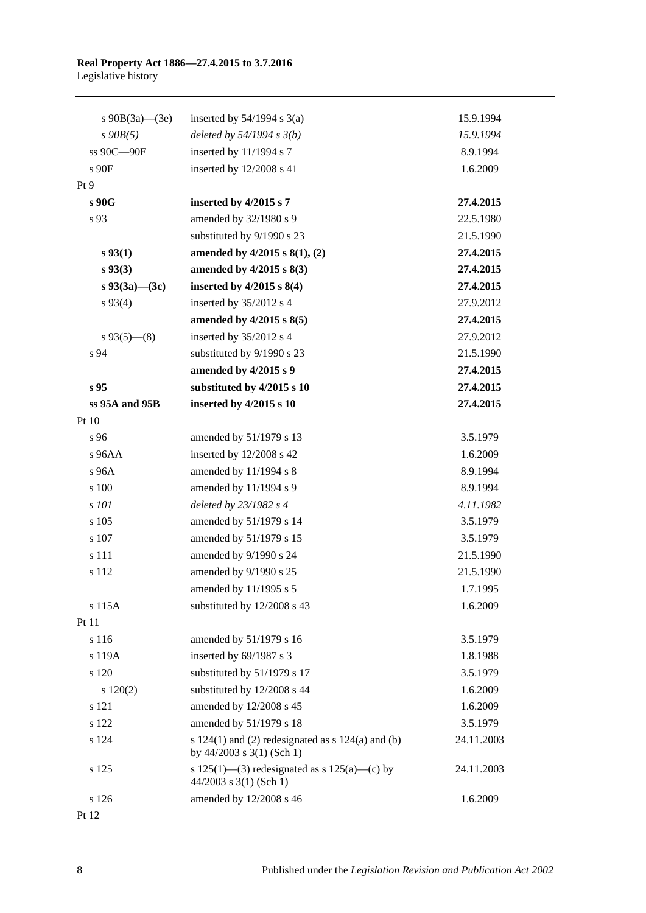| s $90B(3a)$ —(3e)   | inserted by $54/1994$ s $3(a)$                                                         | 15.9.1994  |
|---------------------|----------------------------------------------------------------------------------------|------------|
| $s$ 90 $B(5)$       | deleted by $54/1994 s 3(b)$                                                            | 15.9.1994  |
| ss 90C-90E          | inserted by 11/1994 s 7                                                                | 8.9.1994   |
| s 90F               | inserted by 12/2008 s 41                                                               | 1.6.2009   |
| Pt 9                |                                                                                        |            |
| s 90G               | inserted by 4/2015 s 7                                                                 | 27.4.2015  |
| s 93                | amended by 32/1980 s 9                                                                 | 22.5.1980  |
|                     | substituted by 9/1990 s 23                                                             | 21.5.1990  |
| $s\,93(1)$          | amended by $4/2015$ s $8(1)$ , (2)                                                     | 27.4.2015  |
| s 93(3)             | amended by 4/2015 s 8(3)                                                               | 27.4.2015  |
| s $93(3a)$ — $(3c)$ | inserted by $4/2015$ s $8(4)$                                                          | 27.4.2015  |
| $s\,93(4)$          | inserted by 35/2012 s 4                                                                | 27.9.2012  |
|                     | amended by $4/2015$ s $8(5)$                                                           | 27.4.2015  |
| $s\,93(5)$ (8)      | inserted by 35/2012 s 4                                                                | 27.9.2012  |
| s 94                | substituted by 9/1990 s 23                                                             | 21.5.1990  |
|                     | amended by 4/2015 s 9                                                                  | 27.4.2015  |
| s <sub>95</sub>     | substituted by 4/2015 s 10                                                             | 27.4.2015  |
| $ss$ 95A and 95B    | inserted by 4/2015 s 10                                                                | 27.4.2015  |
| Pt 10               |                                                                                        |            |
| s 96                | amended by 51/1979 s 13                                                                | 3.5.1979   |
| s 96AA              | inserted by 12/2008 s 42                                                               | 1.6.2009   |
| s 96A               | amended by 11/1994 s 8                                                                 | 8.9.1994   |
| s 100               | amended by 11/1994 s 9                                                                 | 8.9.1994   |
| s 101               | deleted by 23/1982 s 4                                                                 | 4.11.1982  |
| s 105               | amended by 51/1979 s 14                                                                | 3.5.1979   |
| s 107               | amended by 51/1979 s 15                                                                | 3.5.1979   |
| s 111               | amended by 9/1990 s 24                                                                 | 21.5.1990  |
| s 112               | amended by 9/1990 s 25                                                                 | 21.5.1990  |
|                     | amended by 11/1995 s 5                                                                 | 1.7.1995   |
| s 115A              | substituted by 12/2008 s 43                                                            | 1.6.2009   |
| Pt 11               |                                                                                        |            |
| s 116               | amended by 51/1979 s 16                                                                | 3.5.1979   |
| s 119A              | inserted by 69/1987 s 3                                                                | 1.8.1988   |
| s 120               | substituted by 51/1979 s 17                                                            | 3.5.1979   |
| 120(2)              | substituted by 12/2008 s 44                                                            | 1.6.2009   |
| s 121               | amended by 12/2008 s 45                                                                | 1.6.2009   |
| s 122               | amended by 51/1979 s 18                                                                | 3.5.1979   |
| s 124               | s $124(1)$ and (2) redesignated as s $124(a)$ and (b)<br>by $44/2003$ s $3(1)$ (Sch 1) | 24.11.2003 |
| s 125               | s 125(1)—(3) redesignated as s 125(a)—(c) by<br>$44/2003$ s 3(1) (Sch 1)               | 24.11.2003 |
| s 126               | amended by 12/2008 s 46                                                                | 1.6.2009   |

Pt 12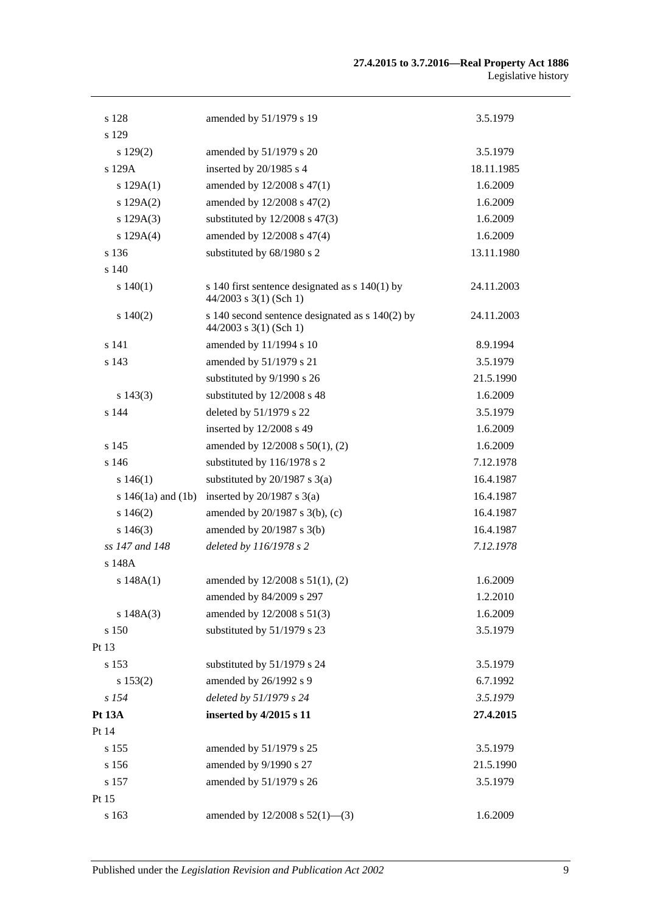| s 128                  | amended by 51/1979 s 19                                                       | 3.5.1979   |
|------------------------|-------------------------------------------------------------------------------|------------|
| s 129                  |                                                                               |            |
| $s\ 129(2)$            | amended by 51/1979 s 20                                                       | 3.5.1979   |
| s 129A                 | inserted by 20/1985 s 4                                                       | 18.11.1985 |
| s $129A(1)$            | amended by 12/2008 s 47(1)                                                    | 1.6.2009   |
| s 129A(2)              | amended by 12/2008 s 47(2)                                                    | 1.6.2009   |
| s 129A(3)              | substituted by $12/2008$ s $47(3)$                                            | 1.6.2009   |
| s 129A(4)              | amended by 12/2008 s 47(4)                                                    | 1.6.2009   |
| s 136                  | substituted by 68/1980 s 2                                                    | 13.11.1980 |
| s 140                  |                                                                               |            |
| s 140(1)               | s 140 first sentence designated as $s$ 140(1) by<br>$44/2003$ s 3(1) (Sch 1)  | 24.11.2003 |
| $s\ 140(2)$            | s 140 second sentence designated as $s$ 140(2) by<br>$44/2003$ s 3(1) (Sch 1) | 24.11.2003 |
| s 141                  | amended by 11/1994 s 10                                                       | 8.9.1994   |
| s 143                  | amended by 51/1979 s 21                                                       | 3.5.1979   |
|                        | substituted by 9/1990 s 26                                                    | 21.5.1990  |
| $s\ 143(3)$            | substituted by 12/2008 s 48                                                   | 1.6.2009   |
| s 144                  | deleted by 51/1979 s 22                                                       | 3.5.1979   |
|                        | inserted by 12/2008 s 49                                                      | 1.6.2009   |
| s 145                  | amended by 12/2008 s 50(1), (2)                                               | 1.6.2009   |
| s 146                  | substituted by 116/1978 s 2                                                   | 7.12.1978  |
| s 146(1)               | substituted by $20/1987$ s $3(a)$                                             | 16.4.1987  |
| s $146(1a)$ and $(1b)$ | inserted by $20/1987$ s $3(a)$                                                | 16.4.1987  |
| $s\ 146(2)$            | amended by 20/1987 s 3(b), (c)                                                | 16.4.1987  |
| $s\,146(3)$            | amended by $20/1987$ s $3(b)$                                                 | 16.4.1987  |
| ss 147 and 148         | deleted by 116/1978 s 2                                                       | 7.12.1978  |
| s 148A                 |                                                                               |            |
| s 148A(1)              | amended by 12/2008 s 51(1), (2)                                               | 1.6.2009   |
|                        | amended by 84/2009 s 297                                                      | 1.2.2010   |
| s 148A(3)              | amended by 12/2008 s 51(3)                                                    | 1.6.2009   |
| s 150                  | substituted by 51/1979 s 23                                                   | 3.5.1979   |
| Pt 13                  |                                                                               |            |
| s 153                  | substituted by 51/1979 s 24                                                   | 3.5.1979   |
| s 153(2)               | amended by 26/1992 s 9                                                        | 6.7.1992   |
| s 154                  | deleted by 51/1979 s 24                                                       | 3.5.1979   |
| Pt 13A                 | inserted by 4/2015 s 11                                                       | 27.4.2015  |
| Pt 14                  |                                                                               |            |
| s 155                  | amended by 51/1979 s 25                                                       | 3.5.1979   |
| s 156                  | amended by 9/1990 s 27                                                        | 21.5.1990  |
| s 157                  | amended by 51/1979 s 26                                                       | 3.5.1979   |
| Pt 15                  |                                                                               |            |
| s 163                  | amended by $12/2008$ s $52(1)$ —(3)                                           | 1.6.2009   |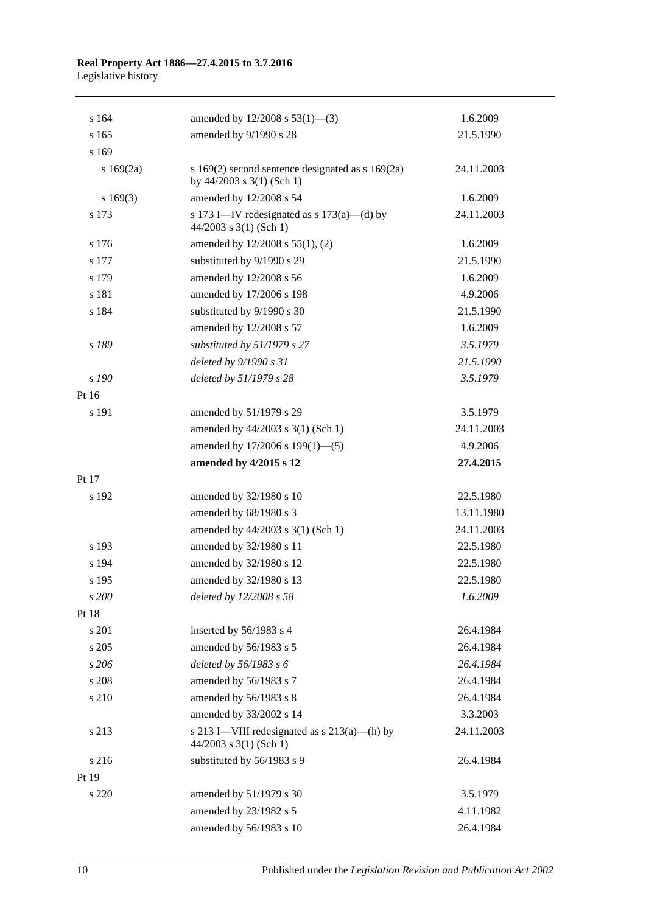|                                                                            | 1.6.2009                                                                                                              |
|----------------------------------------------------------------------------|-----------------------------------------------------------------------------------------------------------------------|
|                                                                            | 21.5.1990                                                                                                             |
|                                                                            |                                                                                                                       |
| by $44/2003$ s $3(1)$ (Sch 1)                                              | 24.11.2003                                                                                                            |
| amended by 12/2008 s 54                                                    | 1.6.2009                                                                                                              |
| s 173 I—IV redesignated as s $173(a)$ —(d) by<br>$44/2003$ s 3(1) (Sch 1)  | 24.11.2003                                                                                                            |
| amended by 12/2008 s 55(1), (2)                                            | 1.6.2009                                                                                                              |
| substituted by 9/1990 s 29                                                 | 21.5.1990                                                                                                             |
| amended by 12/2008 s 56                                                    | 1.6.2009                                                                                                              |
| amended by 17/2006 s 198                                                   | 4.9.2006                                                                                                              |
| substituted by 9/1990 s 30                                                 | 21.5.1990                                                                                                             |
| amended by 12/2008 s 57                                                    | 1.6.2009                                                                                                              |
| substituted by 51/1979 s 27                                                | 3.5.1979                                                                                                              |
| deleted by 9/1990 s 31                                                     | 21.5.1990                                                                                                             |
| deleted by 51/1979 s 28                                                    | 3.5.1979                                                                                                              |
|                                                                            |                                                                                                                       |
| amended by 51/1979 s 29                                                    | 3.5.1979                                                                                                              |
| amended by 44/2003 s 3(1) (Sch 1)                                          | 24.11.2003                                                                                                            |
| amended by 17/2006 s 199(1)-(5)                                            | 4.9.2006                                                                                                              |
| amended by 4/2015 s 12                                                     | 27.4.2015                                                                                                             |
|                                                                            |                                                                                                                       |
| amended by 32/1980 s 10                                                    | 22.5.1980                                                                                                             |
| amended by 68/1980 s 3                                                     | 13.11.1980                                                                                                            |
| amended by 44/2003 s 3(1) (Sch 1)                                          | 24.11.2003                                                                                                            |
| amended by 32/1980 s 11                                                    | 22.5.1980                                                                                                             |
| amended by 32/1980 s 12                                                    | 22.5.1980                                                                                                             |
| amended by 32/1980 s 13                                                    | 22.5.1980                                                                                                             |
| deleted by 12/2008 s 58                                                    | 1.6.2009                                                                                                              |
|                                                                            |                                                                                                                       |
| inserted by 56/1983 s 4                                                    | 26.4.1984                                                                                                             |
| amended by 56/1983 s 5                                                     | 26.4.1984                                                                                                             |
| deleted by 56/1983 s 6                                                     | 26.4.1984                                                                                                             |
| amended by 56/1983 s 7                                                     | 26.4.1984                                                                                                             |
| amended by 56/1983 s 8                                                     | 26.4.1984                                                                                                             |
| amended by 33/2002 s 14                                                    | 3.3.2003                                                                                                              |
| s 213 I—VIII redesignated as $s$ 213(a)—(h) by<br>$44/2003$ s 3(1) (Sch 1) | 24.11.2003                                                                                                            |
| substituted by 56/1983 s 9                                                 | 26.4.1984                                                                                                             |
|                                                                            |                                                                                                                       |
| amended by 51/1979 s 30                                                    | 3.5.1979                                                                                                              |
| amended by 23/1982 s 5                                                     | 4.11.1982                                                                                                             |
| amended by 56/1983 s 10                                                    | 26.4.1984                                                                                                             |
|                                                                            | amended by $12/2008$ s $53(1)$ —(3)<br>amended by 9/1990 s 28<br>s $169(2)$ second sentence designated as s $169(2a)$ |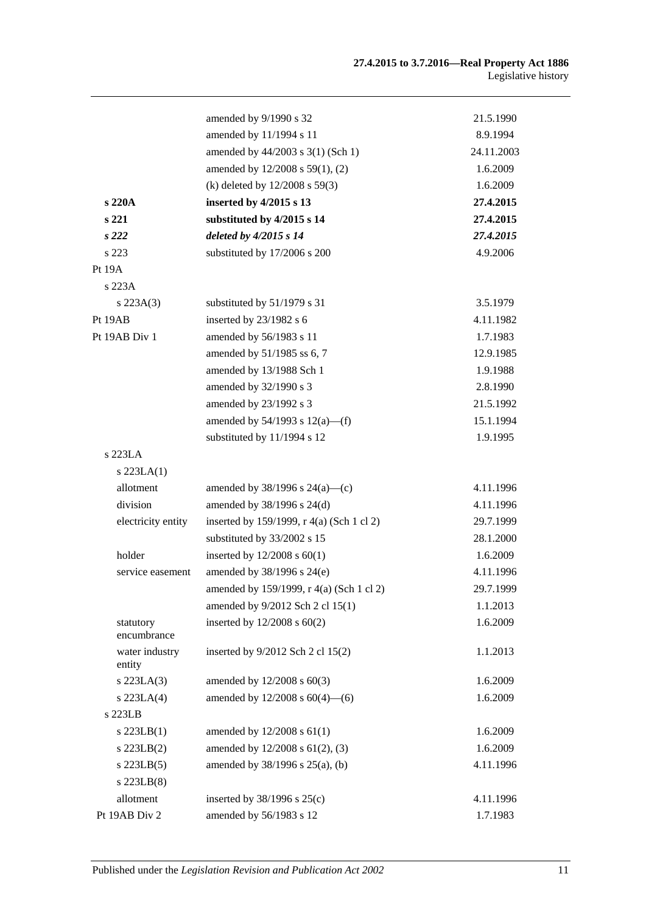|                          | amended by 9/1990 s 32                    | 21.5.1990  |
|--------------------------|-------------------------------------------|------------|
|                          | amended by 11/1994 s 11                   | 8.9.1994   |
|                          | amended by 44/2003 s 3(1) (Sch 1)         | 24.11.2003 |
|                          | amended by 12/2008 s 59(1), (2)           | 1.6.2009   |
|                          | (k) deleted by 12/2008 s 59(3)            | 1.6.2009   |
| s 220A                   | inserted by 4/2015 s 13                   | 27.4.2015  |
| s 221                    | substituted by 4/2015 s 14                | 27.4.2015  |
| s222                     | deleted by 4/2015 s 14                    | 27.4.2015  |
| s 223                    | substituted by 17/2006 s 200              | 4.9.2006   |
| <b>Pt 19A</b>            |                                           |            |
| s 223A                   |                                           |            |
| $s\,223A(3)$             | substituted by 51/1979 s 31               | 3.5.1979   |
| Pt 19AB                  | inserted by 23/1982 s 6                   | 4.11.1982  |
| Pt 19AB Div 1            | amended by 56/1983 s 11                   | 1.7.1983   |
|                          | amended by 51/1985 ss 6, 7                | 12.9.1985  |
|                          | amended by 13/1988 Sch 1                  | 1.9.1988   |
|                          | amended by 32/1990 s 3                    | 2.8.1990   |
|                          | amended by 23/1992 s 3                    | 21.5.1992  |
|                          | amended by $54/1993$ s $12(a)$ —(f)       | 15.1.1994  |
|                          | substituted by 11/1994 s 12               | 1.9.1995   |
| s 223LA                  |                                           |            |
| $s$ 223LA $(1)$          |                                           |            |
| allotment                | amended by $38/1996$ s $24(a)$ —(c)       | 4.11.1996  |
| division                 | amended by 38/1996 s 24(d)                | 4.11.1996  |
| electricity entity       | inserted by 159/1999, r 4(a) (Sch 1 cl 2) | 29.7.1999  |
|                          | substituted by 33/2002 s 15               | 28.1.2000  |
| holder                   | inserted by $12/2008$ s $60(1)$           | 1.6.2009   |
| service easement         | amended by 38/1996 s 24(e)                | 4.11.1996  |
|                          | amended by 159/1999, r 4(a) (Sch 1 cl 2)  | 29.7.1999  |
|                          | amended by 9/2012 Sch 2 cl 15(1)          | 1.1.2013   |
| statutory<br>encumbrance | inserted by 12/2008 s 60(2)               | 1.6.2009   |
| water industry<br>entity | inserted by 9/2012 Sch 2 cl 15(2)         | 1.1.2013   |
| s 223LA(3)               | amended by 12/2008 s 60(3)                | 1.6.2009   |
| $s$ 223LA $(4)$          | amended by $12/2008$ s $60(4)$ —(6)       | 1.6.2009   |
| s 223LB                  |                                           |            |
| $s$ 223LB $(1)$          | amended by $12/2008$ s $61(1)$            | 1.6.2009   |
| $s$ 223LB $(2)$          | amended by 12/2008 s 61(2), (3)           | 1.6.2009   |
| $s$ 223LB $(5)$          | amended by 38/1996 s 25(a), (b)           | 4.11.1996  |
| s 223LB(8)               |                                           |            |
| allotment                | inserted by $38/1996$ s $25(c)$           | 4.11.1996  |
| Pt 19AB Div 2            | amended by 56/1983 s 12                   | 1.7.1983   |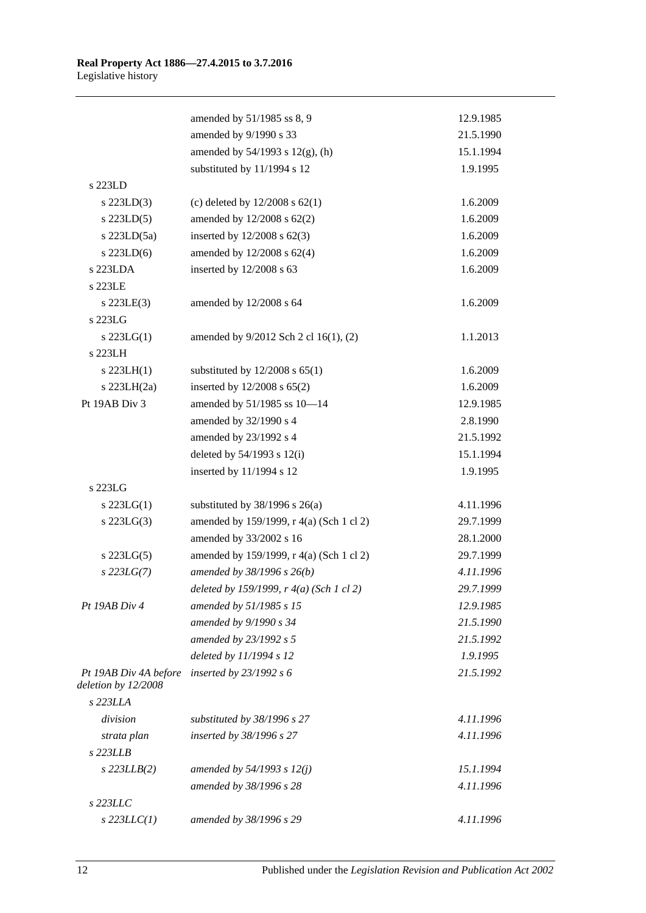|                                              | amended by 51/1985 ss 8, 9               | 12.9.1985 |
|----------------------------------------------|------------------------------------------|-----------|
|                                              | amended by 9/1990 s 33                   | 21.5.1990 |
|                                              | amended by $54/1993$ s $12(g)$ , (h)     | 15.1.1994 |
|                                              | substituted by 11/1994 s 12              | 1.9.1995  |
| s 223LD                                      |                                          |           |
| $s$ 223LD(3)                                 | (c) deleted by $12/2008$ s $62(1)$       | 1.6.2009  |
| $s$ 223LD(5)                                 | amended by 12/2008 s 62(2)               | 1.6.2009  |
| $s$ 223LD $(5a)$                             | inserted by $12/2008$ s $62(3)$          | 1.6.2009  |
| $s$ 223LD(6)                                 | amended by 12/2008 s 62(4)               | 1.6.2009  |
| s 223LDA                                     | inserted by 12/2008 s 63                 | 1.6.2009  |
| s 223LE                                      |                                          |           |
| $s$ 223LE(3)                                 | amended by 12/2008 s 64                  | 1.6.2009  |
| s 223LG                                      |                                          |           |
| $s$ 223LG(1)                                 | amended by 9/2012 Sch 2 cl 16(1), (2)    | 1.1.2013  |
| s 223LH                                      |                                          |           |
| $s$ 223LH $(1)$                              | substituted by $12/2008$ s $65(1)$       | 1.6.2009  |
| s $223LH(2a)$                                | inserted by 12/2008 s 65(2)              | 1.6.2009  |
| Pt 19AB Div 3                                | amended by 51/1985 ss 10-14              | 12.9.1985 |
|                                              | amended by 32/1990 s 4                   | 2.8.1990  |
|                                              | amended by 23/1992 s 4                   | 21.5.1992 |
|                                              | deleted by $54/1993$ s $12(i)$           | 15.1.1994 |
|                                              | inserted by 11/1994 s 12                 | 1.9.1995  |
| s 223LG                                      |                                          |           |
| $s$ 223LG(1)                                 | substituted by $38/1996$ s $26(a)$       | 4.11.1996 |
| $s$ 223LG(3)                                 | amended by 159/1999, r 4(a) (Sch 1 cl 2) | 29.7.1999 |
|                                              | amended by 33/2002 s 16                  | 28.1.2000 |
| $s$ 223LG(5)                                 | amended by 159/1999, r 4(a) (Sch 1 cl 2) | 29.7.1999 |
| $s$ 223LG(7)                                 | amended by 38/1996 s 26(b)               | 4.11.1996 |
|                                              | deleted by 159/1999, r 4(a) (Sch 1 cl 2) | 29.7.1999 |
| Pt 19AB Div 4                                | amended by 51/1985 s 15                  | 12.9.1985 |
|                                              | amended by 9/1990 s 34                   | 21.5.1990 |
|                                              | amended by 23/1992 s 5                   | 21.5.1992 |
|                                              | deleted by 11/1994 s 12                  | 1.9.1995  |
| Pt 19AB Div 4A before<br>deletion by 12/2008 | inserted by 23/1992 s 6                  | 21.5.1992 |
| s 223LLA                                     |                                          |           |
| division                                     | substituted by 38/1996 s 27              | 4.11.1996 |
| strata plan                                  | inserted by 38/1996 s 27                 | 4.11.1996 |
| $s$ 223LLB                                   |                                          |           |
| $s$ 223LLB $(2)$                             | amended by $54/1993 s 12(j)$             | 15.1.1994 |
|                                              | amended by 38/1996 s 28                  | 4.11.1996 |
| s 223LLC                                     |                                          |           |
| $s$ 223LLC(1)                                | amended by 38/1996 s 29                  | 4.11.1996 |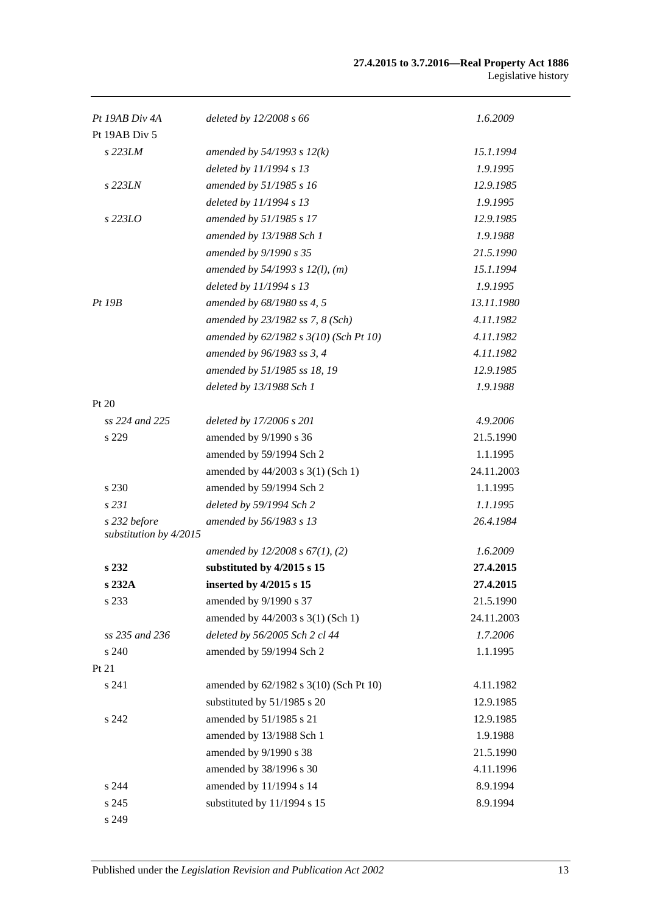### **27.4.2015 to 3.7.2016—Real Property Act 1886** Legislative history

| Pt 19AB Div 4A                         | deleted by $12/2008 s 66$              | 1.6.2009   |
|----------------------------------------|----------------------------------------|------------|
| Pt 19AB Div 5                          |                                        |            |
| s 223LM                                | amended by $54/1993$ s $12(k)$         | 15.1.1994  |
|                                        | deleted by 11/1994 s 13                | 1.9.1995   |
| s 223LN                                | amended by 51/1985 s 16                | 12.9.1985  |
|                                        | deleted by 11/1994 s 13                | 1.9.1995   |
| $s$ 223LO                              | amended by 51/1985 s 17                | 12.9.1985  |
|                                        | amended by 13/1988 Sch 1               | 1.9.1988   |
|                                        | amended by 9/1990 s 35                 | 21.5.1990  |
|                                        | amended by $54/1993$ s $12(l)$ , (m)   | 15.1.1994  |
|                                        | deleted by 11/1994 s 13                | 1.9.1995   |
| <i>Pt 19B</i>                          | amended by 68/1980 ss 4, 5             | 13.11.1980 |
|                                        | amended by 23/1982 ss 7, 8 (Sch)       | 4.11.1982  |
|                                        | amended by 62/1982 s 3(10) (Sch Pt 10) | 4.11.1982  |
|                                        | amended by 96/1983 ss 3, 4             | 4.11.1982  |
|                                        | amended by 51/1985 ss 18, 19           | 12.9.1985  |
|                                        | deleted by 13/1988 Sch 1               | 1.9.1988   |
| Pt 20                                  |                                        |            |
| ss 224 and 225                         | deleted by 17/2006 s 201               | 4.9.2006   |
| s 229                                  | amended by 9/1990 s 36                 | 21.5.1990  |
|                                        | amended by 59/1994 Sch 2               | 1.1.1995   |
|                                        | amended by 44/2003 s 3(1) (Sch 1)      | 24.11.2003 |
| s 230                                  | amended by 59/1994 Sch 2               | 1.1.1995   |
| s 231                                  | deleted by 59/1994 Sch 2               | 1.1.1995   |
| s 232 before<br>substitution by 4/2015 | amended by 56/1983 s 13                | 26.4.1984  |
|                                        | amended by $12/2008 s 67(1)$ , (2)     | 1.6.2009   |
| s 232                                  | substituted by 4/2015 s 15             | 27.4.2015  |
| s 232A                                 | inserted by 4/2015 s 15                | 27.4.2015  |
| s 233                                  | amended by 9/1990 s 37                 | 21.5.1990  |
|                                        | amended by 44/2003 s 3(1) (Sch 1)      | 24.11.2003 |
| ss 235 and 236                         | deleted by 56/2005 Sch 2 cl 44         | 1.7.2006   |
| s 240                                  | amended by 59/1994 Sch 2               | 1.1.1995   |
| Pt 21                                  |                                        |            |
| s 241                                  | amended by 62/1982 s 3(10) (Sch Pt 10) | 4.11.1982  |
|                                        | substituted by 51/1985 s 20            | 12.9.1985  |
| s 242                                  | amended by 51/1985 s 21                | 12.9.1985  |
|                                        | amended by 13/1988 Sch 1               | 1.9.1988   |
|                                        | amended by 9/1990 s 38                 | 21.5.1990  |
|                                        | amended by 38/1996 s 30                | 4.11.1996  |
| s 244                                  | amended by 11/1994 s 14                | 8.9.1994   |
| s 245                                  | substituted by 11/1994 s 15            | 8.9.1994   |
| s 249                                  |                                        |            |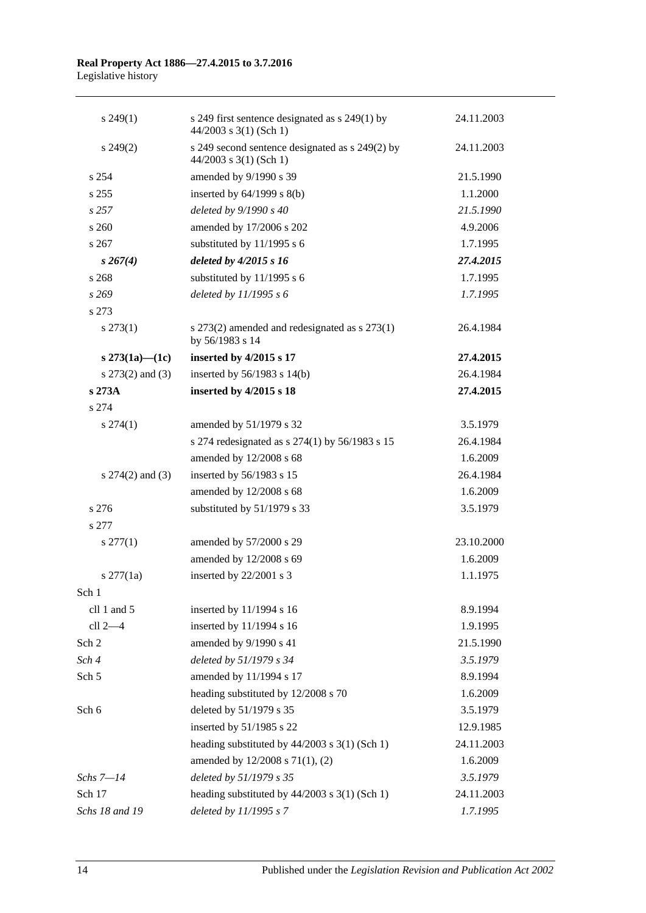| $s\,249(1)$          | s 249 first sentence designated as s 249(1) by<br>$44/2003$ s 3(1) (Sch 1)  | 24.11.2003 |
|----------------------|-----------------------------------------------------------------------------|------------|
| $s\,249(2)$          | s 249 second sentence designated as s 249(2) by<br>$44/2003$ s 3(1) (Sch 1) | 24.11.2003 |
| s 254                | amended by 9/1990 s 39                                                      | 21.5.1990  |
| s 255                | inserted by $64/1999$ s $8(b)$                                              | 1.1.2000   |
| s257                 | deleted by 9/1990 s 40                                                      | 21.5.1990  |
| s 260                | amended by 17/2006 s 202                                                    | 4.9.2006   |
| s267                 | substituted by 11/1995 s 6                                                  | 1.7.1995   |
| $s \, 267(4)$        | deleted by 4/2015 s 16                                                      | 27.4.2015  |
| s 268                | substituted by 11/1995 s 6                                                  | 1.7.1995   |
| s269                 | deleted by $11/1995 s 6$                                                    | 1.7.1995   |
| s 273                |                                                                             |            |
| $s\,273(1)$          | s $273(2)$ amended and redesignated as s $273(1)$<br>by 56/1983 s 14        | 26.4.1984  |
| s $273(1a) - (1c)$   | inserted by 4/2015 s 17                                                     | 27.4.2015  |
| s 273(2) and (3)     | inserted by 56/1983 s 14(b)                                                 | 26.4.1984  |
| s 273A               | inserted by 4/2015 s 18                                                     | 27.4.2015  |
| s 274                |                                                                             |            |
| $s\,274(1)$          | amended by 51/1979 s 32                                                     | 3.5.1979   |
|                      | s 274 redesignated as s 274(1) by 56/1983 s 15                              | 26.4.1984  |
|                      | amended by 12/2008 s 68                                                     | 1.6.2009   |
| s $274(2)$ and $(3)$ | inserted by 56/1983 s 15                                                    | 26.4.1984  |
|                      | amended by 12/2008 s 68                                                     | 1.6.2009   |
| s 276                | substituted by 51/1979 s 33                                                 | 3.5.1979   |
| s 277                |                                                                             |            |
| $s \, 277(1)$        | amended by 57/2000 s 29                                                     | 23.10.2000 |
|                      | amended by 12/2008 s 69                                                     | 1.6.2009   |
| $s \, 277(1a)$       | inserted by 22/2001 s 3                                                     | 1.1.1975   |
| Sch 1                |                                                                             |            |
| cll 1 and 5          | inserted by 11/1994 s 16                                                    | 8.9.1994   |
| cll 2-4              | inserted by 11/1994 s 16                                                    | 1.9.1995   |
| Sch 2                | amended by 9/1990 s 41                                                      | 21.5.1990  |
| Sch 4                | deleted by 51/1979 s 34                                                     | 3.5.1979   |
| Sch <sub>5</sub>     | amended by 11/1994 s 17                                                     | 8.9.1994   |
|                      | heading substituted by 12/2008 s 70                                         | 1.6.2009   |
| Sch 6                | deleted by 51/1979 s 35                                                     | 3.5.1979   |
|                      | inserted by 51/1985 s 22                                                    | 12.9.1985  |
|                      | heading substituted by 44/2003 s 3(1) (Sch 1)                               | 24.11.2003 |
|                      | amended by 12/2008 s 71(1), (2)                                             | 1.6.2009   |
| $Schs 7 - 14$        | deleted by 51/1979 s 35                                                     | 3.5.1979   |
| Sch 17               | heading substituted by 44/2003 s 3(1) (Sch 1)                               | 24.11.2003 |
| Schs 18 and 19       | deleted by 11/1995 s 7                                                      | 1.7.1995   |